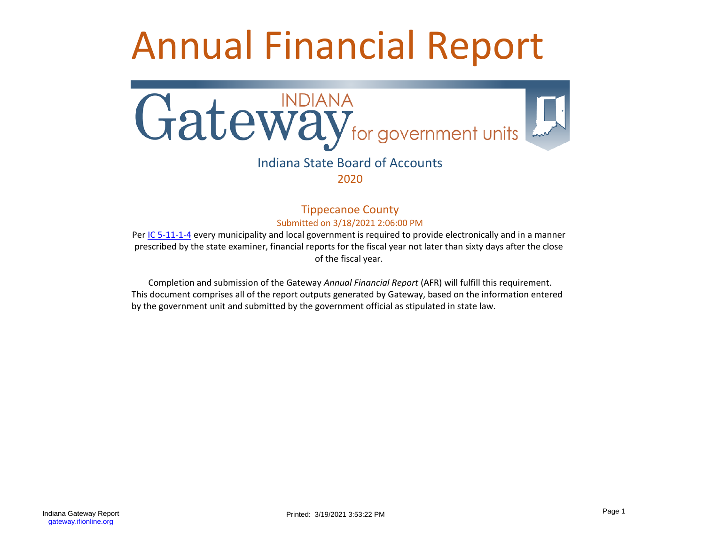# Annual Financial Report



## Indiana State Board of Accounts 2020

Tippecanoe County Submitted on 3/18/2021 2:06:00 PM

Per [IC 5-11-1-4](http://www.in.gov/legislative/ic/code/title5/ar11/ch1.html#IC5-11-1-4) every municipality and local government is required to provide electronically and in a manner prescribed by the state examiner, financial reports for the fiscal year not later than sixty days after the close of the fiscal year.

Completion and submission of the Gateway *Annual Financial Report* (AFR) will fulfill this requirement. This document comprises all of the report outputs generated by Gateway, based on the information entered by the government unit and submitted by the government official as stipulated in state law.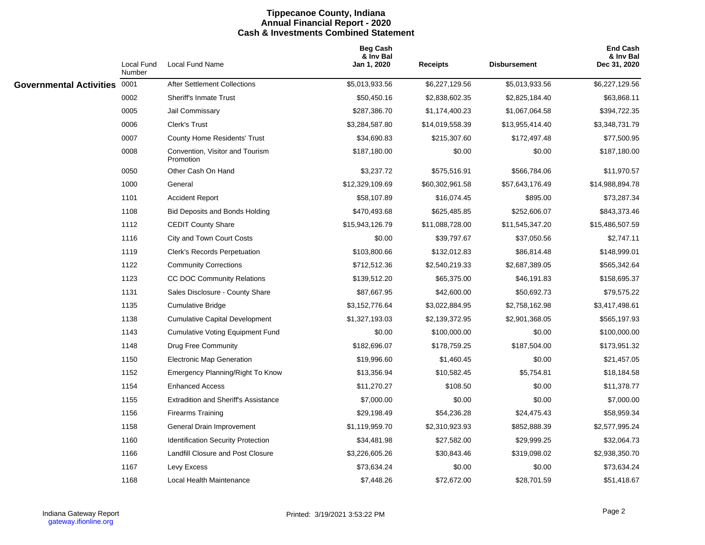#### **Tippecanoe County, Indiana Annual Financial Report - 2020 Cash & Investments Combined Statement**

|                              | Local Fund<br>Number | <b>Local Fund Name</b>                       | <b>Beg Cash</b><br>& Inv Bal<br>Jan 1, 2020 | <b>Receipts</b> | <b>Disbursement</b> | <b>End Cash</b><br>& Inv Bal<br>Dec 31, 2020 |
|------------------------------|----------------------|----------------------------------------------|---------------------------------------------|-----------------|---------------------|----------------------------------------------|
| Governmental Activities 0001 |                      | After Settlement Collections                 | \$5,013,933.56                              | \$6,227,129.56  | \$5,013,933.56      | \$6,227,129.56                               |
|                              | 0002                 | <b>Sheriff's Inmate Trust</b>                | \$50,450.16                                 | \$2,838,602.35  | \$2,825,184.40      | \$63,868.11                                  |
|                              | 0005                 | Jail Commissary                              | \$287,386.70                                | \$1,174,400.23  | \$1,067,064.58      | \$394,722.35                                 |
|                              | 0006                 | Clerk's Trust                                | \$3,284,587.80                              | \$14,019,558.39 | \$13,955,414.40     | \$3,348,731.79                               |
|                              | 0007                 | <b>County Home Residents' Trust</b>          | \$34,690.83                                 | \$215,307.60    | \$172,497.48        | \$77,500.95                                  |
|                              | 0008                 | Convention, Visitor and Tourism<br>Promotion | \$187,180.00                                | \$0.00          | \$0.00              | \$187,180.00                                 |
|                              | 0050                 | Other Cash On Hand                           | \$3,237.72                                  | \$575,516.91    | \$566,784.06        | \$11,970.57                                  |
|                              | 1000                 | General                                      | \$12,329,109.69                             | \$60,302,961.58 | \$57,643,176.49     | \$14,988,894.78                              |
|                              | 1101                 | <b>Accident Report</b>                       | \$58,107.89                                 | \$16,074.45     | \$895.00            | \$73,287.34                                  |
|                              | 1108                 | <b>Bid Deposits and Bonds Holding</b>        | \$470,493.68                                | \$625,485.85    | \$252,606.07        | \$843,373.46                                 |
|                              | 1112                 | <b>CEDIT County Share</b>                    | \$15,943,126.79                             | \$11,088,728.00 | \$11,545,347.20     | \$15,486,507.59                              |
|                              | 1116                 | <b>City and Town Court Costs</b>             | \$0.00                                      | \$39,797.67     | \$37,050.56         | \$2,747.11                                   |
|                              | 1119                 | <b>Clerk's Records Perpetuation</b>          | \$103,800.66                                | \$132,012.83    | \$86,814.48         | \$148,999.01                                 |
|                              | 1122                 | <b>Community Corrections</b>                 | \$712,512.36                                | \$2,540,219.33  | \$2,687,389.05      | \$565,342.64                                 |
|                              | 1123                 | CC DOC Community Relations                   | \$139,512.20                                | \$65,375.00     | \$46,191.83         | \$158,695.37                                 |
|                              | 1131                 | Sales Disclosure - County Share              | \$87,667.95                                 | \$42,600.00     | \$50,692.73         | \$79,575.22                                  |
|                              | 1135                 | <b>Cumulative Bridge</b>                     | \$3,152,776.64                              | \$3,022,884.95  | \$2,758,162.98      | \$3,417,498.61                               |
|                              | 1138                 | <b>Cumulative Capital Development</b>        | \$1,327,193.03                              | \$2,139,372.95  | \$2,901,368.05      | \$565,197.93                                 |
|                              | 1143                 | <b>Cumulative Voting Equipment Fund</b>      | \$0.00                                      | \$100,000.00    | \$0.00              | \$100,000.00                                 |
|                              | 1148                 | Drug Free Community                          | \$182,696.07                                | \$178,759.25    | \$187,504.00        | \$173,951.32                                 |
|                              | 1150                 | <b>Electronic Map Generation</b>             | \$19,996.60                                 | \$1,460.45      | \$0.00              | \$21,457.05                                  |
|                              | 1152                 | Emergency Planning/Right To Know             | \$13,356.94                                 | \$10,582.45     | \$5,754.81          | \$18,184.58                                  |
|                              | 1154                 | <b>Enhanced Access</b>                       | \$11,270.27                                 | \$108.50        | \$0.00              | \$11,378.77                                  |
|                              | 1155                 | <b>Extradition and Sheriff's Assistance</b>  | \$7,000.00                                  | \$0.00          | \$0.00              | \$7,000.00                                   |
|                              | 1156                 | <b>Firearms Training</b>                     | \$29,198.49                                 | \$54,236.28     | \$24,475.43         | \$58,959.34                                  |
|                              | 1158                 | General Drain Improvement                    | \$1,119,959.70                              | \$2,310,923.93  | \$852,888.39        | \$2,577,995.24                               |
|                              | 1160                 | <b>Identification Security Protection</b>    | \$34,481.98                                 | \$27,582.00     | \$29,999.25         | \$32,064.73                                  |
|                              | 1166                 | Landfill Closure and Post Closure            | \$3,226,605.26                              | \$30,843.46     | \$319,098.02        | \$2,938,350.70                               |
|                              | 1167                 | Levy Excess                                  | \$73,634.24                                 | \$0.00          | \$0.00              | \$73,634.24                                  |
|                              | 1168                 | Local Health Maintenance                     | \$7,448.26                                  | \$72,672.00     | \$28,701.59         | \$51,418.67                                  |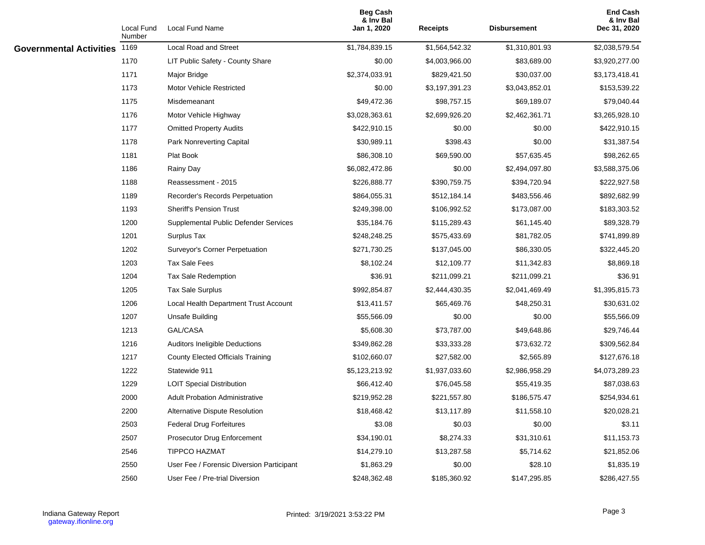|                                | Local Fund<br>Number | Local Fund Name                           | <b>Beg Cash</b><br>& Inv Bal<br>Jan 1, 2020 | <b>Receipts</b> | Disbursement   | <b>End Cash</b><br>& Inv Bal<br>Dec 31, 2020 |
|--------------------------------|----------------------|-------------------------------------------|---------------------------------------------|-----------------|----------------|----------------------------------------------|
| <b>Governmental Activities</b> | 1169                 | Local Road and Street                     | \$1,784,839.15                              | \$1,564,542.32  | \$1,310,801.93 | \$2,038,579.54                               |
|                                | 1170                 | LIT Public Safety - County Share          | \$0.00                                      | \$4,003,966.00  | \$83,689.00    | \$3,920,277.00                               |
|                                | 1171                 | Major Bridge                              | \$2,374,033.91                              | \$829,421.50    | \$30,037.00    | \$3,173,418.41                               |
|                                | 1173                 | <b>Motor Vehicle Restricted</b>           | \$0.00                                      | \$3,197,391.23  | \$3,043,852.01 | \$153,539.22                                 |
|                                | 1175                 | Misdemeanant                              | \$49,472.36                                 | \$98,757.15     | \$69,189.07    | \$79,040.44                                  |
|                                | 1176                 | Motor Vehicle Highway                     | \$3,028,363.61                              | \$2,699,926.20  | \$2,462,361.71 | \$3,265,928.10                               |
|                                | 1177                 | <b>Omitted Property Audits</b>            | \$422,910.15                                | \$0.00          | \$0.00         | \$422,910.15                                 |
|                                | 1178                 | Park Nonreverting Capital                 | \$30,989.11                                 | \$398.43        | \$0.00         | \$31,387.54                                  |
|                                | 1181                 | Plat Book                                 | \$86,308.10                                 | \$69,590.00     | \$57,635.45    | \$98,262.65                                  |
|                                | 1186                 | Rainy Day                                 | \$6,082,472.86                              | \$0.00          | \$2,494,097.80 | \$3,588,375.06                               |
|                                | 1188                 | Reassessment - 2015                       | \$226,888.77                                | \$390,759.75    | \$394,720.94   | \$222,927.58                                 |
|                                | 1189                 | Recorder's Records Perpetuation           | \$864,055.31                                | \$512,184.14    | \$483,556.46   | \$892,682.99                                 |
|                                | 1193                 | <b>Sheriff's Pension Trust</b>            | \$249,398.00                                | \$106,992.52    | \$173,087.00   | \$183,303.52                                 |
|                                | 1200                 | Supplemental Public Defender Services     | \$35,184.76                                 | \$115,289.43    | \$61,145.40    | \$89,328.79                                  |
|                                | 1201                 | Surplus Tax                               | \$248,248.25                                | \$575,433.69    | \$81,782.05    | \$741,899.89                                 |
|                                | 1202                 | Surveyor's Corner Perpetuation            | \$271,730.25                                | \$137,045.00    | \$86,330.05    | \$322,445.20                                 |
|                                | 1203                 | <b>Tax Sale Fees</b>                      | \$8,102.24                                  | \$12,109.77     | \$11,342.83    | \$8,869.18                                   |
|                                | 1204                 | <b>Tax Sale Redemption</b>                | \$36.91                                     | \$211,099.21    | \$211,099.21   | \$36.91                                      |
|                                | 1205                 | <b>Tax Sale Surplus</b>                   | \$992,854.87                                | \$2,444,430.35  | \$2,041,469.49 | \$1,395,815.73                               |
|                                | 1206                 | Local Health Department Trust Account     | \$13,411.57                                 | \$65,469.76     | \$48,250.31    | \$30,631.02                                  |
|                                | 1207                 | Unsafe Building                           | \$55,566.09                                 | \$0.00          | \$0.00         | \$55,566.09                                  |
|                                | 1213                 | GAL/CASA                                  | \$5,608.30                                  | \$73,787.00     | \$49,648.86    | \$29,746.44                                  |
|                                | 1216                 | Auditors Ineligible Deductions            | \$349,862.28                                | \$33,333.28     | \$73,632.72    | \$309,562.84                                 |
|                                | 1217                 | <b>County Elected Officials Training</b>  | \$102,660.07                                | \$27,582.00     | \$2,565.89     | \$127,676.18                                 |
|                                | 1222                 | Statewide 911                             | \$5,123,213.92                              | \$1,937,033.60  | \$2,986,958.29 | \$4,073,289.23                               |
|                                | 1229                 | <b>LOIT Special Distribution</b>          | \$66,412.40                                 | \$76,045.58     | \$55,419.35    | \$87,038.63                                  |
|                                | 2000                 | <b>Adult Probation Administrative</b>     | \$219,952.28                                | \$221,557.80    | \$186,575.47   | \$254,934.61                                 |
|                                | 2200                 | Alternative Dispute Resolution            | \$18,468.42                                 | \$13,117.89     | \$11,558.10    | \$20,028.21                                  |
|                                | 2503                 | <b>Federal Drug Forfeitures</b>           | \$3.08                                      | \$0.03          | \$0.00         | \$3.11                                       |
|                                | 2507                 | Prosecutor Drug Enforcement               | \$34,190.01                                 | \$8,274.33      | \$31,310.61    | \$11,153.73                                  |
|                                | 2546                 | TIPPCO HAZMAT                             | \$14,279.10                                 | \$13,287.58     | \$5,714.62     | \$21,852.06                                  |
|                                | 2550                 | User Fee / Forensic Diversion Participant | \$1,863.29                                  | \$0.00          | \$28.10        | \$1,835.19                                   |
|                                | 2560                 | User Fee / Pre-trial Diversion            | \$248,362.48                                | \$185,360.92    | \$147,295.85   | \$286,427.55                                 |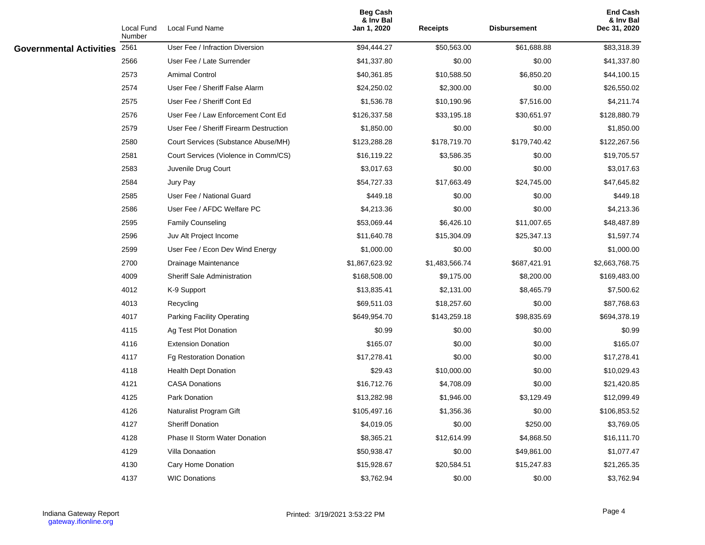|                                | Local Fund<br>Number | Local Fund Name                        | <b>Beg Cash</b><br>& Inv Bal<br>Jan 1, 2020 | <b>Receipts</b> | <b>Disbursement</b> | <b>End Cash</b><br>& Inv Bal<br>Dec 31, 2020 |
|--------------------------------|----------------------|----------------------------------------|---------------------------------------------|-----------------|---------------------|----------------------------------------------|
| <b>Governmental Activities</b> | 2561                 | User Fee / Infraction Diversion        | \$94,444.27                                 | \$50,563.00     | \$61,688.88         | \$83,318.39                                  |
|                                | 2566                 | User Fee / Late Surrender              | \$41,337.80                                 | \$0.00          | \$0.00              | \$41,337.80                                  |
|                                | 2573                 | <b>Amimal Control</b>                  | \$40,361.85                                 | \$10,588.50     | \$6,850.20          | \$44,100.15                                  |
|                                | 2574                 | User Fee / Sheriff False Alarm         | \$24,250.02                                 | \$2,300.00      | \$0.00              | \$26,550.02                                  |
|                                | 2575                 | User Fee / Sheriff Cont Ed             | \$1,536.78                                  | \$10,190.96     | \$7,516.00          | \$4,211.74                                   |
|                                | 2576                 | User Fee / Law Enforcement Cont Ed     | \$126,337.58                                | \$33,195.18     | \$30,651.97         | \$128,880.79                                 |
|                                | 2579                 | User Fee / Sheriff Firearm Destruction | \$1,850.00                                  | \$0.00          | \$0.00              | \$1,850.00                                   |
|                                | 2580                 | Court Services (Substance Abuse/MH)    | \$123,288.28                                | \$178,719.70    | \$179,740.42        | \$122,267.56                                 |
|                                | 2581                 | Court Services (Violence in Comm/CS)   | \$16,119.22                                 | \$3,586.35      | \$0.00              | \$19,705.57                                  |
|                                | 2583                 | Juvenile Drug Court                    | \$3,017.63                                  | \$0.00          | \$0.00              | \$3,017.63                                   |
|                                | 2584                 | Jury Pay                               | \$54,727.33                                 | \$17,663.49     | \$24,745.00         | \$47,645.82                                  |
|                                | 2585                 | User Fee / National Guard              | \$449.18                                    | \$0.00          | \$0.00              | \$449.18                                     |
|                                | 2586                 | User Fee / AFDC Welfare PC             | \$4,213.36                                  | \$0.00          | \$0.00              | \$4,213.36                                   |
|                                | 2595                 | <b>Family Counseling</b>               | \$53,069.44                                 | \$6,426.10      | \$11,007.65         | \$48,487.89                                  |
|                                | 2596                 | Juv Alt Project Income                 | \$11,640.78                                 | \$15,304.09     | \$25,347.13         | \$1,597.74                                   |
|                                | 2599                 | User Fee / Econ Dev Wind Energy        | \$1,000.00                                  | \$0.00          | \$0.00              | \$1,000.00                                   |
|                                | 2700                 | Drainage Maintenance                   | \$1,867,623.92                              | \$1,483,566.74  | \$687,421.91        | \$2,663,768.75                               |
|                                | 4009                 | <b>Sheriff Sale Administration</b>     | \$168,508.00                                | \$9,175.00      | \$8,200.00          | \$169,483.00                                 |
|                                | 4012                 | K-9 Support                            | \$13,835.41                                 | \$2,131.00      | \$8,465.79          | \$7,500.62                                   |
|                                | 4013                 | Recycling                              | \$69,511.03                                 | \$18,257.60     | \$0.00              | \$87,768.63                                  |
|                                | 4017                 | Parking Facility Operating             | \$649,954.70                                | \$143,259.18    | \$98,835.69         | \$694,378.19                                 |
|                                | 4115                 | Ag Test Plot Donation                  | \$0.99                                      | \$0.00          | \$0.00              | \$0.99                                       |
|                                | 4116                 | <b>Extension Donation</b>              | \$165.07                                    | \$0.00          | \$0.00              | \$165.07                                     |
|                                | 4117                 | <b>Fg Restoration Donation</b>         | \$17,278.41                                 | \$0.00          | \$0.00              | \$17,278.41                                  |
|                                | 4118                 | <b>Health Dept Donation</b>            | \$29.43                                     | \$10,000.00     | \$0.00              | \$10,029.43                                  |
|                                | 4121                 | <b>CASA Donations</b>                  | \$16,712.76                                 | \$4,708.09      | \$0.00              | \$21,420.85                                  |
|                                | 4125                 | Park Donation                          | \$13,282.98                                 | \$1,946.00      | \$3,129.49          | \$12,099.49                                  |
|                                | 4126                 | Naturalist Program Gift                | \$105,497.16                                | \$1,356.36      | \$0.00              | \$106,853.52                                 |
|                                | 4127                 | <b>Sheriff Donation</b>                | \$4,019.05                                  | \$0.00          | \$250.00            | \$3,769.05                                   |
|                                | 4128                 | <b>Phase II Storm Water Donation</b>   | \$8,365.21                                  | \$12,614.99     | \$4,868.50          | \$16,111.70                                  |
|                                | 4129                 | Villa Donaation                        | \$50,938.47                                 | \$0.00          | \$49,861.00         | \$1,077.47                                   |
|                                | 4130                 | Cary Home Donation                     | \$15,928.67                                 | \$20,584.51     | \$15,247.83         | \$21,265.35                                  |
|                                | 4137                 | <b>WIC Donations</b>                   | \$3,762.94                                  | \$0.00          | \$0.00              | \$3,762.94                                   |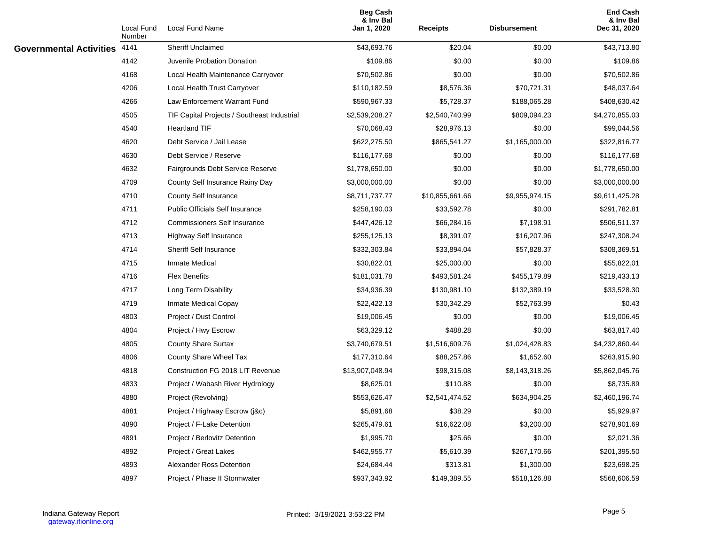|                                | Local Fund<br>Number | Local Fund Name                             | <b>Beg Cash</b><br>& Inv Bal<br>Jan 1, 2020 | <b>Receipts</b> | Disbursement   | <b>End Cash</b><br>& Inv Bal<br>Dec 31, 2020 |
|--------------------------------|----------------------|---------------------------------------------|---------------------------------------------|-----------------|----------------|----------------------------------------------|
| <b>Governmental Activities</b> | 4141                 | Sheriff Unclaimed                           | \$43,693.76                                 | \$20.04         | \$0.00         | \$43,713.80                                  |
|                                | 4142                 | Juvenile Probation Donation                 | \$109.86                                    | \$0.00          | \$0.00         | \$109.86                                     |
|                                | 4168                 | Local Health Maintenance Carryover          | \$70,502.86                                 | \$0.00          | \$0.00         | \$70,502.86                                  |
|                                | 4206                 | Local Health Trust Carryover                | \$110,182.59                                | \$8,576.36      | \$70,721.31    | \$48,037.64                                  |
|                                | 4266                 | Law Enforcement Warrant Fund                | \$590,967.33                                | \$5,728.37      | \$188,065.28   | \$408,630.42                                 |
|                                | 4505                 | TIF Capital Projects / Southeast Industrial | \$2,539,208.27                              | \$2,540,740.99  | \$809,094.23   | \$4,270,855.03                               |
|                                | 4540                 | <b>Heartland TIF</b>                        | \$70,068.43                                 | \$28,976.13     | \$0.00         | \$99,044.56                                  |
|                                | 4620                 | Debt Service / Jail Lease                   | \$622,275.50                                | \$865,541.27    | \$1,165,000.00 | \$322,816.77                                 |
|                                | 4630                 | Debt Service / Reserve                      | \$116,177.68                                | \$0.00          | \$0.00         | \$116,177.68                                 |
|                                | 4632                 | Fairgrounds Debt Service Reserve            | \$1,778,650.00                              | \$0.00          | \$0.00         | \$1,778,650.00                               |
|                                | 4709                 | County Self Insurance Rainy Day             | \$3,000,000.00                              | \$0.00          | \$0.00         | \$3,000,000.00                               |
|                                | 4710                 | County Self Insurance                       | \$8,711,737.77                              | \$10,855,661.66 | \$9,955,974.15 | \$9,611,425.28                               |
|                                | 4711                 | <b>Public Officials Self Insurance</b>      | \$258,190.03                                | \$33,592.78     | \$0.00         | \$291,782.81                                 |
|                                | 4712                 | <b>Commissioners Self Insurance</b>         | \$447,426.12                                | \$66,284.16     | \$7,198.91     | \$506,511.37                                 |
|                                | 4713                 | Highway Self Insurance                      | \$255,125.13                                | \$8,391.07      | \$16,207.96    | \$247,308.24                                 |
|                                | 4714                 | <b>Sheriff Self Insurance</b>               | \$332,303.84                                | \$33,894.04     | \$57,828.37    | \$308,369.51                                 |
|                                | 4715                 | <b>Inmate Medical</b>                       | \$30,822.01                                 | \$25,000.00     | \$0.00         | \$55,822.01                                  |
|                                | 4716                 | <b>Flex Benefits</b>                        | \$181,031.78                                | \$493,581.24    | \$455,179.89   | \$219,433.13                                 |
|                                | 4717                 | Long Term Disability                        | \$34,936.39                                 | \$130,981.10    | \$132,389.19   | \$33,528.30                                  |
|                                | 4719                 | Inmate Medical Copay                        | \$22,422.13                                 | \$30,342.29     | \$52,763.99    | \$0.43                                       |
|                                | 4803                 | Project / Dust Control                      | \$19,006.45                                 | \$0.00          | \$0.00         | \$19,006.45                                  |
|                                | 4804                 | Project / Hwy Escrow                        | \$63,329.12                                 | \$488.28        | \$0.00         | \$63,817.40                                  |
|                                | 4805                 | <b>County Share Surtax</b>                  | \$3,740,679.51                              | \$1,516,609.76  | \$1,024,428.83 | \$4,232,860.44                               |
|                                | 4806                 | County Share Wheel Tax                      | \$177,310.64                                | \$88,257.86     | \$1,652.60     | \$263,915.90                                 |
|                                | 4818                 | Construction FG 2018 LIT Revenue            | \$13,907,048.94                             | \$98,315.08     | \$8,143,318.26 | \$5,862,045.76                               |
|                                | 4833                 | Project / Wabash River Hydrology            | \$8,625.01                                  | \$110.88        | \$0.00         | \$8,735.89                                   |
|                                | 4880                 | Project (Revolving)                         | \$553,626.47                                | \$2,541,474.52  | \$634,904.25   | \$2,460,196.74                               |
|                                | 4881                 | Project / Highway Escrow (j&c)              | \$5,891.68                                  | \$38.29         | \$0.00         | \$5,929.97                                   |
|                                | 4890                 | Project / F-Lake Detention                  | \$265,479.61                                | \$16,622.08     | \$3,200.00     | \$278,901.69                                 |
|                                | 4891                 | Project / Berlovitz Detention               | \$1,995.70                                  | \$25.66         | \$0.00         | \$2,021.36                                   |
|                                | 4892                 | Project / Great Lakes                       | \$462,955.77                                | \$5,610.39      | \$267,170.66   | \$201,395.50                                 |
|                                | 4893                 | Alexander Ross Detention                    | \$24,684.44                                 | \$313.81        | \$1,300.00     | \$23,698.25                                  |
|                                | 4897                 | Project / Phase II Stormwater               | \$937,343.92                                | \$149,389.55    | \$518,126.88   | \$568,606.59                                 |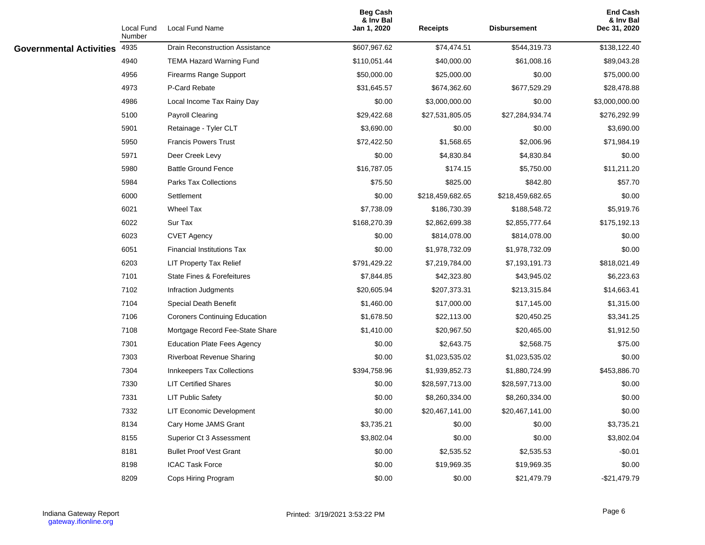|                                | Local Fund<br>Number | Local Fund Name                        | <b>Beg Cash</b><br>& Inv Bal<br>Jan 1, 2020 | <b>Receipts</b>  | <b>Disbursement</b> | <b>End Cash</b><br>& Inv Bal<br>Dec 31, 2020 |
|--------------------------------|----------------------|----------------------------------------|---------------------------------------------|------------------|---------------------|----------------------------------------------|
| <b>Governmental Activities</b> | 4935                 | <b>Drain Reconstruction Assistance</b> | \$607,967.62                                | \$74,474.51      | \$544,319.73        | \$138,122.40                                 |
|                                | 4940                 | <b>TEMA Hazard Warning Fund</b>        | \$110,051.44                                | \$40,000.00      | \$61,008.16         | \$89,043.28                                  |
|                                | 4956                 | Firearms Range Support                 | \$50,000.00                                 | \$25,000.00      | \$0.00              | \$75,000.00                                  |
|                                | 4973                 | P-Card Rebate                          | \$31,645.57                                 | \$674,362.60     | \$677,529.29        | \$28,478.88                                  |
|                                | 4986                 | Local Income Tax Rainy Day             | \$0.00                                      | \$3,000,000.00   | \$0.00              | \$3,000,000.00                               |
|                                | 5100                 | <b>Payroll Clearing</b>                | \$29,422.68                                 | \$27,531,805.05  | \$27,284,934.74     | \$276,292.99                                 |
|                                | 5901                 | Retainage - Tyler CLT                  | \$3,690.00                                  | \$0.00           | \$0.00              | \$3,690.00                                   |
|                                | 5950                 | <b>Francis Powers Trust</b>            | \$72,422.50                                 | \$1,568.65       | \$2,006.96          | \$71,984.19                                  |
|                                | 5971                 | Deer Creek Levy                        | \$0.00                                      | \$4,830.84       | \$4,830.84          | \$0.00                                       |
|                                | 5980                 | <b>Battle Ground Fence</b>             | \$16,787.05                                 | \$174.15         | \$5,750.00          | \$11,211.20                                  |
|                                | 5984                 | Parks Tax Collections                  | \$75.50                                     | \$825.00         | \$842.80            | \$57.70                                      |
|                                | 6000                 | Settlement                             | \$0.00                                      | \$218,459,682.65 | \$218,459,682.65    | \$0.00                                       |
|                                | 6021                 | Wheel Tax                              | \$7,738.09                                  | \$186,730.39     | \$188,548.72        | \$5,919.76                                   |
|                                | 6022                 | Sur Tax                                | \$168,270.39                                | \$2,862,699.38   | \$2,855,777.64      | \$175,192.13                                 |
|                                | 6023                 | <b>CVET Agency</b>                     | \$0.00                                      | \$814,078.00     | \$814,078.00        | \$0.00                                       |
|                                | 6051                 | <b>Financial Institutions Tax</b>      | \$0.00                                      | \$1,978,732.09   | \$1,978,732.09      | \$0.00                                       |
|                                | 6203                 | LIT Property Tax Relief                | \$791,429.22                                | \$7,219,784.00   | \$7,193,191.73      | \$818,021.49                                 |
|                                | 7101                 | State Fines & Forefeitures             | \$7,844.85                                  | \$42,323.80      | \$43,945.02         | \$6,223.63                                   |
|                                | 7102                 | Infraction Judgments                   | \$20,605.94                                 | \$207,373.31     | \$213,315.84        | \$14,663.41                                  |
|                                | 7104                 | Special Death Benefit                  | \$1,460.00                                  | \$17,000.00      | \$17,145.00         | \$1,315.00                                   |
|                                | 7106                 | <b>Coroners Continuing Education</b>   | \$1,678.50                                  | \$22,113.00      | \$20,450.25         | \$3,341.25                                   |
|                                | 7108                 | Mortgage Record Fee-State Share        | \$1,410.00                                  | \$20,967.50      | \$20,465.00         | \$1,912.50                                   |
|                                | 7301                 | <b>Education Plate Fees Agency</b>     | \$0.00                                      | \$2,643.75       | \$2,568.75          | \$75.00                                      |
|                                | 7303                 | Riverboat Revenue Sharing              | \$0.00                                      | \$1,023,535.02   | \$1,023,535.02      | \$0.00                                       |
|                                | 7304                 | Innkeepers Tax Collections             | \$394,758.96                                | \$1,939,852.73   | \$1,880,724.99      | \$453,886.70                                 |
|                                | 7330                 | <b>LIT Certified Shares</b>            | \$0.00                                      | \$28,597,713.00  | \$28,597,713.00     | \$0.00                                       |
|                                | 7331                 | <b>LIT Public Safety</b>               | \$0.00                                      | \$8,260,334.00   | \$8,260,334.00      | \$0.00                                       |
|                                | 7332                 | <b>LIT Economic Development</b>        | \$0.00                                      | \$20,467,141.00  | \$20,467,141.00     | \$0.00                                       |
|                                | 8134                 | Cary Home JAMS Grant                   | \$3,735.21                                  | \$0.00           | \$0.00              | \$3,735.21                                   |
|                                | 8155                 | Superior Ct 3 Assessment               | \$3,802.04                                  | \$0.00           | \$0.00              | \$3,802.04                                   |
|                                | 8181                 | <b>Bullet Proof Vest Grant</b>         | \$0.00                                      | \$2,535.52       | \$2,535.53          | $-$0.01$                                     |
|                                | 8198                 | <b>ICAC Task Force</b>                 | \$0.00                                      | \$19,969.35      | \$19,969.35         | \$0.00                                       |
|                                | 8209                 | Cops Hiring Program                    | \$0.00                                      | \$0.00           | \$21,479.79         | $-$21,479.79$                                |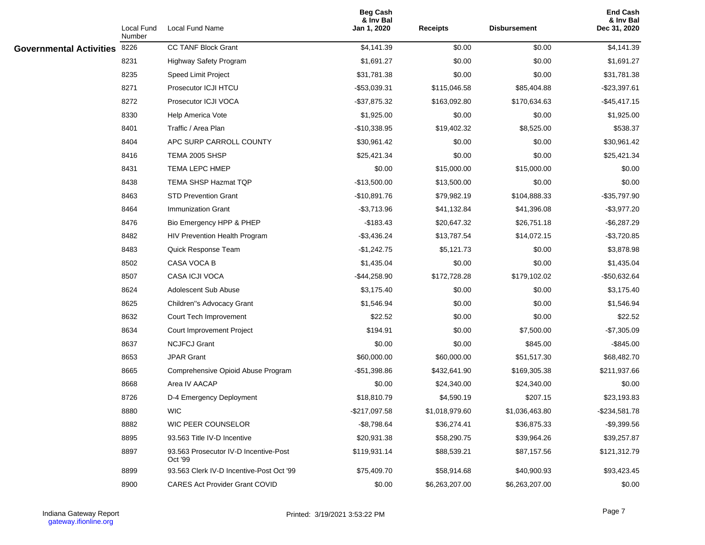|                                | Local Fund<br>Number | Local Fund Name                                  | <b>Beg Cash</b><br>& Inv Bal<br>Jan 1, 2020 | <b>Receipts</b> | <b>Disbursement</b> | <b>End Cash</b><br>& Inv Bal<br>Dec 31, 2020 |
|--------------------------------|----------------------|--------------------------------------------------|---------------------------------------------|-----------------|---------------------|----------------------------------------------|
| <b>Governmental Activities</b> | 8226                 | CC TANF Block Grant                              | \$4,141.39                                  | \$0.00          | \$0.00              | \$4,141.39                                   |
|                                | 8231                 | Highway Safety Program                           | \$1,691.27                                  | \$0.00          | \$0.00              | \$1,691.27                                   |
|                                | 8235                 | Speed Limit Project                              | \$31,781.38                                 | \$0.00          | \$0.00              | \$31,781.38                                  |
|                                | 8271                 | Prosecutor ICJI HTCU                             | $-$ \$53,039.31                             | \$115,046.58    | \$85,404.88         | $-$ \$23,397.61                              |
|                                | 8272                 | Prosecutor ICJI VOCA                             | $-$ \$37,875.32                             | \$163,092.80    | \$170,634.63        | $-$ \$45,417.15                              |
|                                | 8330                 | Help America Vote                                | \$1,925.00                                  | \$0.00          | \$0.00              | \$1,925.00                                   |
|                                | 8401                 | Traffic / Area Plan                              | $-$10,338.95$                               | \$19,402.32     | \$8,525.00          | \$538.37                                     |
|                                | 8404                 | APC SURP CARROLL COUNTY                          | \$30,961.42                                 | \$0.00          | \$0.00              | \$30,961.42                                  |
|                                | 8416                 | TEMA 2005 SHSP                                   | \$25,421.34                                 | \$0.00          | \$0.00              | \$25,421.34                                  |
|                                | 8431                 | TEMA LEPC HMEP                                   | \$0.00                                      | \$15,000.00     | \$15,000.00         | \$0.00                                       |
|                                | 8438                 | TEMA SHSP Hazmat TQP                             | $-$13,500.00$                               | \$13,500.00     | \$0.00              | \$0.00                                       |
|                                | 8463                 | <b>STD Prevention Grant</b>                      | -\$10,891.76                                | \$79,982.19     | \$104,888.33        | -\$35,797.90                                 |
|                                | 8464                 | Immunization Grant                               | $-$3,713.96$                                | \$41,132.84     | \$41,396.08         | $-$3,977.20$                                 |
|                                | 8476                 | Bio Emergency HPP & PHEP                         | $-$183.43$                                  | \$20,647.32     | \$26,751.18         | $-$ \$6,287.29                               |
|                                | 8482                 | HIV Prevention Health Program                    | $-$ \$3,436.24                              | \$13,787.54     | \$14,072.15         | $-$3,720.85$                                 |
|                                | 8483                 | Quick Response Team                              | $-$1,242.75$                                | \$5,121.73      | \$0.00              | \$3,878.98                                   |
|                                | 8502                 | CASA VOCA B                                      | \$1,435.04                                  | \$0.00          | \$0.00              | \$1,435.04                                   |
|                                | 8507                 | CASA ICJI VOCA                                   | $-$ \$44,258.90                             | \$172,728.28    | \$179,102.02        | -\$50,632.64                                 |
|                                | 8624                 | Adolescent Sub Abuse                             | \$3,175.40                                  | \$0.00          | \$0.00              | \$3,175.40                                   |
|                                | 8625                 | Children"s Advocacy Grant                        | \$1,546.94                                  | \$0.00          | \$0.00              | \$1,546.94                                   |
|                                | 8632                 | Court Tech Improvement                           | \$22.52                                     | \$0.00          | \$0.00              | \$22.52                                      |
|                                | 8634                 | Court Improvement Project                        | \$194.91                                    | \$0.00          | \$7,500.00          | $-$7,305.09$                                 |
|                                | 8637                 | <b>NCJFCJ Grant</b>                              | \$0.00                                      | \$0.00          | \$845.00            | $-$ \$845.00                                 |
|                                | 8653                 | <b>JPAR Grant</b>                                | \$60,000.00                                 | \$60,000.00     | \$51,517.30         | \$68,482.70                                  |
|                                | 8665                 | Comprehensive Opioid Abuse Program               | -\$51,398.86                                | \$432,641.90    | \$169,305.38        | \$211,937.66                                 |
|                                | 8668                 | Area IV AACAP                                    | \$0.00                                      | \$24,340.00     | \$24,340.00         | \$0.00                                       |
|                                | 8726                 | D-4 Emergency Deployment                         | \$18,810.79                                 | \$4,590.19      | \$207.15            | \$23,193.83                                  |
|                                | 8880                 | <b>WIC</b>                                       | -\$217,097.58                               | \$1,018,979.60  | \$1,036,463.80      | -\$234,581.78                                |
|                                | 8882                 | WIC PEER COUNSELOR                               | $-$ \$8,798.64                              | \$36,274.41     | \$36,875.33         | $-$9,399.56$                                 |
|                                | 8895                 | 93.563 Title IV-D Incentive                      | \$20,931.38                                 | \$58,290.75     | \$39,964.26         | \$39,257.87                                  |
|                                | 8897                 | 93.563 Prosecutor IV-D Incentive-Post<br>Oct '99 | \$119,931.14                                | \$88,539.21     | \$87,157.56         | \$121,312.79                                 |
|                                | 8899                 | 93.563 Clerk IV-D Incentive-Post Oct '99         | \$75,409.70                                 | \$58,914.68     | \$40,900.93         | \$93,423.45                                  |
|                                | 8900                 | <b>CARES Act Provider Grant COVID</b>            | \$0.00                                      | \$6,263,207.00  | \$6,263,207.00      | \$0.00                                       |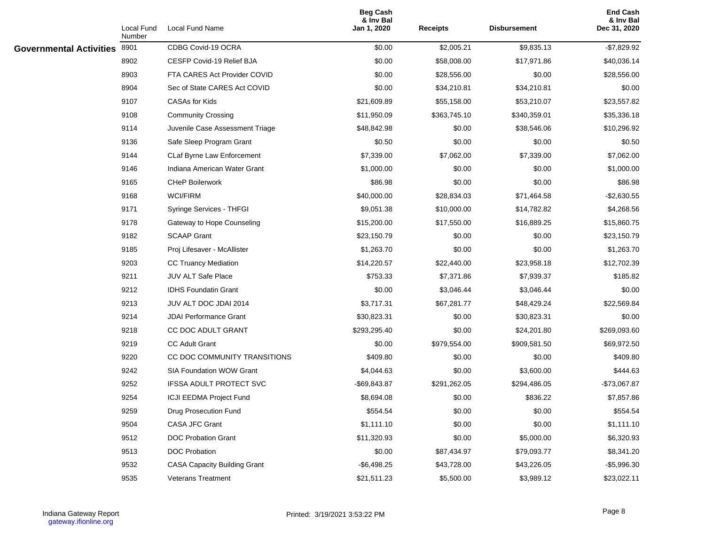|                                | Local Fund<br>Number | Local Fund Name                     | <b>Beg Cash</b><br>& Inv Bal<br>Jan 1, 2020 | <b>Receipts</b> | Disbursement | <b>End Cash</b><br>& Inv Bal<br>Dec 31, 2020 |
|--------------------------------|----------------------|-------------------------------------|---------------------------------------------|-----------------|--------------|----------------------------------------------|
| <b>Governmental Activities</b> | 8901                 | CDBG Covid-19 OCRA                  | \$0.00                                      | \$2,005.21      | \$9,835.13   | $-$7,829.92$                                 |
|                                | 8902                 | CESFP Covid-19 Relief BJA           | \$0.00                                      | \$58,008.00     | \$17,971.86  | \$40,036.14                                  |
|                                | 8903                 | FTA CARES Act Provider COVID        | \$0.00                                      | \$28,556.00     | \$0.00       | \$28,556.00                                  |
|                                | 8904                 | Sec of State CARES Act COVID        | \$0.00                                      | \$34,210.81     | \$34,210.81  | \$0.00                                       |
|                                | 9107                 | <b>CASAs for Kids</b>               | \$21,609.89                                 | \$55,158.00     | \$53,210.07  | \$23,557.82                                  |
|                                | 9108                 | <b>Community Crossing</b>           | \$11,950.09                                 | \$363,745.10    | \$340,359.01 | \$35,336.18                                  |
|                                | 9114                 | Juvenile Case Assessment Triage     | \$48,842.98                                 | \$0.00          | \$38,546.06  | \$10,296.92                                  |
|                                | 9136                 | Safe Sleep Program Grant            | \$0.50                                      | \$0.00          | \$0.00       | \$0.50                                       |
|                                | 9144                 | CLaf Byrne Law Enforcement          | \$7,339.00                                  | \$7,062.00      | \$7,339.00   | \$7,062.00                                   |
|                                | 9146                 | Indiana American Water Grant        | \$1,000.00                                  | \$0.00          | \$0.00       | \$1,000.00                                   |
|                                | 9165                 | <b>CHeP Boilerwork</b>              | \$86.98                                     | \$0.00          | \$0.00       | \$86.98                                      |
|                                | 9168                 | <b>WCI/FIRM</b>                     | \$40,000.00                                 | \$28,834.03     | \$71,464.58  | $-$2,630.55$                                 |
|                                | 9171                 | Syringe Services - THFGI            | \$9,051.38                                  | \$10,000.00     | \$14,782.82  | \$4,268.56                                   |
|                                | 9178                 | Gateway to Hope Counseling          | \$15,200.00                                 | \$17,550.00     | \$16,889.25  | \$15,860.75                                  |
|                                | 9182                 | <b>SCAAP Grant</b>                  | \$23,150.79                                 | \$0.00          | \$0.00       | \$23,150.79                                  |
|                                | 9185                 | Proj Lifesaver - McAllister         | \$1,263.70                                  | \$0.00          | \$0.00       | \$1,263.70                                   |
|                                | 9203                 | <b>CC Truancy Mediation</b>         | \$14,220.57                                 | \$22,440.00     | \$23,958.18  | \$12,702.39                                  |
|                                | 9211                 | JUV ALT Safe Place                  | \$753.33                                    | \$7,371.86      | \$7,939.37   | \$185.82                                     |
|                                | 9212                 | <b>IDHS Foundatin Grant</b>         | \$0.00                                      | \$3,046.44      | \$3,046.44   | \$0.00                                       |
|                                | 9213                 | JUV ALT DOC JDAI 2014               | \$3,717.31                                  | \$67,281.77     | \$48,429.24  | \$22,569.84                                  |
|                                | 9214                 | <b>JDAI Performance Grant</b>       | \$30,823.31                                 | \$0.00          | \$30,823.31  | \$0.00                                       |
|                                | 9218                 | CC DOC ADULT GRANT                  | \$293,295.40                                | \$0.00          | \$24,201.80  | \$269,093.60                                 |
|                                | 9219                 | <b>CC Adult Grant</b>               | \$0.00                                      | \$979,554.00    | \$909,581.50 | \$69,972.50                                  |
|                                | 9220                 | CC DOC COMMUNITY TRANSITIONS        | \$409.80                                    | \$0.00          | \$0.00       | \$409.80                                     |
|                                | 9242                 | SIA Foundation WOW Grant            | \$4,044.63                                  | \$0.00          | \$3,600.00   | \$444.63                                     |
|                                | 9252                 | <b>IFSSA ADULT PROTECT SVC</b>      | -\$69,843.87                                | \$291,262.05    | \$294,486.05 | -\$73,067.87                                 |
|                                | 9254                 | <b>ICJI EEDMA Project Fund</b>      | \$8,694.08                                  | \$0.00          | \$836.22     | \$7,857.86                                   |
|                                | 9259                 | Drug Prosecution Fund               | \$554.54                                    | \$0.00          | \$0.00       | \$554.54                                     |
|                                | 9504                 | CASA JFC Grant                      | \$1,111.10                                  | \$0.00          | \$0.00       | \$1,111.10                                   |
|                                | 9512                 | DOC Probation Grant                 | \$11,320.93                                 | \$0.00          | \$5,000.00   | \$6,320.93                                   |
|                                | 9513                 | <b>DOC Probation</b>                | \$0.00                                      | \$87,434.97     | \$79,093.77  | \$8,341.20                                   |
|                                | 9532                 | <b>CASA Capacity Building Grant</b> | $-$ \$6,498.25                              | \$43,728.00     | \$43,226.05  | $-$5,996.30$                                 |
|                                | 9535                 | Veterans Treatment                  | \$21,511.23                                 | \$5,500.00      | \$3,989.12   | \$23,022.11                                  |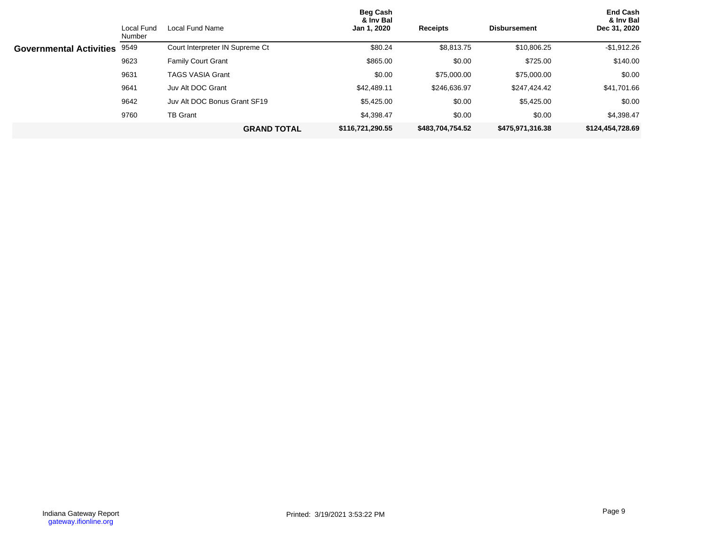|                                | Local Fund<br>Number | Local Fund Name                 | <b>Beg Cash</b><br>& Inv Bal<br>Jan 1, 2020 | <b>Receipts</b>  | <b>Disbursement</b> | <b>End Cash</b><br>& Inv Bal<br>Dec 31, 2020 |
|--------------------------------|----------------------|---------------------------------|---------------------------------------------|------------------|---------------------|----------------------------------------------|
| <b>Governmental Activities</b> | 9549                 | Court Interpreter IN Supreme Ct | \$80.24                                     | \$8,813.75       | \$10,806.25         | $-$1,912.26$                                 |
|                                | 9623                 | <b>Family Court Grant</b>       | \$865.00                                    | \$0.00           | \$725.00            | \$140.00                                     |
|                                | 9631                 | <b>TAGS VASIA Grant</b>         | \$0.00                                      | \$75,000.00      | \$75,000.00         | \$0.00                                       |
|                                | 9641                 | Juv Alt DOC Grant               | \$42,489.11                                 | \$246,636.97     | \$247,424.42        | \$41,701.66                                  |
|                                | 9642                 | Juv Alt DOC Bonus Grant SF19    | \$5.425.00                                  | \$0.00           | \$5,425.00          | \$0.00                                       |
|                                | 9760                 | <b>TB Grant</b>                 | \$4,398.47                                  | \$0.00           | \$0.00              | \$4,398.47                                   |
|                                |                      | <b>GRAND TOTAL</b>              | \$116,721,290.55                            | \$483,704,754.52 | \$475,971,316.38    | \$124,454,728.69                             |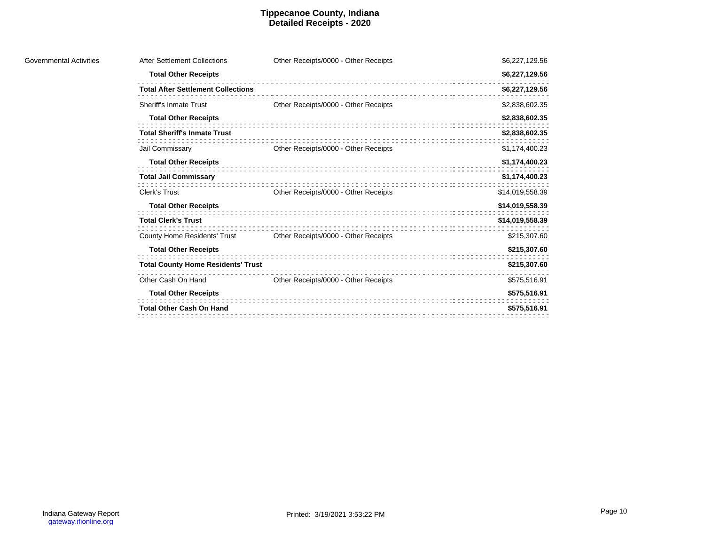#### **Tippecanoe County, Indiana Detailed Receipts - 2020**

| After Settlement Collections              | Other Receipts/0000 - Other Receipts | \$6,227,129.56  |
|-------------------------------------------|--------------------------------------|-----------------|
| <b>Total Other Receipts</b>               |                                      | \$6,227,129.56  |
| <b>Total After Settlement Collections</b> |                                      | \$6,227,129.56  |
| <b>Sheriff's Inmate Trust</b>             | Other Receipts/0000 - Other Receipts | \$2,838,602.35  |
| <b>Total Other Receipts</b>               |                                      | \$2,838,602.35  |
| <b>Total Sheriff's Inmate Trust</b>       |                                      | \$2,838,602.35  |
| Jail Commissary                           | Other Receipts/0000 - Other Receipts | \$1,174,400.23  |
| <b>Total Other Receipts</b>               |                                      | \$1,174,400.23  |
| <b>Total Jail Commissary</b>              |                                      | \$1,174,400.23  |
| Clerk's Trust                             | Other Receipts/0000 - Other Receipts | \$14,019,558.39 |
| <b>Total Other Receipts</b>               |                                      | \$14,019,558.39 |
| <b>Total Clerk's Trust</b>                |                                      | \$14,019,558.39 |
| <b>County Home Residents' Trust</b>       | Other Receipts/0000 - Other Receipts | \$215,307.60    |
| <b>Total Other Receipts</b>               |                                      | \$215,307.60    |
| <b>Total County Home Residents' Trust</b> |                                      | \$215,307.60    |
| Other Cash On Hand                        | Other Receipts/0000 - Other Receipts | \$575,516.91    |
| <b>Total Other Receipts</b>               |                                      | \$575,516.91    |
| <b>Total Other Cash On Hand</b>           |                                      | \$575,516.91    |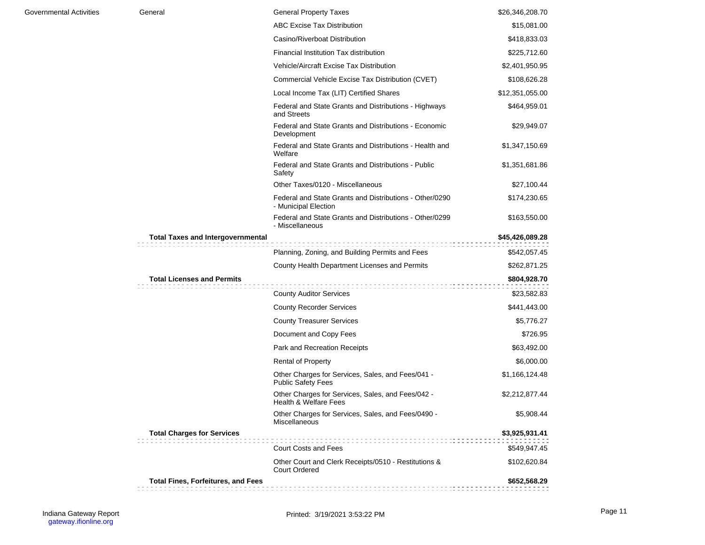| Governmental Activities | General                                   | <b>General Property Taxes</b>                                                   | \$26,346,208.70 |
|-------------------------|-------------------------------------------|---------------------------------------------------------------------------------|-----------------|
|                         |                                           | <b>ABC Excise Tax Distribution</b>                                              | \$15,081.00     |
|                         |                                           | Casino/Riverboat Distribution                                                   | \$418,833.03    |
|                         |                                           | Financial Institution Tax distribution                                          | \$225,712.60    |
|                         |                                           | Vehicle/Aircraft Excise Tax Distribution                                        | \$2,401,950.95  |
|                         |                                           | Commercial Vehicle Excise Tax Distribution (CVET)                               | \$108,626.28    |
|                         |                                           | Local Income Tax (LIT) Certified Shares                                         | \$12,351,055.00 |
|                         |                                           | Federal and State Grants and Distributions - Highways<br>and Streets            | \$464,959.01    |
|                         |                                           | Federal and State Grants and Distributions - Economic<br>Development            | \$29,949.07     |
|                         |                                           | Federal and State Grants and Distributions - Health and<br>Welfare              | \$1,347,150.69  |
|                         |                                           | Federal and State Grants and Distributions - Public<br>Safety                   | \$1,351,681.86  |
|                         |                                           | Other Taxes/0120 - Miscellaneous                                                | \$27,100.44     |
|                         |                                           | Federal and State Grants and Distributions - Other/0290<br>- Municipal Election | \$174,230.65    |
|                         |                                           | Federal and State Grants and Distributions - Other/0299<br>- Miscellaneous      | \$163,550.00    |
|                         | <b>Total Taxes and Intergovernmental</b>  |                                                                                 | \$45,426,089.28 |
|                         |                                           | Planning, Zoning, and Building Permits and Fees                                 | \$542,057.45    |
|                         |                                           | County Health Department Licenses and Permits                                   | \$262,871.25    |
|                         | <b>Total Licenses and Permits</b>         |                                                                                 | \$804,928.70    |
|                         |                                           | <b>County Auditor Services</b>                                                  | \$23,582.83     |
|                         |                                           | <b>County Recorder Services</b>                                                 | \$441,443.00    |
|                         |                                           | <b>County Treasurer Services</b>                                                | \$5,776.27      |
|                         |                                           | Document and Copy Fees                                                          | \$726.95        |
|                         |                                           | Park and Recreation Receipts                                                    | \$63,492.00     |
|                         |                                           | <b>Rental of Property</b>                                                       | \$6,000.00      |
|                         |                                           | Other Charges for Services, Sales, and Fees/041 -<br><b>Public Safety Fees</b>  | \$1,166,124.48  |
|                         |                                           | Other Charges for Services, Sales, and Fees/042 -<br>Health & Welfare Fees      | \$2,212,877.44  |
|                         |                                           | Other Charges for Services, Sales, and Fees/0490 -<br><b>Miscellaneous</b>      | \$5,908.44      |
|                         | <b>Total Charges for Services</b>         |                                                                                 | \$3,925,931.41  |
|                         |                                           | <b>Court Costs and Fees</b>                                                     | \$549,947.45    |
|                         |                                           | Other Court and Clerk Receipts/0510 - Restitutions &<br><b>Court Ordered</b>    | \$102,620.84    |
|                         | <b>Total Fines, Forfeitures, and Fees</b> |                                                                                 | \$652,568.29    |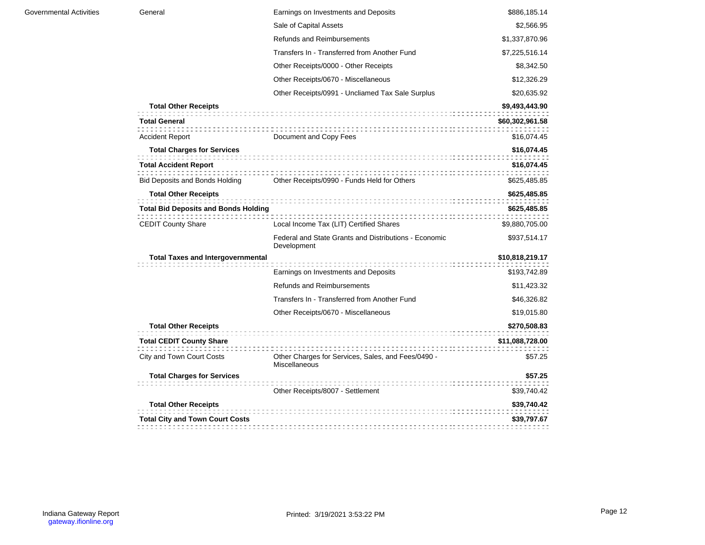| General                                     | Earnings on Investments and Deposits                                       | \$886,185.14    |
|---------------------------------------------|----------------------------------------------------------------------------|-----------------|
|                                             | Sale of Capital Assets                                                     | \$2,566.95      |
|                                             | <b>Refunds and Reimbursements</b>                                          | \$1,337,870.96  |
|                                             | Transfers In - Transferred from Another Fund                               | \$7,225,516.14  |
|                                             | Other Receipts/0000 - Other Receipts                                       | \$8,342.50      |
|                                             | Other Receipts/0670 - Miscellaneous                                        | \$12,326.29     |
|                                             | Other Receipts/0991 - Uncliamed Tax Sale Surplus                           | \$20,635.92     |
| <b>Total Other Receipts</b>                 |                                                                            | \$9,493,443.90  |
| <b>Total General</b>                        |                                                                            | \$60,302,961.58 |
| <b>Accident Report</b>                      | Document and Copy Fees                                                     | \$16,074.45     |
| <b>Total Charges for Services</b>           |                                                                            | \$16,074.45     |
| <b>Total Accident Report</b>                |                                                                            | \$16,074.45     |
| <b>Bid Deposits and Bonds Holding</b>       | Other Receipts/0990 - Funds Held for Others                                | \$625,485.85    |
| <b>Total Other Receipts</b>                 |                                                                            | \$625,485.85    |
| <b>Total Bid Deposits and Bonds Holding</b> |                                                                            | \$625,485.85    |
| <b>CEDIT County Share</b>                   | Local Income Tax (LIT) Certified Shares                                    | \$9,880,705.00  |
|                                             | Federal and State Grants and Distributions - Economic<br>Development       | \$937,514.17    |
| <b>Total Taxes and Intergovernmental</b>    |                                                                            | \$10,818,219.17 |
|                                             | Earnings on Investments and Deposits                                       | \$193,742.89    |
|                                             | <b>Refunds and Reimbursements</b>                                          | \$11,423.32     |
|                                             | Transfers In - Transferred from Another Fund                               | \$46,326.82     |
|                                             | Other Receipts/0670 - Miscellaneous                                        | \$19,015.80     |
| <b>Total Other Receipts</b>                 |                                                                            | \$270,508.83    |
| <b>Total CEDIT County Share</b>             |                                                                            | \$11,088,728.00 |
| City and Town Court Costs                   | Other Charges for Services, Sales, and Fees/0490 -<br><b>Miscellaneous</b> | \$57.25         |
| <b>Total Charges for Services</b>           |                                                                            | \$57.25         |
|                                             | Other Receipts/8007 - Settlement                                           | \$39,740.42     |
| <b>Total Other Receipts</b>                 |                                                                            | \$39,740.42     |
| <b>Total City and Town Court Costs</b>      |                                                                            | \$39,797.67     |
|                                             |                                                                            |                 |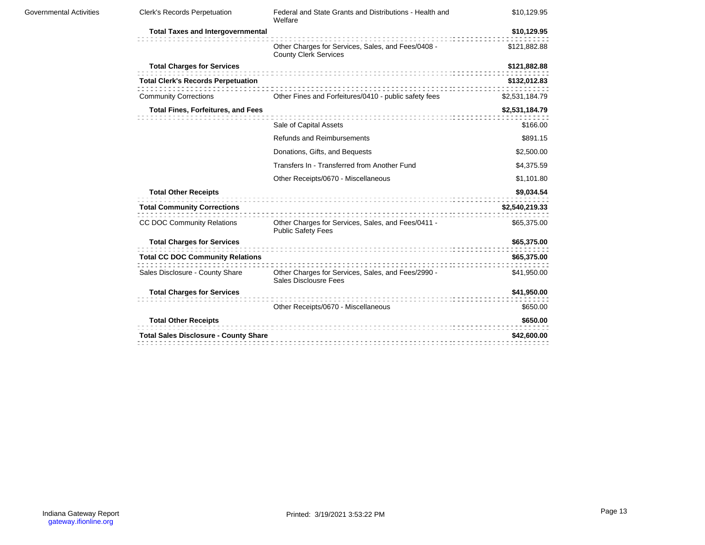| Governmental Activities | <b>Clerk's Records Perpetuation</b>          | Federal and State Grants and Distributions - Health and<br>Welfare                 | \$10,129.95    |
|-------------------------|----------------------------------------------|------------------------------------------------------------------------------------|----------------|
|                         | <b>Total Taxes and Intergovernmental</b>     |                                                                                    | \$10,129.95    |
|                         |                                              | Other Charges for Services, Sales, and Fees/0408 -<br><b>County Clerk Services</b> | \$121,882.88   |
|                         | <b>Total Charges for Services</b>            |                                                                                    | \$121,882.88   |
|                         | <b>Total Clerk's Records Perpetuation</b>    |                                                                                    | \$132,012.83   |
|                         | <b>Community Corrections</b>                 | Other Fines and Forfeitures/0410 - public safety fees                              | \$2,531,184.79 |
|                         | <b>Total Fines, Forfeitures, and Fees</b>    |                                                                                    | \$2,531,184.79 |
|                         |                                              | Sale of Capital Assets                                                             | \$166.00       |
|                         |                                              | <b>Refunds and Reimbursements</b>                                                  | \$891.15       |
|                         |                                              | Donations, Gifts, and Bequests                                                     | \$2,500.00     |
|                         |                                              | Transfers In - Transferred from Another Fund                                       | \$4,375.59     |
|                         |                                              | Other Receipts/0670 - Miscellaneous                                                | \$1,101.80     |
|                         | <b>Total Other Receipts</b>                  |                                                                                    | \$9,034.54     |
|                         | <b>Total Community Corrections</b>           |                                                                                    | \$2,540,219.33 |
|                         | CC DOC Community Relations                   | Other Charges for Services, Sales, and Fees/0411 -<br><b>Public Safety Fees</b>    | \$65,375.00    |
|                         | <b>Total Charges for Services</b>            |                                                                                    | \$65,375.00    |
|                         | <b>Total CC DOC Community Relations</b>      |                                                                                    | \$65,375.00    |
|                         | Sales Disclosure - County Share              | Other Charges for Services, Sales, and Fees/2990 -<br><b>Sales Disclousre Fees</b> | \$41,950.00    |
|                         | <b>Total Charges for Services</b>            |                                                                                    | \$41,950.00    |
|                         |                                              | Other Receipts/0670 - Miscellaneous                                                | \$650.00       |
|                         | <b>Total Other Receipts</b>                  |                                                                                    | \$650.00       |
|                         | <b>Total Sales Disclosure - County Share</b> |                                                                                    | \$42,600.00    |
|                         |                                              |                                                                                    |                |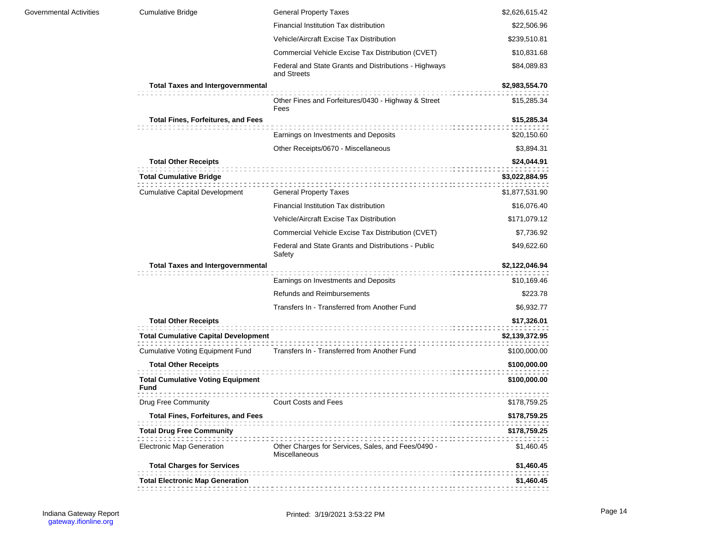| <b>Governmental Activities</b> | <b>Cumulative Bridge</b>                         | <b>General Property Taxes</b>                                              | \$2,626,615.42 |
|--------------------------------|--------------------------------------------------|----------------------------------------------------------------------------|----------------|
|                                |                                                  | Financial Institution Tax distribution                                     | \$22,506.96    |
|                                |                                                  | Vehicle/Aircraft Excise Tax Distribution                                   | \$239,510.81   |
|                                |                                                  | Commercial Vehicle Excise Tax Distribution (CVET)                          | \$10,831.68    |
|                                |                                                  | Federal and State Grants and Distributions - Highways<br>and Streets       | \$84,089.83    |
|                                | <b>Total Taxes and Intergovernmental</b>         |                                                                            | \$2,983,554.70 |
|                                |                                                  | Other Fines and Forfeitures/0430 - Highway & Street<br>Fees                | \$15,285.34    |
|                                | <b>Total Fines, Forfeitures, and Fees</b>        |                                                                            | \$15,285.34    |
|                                |                                                  | Earnings on Investments and Deposits                                       | \$20,150.60    |
|                                |                                                  | Other Receipts/0670 - Miscellaneous                                        | \$3,894.31     |
|                                | <b>Total Other Receipts</b>                      |                                                                            | \$24,044.91    |
|                                | <b>Total Cumulative Bridge</b>                   |                                                                            | \$3,022,884.95 |
|                                | <b>Cumulative Capital Development</b>            | <b>General Property Taxes</b>                                              | \$1,877,531.90 |
|                                |                                                  | Financial Institution Tax distribution                                     | \$16,076.40    |
|                                |                                                  | Vehicle/Aircraft Excise Tax Distribution                                   | \$171,079.12   |
|                                |                                                  | Commercial Vehicle Excise Tax Distribution (CVET)                          | \$7,736.92     |
|                                |                                                  | Federal and State Grants and Distributions - Public<br>Safety              | \$49,622.60    |
|                                | <b>Total Taxes and Intergovernmental</b>         |                                                                            | \$2,122,046.94 |
|                                |                                                  | Earnings on Investments and Deposits                                       | \$10,169.46    |
|                                |                                                  | <b>Refunds and Reimbursements</b>                                          | \$223.78       |
|                                |                                                  | Transfers In - Transferred from Another Fund                               | \$6,932.77     |
|                                | <b>Total Other Receipts</b>                      |                                                                            | \$17,326.01    |
|                                | <b>Total Cumulative Capital Development</b>      |                                                                            | \$2,139,372.95 |
|                                | <b>Cumulative Voting Equipment Fund</b>          | Transfers In - Transferred from Another Fund                               | \$100,000.00   |
|                                | <b>Total Other Receipts</b>                      |                                                                            | \$100,000.00   |
|                                | <b>Total Cumulative Voting Equipment</b><br>Fund |                                                                            | \$100,000.00   |
|                                | Drug Free Community                              | :::::::::::::::::::::<br><b>Court Costs and Fees</b>                       | \$178,759.25   |
|                                | <b>Total Fines, Forfeitures, and Fees</b>        |                                                                            | \$178,759.25   |
|                                | <b>Total Drug Free Community</b>                 |                                                                            | \$178,759.25   |
|                                | <b>Electronic Map Generation</b>                 | Other Charges for Services, Sales, and Fees/0490 -<br><b>Miscellaneous</b> | \$1,460.45     |
|                                | <b>Total Charges for Services</b>                |                                                                            | \$1,460.45     |
|                                | <b>Total Electronic Map Generation</b>           |                                                                            | \$1,460.45     |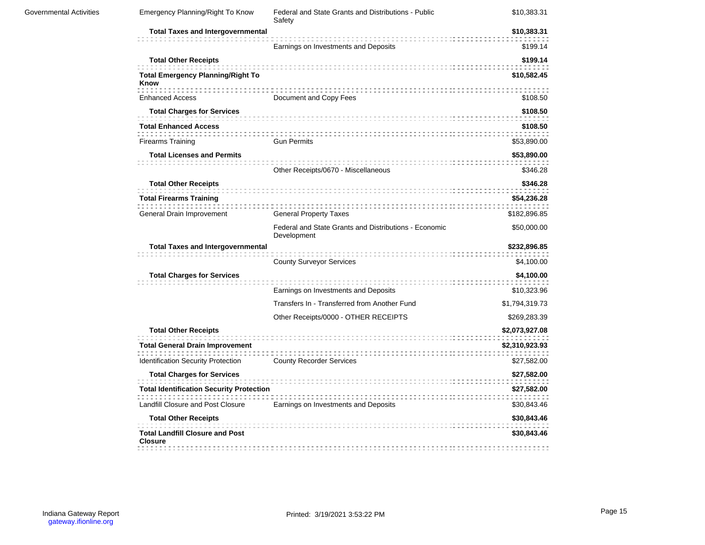| <b>Governmental Activities</b> | Emergency Planning/Right To Know                         | Federal and State Grants and Distributions - Public<br>Safety        | \$10,383.31    |
|--------------------------------|----------------------------------------------------------|----------------------------------------------------------------------|----------------|
|                                | <b>Total Taxes and Intergovernmental</b>                 |                                                                      | \$10,383.31    |
|                                |                                                          | Earnings on Investments and Deposits                                 | \$199.14       |
|                                | <b>Total Other Receipts</b>                              |                                                                      | \$199.14       |
|                                | <b>Total Emergency Planning/Right To</b><br>Know         |                                                                      | \$10,582.45    |
|                                | <b>Enhanced Access</b>                                   | Document and Copy Fees                                               | \$108.50       |
|                                | <b>Total Charges for Services</b>                        |                                                                      | \$108.50       |
|                                | <b>Total Enhanced Access</b>                             |                                                                      | \$108.50       |
|                                | <b>Firearms Training</b>                                 | <b>Gun Permits</b>                                                   | \$53,890.00    |
|                                | <b>Total Licenses and Permits</b>                        |                                                                      | \$53,890.00    |
|                                |                                                          | Other Receipts/0670 - Miscellaneous                                  | \$346.28       |
|                                | <b>Total Other Receipts</b>                              |                                                                      | \$346.28       |
|                                | <b>Total Firearms Training</b>                           |                                                                      | \$54,236.28    |
|                                | General Drain Improvement                                | <b>General Property Taxes</b>                                        | \$182,896.85   |
|                                |                                                          | Federal and State Grants and Distributions - Economic<br>Development | \$50,000.00    |
|                                | <b>Total Taxes and Intergovernmental</b>                 |                                                                      | \$232,896.85   |
|                                |                                                          | <b>County Surveyor Services</b>                                      | \$4,100.00     |
|                                | <b>Total Charges for Services</b>                        |                                                                      | \$4,100.00     |
|                                |                                                          | Earnings on Investments and Deposits                                 | \$10,323.96    |
|                                |                                                          | Transfers In - Transferred from Another Fund                         | \$1,794,319.73 |
|                                |                                                          | Other Receipts/0000 - OTHER RECEIPTS                                 | \$269,283.39   |
|                                | <b>Total Other Receipts</b>                              |                                                                      | \$2,073,927.08 |
|                                | <b>Total General Drain Improvement</b>                   |                                                                      | \$2,310,923.93 |
|                                | Identification Security Protection                       | <b>County Recorder Services</b>                                      | \$27,582.00    |
|                                | <b>Total Charges for Services</b>                        |                                                                      | \$27,582.00    |
|                                | <b>Total Identification Security Protection</b>          |                                                                      | \$27,582.00    |
|                                | Landfill Closure and Post Closure                        | Earnings on Investments and Deposits                                 | \$30,843.46    |
|                                | <b>Total Other Receipts</b>                              |                                                                      | \$30,843.46    |
|                                | <b>Total Landfill Closure and Post</b><br><b>Closure</b> |                                                                      | \$30,843.46    |
|                                |                                                          |                                                                      |                |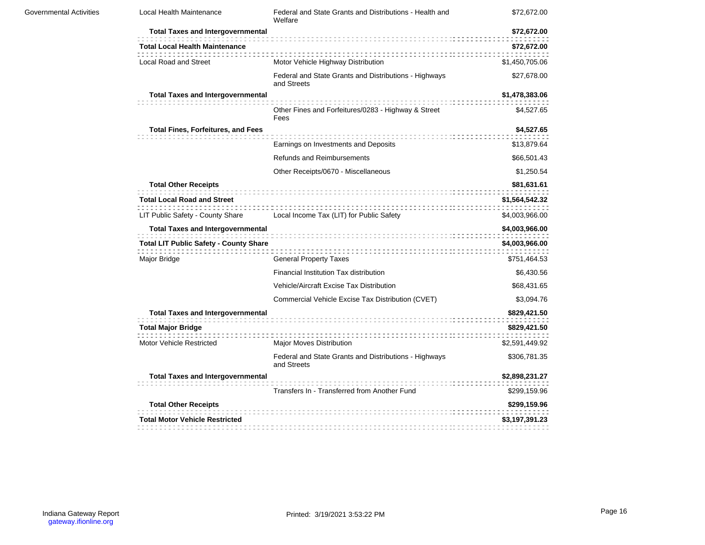| <b>Governmental Activities</b> | Local Health Maintenance                      | Federal and State Grants and Distributions - Health and<br>Welfare   | \$72,672.00    |
|--------------------------------|-----------------------------------------------|----------------------------------------------------------------------|----------------|
|                                | <b>Total Taxes and Intergovernmental</b>      |                                                                      | \$72,672.00    |
|                                | <b>Total Local Health Maintenance</b>         |                                                                      | \$72,672.00    |
|                                | Local Road and Street                         | Motor Vehicle Highway Distribution                                   | \$1,450,705.06 |
|                                |                                               | Federal and State Grants and Distributions - Highways<br>and Streets | \$27,678.00    |
|                                | <b>Total Taxes and Intergovernmental</b>      |                                                                      | \$1,478,383.06 |
|                                |                                               | Other Fines and Forfeitures/0283 - Highway & Street<br>Fees          | \$4,527.65     |
|                                | <b>Total Fines, Forfeitures, and Fees</b>     |                                                                      | \$4,527.65     |
|                                |                                               | Earnings on Investments and Deposits                                 | \$13,879.64    |
|                                |                                               | <b>Refunds and Reimbursements</b>                                    | \$66,501.43    |
|                                |                                               | Other Receipts/0670 - Miscellaneous                                  | \$1,250.54     |
|                                | <b>Total Other Receipts</b>                   | .                                                                    | \$81,631.61    |
|                                | <b>Total Local Road and Street</b>            |                                                                      | \$1,564,542.32 |
|                                | LIT Public Safety - County Share              | Local Income Tax (LIT) for Public Safety                             | \$4,003,966.00 |
|                                | <b>Total Taxes and Intergovernmental</b>      |                                                                      | \$4,003,966.00 |
|                                | <b>Total LIT Public Safety - County Share</b> |                                                                      | \$4,003,966.00 |
|                                | Major Bridge                                  | <b>General Property Taxes</b>                                        | \$751,464.53   |
|                                |                                               | Financial Institution Tax distribution                               | \$6,430.56     |
|                                |                                               | Vehicle/Aircraft Excise Tax Distribution                             | \$68,431.65    |
|                                |                                               | Commercial Vehicle Excise Tax Distribution (CVET)                    | \$3,094.76     |
|                                | <b>Total Taxes and Intergovernmental</b>      |                                                                      | \$829,421.50   |
|                                | <b>Total Major Bridge</b>                     |                                                                      | \$829,421.50   |
|                                | <b>Motor Vehicle Restricted</b>               | Major Moves Distribution                                             | \$2,591,449.92 |
|                                |                                               | Federal and State Grants and Distributions - Highways<br>and Streets | \$306,781.35   |
|                                | <b>Total Taxes and Intergovernmental</b>      |                                                                      | \$2,898,231.27 |
|                                |                                               | Transfers In - Transferred from Another Fund                         | \$299,159.96   |
|                                | <b>Total Other Receipts</b>                   |                                                                      | \$299,159.96   |
|                                | <b>Total Motor Vehicle Restricted</b>         |                                                                      | \$3,197,391.23 |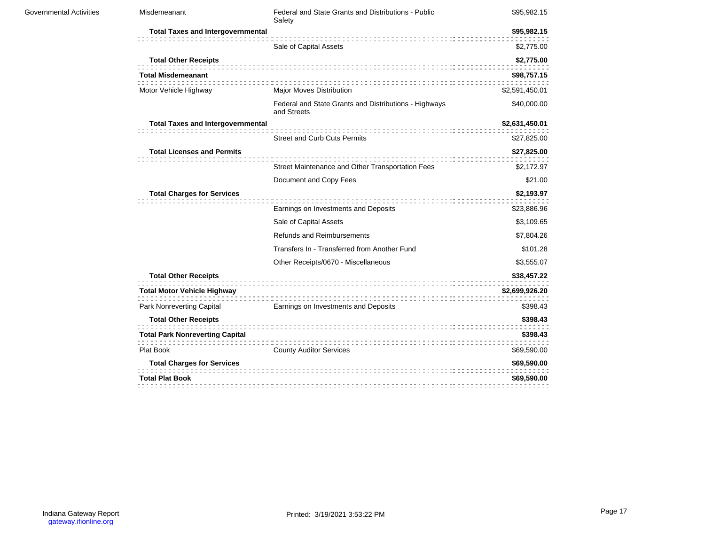| Governmental Activities | Misdemeanant                             | Federal and State Grants and Distributions - Public<br>Safety        | \$95,982.15    |
|-------------------------|------------------------------------------|----------------------------------------------------------------------|----------------|
|                         | <b>Total Taxes and Intergovernmental</b> |                                                                      | \$95,982.15    |
|                         |                                          | Sale of Capital Assets                                               | \$2,775.00     |
|                         | <b>Total Other Receipts</b>              |                                                                      | \$2,775.00     |
|                         | <b>Total Misdemeanant</b>                |                                                                      | \$98,757.15    |
|                         | Motor Vehicle Highway                    | Major Moves Distribution                                             | \$2,591,450.01 |
|                         |                                          | Federal and State Grants and Distributions - Highways<br>and Streets | \$40,000.00    |
|                         | <b>Total Taxes and Intergovernmental</b> |                                                                      | \$2,631,450.01 |
|                         |                                          | <b>Street and Curb Cuts Permits</b>                                  | \$27,825.00    |
|                         | <b>Total Licenses and Permits</b>        |                                                                      | \$27,825.00    |
|                         |                                          | Street Maintenance and Other Transportation Fees                     | \$2,172.97     |
|                         |                                          | Document and Copy Fees                                               | \$21.00        |
|                         | <b>Total Charges for Services</b>        |                                                                      | \$2,193.97     |
|                         |                                          | Earnings on Investments and Deposits                                 | \$23,886.96    |
|                         |                                          | Sale of Capital Assets                                               | \$3,109.65     |
|                         |                                          | Refunds and Reimbursements                                           | \$7,804.26     |
|                         |                                          | Transfers In - Transferred from Another Fund                         | \$101.28       |
|                         |                                          | Other Receipts/0670 - Miscellaneous                                  | \$3,555.07     |
|                         | <b>Total Other Receipts</b>              |                                                                      | \$38,457.22    |
|                         | <b>Total Motor Vehicle Highway</b>       |                                                                      | \$2,699,926.20 |
|                         | Park Nonreverting Capital                | Earnings on Investments and Deposits                                 | \$398.43       |
|                         | <b>Total Other Receipts</b>              |                                                                      | \$398.43       |
|                         | <b>Total Park Nonreverting Capital</b>   |                                                                      | \$398.43       |
|                         | Plat Book                                | <b>County Auditor Services</b>                                       | \$69,590.00    |
|                         | <b>Total Charges for Services</b>        |                                                                      | \$69,590.00    |
|                         | <b>Total Plat Book</b>                   |                                                                      | \$69,590.00    |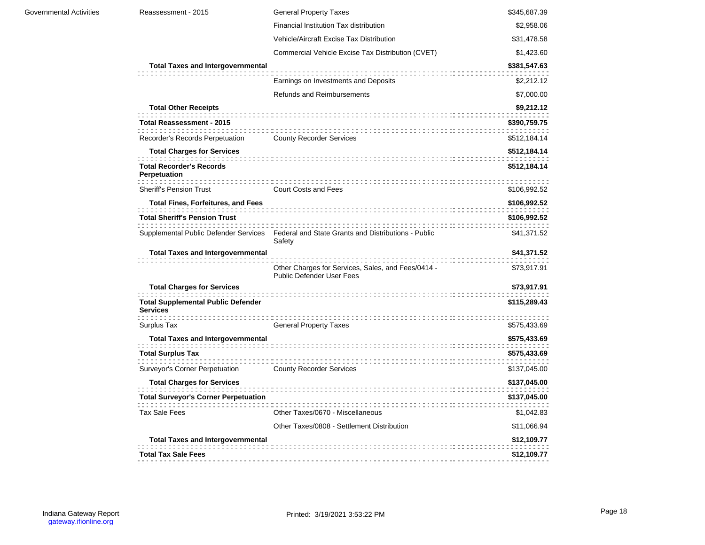| <b>Governmental Activities</b> | Reassessment - 2015                                          | <b>General Property Taxes</b>                                                                       | \$345,687.39               |
|--------------------------------|--------------------------------------------------------------|-----------------------------------------------------------------------------------------------------|----------------------------|
|                                |                                                              | Financial Institution Tax distribution                                                              | \$2,958.06                 |
|                                |                                                              | Vehicle/Aircraft Excise Tax Distribution                                                            | \$31,478.58                |
|                                |                                                              | Commercial Vehicle Excise Tax Distribution (CVET)                                                   | \$1,423.60                 |
|                                | <b>Total Taxes and Intergovernmental</b>                     |                                                                                                     | \$381,547.63               |
|                                |                                                              | Earnings on Investments and Deposits                                                                | \$2,212.12                 |
|                                |                                                              | <b>Refunds and Reimbursements</b>                                                                   | \$7,000.00                 |
|                                | <b>Total Other Receipts</b>                                  |                                                                                                     | \$9,212.12                 |
|                                | Total Reassessment - 2015                                    |                                                                                                     | \$390,759.75               |
|                                | Recorder's Records Perpetuation                              | <b>County Recorder Services</b>                                                                     | \$512,184.14               |
|                                | <b>Total Charges for Services</b>                            |                                                                                                     | \$512,184.14               |
|                                | <b>Total Recorder's Records</b><br>Perpetuation              |                                                                                                     | \$512,184.14               |
|                                | <b>Sheriff's Pension Trust</b>                               | <b>Court Costs and Fees</b>                                                                         | \$106,992.52               |
|                                | <b>Total Fines, Forfeitures, and Fees</b>                    |                                                                                                     | \$106,992.52               |
|                                | <b>Total Sheriff's Pension Trust</b>                         |                                                                                                     | \$106,992.52               |
|                                |                                                              | Supplemental Public Defender Services Federal and State Grants and Distributions - Public<br>Safety | \$41,371.52                |
|                                | <b>Total Taxes and Intergovernmental</b>                     | Other Charges for Services, Sales, and Fees/0414 -<br><b>Public Defender User Fees</b>              | \$41,371.52<br>\$73,917.91 |
|                                | <b>Total Charges for Services</b>                            |                                                                                                     | \$73,917.91                |
|                                | <b>Total Supplemental Public Defender</b><br><b>Services</b> |                                                                                                     | \$115,289.43               |
|                                | Surplus Tax                                                  | <b>General Property Taxes</b>                                                                       | \$575,433.69               |
|                                | <b>Total Taxes and Intergovernmental</b>                     |                                                                                                     | \$575,433.69               |
|                                | <b>Total Surplus Tax</b>                                     |                                                                                                     | \$575,433.69               |
|                                | Surveyor's Corner Perpetuation                               | <b>County Recorder Services</b>                                                                     | \$137,045.00               |
|                                | <b>Total Charges for Services</b>                            |                                                                                                     | \$137,045.00               |
|                                | <b>Total Surveyor's Corner Perpetuation</b>                  |                                                                                                     | \$137,045.00               |
|                                | <b>Tax Sale Fees</b>                                         | Other Taxes/0670 - Miscellaneous                                                                    | \$1,042.83                 |
|                                |                                                              | Other Taxes/0808 - Settlement Distribution                                                          | \$11,066.94                |
|                                | <b>Total Taxes and Intergovernmental</b>                     |                                                                                                     | \$12,109.77                |
|                                | <b>Total Tax Sale Fees</b>                                   |                                                                                                     | \$12,109.77                |
|                                |                                                              |                                                                                                     |                            |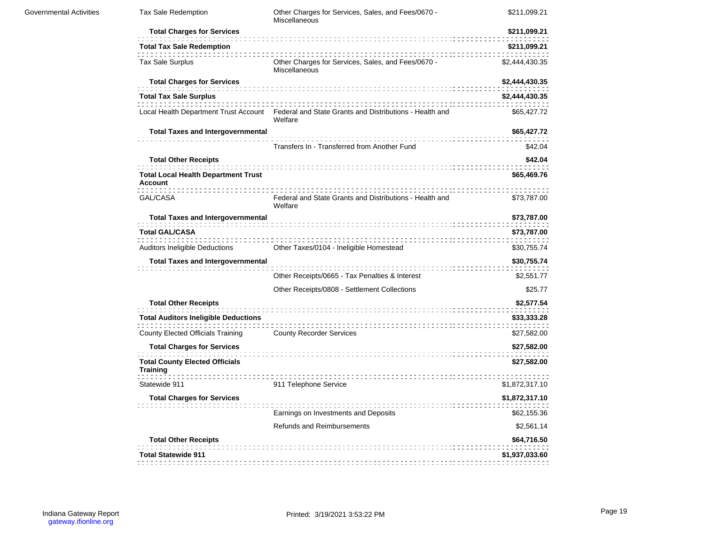| Activities | <b>Tax Sale Redemption</b>                                   | Other Charges for Services, Sales, and Fees/0670 -<br>Miscellaneous                                      | \$211,099.21   |
|------------|--------------------------------------------------------------|----------------------------------------------------------------------------------------------------------|----------------|
|            | <b>Total Charges for Services</b>                            |                                                                                                          | \$211,099.21   |
|            | <b>Total Tax Sale Redemption</b>                             |                                                                                                          | \$211,099.21   |
|            | <b>Tax Sale Surplus</b>                                      | Other Charges for Services, Sales, and Fees/0670 -<br>Miscellaneous                                      | \$2,444,430.35 |
|            | <b>Total Charges for Services</b>                            |                                                                                                          | \$2,444,430.35 |
|            | <b>Total Tax Sale Surplus</b>                                |                                                                                                          | \$2,444,430.35 |
|            |                                                              | Local Health Department Trust Account Federal and State Grants and Distributions - Health and<br>Welfare | \$65,427.72    |
|            | <b>Total Taxes and Intergovernmental</b>                     |                                                                                                          | \$65,427.72    |
|            |                                                              | Transfers In - Transferred from Another Fund                                                             | \$42.04        |
|            | <b>Total Other Receipts</b>                                  |                                                                                                          | \$42.04        |
|            | <b>Total Local Health Department Trust</b><br><b>Account</b> |                                                                                                          | \$65,469.76    |
|            | GAL/CASA                                                     | Federal and State Grants and Distributions - Health and<br>Welfare                                       | \$73,787.00    |
|            | <b>Total Taxes and Intergovernmental</b>                     |                                                                                                          | \$73,787.00    |
|            | <b>Total GAL/CASA</b>                                        |                                                                                                          | \$73,787.00    |
|            | <b>Auditors Ineligible Deductions</b>                        | Other Taxes/0104 - Ineligible Homestead                                                                  | \$30,755.74    |
|            | <b>Total Taxes and Intergovernmental</b>                     |                                                                                                          | \$30,755.74    |
|            |                                                              | Other Receipts/0665 - Tax Penalties & Interest                                                           | \$2,551.77     |
|            |                                                              | Other Receipts/0808 - Settlement Collections                                                             | \$25.77        |
|            | <b>Total Other Receipts</b>                                  |                                                                                                          | \$2,577.54     |
|            | <b>Total Auditors Ineligible Deductions</b>                  |                                                                                                          | \$33,333.28    |
|            | County Elected Officials Training                            | <b>County Recorder Services</b>                                                                          | \$27,582.00    |
|            | <b>Total Charges for Services</b>                            |                                                                                                          | \$27,582.00    |
|            | <b>Total County Elected Officials</b><br><b>Training</b>     |                                                                                                          | \$27,582.00    |
|            | Statewide 911                                                | 911 Telephone Service                                                                                    | \$1,872,317.10 |
|            | <b>Total Charges for Services</b>                            |                                                                                                          | \$1,872,317.10 |
|            |                                                              | Earnings on Investments and Deposits                                                                     | \$62,155.36    |
|            |                                                              | <b>Refunds and Reimbursements</b>                                                                        | \$2,561.14     |
|            | <b>Total Other Receipts</b>                                  |                                                                                                          | \$64,716.50    |
|            | <b>Total Statewide 911</b>                                   |                                                                                                          | \$1,937,033.60 |
|            |                                                              |                                                                                                          |                |

Governmental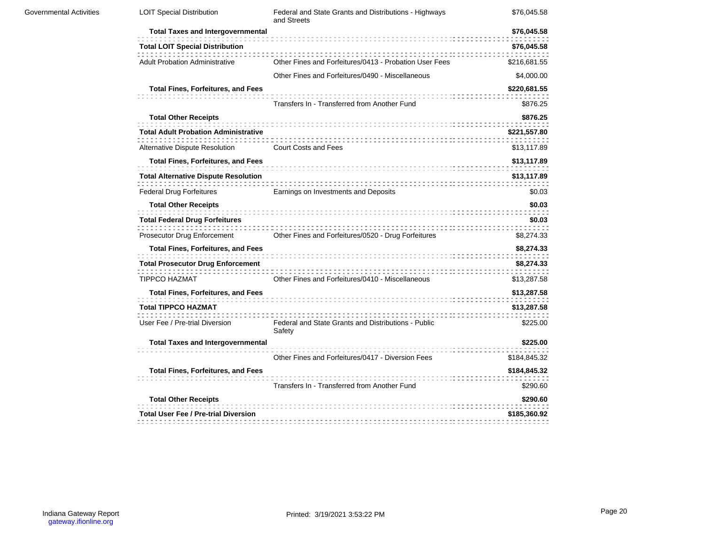| Governmental Activities | <b>LOIT Special Distribution</b>            | Federal and State Grants and Distributions - Highways<br>and Streets | \$76,045.58              |
|-------------------------|---------------------------------------------|----------------------------------------------------------------------|--------------------------|
|                         | <b>Total Taxes and Intergovernmental</b>    |                                                                      | \$76,045.58              |
|                         | <b>Total LOIT Special Distribution</b>      |                                                                      | \$76,045.58              |
|                         | <b>Adult Probation Administrative</b>       | Other Fines and Forfeitures/0413 - Probation User Fees               | \$216,681.55             |
|                         |                                             | Other Fines and Forfeitures/0490 - Miscellaneous                     | \$4,000.00               |
|                         | <b>Total Fines, Forfeitures, and Fees</b>   | Transfers In - Transferred from Another Fund                         | \$220,681.55<br>\$876.25 |
|                         | <b>Total Other Receipts</b>                 |                                                                      | \$876.25                 |
|                         | <b>Total Adult Probation Administrative</b> |                                                                      | \$221,557.80             |
|                         | Alternative Dispute Resolution              | <b>Court Costs and Fees</b>                                          | \$13,117.89              |
|                         | <b>Total Fines, Forfeitures, and Fees</b>   |                                                                      | \$13,117.89              |
|                         | <b>Total Alternative Dispute Resolution</b> |                                                                      | \$13,117.89              |
|                         | <b>Federal Drug Forfeitures</b>             | Earnings on Investments and Deposits                                 | \$0.03                   |
|                         | <b>Total Other Receipts</b>                 |                                                                      | \$0.03                   |
|                         | <b>Total Federal Drug Forfeitures</b>       |                                                                      | \$0.03                   |
|                         | Prosecutor Drug Enforcement                 | Other Fines and Forfeitures/0520 - Drug Forfeitures                  | \$8,274.33               |
|                         | <b>Total Fines, Forfeitures, and Fees</b>   |                                                                      | \$8,274.33               |
|                         | <b>Total Prosecutor Drug Enforcement</b>    |                                                                      | \$8,274.33               |
|                         | <b>TIPPCO HAZMAT</b>                        | Other Fines and Forfeitures/0410 - Miscellaneous                     | \$13,287.58              |
|                         | <b>Total Fines, Forfeitures, and Fees</b>   |                                                                      | \$13,287.58              |
|                         | <b>Total TIPPCO HAZMAT</b>                  |                                                                      | \$13,287.58              |
|                         | User Fee / Pre-trial Diversion              | Federal and State Grants and Distributions - Public<br>Safety        | \$225.00                 |
|                         | <b>Total Taxes and Intergovernmental</b>    | Other Fines and Forfeitures/0417 - Diversion Fees                    | \$225.00<br>\$184,845.32 |
|                         | <b>Total Fines, Forfeitures, and Fees</b>   |                                                                      | \$184,845.32             |
|                         |                                             | Transfers In - Transferred from Another Fund                         | \$290.60                 |
|                         | <b>Total Other Receipts</b>                 |                                                                      | \$290.60                 |
|                         | <b>Total User Fee / Pre-trial Diversion</b> |                                                                      | \$185,360.92             |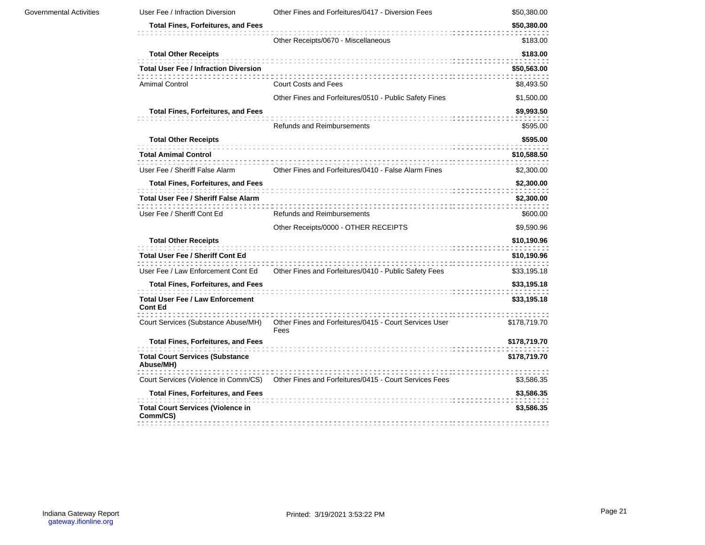| <b>Governmental Activities</b> | User Fee / Infraction Diversion                           | Other Fines and Forfeitures/0417 - Diversion Fees              | \$50,380.00  |
|--------------------------------|-----------------------------------------------------------|----------------------------------------------------------------|--------------|
|                                | <b>Total Fines, Forfeitures, and Fees</b>                 |                                                                | \$50,380.00  |
|                                |                                                           | Other Receipts/0670 - Miscellaneous                            | \$183.00     |
|                                | <b>Total Other Receipts</b>                               |                                                                | \$183.00     |
|                                | <b>Total User Fee / Infraction Diversion</b>              |                                                                | \$50,563.00  |
|                                | <b>Amimal Control</b>                                     | <b>Court Costs and Fees</b>                                    | \$8,493.50   |
|                                |                                                           | Other Fines and Forfeitures/0510 - Public Safety Fines         | \$1,500.00   |
|                                | <b>Total Fines, Forfeitures, and Fees</b>                 |                                                                | \$9,993.50   |
|                                |                                                           | <b>Refunds and Reimbursements</b>                              | \$595.00     |
|                                | <b>Total Other Receipts</b>                               |                                                                | \$595.00     |
|                                | <b>Total Amimal Control</b>                               |                                                                | \$10,588.50  |
|                                | User Fee / Sheriff False Alarm                            | Other Fines and Forfeitures/0410 - False Alarm Fines           | \$2,300.00   |
|                                | <b>Total Fines, Forfeitures, and Fees</b>                 |                                                                | \$2,300.00   |
|                                | <b>Total User Fee / Sheriff False Alarm</b>               |                                                                | \$2,300.00   |
|                                | User Fee / Sheriff Cont Ed                                | <b>Refunds and Reimbursements</b>                              | \$600.00     |
|                                |                                                           | Other Receipts/0000 - OTHER RECEIPTS                           | \$9,590.96   |
|                                | <b>Total Other Receipts</b>                               |                                                                | \$10,190.96  |
|                                | <b>Total User Fee / Sheriff Cont Ed</b>                   |                                                                | \$10,190.96  |
|                                | User Fee / Law Enforcement Cont Ed                        | Other Fines and Forfeitures/0410 - Public Safety Fees          | \$33,195.18  |
|                                | <b>Total Fines, Forfeitures, and Fees</b>                 |                                                                | \$33,195.18  |
|                                | <b>Total User Fee / Law Enforcement</b><br><b>Cont Ed</b> |                                                                | \$33,195.18  |
|                                | Court Services (Substance Abuse/MH)                       | Other Fines and Forfeitures/0415 - Court Services User<br>Fees | \$178,719.70 |
|                                | <b>Total Fines, Forfeitures, and Fees</b>                 |                                                                | \$178,719.70 |
|                                | <b>Total Court Services (Substance</b><br>Abuse/MH)       |                                                                | \$178,719.70 |
|                                | Court Services (Violence in Comm/CS)                      | Other Fines and Forfeitures/0415 - Court Services Fees         | \$3,586.35   |
|                                | <b>Total Fines, Forfeitures, and Fees</b>                 |                                                                | \$3,586.35   |
|                                | <b>Total Court Services (Violence in</b><br>Comm/CS)      |                                                                | \$3,586.35   |
|                                |                                                           |                                                                |              |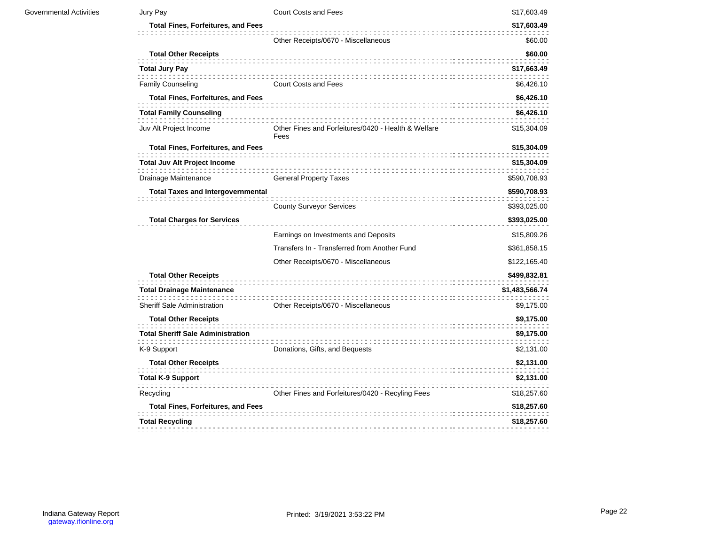| <b>Governmental Activities</b> | Jury Pay                                  | <b>Court Costs and Fees</b>                                 | \$17,603.49    |
|--------------------------------|-------------------------------------------|-------------------------------------------------------------|----------------|
|                                | <b>Total Fines, Forfeitures, and Fees</b> |                                                             | \$17,603.49    |
|                                |                                           | Other Receipts/0670 - Miscellaneous                         | \$60.00        |
|                                | <b>Total Other Receipts</b>               |                                                             | \$60.00        |
|                                | <b>Total Jury Pay</b>                     |                                                             | \$17,663.49    |
|                                | <b>Family Counseling</b>                  | <b>Court Costs and Fees</b>                                 | \$6,426.10     |
|                                | <b>Total Fines, Forfeitures, and Fees</b> |                                                             | \$6,426.10     |
|                                | <b>Total Family Counseling</b>            |                                                             | \$6,426.10     |
|                                | Juv Alt Project Income                    | Other Fines and Forfeitures/0420 - Health & Welfare<br>Fees | \$15,304.09    |
|                                | <b>Total Fines, Forfeitures, and Fees</b> |                                                             | \$15,304.09    |
|                                | Total Juv Alt Project Income              |                                                             | \$15,304.09    |
|                                | Drainage Maintenance                      | <b>General Property Taxes</b>                               | \$590,708.93   |
|                                | <b>Total Taxes and Intergovernmental</b>  |                                                             | \$590,708.93   |
|                                |                                           | <b>County Surveyor Services</b>                             | \$393,025.00   |
|                                | <b>Total Charges for Services</b>         |                                                             | \$393,025.00   |
|                                |                                           | Earnings on Investments and Deposits                        | \$15,809.26    |
|                                |                                           | Transfers In - Transferred from Another Fund                | \$361,858.15   |
|                                |                                           | Other Receipts/0670 - Miscellaneous                         | \$122,165.40   |
|                                | <b>Total Other Receipts</b>               |                                                             | \$499,832.81   |
|                                | <b>Total Drainage Maintenance</b>         |                                                             | \$1,483,566.74 |
|                                | Sheriff Sale Administration               | Other Receipts/0670 - Miscellaneous                         | \$9,175.00     |
|                                | <b>Total Other Receipts</b>               |                                                             | \$9,175.00     |
|                                | <b>Total Sheriff Sale Administration</b>  |                                                             | \$9,175.00     |
|                                | K-9 Support                               | Donations, Gifts, and Bequests                              | \$2,131.00     |
|                                | <b>Total Other Receipts</b>               |                                                             | \$2,131.00     |
|                                | <b>Total K-9 Support</b>                  |                                                             | \$2,131.00     |
|                                | Recycling                                 | Other Fines and Forfeitures/0420 - Recyling Fees            | \$18,257.60    |
|                                | <b>Total Fines, Forfeitures, and Fees</b> |                                                             | \$18,257.60    |
|                                | <b>Total Recycling</b>                    |                                                             | \$18,257.60    |
|                                |                                           |                                                             |                |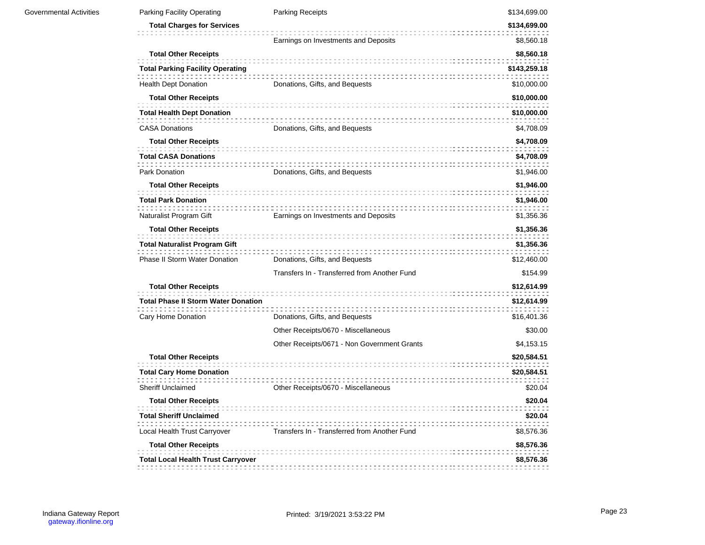| <b>Governmental Activities</b> | Parking Facility Operating                                             | Parking Receipts                             | \$134,699.00                |
|--------------------------------|------------------------------------------------------------------------|----------------------------------------------|-----------------------------|
|                                | <b>Total Charges for Services</b>                                      |                                              | \$134,699.00                |
|                                |                                                                        | Earnings on Investments and Deposits         | \$8,560.18                  |
|                                | <b>Total Other Receipts</b>                                            |                                              | \$8,560.18                  |
|                                | <b>Total Parking Facility Operating</b><br><b>Health Dept Donation</b> | Donations, Gifts, and Bequests               | \$143,259.18<br>\$10,000.00 |
|                                | <b>Total Other Receipts</b>                                            |                                              | \$10,000.00                 |
|                                | <b>Total Health Dept Donation</b>                                      |                                              | \$10,000.00                 |
|                                | <b>CASA Donations</b>                                                  | Donations, Gifts, and Bequests               | \$4,708.09                  |
|                                | <b>Total Other Receipts</b>                                            |                                              | \$4,708.09                  |
|                                | <b>Total CASA Donations</b>                                            |                                              | \$4,708.09                  |
|                                | Park Donation                                                          | Donations, Gifts, and Bequests               | \$1,946.00                  |
|                                | <b>Total Other Receipts</b><br><b>Total Park Donation</b>              |                                              | \$1,946.00<br>\$1,946.00    |
|                                | Naturalist Program Gift                                                | Earnings on Investments and Deposits         | \$1,356.36                  |
|                                | <b>Total Other Receipts</b>                                            |                                              | \$1,356.36                  |
|                                | Total Naturalist Program Gift                                          |                                              | \$1,356.36                  |
|                                | <b>Phase II Storm Water Donation</b>                                   | Donations, Gifts, and Bequests               | \$12,460.00                 |
|                                |                                                                        | Transfers In - Transferred from Another Fund | \$154.99                    |
|                                | <b>Total Other Receipts</b>                                            |                                              | \$12,614.99                 |
|                                | <b>Total Phase II Storm Water Donation</b>                             |                                              | \$12,614.99                 |
|                                | Cary Home Donation                                                     | Donations, Gifts, and Bequests               | \$16,401.36                 |
|                                |                                                                        | Other Receipts/0670 - Miscellaneous          | \$30.00                     |
|                                |                                                                        | Other Receipts/0671 - Non Government Grants  | \$4,153.15                  |
|                                | <b>Total Other Receipts</b>                                            |                                              | \$20,584.51                 |
|                                | <b>Total Cary Home Donation</b>                                        |                                              | \$20,584.51                 |
|                                | <b>Sheriff Unclaimed</b>                                               | Other Receipts/0670 - Miscellaneous          | \$20.04                     |
|                                | <b>Total Other Receipts</b>                                            |                                              | \$20.04                     |
|                                | <b>Total Sheriff Unclaimed</b><br>Local Health Trust Carryover         | Transfers In - Transferred from Another Fund | \$20.04<br>\$8,576.36       |
|                                | <b>Total Other Receipts</b>                                            |                                              | \$8,576.36                  |
|                                |                                                                        |                                              |                             |
|                                | Total Local Health Trust Carryover                                     |                                              | \$8,576.36                  |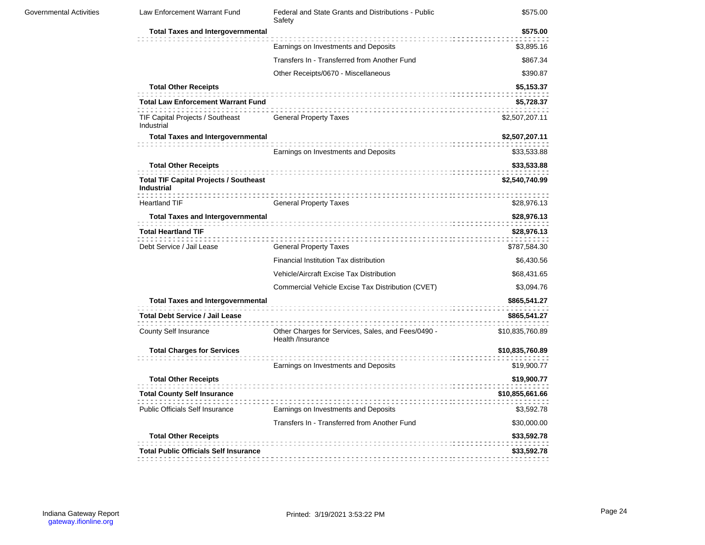| <b>Governmental Activities</b> | Law Enforcement Warrant Fund                                                                                 | Federal and State Grants and Distributions - Public<br>Safety           | \$575.00                                   |
|--------------------------------|--------------------------------------------------------------------------------------------------------------|-------------------------------------------------------------------------|--------------------------------------------|
|                                | <b>Total Taxes and Intergovernmental</b>                                                                     |                                                                         | \$575.00                                   |
|                                |                                                                                                              | Earnings on Investments and Deposits                                    | \$3,895.16                                 |
|                                |                                                                                                              | Transfers In - Transferred from Another Fund                            | \$867.34                                   |
|                                |                                                                                                              | Other Receipts/0670 - Miscellaneous                                     | \$390.87                                   |
|                                | <b>Total Other Receipts</b><br><b>Total Law Enforcement Warrant Fund</b><br>TIF Capital Projects / Southeast | <b>General Property Taxes</b>                                           | \$5,153.37<br>\$5,728.37<br>\$2,507,207.11 |
|                                | Industrial                                                                                                   |                                                                         |                                            |
|                                | <b>Total Taxes and Intergovernmental</b>                                                                     | Earnings on Investments and Deposits                                    | \$2,507,207.11<br>\$33,533.88              |
|                                | <b>Total Other Receipts</b>                                                                                  |                                                                         | \$33,533.88                                |
|                                | <b>Total TIF Capital Projects / Southeast</b><br>Industrial                                                  |                                                                         | \$2,540,740.99                             |
|                                | <b>Heartland TIF</b>                                                                                         | <b>General Property Taxes</b>                                           | \$28,976.13                                |
|                                | <b>Total Taxes and Intergovernmental</b>                                                                     |                                                                         | \$28,976.13                                |
|                                | <b>Total Heartland TIF</b>                                                                                   |                                                                         | \$28,976.13                                |
|                                | Debt Service / Jail Lease                                                                                    | <b>General Property Taxes</b>                                           | \$787,584.30                               |
|                                |                                                                                                              | Financial Institution Tax distribution                                  | \$6,430.56                                 |
|                                |                                                                                                              | <b>Vehicle/Aircraft Excise Tax Distribution</b>                         | \$68,431.65                                |
|                                |                                                                                                              | Commercial Vehicle Excise Tax Distribution (CVET)                       | \$3,094.76                                 |
|                                | <b>Total Taxes and Intergovernmental</b>                                                                     |                                                                         | \$865,541.27                               |
|                                | <b>Total Debt Service / Jail Lease</b>                                                                       |                                                                         | \$865,541.27                               |
|                                | County Self Insurance                                                                                        | Other Charges for Services, Sales, and Fees/0490 -<br>Health /Insurance | \$10,835,760.89                            |
|                                | <b>Total Charges for Services</b>                                                                            |                                                                         | \$10,835,760.89                            |
|                                |                                                                                                              | Earnings on Investments and Deposits                                    | \$19,900.77                                |
|                                | <b>Total Other Receipts</b>                                                                                  |                                                                         | \$19,900.77                                |
|                                | <b>Total County Self Insurance</b>                                                                           |                                                                         | \$10,855,661.66                            |
|                                | Public Officials Self Insurance                                                                              | Earnings on Investments and Deposits                                    | \$3,592.78                                 |
|                                |                                                                                                              | Transfers In - Transferred from Another Fund                            | \$30,000.00                                |
|                                | <b>Total Other Receipts</b>                                                                                  |                                                                         | \$33,592.78                                |
|                                | <b>Total Public Officials Self Insurance</b>                                                                 |                                                                         | \$33,592.78                                |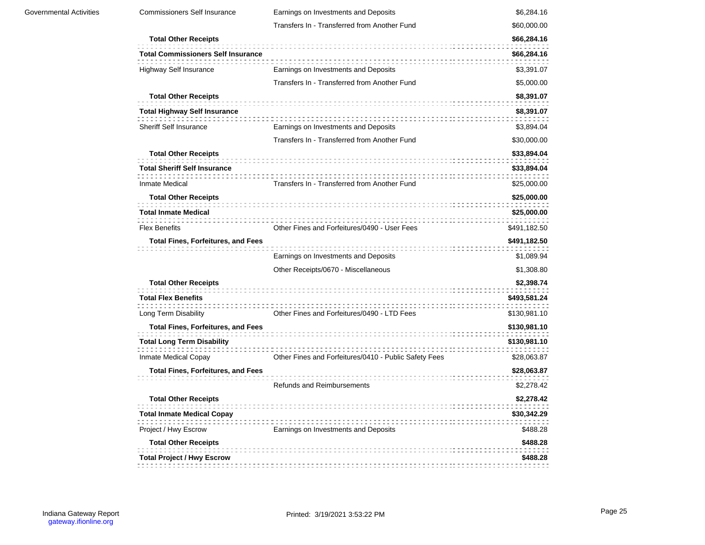| <b>Commissioners Self Insurance</b>                       | Earnings on Investments and Deposits                  | \$6,284.16   |
|-----------------------------------------------------------|-------------------------------------------------------|--------------|
|                                                           | Transfers In - Transferred from Another Fund          | \$60,000.00  |
| <b>Total Other Receipts</b>                               |                                                       | \$66,284.16  |
| <b>Total Commissioners Self Insurance</b>                 |                                                       | \$66,284.16  |
| <b>Highway Self Insurance</b>                             | Earnings on Investments and Deposits                  | \$3,391.07   |
|                                                           | Transfers In - Transferred from Another Fund          | \$5,000.00   |
| <b>Total Other Receipts</b>                               |                                                       | \$8,391.07   |
| <b>Total Highway Self Insurance</b>                       |                                                       | \$8,391.07   |
| Sheriff Self Insurance                                    | Earnings on Investments and Deposits                  | \$3,894.04   |
|                                                           | Transfers In - Transferred from Another Fund          | \$30,000.00  |
| <b>Total Other Receipts</b>                               |                                                       | \$33,894.04  |
| <b>Total Sheriff Self Insurance</b>                       |                                                       | \$33,894.04  |
| <b>Inmate Medical</b>                                     | Transfers In - Transferred from Another Fund          | \$25,000.00  |
| <b>Total Other Receipts</b>                               |                                                       | \$25,000.00  |
| <b>Total Inmate Medical</b>                               |                                                       | \$25,000.00  |
| <b>Flex Benefits</b>                                      | Other Fines and Forfeitures/0490 - User Fees          | \$491,182.50 |
| <b>Total Fines, Forfeitures, and Fees</b>                 |                                                       | \$491,182.50 |
|                                                           | Earnings on Investments and Deposits                  | \$1,089.94   |
|                                                           | Other Receipts/0670 - Miscellaneous                   | \$1,308.80   |
| <b>Total Other Receipts</b>                               |                                                       | \$2,398.74   |
| <b>Total Flex Benefits</b>                                |                                                       | \$493,581.24 |
| Long Term Disability                                      | Other Fines and Forfeitures/0490 - LTD Fees           | \$130,981.10 |
| <b>Total Fines, Forfeitures, and Fees</b>                 |                                                       | \$130,981.10 |
| <b>Total Long Term Disability</b>                         |                                                       | \$130,981.10 |
| <b>Inmate Medical Copay</b>                               | Other Fines and Forfeitures/0410 - Public Safety Fees | \$28,063.87  |
| <b>Total Fines, Forfeitures, and Fees</b>                 |                                                       | \$28,063.87  |
|                                                           | <b>Refunds and Reimbursements</b>                     | \$2,278.42   |
| <b>Total Other Receipts</b>                               |                                                       | \$2,278.42   |
|                                                           |                                                       | \$30,342.29  |
|                                                           |                                                       |              |
| <b>Total Inmate Medical Copay</b><br>Project / Hwy Escrow | Earnings on Investments and Deposits                  | \$488.28     |
| <b>Total Other Receipts</b>                               |                                                       | \$488.28     |
| <b>Total Project / Hwy Escrow</b>                         |                                                       | \$488.28     |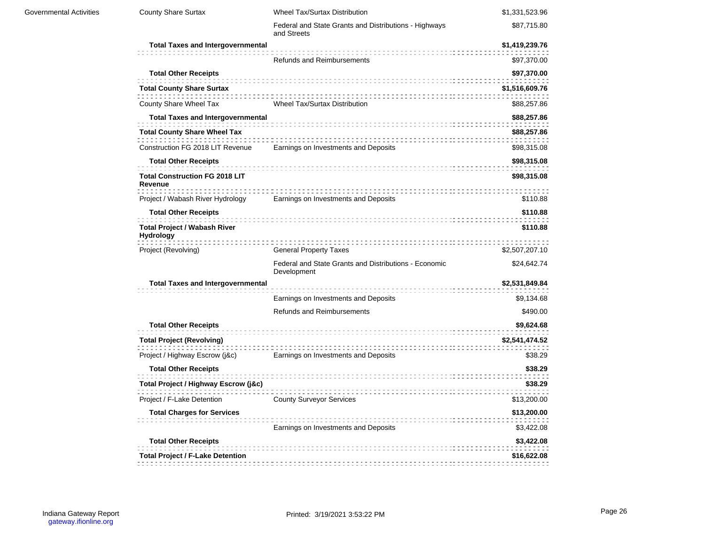| Governmental Activities | County Share Surtax                                     | <b>Wheel Tax/Surtax Distribution</b>                                 | \$1,331,523.96 |
|-------------------------|---------------------------------------------------------|----------------------------------------------------------------------|----------------|
|                         |                                                         | Federal and State Grants and Distributions - Highways<br>and Streets | \$87,715.80    |
|                         | <b>Total Taxes and Intergovernmental</b>                |                                                                      | \$1,419,239.76 |
|                         |                                                         | <b>Refunds and Reimbursements</b>                                    | \$97,370.00    |
|                         | <b>Total Other Receipts</b>                             |                                                                      | \$97,370.00    |
|                         | <b>Total County Share Surtax</b>                        |                                                                      | \$1,516,609.76 |
|                         | County Share Wheel Tax                                  | Wheel Tax/Surtax Distribution                                        | \$88,257.86    |
|                         | <b>Total Taxes and Intergovernmental</b>                |                                                                      | \$88,257.86    |
|                         | <b>Total County Share Wheel Tax</b>                     |                                                                      | \$88,257.86    |
|                         | Construction FG 2018 LIT Revenue                        | Earnings on Investments and Deposits                                 | \$98,315.08    |
|                         | <b>Total Other Receipts</b>                             |                                                                      | \$98,315.08    |
|                         | <b>Total Construction FG 2018 LIT</b><br>Revenue        |                                                                      | \$98,315.08    |
|                         | Project / Wabash River Hydrology                        | Earnings on Investments and Deposits                                 | \$110.88       |
|                         | <b>Total Other Receipts</b>                             |                                                                      | \$110.88       |
|                         | <b>Total Project / Wabash River</b><br><b>Hydrology</b> |                                                                      | \$110.88       |
|                         | Project (Revolving)                                     | <b>General Property Taxes</b>                                        | \$2,507,207.10 |
|                         |                                                         | Federal and State Grants and Distributions - Economic<br>Development | \$24,642.74    |
|                         | <b>Total Taxes and Intergovernmental</b>                |                                                                      | \$2,531,849.84 |
|                         |                                                         | Earnings on Investments and Deposits                                 | \$9,134.68     |
|                         |                                                         | <b>Refunds and Reimbursements</b>                                    | \$490.00       |
|                         | <b>Total Other Receipts</b>                             |                                                                      | \$9,624.68     |
|                         | <b>Total Project (Revolving)</b>                        |                                                                      | \$2,541,474.52 |
|                         | Project / Highway Escrow (j&c)                          | Earnings on Investments and Deposits                                 | \$38.29        |
|                         | <b>Total Other Receipts</b>                             |                                                                      | \$38.29        |
|                         | Total Project / Highway Escrow (j&c)                    |                                                                      | \$38.29        |
|                         | Project / F-Lake Detention                              | <b>County Surveyor Services</b>                                      | \$13,200.00    |
|                         | <b>Total Charges for Services</b>                       |                                                                      | \$13,200.00    |
|                         |                                                         | Earnings on Investments and Deposits                                 | \$3,422.08     |
|                         | <b>Total Other Receipts</b>                             |                                                                      | \$3,422.08     |
|                         | <b>Total Project / F-Lake Detention</b>                 |                                                                      | \$16,622.08    |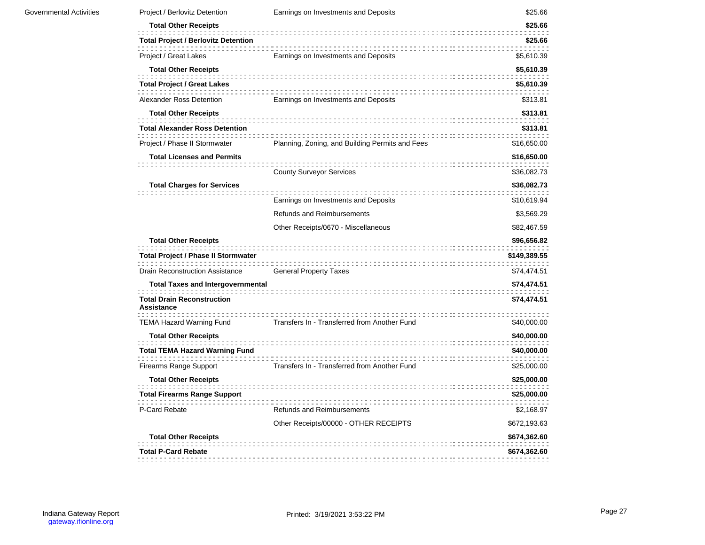| Project / Berlovitz Detention                             | Earnings on Investments and Deposits                                                         | \$25.66                                      |
|-----------------------------------------------------------|----------------------------------------------------------------------------------------------|----------------------------------------------|
| <b>Total Other Receipts</b>                               |                                                                                              | \$25.66                                      |
| <b>Total Project / Berlovitz Detention</b>                |                                                                                              | \$25.66                                      |
| Project / Great Lakes                                     | Earnings on Investments and Deposits                                                         | \$5,610.39                                   |
| <b>Total Other Receipts</b>                               |                                                                                              | \$5,610.39                                   |
| <b>Total Project / Great Lakes</b>                        |                                                                                              | \$5,610.39                                   |
| Alexander Ross Detention                                  | Earnings on Investments and Deposits                                                         | \$313.81                                     |
| <b>Total Other Receipts</b>                               |                                                                                              | \$313.81                                     |
| <b>Total Alexander Ross Detention</b>                     |                                                                                              | \$313.81                                     |
| Project / Phase II Stormwater                             | Planning, Zoning, and Building Permits and Fees                                              | \$16,650.00                                  |
| <b>Total Licenses and Permits</b>                         |                                                                                              | \$16,650.00                                  |
|                                                           | <b>County Surveyor Services</b>                                                              | \$36,082.73                                  |
| <b>Total Charges for Services</b>                         |                                                                                              | \$36,082.73                                  |
|                                                           | Earnings on Investments and Deposits                                                         | \$10,619.94                                  |
|                                                           | <b>Refunds and Reimbursements</b>                                                            | \$3,569.29                                   |
|                                                           | Other Receipts/0670 - Miscellaneous                                                          | \$82,467.59                                  |
| <b>Total Other Receipts</b>                               |                                                                                              | \$96,656.82                                  |
| <b>Total Project / Phase II Stormwater</b>                |                                                                                              | \$149,389.55                                 |
| <b>Drain Reconstruction Assistance</b>                    | <b>General Property Taxes</b>                                                                | \$74,474.51                                  |
| <b>Total Taxes and Intergovernmental</b>                  |                                                                                              | \$74,474.51                                  |
| <b>Total Drain Reconstruction</b><br><b>Assistance</b>    |                                                                                              | \$74,474.51                                  |
| <b>TEMA Hazard Warning Fund</b>                           | Transfers In - Transferred from Another Fund                                                 | \$40,000.00                                  |
| <b>Total Other Receipts</b>                               |                                                                                              | \$40,000.00                                  |
| <b>Total TEMA Hazard Warning Fund</b>                     |                                                                                              | \$40,000.00<br>\$25,000.00                   |
|                                                           |                                                                                              | \$25,000.00                                  |
|                                                           |                                                                                              | \$25,000.00                                  |
| P-Card Rebate                                             | Refunds and Reimbursements                                                                   | \$2,168.97                                   |
|                                                           | Other Receipts/00000 - OTHER RECEIPTS                                                        | \$672,193.63                                 |
| <b>Total Other Receipts</b><br><b>Total P-Card Rebate</b> |                                                                                              | \$674,362.60<br>\$674,362.60                 |
|                                                           | Firearms Range Support<br><b>Total Other Receipts</b><br><b>Total Firearms Range Support</b> | Transfers In - Transferred from Another Fund |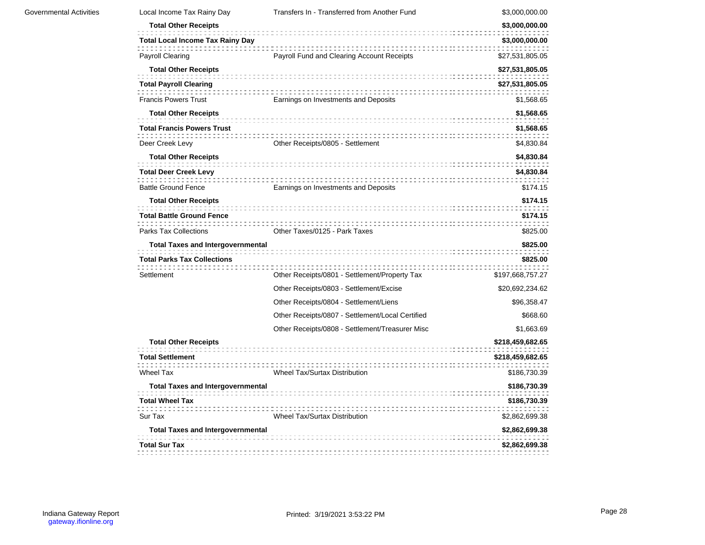| Local Income Tax Rainy Day               | Transfers In - Transferred from Another Fund     | \$3,000,000.00   |
|------------------------------------------|--------------------------------------------------|------------------|
| <b>Total Other Receipts</b>              |                                                  | \$3,000,000.00   |
| <b>Total Local Income Tax Rainy Day</b>  |                                                  | \$3,000,000.00   |
| <b>Payroll Clearing</b>                  | Payroll Fund and Clearing Account Receipts       | \$27,531,805.05  |
| <b>Total Other Receipts</b>              |                                                  | \$27,531,805.05  |
| <b>Total Payroll Clearing</b>            |                                                  | \$27,531,805.05  |
| <b>Francis Powers Trust</b>              | Earnings on Investments and Deposits             | \$1,568.65       |
| <b>Total Other Receipts</b>              |                                                  | \$1,568.65       |
| <b>Total Francis Powers Trust</b>        |                                                  | \$1,568.65       |
| Deer Creek Levy                          | Other Receipts/0805 - Settlement                 | \$4,830.84       |
| <b>Total Other Receipts</b>              |                                                  | \$4,830.84       |
| <b>Total Deer Creek Levy</b>             |                                                  | \$4,830.84       |
| <b>Battle Ground Fence</b>               | Earnings on Investments and Deposits             | \$174.15         |
| <b>Total Other Receipts</b>              |                                                  | \$174.15         |
| <b>Total Battle Ground Fence</b>         |                                                  | \$174.15         |
| <b>Parks Tax Collections</b>             | Other Taxes/0125 - Park Taxes                    | \$825.00         |
| <b>Total Taxes and Intergovernmental</b> |                                                  | \$825.00         |
| <b>Total Parks Tax Collections</b>       |                                                  | \$825.00         |
| Settlement                               | Other Receipts/0801 - Settlement/Property Tax    | \$197,668,757.27 |
|                                          | Other Receipts/0803 - Settlement/Excise          | \$20,692,234.62  |
|                                          | Other Receipts/0804 - Settlement/Liens           | \$96,358.47      |
|                                          | Other Receipts/0807 - Settlement/Local Certified | \$668.60         |
|                                          | Other Receipts/0808 - Settlement/Treasurer Misc  | \$1,663.69       |
| <b>Total Other Receipts</b>              |                                                  | \$218,459,682.65 |
| <b>Total Settlement</b>                  |                                                  | \$218,459,682.65 |
| <b>Wheel Tax</b>                         | Wheel Tax/Surtax Distribution                    | \$186,730.39     |
| <b>Total Taxes and Intergovernmental</b> |                                                  | \$186,730.39     |
| <b>Total Wheel Tax</b>                   |                                                  | \$186,730.39     |
| Sur Tax                                  | <b>Wheel Tax/Surtax Distribution</b>             | \$2,862,699.38   |
| <b>Total Taxes and Intergovernmental</b> |                                                  | \$2,862,699.38   |
| <b>Total Sur Tax</b>                     |                                                  | \$2,862,699.38   |
|                                          |                                                  |                  |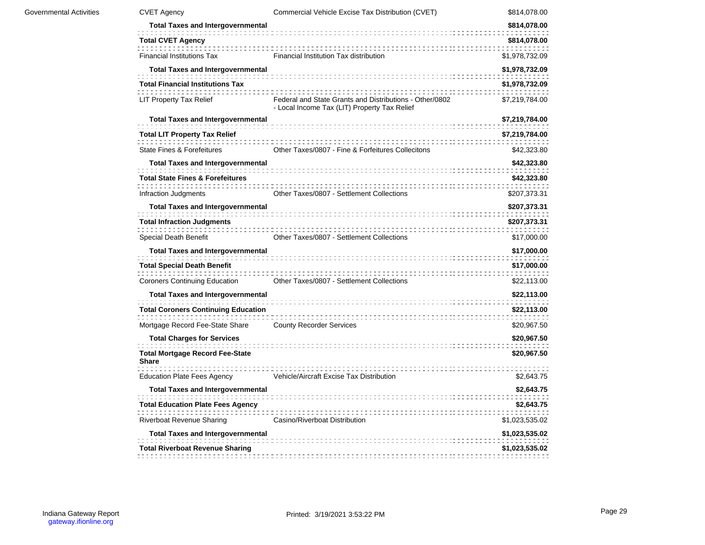| <b>Governmental Activities</b> | <b>CVET Agency</b>                                     | Commercial Vehicle Excise Tax Distribution (CVET)                                                       | \$814,078.00   |
|--------------------------------|--------------------------------------------------------|---------------------------------------------------------------------------------------------------------|----------------|
|                                | <b>Total Taxes and Intergovernmental</b>               |                                                                                                         | \$814,078.00   |
|                                | <b>Total CVET Agency</b>                               |                                                                                                         | \$814,078.00   |
|                                | <b>Financial Institutions Tax</b>                      | Financial Institution Tax distribution                                                                  | \$1,978,732.09 |
|                                | <b>Total Taxes and Intergovernmental</b>               |                                                                                                         | \$1,978,732.09 |
|                                | <b>Total Financial Institutions Tax</b>                |                                                                                                         | \$1,978,732.09 |
|                                | LIT Property Tax Relief                                | Federal and State Grants and Distributions - Other/0802<br>- Local Income Tax (LIT) Property Tax Relief | \$7,219,784.00 |
|                                | <b>Total Taxes and Intergovernmental</b>               |                                                                                                         | \$7,219,784.00 |
|                                | <b>Total LIT Property Tax Relief</b>                   |                                                                                                         | \$7,219,784.00 |
|                                | State Fines & Forefeitures                             | Other Taxes/0807 - Fine & Forfeitures Collecitons                                                       | \$42,323.80    |
|                                | <b>Total Taxes and Intergovernmental</b>               |                                                                                                         | \$42,323.80    |
|                                | <b>Total State Fines &amp; Forefeitures</b>            |                                                                                                         | \$42,323.80    |
|                                | Infraction Judgments                                   | Other Taxes/0807 - Settlement Collections                                                               | \$207,373.31   |
|                                | <b>Total Taxes and Intergovernmental</b>               |                                                                                                         | \$207,373.31   |
|                                | <b>Total Infraction Judgments</b>                      |                                                                                                         | \$207,373.31   |
|                                | Special Death Benefit                                  | Other Taxes/0807 - Settlement Collections                                                               | \$17,000.00    |
|                                | <b>Total Taxes and Intergovernmental</b>               |                                                                                                         | \$17,000.00    |
|                                | <b>Total Special Death Benefit</b>                     |                                                                                                         | \$17,000.00    |
|                                | <b>Coroners Continuing Education</b>                   | Other Taxes/0807 - Settlement Collections                                                               | \$22,113.00    |
|                                | <b>Total Taxes and Intergovernmental</b>               |                                                                                                         | \$22,113.00    |
|                                | <b>Total Coroners Continuing Education</b>             |                                                                                                         | \$22,113.00    |
|                                | Mortgage Record Fee-State Share                        | <b>County Recorder Services</b>                                                                         | \$20,967.50    |
|                                | <b>Total Charges for Services</b>                      |                                                                                                         | \$20,967.50    |
|                                | <b>Total Mortgage Record Fee-State</b><br><b>Share</b> |                                                                                                         | \$20,967.50    |
|                                | <b>Education Plate Fees Agency</b>                     | Vehicle/Aircraft Excise Tax Distribution                                                                | \$2,643.75     |
|                                | <b>Total Taxes and Intergovernmental</b>               |                                                                                                         | \$2,643.75     |
|                                | <b>Total Education Plate Fees Agency</b>               |                                                                                                         | \$2,643.75     |
|                                | <b>Riverboat Revenue Sharing</b>                       | Casino/Riverboat Distribution                                                                           | \$1,023,535.02 |
|                                | <b>Total Taxes and Intergovernmental</b>               |                                                                                                         | \$1,023,535.02 |
|                                | <b>Total Riverboat Revenue Sharing</b>                 |                                                                                                         | \$1,023,535.02 |
|                                |                                                        |                                                                                                         |                |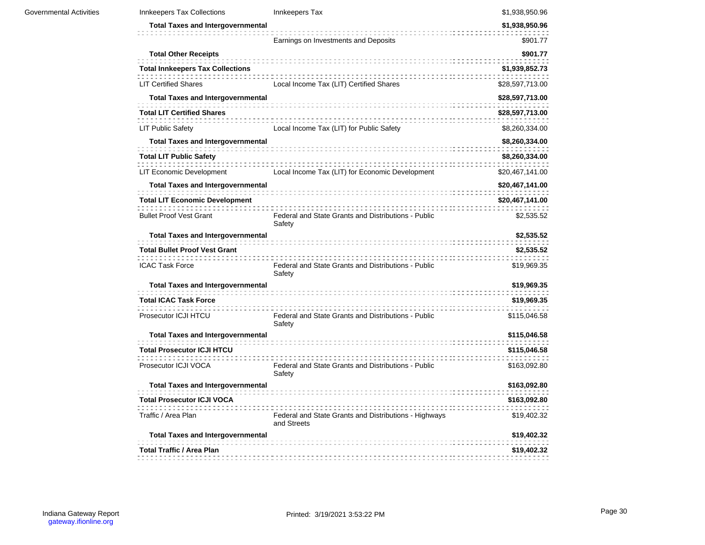| <b>Innkeepers Tax Collections</b>        | Innkeepers Tax                                                       | \$1,938,950.96  |
|------------------------------------------|----------------------------------------------------------------------|-----------------|
| <b>Total Taxes and Intergovernmental</b> |                                                                      | \$1,938,950.96  |
|                                          | Earnings on Investments and Deposits                                 | \$901.77        |
| <b>Total Other Receipts</b>              |                                                                      | \$901.77        |
| <b>Total Innkeepers Tax Collections</b>  |                                                                      | \$1,939,852.73  |
| <b>LIT Certified Shares</b>              | Local Income Tax (LIT) Certified Shares                              | \$28,597,713.00 |
| <b>Total Taxes and Intergovernmental</b> |                                                                      | \$28,597,713.00 |
| <b>Total LIT Certified Shares</b>        |                                                                      | \$28,597,713.00 |
| <b>LIT Public Safety</b>                 | Local Income Tax (LIT) for Public Safety                             | \$8,260,334.00  |
| <b>Total Taxes and Intergovernmental</b> |                                                                      | \$8,260,334.00  |
| <b>Total LIT Public Safety</b>           |                                                                      | \$8,260,334.00  |
| LIT Economic Development                 | Local Income Tax (LIT) for Economic Development                      | \$20,467,141.00 |
| <b>Total Taxes and Intergovernmental</b> |                                                                      | \$20,467,141.00 |
| <b>Total LIT Economic Development</b>    |                                                                      | \$20,467,141.00 |
| <b>Bullet Proof Vest Grant</b>           | Federal and State Grants and Distributions - Public<br>Safety        | \$2,535.52      |
| <b>Total Taxes and Intergovernmental</b> |                                                                      | \$2,535.52      |
| <b>Total Bullet Proof Vest Grant</b>     |                                                                      | \$2,535.52      |
| <b>ICAC Task Force</b>                   | Federal and State Grants and Distributions - Public<br>Safety        | \$19,969.35     |
| <b>Total Taxes and Intergovernmental</b> |                                                                      | \$19,969.35     |
| <b>Total ICAC Task Force</b>             |                                                                      | \$19,969.35     |
| Prosecutor ICJI HTCU                     | Federal and State Grants and Distributions - Public<br>Safety        | \$115,046.58    |
| <b>Total Taxes and Intergovernmental</b> |                                                                      | \$115,046.58    |
| <b>Total Prosecutor ICJI HTCU</b>        |                                                                      | \$115,046.58    |
| Prosecutor ICJI VOCA                     | Federal and State Grants and Distributions - Public<br>Safety        | \$163,092.80    |
| <b>Total Taxes and Intergovernmental</b> |                                                                      | \$163,092.80    |
| <b>Total Prosecutor ICJI VOCA</b>        |                                                                      | \$163,092.80    |
| Traffic / Area Plan                      | Federal and State Grants and Distributions - Highways<br>and Streets | \$19,402.32     |
| <b>Total Taxes and Intergovernmental</b> |                                                                      | \$19,402.32     |
| Total Traffic / Area Plan                |                                                                      | \$19,402.32     |
|                                          |                                                                      |                 |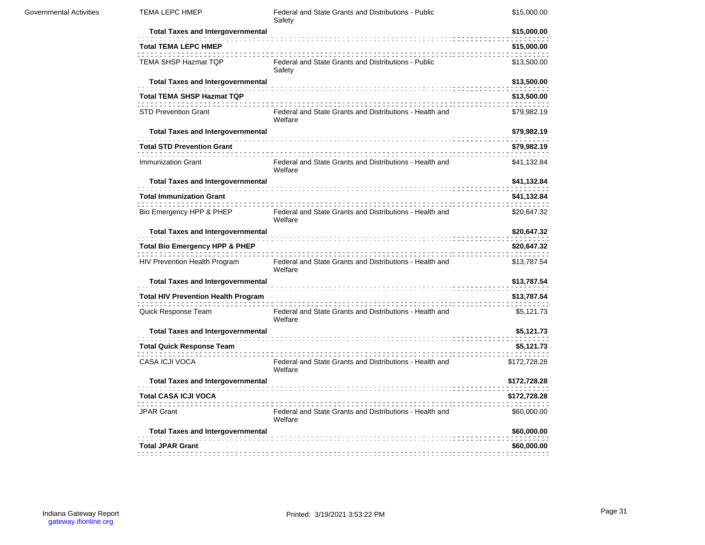| <b>Governmental Activities</b> | <b>TEMA LEPC HMEP</b>                      | Federal and State Grants and Distributions - Public<br>Safety      | \$15,000.00  |
|--------------------------------|--------------------------------------------|--------------------------------------------------------------------|--------------|
|                                | <b>Total Taxes and Intergovernmental</b>   |                                                                    | \$15,000.00  |
|                                | <b>Total TEMA LEPC HMEP</b>                |                                                                    | \$15,000.00  |
|                                | TEMA SHSP Hazmat TQP                       | Federal and State Grants and Distributions - Public<br>Safety      | \$13,500.00  |
|                                | <b>Total Taxes and Intergovernmental</b>   |                                                                    | \$13,500.00  |
|                                | <b>Total TEMA SHSP Hazmat TQP</b>          |                                                                    | \$13,500.00  |
|                                | <b>STD Prevention Grant</b>                | Federal and State Grants and Distributions - Health and<br>Welfare | \$79,982.19  |
|                                | <b>Total Taxes and Intergovernmental</b>   |                                                                    | \$79,982.19  |
|                                | <b>Total STD Prevention Grant</b>          |                                                                    | \$79,982.19  |
|                                | Immunization Grant                         | Federal and State Grants and Distributions - Health and<br>Welfare | \$41,132.84  |
|                                | <b>Total Taxes and Intergovernmental</b>   |                                                                    | \$41,132.84  |
|                                | <b>Total Immunization Grant</b>            |                                                                    | \$41,132.84  |
|                                | Bio Emergency HPP & PHEP                   | Federal and State Grants and Distributions - Health and<br>Welfare | \$20,647.32  |
|                                | <b>Total Taxes and Intergovernmental</b>   |                                                                    | \$20,647.32  |
|                                | <b>Total Bio Emergency HPP &amp; PHEP</b>  |                                                                    | \$20,647.32  |
|                                | HIV Prevention Health Program              | Federal and State Grants and Distributions - Health and<br>Welfare | \$13,787.54  |
|                                | <b>Total Taxes and Intergovernmental</b>   |                                                                    | \$13,787.54  |
|                                | <b>Total HIV Prevention Health Program</b> |                                                                    | \$13,787.54  |
|                                | Quick Response Team                        | Federal and State Grants and Distributions - Health and<br>Welfare | \$5,121.73   |
|                                | <b>Total Taxes and Intergovernmental</b>   |                                                                    | \$5,121.73   |
|                                | <b>Total Quick Response Team</b>           |                                                                    | \$5,121.73   |
|                                | CASA ICJI VOCA                             | Federal and State Grants and Distributions - Health and<br>Welfare | \$172,728.28 |
|                                | <b>Total Taxes and Intergovernmental</b>   |                                                                    | \$172,728.28 |
|                                | <b>Total CASA ICJI VOCA</b>                |                                                                    | \$172,728.28 |
|                                | <b>JPAR Grant</b>                          | Federal and State Grants and Distributions - Health and<br>Welfare | \$60,000.00  |
|                                | <b>Total Taxes and Intergovernmental</b>   |                                                                    | \$60,000.00  |
|                                | <b>Total JPAR Grant</b>                    |                                                                    | \$60,000.00  |
|                                |                                            |                                                                    |              |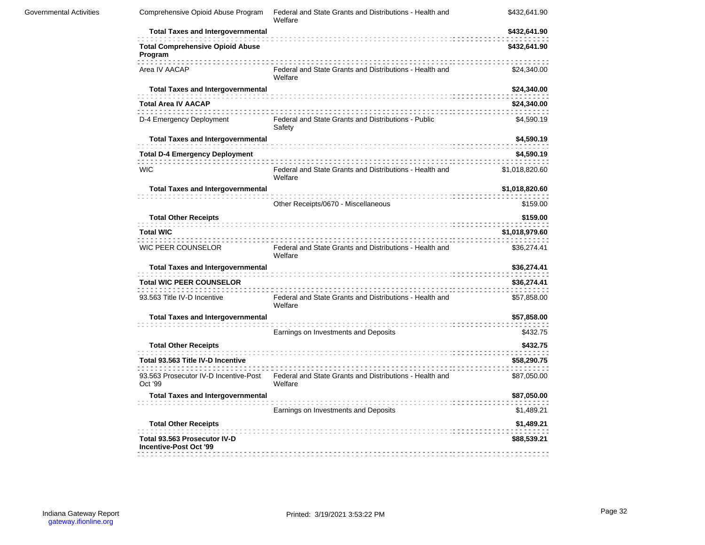| <b>Governmental Activities</b> | Comprehensive Opioid Abuse Program                            | Federal and State Grants and Distributions - Health and<br>Welfare | \$432,641.90   |
|--------------------------------|---------------------------------------------------------------|--------------------------------------------------------------------|----------------|
|                                | <b>Total Taxes and Intergovernmental</b>                      |                                                                    | \$432,641.90   |
|                                | <b>Total Comprehensive Opioid Abuse</b><br>Program            |                                                                    | \$432,641.90   |
|                                | Area IV AACAP                                                 | Federal and State Grants and Distributions - Health and<br>Welfare | \$24,340.00    |
|                                | <b>Total Taxes and Intergovernmental</b>                      |                                                                    | \$24,340.00    |
|                                | <b>Total Area IV AACAP</b>                                    |                                                                    | \$24,340.00    |
|                                | D-4 Emergency Deployment                                      | Federal and State Grants and Distributions - Public<br>Safety      | \$4,590.19     |
|                                | <b>Total Taxes and Intergovernmental</b>                      |                                                                    | \$4,590.19     |
|                                | <b>Total D-4 Emergency Deployment</b>                         |                                                                    | \$4,590.19     |
|                                | <b>WIC</b>                                                    | Federal and State Grants and Distributions - Health and<br>Welfare | \$1,018,820.60 |
|                                | <b>Total Taxes and Intergovernmental</b>                      |                                                                    | \$1,018,820.60 |
|                                |                                                               | Other Receipts/0670 - Miscellaneous                                | \$159.00       |
|                                | <b>Total Other Receipts</b>                                   |                                                                    | \$159.00       |
|                                | <b>Total WIC</b>                                              |                                                                    | \$1,018,979.60 |
|                                | WIC PEER COUNSELOR                                            | Federal and State Grants and Distributions - Health and<br>Welfare | \$36,274.41    |
|                                | <b>Total Taxes and Intergovernmental</b>                      |                                                                    | \$36,274.41    |
|                                | <b>Total WIC PEER COUNSELOR</b>                               |                                                                    | \$36,274.41    |
|                                | 93.563 Title IV-D Incentive                                   | Federal and State Grants and Distributions - Health and<br>Welfare | \$57,858.00    |
|                                | <b>Total Taxes and Intergovernmental</b>                      |                                                                    | \$57,858.00    |
|                                |                                                               | Earnings on Investments and Deposits                               | \$432.75       |
|                                | <b>Total Other Receipts</b>                                   |                                                                    | \$432.75       |
|                                | Total 93.563 Title IV-D Incentive                             |                                                                    | \$58,290.75    |
|                                | 93.563 Prosecutor IV-D Incentive-Post<br>Oct '99              | Federal and State Grants and Distributions - Health and<br>Welfare | \$87,050.00    |
|                                | <b>Total Taxes and Intergovernmental</b>                      |                                                                    | \$87,050.00    |
|                                |                                                               | Earnings on Investments and Deposits                               | \$1,489.21     |
|                                | <b>Total Other Receipts</b>                                   |                                                                    | \$1,489.21     |
|                                | Total 93.563 Prosecutor IV-D<br><b>Incentive-Post Oct '99</b> |                                                                    | \$88,539.21    |
|                                |                                                               |                                                                    |                |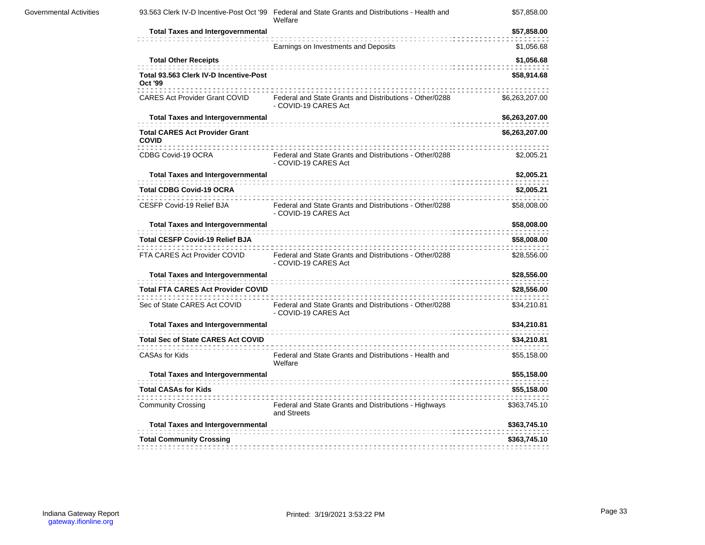|                                                          | 93.563 Clerk IV-D Incentive-Post Oct '99 Federal and State Grants and Distributions - Health and<br>Welfare | \$57,858.00    |
|----------------------------------------------------------|-------------------------------------------------------------------------------------------------------------|----------------|
| <b>Total Taxes and Intergovernmental</b>                 |                                                                                                             | \$57,858.00    |
|                                                          | Earnings on Investments and Deposits                                                                        | \$1,056.68     |
| <b>Total Other Receipts</b>                              |                                                                                                             | \$1,056.68     |
| Total 93.563 Clerk IV-D Incentive-Post<br><b>Oct '99</b> |                                                                                                             | \$58,914.68    |
| <b>CARES Act Provider Grant COVID</b>                    | Federal and State Grants and Distributions - Other/0288<br>- COVID-19 CARES Act                             | \$6,263,207.00 |
| <b>Total Taxes and Intergovernmental</b>                 |                                                                                                             | \$6,263,207.00 |
| <b>Total CARES Act Provider Grant</b><br><b>COVID</b>    |                                                                                                             | \$6,263,207.00 |
| CDBG Covid-19 OCRA                                       | Federal and State Grants and Distributions - Other/0288<br>- COVID-19 CARES Act                             | \$2,005.21     |
| <b>Total Taxes and Intergovernmental</b>                 |                                                                                                             | \$2,005.21     |
| <b>Total CDBG Covid-19 OCRA</b>                          |                                                                                                             | \$2,005.21     |
| CESFP Covid-19 Relief BJA                                | Federal and State Grants and Distributions - Other/0288<br>- COVID-19 CARES Act                             | \$58,008.00    |
| <b>Total Taxes and Intergovernmental</b>                 |                                                                                                             | \$58,008.00    |
| <b>Total CESFP Covid-19 Relief BJA</b>                   |                                                                                                             | \$58,008.00    |
| FTA CARES Act Provider COVID                             | Federal and State Grants and Distributions - Other/0288<br>- COVID-19 CARES Act                             | \$28,556.00    |
| <b>Total Taxes and Intergovernmental</b>                 |                                                                                                             | \$28,556.00    |
| <b>Total FTA CARES Act Provider COVID</b>                |                                                                                                             | \$28,556.00    |
| Sec of State CARES Act COVID                             | Federal and State Grants and Distributions - Other/0288<br>- COVID-19 CARES Act                             | \$34,210.81    |
| <b>Total Taxes and Intergovernmental</b>                 |                                                                                                             | \$34,210.81    |
| <b>Total Sec of State CARES Act COVID</b>                |                                                                                                             | \$34,210.81    |
| <b>CASAs for Kids</b>                                    | Federal and State Grants and Distributions - Health and<br>Welfare                                          | \$55,158.00    |
| <b>Total Taxes and Intergovernmental</b>                 |                                                                                                             | \$55,158.00    |
| <b>Total CASAs for Kids</b>                              |                                                                                                             | \$55,158.00    |
| <b>Community Crossing</b>                                | Federal and State Grants and Distributions - Highways<br>and Streets                                        | \$363,745.10   |
| <b>Total Taxes and Intergovernmental</b>                 |                                                                                                             | \$363,745.10   |
| <b>Total Community Crossing</b>                          |                                                                                                             | \$363,745.10   |
|                                                          |                                                                                                             |                |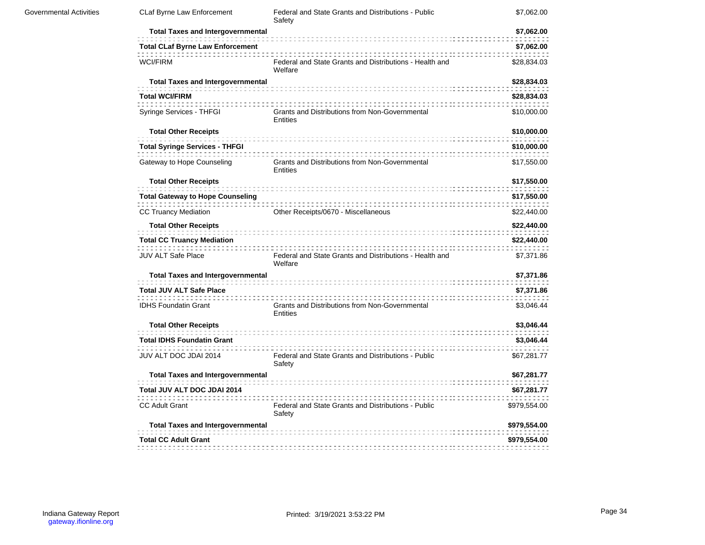| CLaf Byrne Law Enforcement               | Federal and State Grants and Distributions - Public<br>Safety      | \$7,062.00   |
|------------------------------------------|--------------------------------------------------------------------|--------------|
| <b>Total Taxes and Intergovernmental</b> |                                                                    | \$7,062.00   |
| <b>Total CLaf Byrne Law Enforcement</b>  |                                                                    | \$7,062.00   |
| <b>WCI/FIRM</b>                          | Federal and State Grants and Distributions - Health and<br>Welfare | \$28,834.03  |
| <b>Total Taxes and Intergovernmental</b> |                                                                    | \$28,834.03  |
| <b>Total WCI/FIRM</b>                    |                                                                    | \$28,834.03  |
| Syringe Services - THFGI                 | Grants and Distributions from Non-Governmental<br>Entities         | \$10,000.00  |
| <b>Total Other Receipts</b>              |                                                                    | \$10,000.00  |
| <b>Total Syringe Services - THFGI</b>    |                                                                    | \$10,000.00  |
| Gateway to Hope Counseling               | Grants and Distributions from Non-Governmental<br>Entities         | \$17,550.00  |
| <b>Total Other Receipts</b>              |                                                                    | \$17,550.00  |
| <b>Total Gateway to Hope Counseling</b>  |                                                                    | \$17,550.00  |
| <b>CC Truancy Mediation</b>              | Other Receipts/0670 - Miscellaneous                                | \$22,440.00  |
| <b>Total Other Receipts</b>              |                                                                    | \$22,440.00  |
| <b>Total CC Truancy Mediation</b>        |                                                                    | \$22,440.00  |
| <b>JUV ALT Safe Place</b>                | Federal and State Grants and Distributions - Health and<br>Welfare | \$7,371.86   |
| <b>Total Taxes and Intergovernmental</b> |                                                                    | \$7,371.86   |
| <b>Total JUV ALT Safe Place</b>          |                                                                    | \$7,371.86   |
| <b>IDHS Foundatin Grant</b>              | Grants and Distributions from Non-Governmental<br>Entities         | \$3,046.44   |
| <b>Total Other Receipts</b>              |                                                                    | \$3,046.44   |
| <b>Total IDHS Foundatin Grant</b>        |                                                                    | \$3,046.44   |
| JUV ALT DOC JDAI 2014                    | Federal and State Grants and Distributions - Public<br>Safety      | \$67,281.77  |
| <b>Total Taxes and Intergovernmental</b> |                                                                    | \$67,281.77  |
| Total JUV ALT DOC JDAI 2014              |                                                                    | \$67,281.77  |
| <b>CC Adult Grant</b>                    | Federal and State Grants and Distributions - Public<br>Safety      | \$979,554.00 |
|                                          |                                                                    | \$979,554.00 |
| <b>Total Taxes and Intergovernmental</b> |                                                                    |              |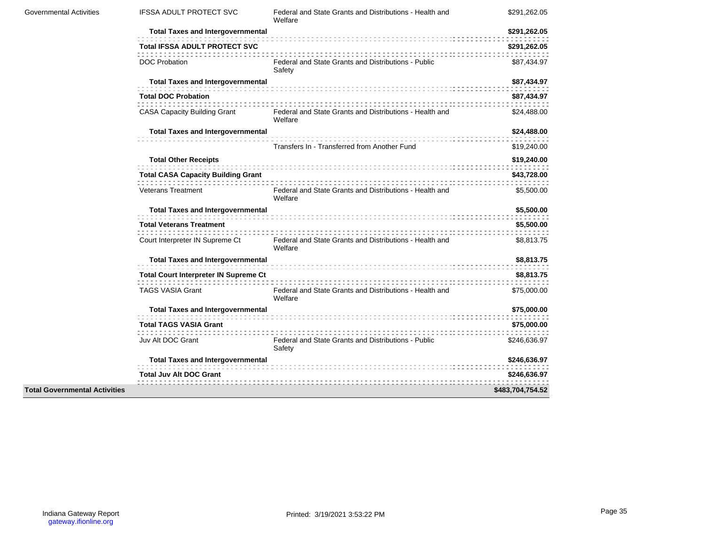| Governmental Activities              | <b>IFSSA ADULT PROTECT SVC</b>               | Federal and State Grants and Distributions - Health and<br>Welfare | \$291,262.05     |
|--------------------------------------|----------------------------------------------|--------------------------------------------------------------------|------------------|
|                                      | <b>Total Taxes and Intergovernmental</b>     |                                                                    | \$291,262.05     |
|                                      | <b>Total IFSSA ADULT PROTECT SVC</b>         |                                                                    | \$291,262.05     |
|                                      | <b>DOC Probation</b>                         | Federal and State Grants and Distributions - Public<br>Safety      | \$87,434.97      |
|                                      | <b>Total Taxes and Intergovernmental</b>     |                                                                    | \$87,434.97      |
|                                      | <b>Total DOC Probation</b>                   |                                                                    | \$87,434.97      |
|                                      | <b>CASA Capacity Building Grant</b>          | Federal and State Grants and Distributions - Health and<br>Welfare | \$24,488.00      |
|                                      | <b>Total Taxes and Intergovernmental</b>     |                                                                    | \$24,488.00      |
|                                      |                                              | Transfers In - Transferred from Another Fund                       | \$19,240.00      |
|                                      | <b>Total Other Receipts</b>                  |                                                                    | \$19,240.00      |
|                                      | <b>Total CASA Capacity Building Grant</b>    |                                                                    | \$43,728.00      |
|                                      | <b>Veterans Treatment</b>                    | Federal and State Grants and Distributions - Health and<br>Welfare | \$5,500.00       |
|                                      | <b>Total Taxes and Intergovernmental</b>     |                                                                    | \$5,500.00       |
|                                      | <b>Total Veterans Treatment</b>              |                                                                    | \$5,500.00       |
|                                      | Court Interpreter IN Supreme Ct              | Federal and State Grants and Distributions - Health and<br>Welfare | \$8,813.75       |
|                                      | <b>Total Taxes and Intergovernmental</b>     |                                                                    | \$8,813.75       |
|                                      | <b>Total Court Interpreter IN Supreme Ct</b> |                                                                    | \$8,813.75       |
|                                      | <b>TAGS VASIA Grant</b>                      | Federal and State Grants and Distributions - Health and<br>Welfare | \$75,000.00      |
|                                      | <b>Total Taxes and Intergovernmental</b>     |                                                                    | \$75,000.00      |
|                                      | <b>Total TAGS VASIA Grant</b>                |                                                                    | \$75,000.00      |
|                                      | Juv Alt DOC Grant                            | Federal and State Grants and Distributions - Public<br>Safety      | \$246,636.97     |
|                                      | <b>Total Taxes and Intergovernmental</b>     |                                                                    | \$246,636.97     |
|                                      | <b>Total Juv Alt DOC Grant</b>               |                                                                    | \$246,636.97     |
| <b>Total Governmental Activities</b> |                                              |                                                                    | \$483,704,754.52 |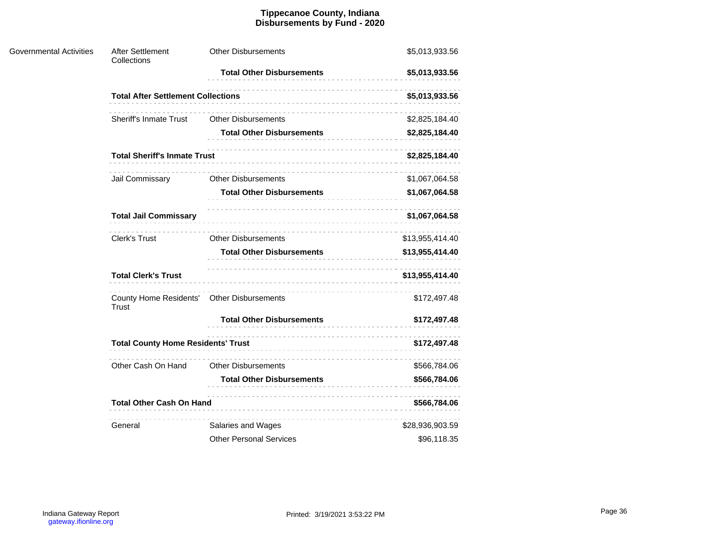### **Tippecanoe County, Indiana Disbursements by Fund - 2020**

| <b>Governmental Activities</b> | After Settlement<br>Collections                            | <b>Other Disbursements</b>       | \$5,013,933.56  |  |  |
|--------------------------------|------------------------------------------------------------|----------------------------------|-----------------|--|--|
|                                |                                                            | <b>Total Other Disbursements</b> | \$5,013,933.56  |  |  |
|                                | <b>Total After Settlement Collections</b>                  |                                  | \$5,013,933.56  |  |  |
|                                | <b>Sheriff's Inmate Trust</b>                              | <b>Other Disbursements</b>       | \$2,825,184.40  |  |  |
|                                |                                                            | <b>Total Other Disbursements</b> | \$2,825,184.40  |  |  |
|                                | <b>Total Sheriff's Inmate Trust</b>                        |                                  | \$2,825,184.40  |  |  |
|                                | Jail Commissary                                            | <b>Other Disbursements</b>       | \$1,067,064.58  |  |  |
|                                |                                                            | <b>Total Other Disbursements</b> | \$1,067,064.58  |  |  |
|                                | <b>Total Jail Commissary</b>                               |                                  | \$1,067,064.58  |  |  |
|                                | Clerk's Trust                                              | <b>Other Disbursements</b>       | \$13,955,414.40 |  |  |
|                                |                                                            | <b>Total Other Disbursements</b> | \$13,955,414.40 |  |  |
|                                | <b>Total Clerk's Trust</b>                                 |                                  | \$13,955,414.40 |  |  |
|                                | County Home Residents' Other Disbursements<br><b>Trust</b> |                                  | \$172,497.48    |  |  |
|                                |                                                            | <b>Total Other Disbursements</b> | \$172,497.48    |  |  |
|                                | <b>Total County Home Residents' Trust</b>                  |                                  | \$172,497.48    |  |  |
|                                | Other Cash On Hand                                         | <b>Other Disbursements</b>       | \$566,784.06    |  |  |
|                                |                                                            | <b>Total Other Disbursements</b> | \$566,784.06    |  |  |
|                                | <b>Total Other Cash On Hand</b>                            |                                  | \$566,784.06    |  |  |
|                                | General                                                    | Salaries and Wages               | \$28,936,903.59 |  |  |
|                                |                                                            | <b>Other Personal Services</b>   | \$96,118.35     |  |  |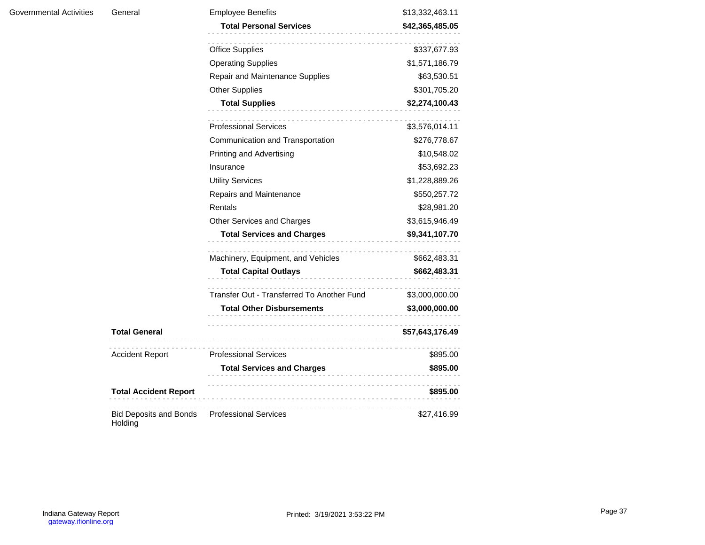| General                      | <b>Employee Benefits</b><br><b>Total Personal Services</b> | \$13,332,463.11<br>\$42,365,485.05            |  |
|------------------------------|------------------------------------------------------------|-----------------------------------------------|--|
|                              | <b>Office Supplies</b>                                     | \$337,677.93                                  |  |
|                              | <b>Operating Supplies</b>                                  | \$1,571,186.79                                |  |
|                              | Repair and Maintenance Supplies                            | \$63,530.51                                   |  |
|                              | <b>Other Supplies</b>                                      | \$301,705.20                                  |  |
|                              | <b>Total Supplies</b><br>.                                 | \$2,274,100.43                                |  |
|                              | <b>Professional Services</b>                               | \$3,576,014.11                                |  |
|                              | Communication and Transportation                           | \$276,778.67                                  |  |
|                              | Printing and Advertising                                   | \$10,548.02                                   |  |
|                              | Insurance                                                  | \$53,692.23                                   |  |
|                              | <b>Utility Services</b>                                    | \$1,228,889.26<br>\$550,257.72<br>\$28,981.20 |  |
|                              | Repairs and Maintenance                                    |                                               |  |
|                              | Rentals                                                    |                                               |  |
|                              | Other Services and Charges                                 | \$3,615,946.49                                |  |
|                              | <b>Total Services and Charges</b>                          | \$9,341,107.70                                |  |
|                              | Machinery, Equipment, and Vehicles                         | \$662,483.31                                  |  |
|                              | <b>Total Capital Outlays</b>                               | \$662,483.31                                  |  |
|                              | Transfer Out - Transferred To Another Fund                 | \$3,000,000.00                                |  |
|                              | <b>Total Other Disbursements</b>                           | \$3,000,000.00                                |  |
| <b>Total General</b>         |                                                            | \$57,643,176.49                               |  |
| <b>Accident Report</b>       | <b>Professional Services</b>                               | \$895.00                                      |  |
|                              | <b>Total Services and Charges</b>                          | \$895.00                                      |  |
| <b>Total Accident Report</b> |                                                            | \$895.00                                      |  |

and a straight of Bid Deposits and Bonds Professional Services  $$27,416.99$ Holding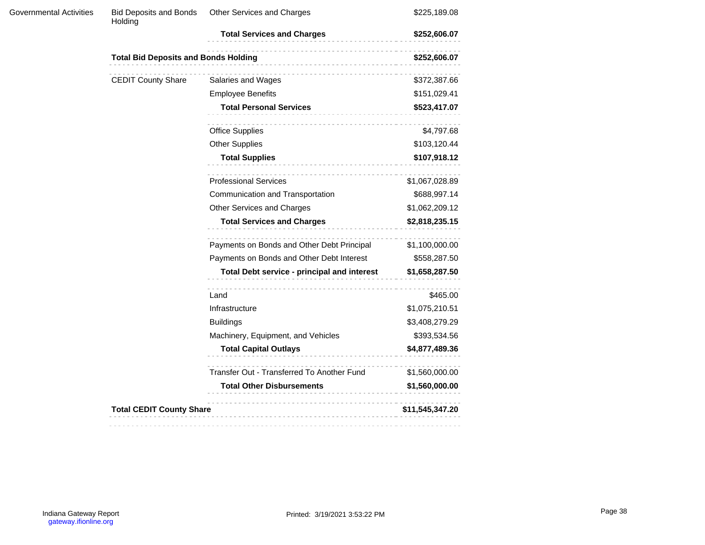| Governmental Activities | <b>Bid Deposits and Bonds</b><br>Holding                    | Other Services and Charges                  | \$225,189.08    |  |
|-------------------------|-------------------------------------------------------------|---------------------------------------------|-----------------|--|
|                         |                                                             | <b>Total Services and Charges</b>           | \$252,606.07    |  |
|                         | <b>Total Bid Deposits and Bonds Holding</b><br>\$252,606.07 |                                             |                 |  |
|                         | <b>CEDIT County Share</b>                                   | Salaries and Wages                          | \$372,387.66    |  |
|                         |                                                             | <b>Employee Benefits</b>                    | \$151,029.41    |  |
|                         |                                                             | <b>Total Personal Services</b>              | \$523,417.07    |  |
|                         |                                                             | <b>Office Supplies</b>                      | \$4,797.68      |  |
|                         |                                                             | <b>Other Supplies</b>                       | \$103,120.44    |  |
|                         |                                                             | <b>Total Supplies</b>                       | \$107,918.12    |  |
|                         |                                                             | <b>Professional Services</b>                | \$1,067,028.89  |  |
|                         |                                                             | Communication and Transportation            | \$688,997.14    |  |
|                         |                                                             | Other Services and Charges                  | \$1,062,209.12  |  |
|                         |                                                             | <b>Total Services and Charges</b>           | \$2,818,235.15  |  |
|                         |                                                             | Payments on Bonds and Other Debt Principal  | \$1,100,000.00  |  |
|                         |                                                             | Payments on Bonds and Other Debt Interest   | \$558,287.50    |  |
|                         |                                                             | Total Debt service - principal and interest | \$1,658,287.50  |  |
|                         |                                                             | Land                                        | \$465.00        |  |
|                         |                                                             | Infrastructure                              | \$1,075,210.51  |  |
|                         |                                                             | <b>Buildings</b>                            | \$3,408,279.29  |  |
|                         |                                                             | Machinery, Equipment, and Vehicles          | \$393,534.56    |  |
|                         |                                                             | <b>Total Capital Outlays</b>                | \$4,877,489.36  |  |
|                         |                                                             | Transfer Out - Transferred To Another Fund  | \$1,560,000.00  |  |
|                         |                                                             | <b>Total Other Disbursements</b>            | \$1,560,000.00  |  |
|                         | <b>Total CEDIT County Share</b>                             |                                             | \$11,545,347.20 |  |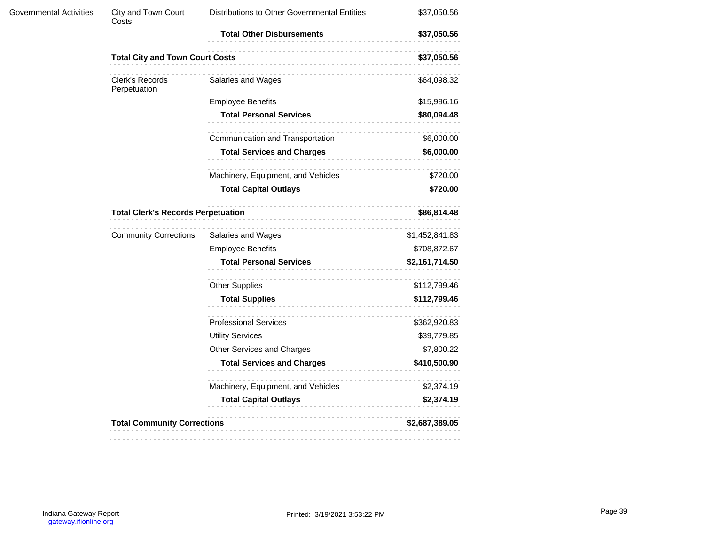| <b>Total City and Town Court Costs</b><br>Clerk's Records<br>Perpetuation | <b>Total Other Disbursements</b><br>Salaries and Wages | \$37,050.56<br>\$37,050.56                                                           |
|---------------------------------------------------------------------------|--------------------------------------------------------|--------------------------------------------------------------------------------------|
|                                                                           |                                                        |                                                                                      |
|                                                                           |                                                        |                                                                                      |
|                                                                           |                                                        | \$64,098.32                                                                          |
|                                                                           | <b>Employee Benefits</b>                               | \$15,996.16                                                                          |
|                                                                           | <b>Total Personal Services</b>                         | \$80,094.48                                                                          |
|                                                                           | Communication and Transportation                       | \$6,000.00                                                                           |
|                                                                           | <b>Total Services and Charges</b>                      | \$6,000.00                                                                           |
|                                                                           | Machinery, Equipment, and Vehicles                     | \$720.00                                                                             |
|                                                                           | <b>Total Capital Outlays</b>                           | \$720.00                                                                             |
|                                                                           | ---------------------------                            |                                                                                      |
|                                                                           | Salaries and Wages                                     | \$1,452,841.83                                                                       |
|                                                                           | <b>Employee Benefits</b>                               | \$708,872.67                                                                         |
|                                                                           | <b>Total Personal Services</b>                         | \$2,161,714.50                                                                       |
|                                                                           | <b>Other Supplies</b>                                  | \$112,799.46                                                                         |
|                                                                           | <b>Total Supplies</b><br>.                             | \$112,799.46                                                                         |
|                                                                           | <b>Professional Services</b>                           | \$362,920.83                                                                         |
|                                                                           | <b>Utility Services</b>                                | \$39,779.85                                                                          |
|                                                                           | Other Services and Charges                             | \$7,800.22                                                                           |
|                                                                           | <b>Total Services and Charges</b>                      | \$410,500.90                                                                         |
|                                                                           | Machinery, Equipment, and Vehicles                     | \$2,374.19                                                                           |
|                                                                           | <b>Total Capital Outlays</b>                           | \$2,374.19                                                                           |
|                                                                           |                                                        | \$2,687,389.05                                                                       |
|                                                                           | <b>Community Corrections</b>                           | <b>Total Clerk's Records Perpetuation</b><br><b>Total Community Corrections</b><br>. |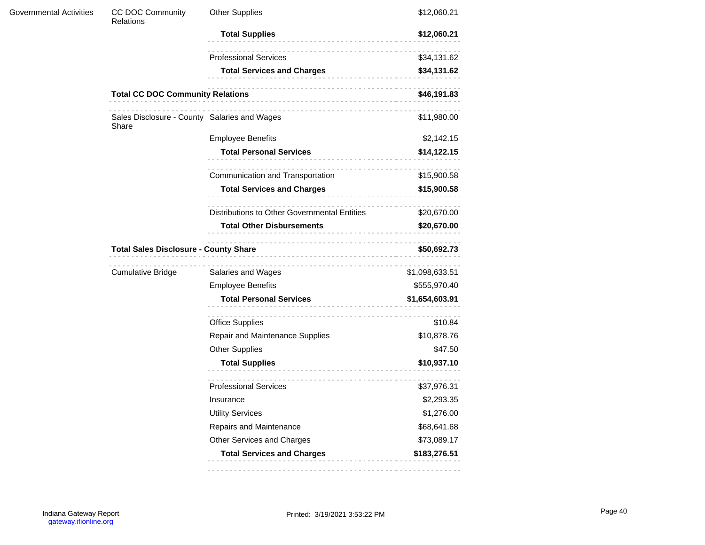| Governmental Activities | CC DOC Community<br>Relations                         | <b>Other Supplies</b>                        | \$12,060.21    |  |
|-------------------------|-------------------------------------------------------|----------------------------------------------|----------------|--|
|                         |                                                       | <b>Total Supplies</b>                        | \$12,060.21    |  |
|                         |                                                       | <b>Professional Services</b>                 | \$34,131.62    |  |
|                         |                                                       | <b>Total Services and Charges</b>            | \$34,131.62    |  |
|                         | <b>Total CC DOC Community Relations</b>               |                                              | \$46,191.83    |  |
|                         | Sales Disclosure - County Salaries and Wages<br>Share |                                              | \$11,980.00    |  |
|                         |                                                       | <b>Employee Benefits</b>                     | \$2,142.15     |  |
|                         |                                                       | <b>Total Personal Services</b>               | \$14,122.15    |  |
|                         |                                                       | Communication and Transportation             | \$15,900.58    |  |
|                         |                                                       | <b>Total Services and Charges</b>            | \$15,900.58    |  |
|                         |                                                       | Distributions to Other Governmental Entities | \$20,670.00    |  |
|                         |                                                       | <b>Total Other Disbursements</b>             | \$20,670.00    |  |
|                         | <b>Total Sales Disclosure - County Share</b>          |                                              | \$50,692.73    |  |
|                         | <b>Cumulative Bridge</b>                              | Salaries and Wages                           | \$1,098,633.51 |  |
|                         |                                                       | <b>Employee Benefits</b>                     | \$555,970.40   |  |
|                         |                                                       | <b>Total Personal Services</b>               | \$1,654,603.91 |  |
|                         |                                                       | <b>Office Supplies</b>                       | \$10.84        |  |
|                         |                                                       | Repair and Maintenance Supplies              | \$10,878.76    |  |
|                         |                                                       | <b>Other Supplies</b>                        | \$47.50        |  |
|                         |                                                       | <b>Total Supplies</b>                        | \$10,937.10    |  |
|                         |                                                       | <b>Professional Services</b>                 | \$37,976.31    |  |
|                         |                                                       | Insurance                                    | \$2,293.35     |  |
|                         |                                                       | <b>Utility Services</b>                      | \$1,276.00     |  |
|                         |                                                       | Repairs and Maintenance                      | \$68,641.68    |  |
|                         |                                                       | Other Services and Charges                   | \$73,089.17    |  |
|                         |                                                       | <b>Total Services and Charges</b>            | \$183,276.51   |  |
|                         |                                                       |                                              |                |  |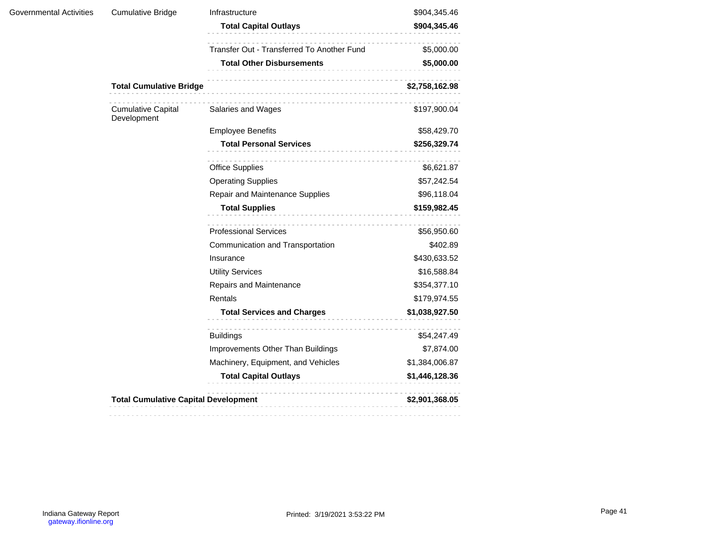| Governmental Activities | <b>Cumulative Bridge</b>                    | Infrastructure                             | \$904,345.46   |
|-------------------------|---------------------------------------------|--------------------------------------------|----------------|
|                         |                                             | <b>Total Capital Outlays</b>               | \$904,345.46   |
|                         |                                             | Transfer Out - Transferred To Another Fund | \$5,000.00     |
|                         |                                             | <b>Total Other Disbursements</b><br>;<br>  | \$5,000.00     |
|                         | <b>Total Cumulative Bridge</b>              |                                            | \$2,758,162.98 |
|                         | <b>Cumulative Capital</b><br>Development    | Salaries and Wages                         | \$197,900.04   |
|                         |                                             | <b>Employee Benefits</b>                   | \$58,429.70    |
|                         |                                             | <b>Total Personal Services</b>             | \$256,329.74   |
|                         |                                             | <b>Office Supplies</b>                     | \$6,621.87     |
|                         |                                             | <b>Operating Supplies</b>                  | \$57,242.54    |
|                         |                                             | Repair and Maintenance Supplies            | \$96,118.04    |
|                         |                                             | <b>Total Supplies</b>                      | \$159,982.45   |
|                         |                                             | <b>Professional Services</b>               | \$56,950.60    |
|                         |                                             | Communication and Transportation           | \$402.89       |
|                         |                                             | Insurance                                  | \$430,633.52   |
|                         |                                             | <b>Utility Services</b>                    | \$16,588.84    |
|                         |                                             | Repairs and Maintenance                    | \$354,377.10   |
|                         |                                             | Rentals                                    | \$179,974.55   |
|                         |                                             | <b>Total Services and Charges</b>          | \$1,038,927.50 |
|                         |                                             | <b>Buildings</b>                           | \$54,247.49    |
|                         |                                             | Improvements Other Than Buildings          | \$7,874.00     |
|                         |                                             | Machinery, Equipment, and Vehicles         | \$1,384,006.87 |
|                         |                                             | <b>Total Capital Outlays</b><br>.          | \$1,446,128.36 |
|                         | <b>Total Cumulative Capital Development</b> |                                            | \$2,901,368.05 |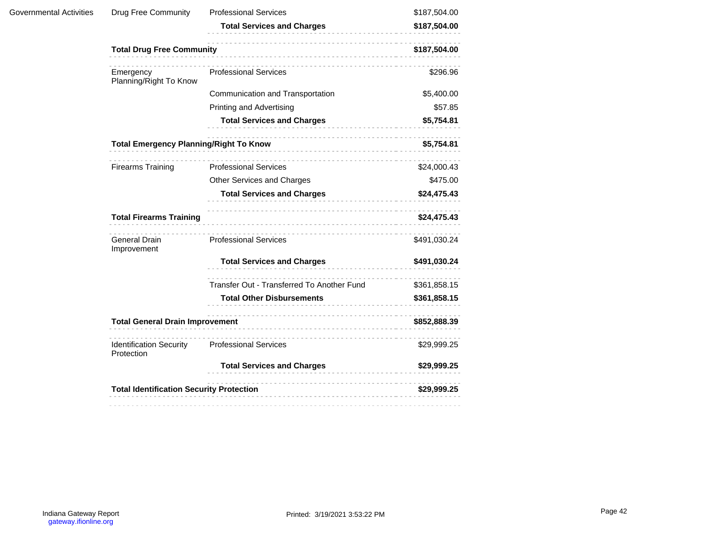|                                              | <b>Total Services and Charges</b>          | \$187,504.00                                                                                                                               |
|----------------------------------------------|--------------------------------------------|--------------------------------------------------------------------------------------------------------------------------------------------|
|                                              |                                            |                                                                                                                                            |
|                                              | <b>Total Drug Free Community</b>           |                                                                                                                                            |
| Emergency<br>Planning/Right To Know          | <b>Professional Services</b>               | \$296.96                                                                                                                                   |
|                                              | Communication and Transportation           | \$5,400.00                                                                                                                                 |
|                                              | <b>Printing and Advertising</b>            | \$57.85                                                                                                                                    |
|                                              | <b>Total Services and Charges</b>          | \$5,754.81                                                                                                                                 |
|                                              |                                            | \$5,754.81                                                                                                                                 |
| <b>Firearms Training</b>                     | <b>Professional Services</b>               | \$24,000.43                                                                                                                                |
|                                              | Other Services and Charges                 | \$475.00                                                                                                                                   |
|                                              | <b>Total Services and Charges</b>          | \$24,475.43                                                                                                                                |
| <b>Total Firearms Training</b>               |                                            | \$24,475.43                                                                                                                                |
| General Drain<br>Improvement                 | <b>Professional Services</b>               | \$491,030.24                                                                                                                               |
|                                              | <b>Total Services and Charges</b>          | \$491,030.24                                                                                                                               |
|                                              | Transfer Out - Transferred To Another Fund | \$361,858.15                                                                                                                               |
|                                              | <b>Total Other Disbursements</b>           | \$361,858.15                                                                                                                               |
|                                              |                                            |                                                                                                                                            |
| <b>Identification Security</b><br>Protection | <b>Professional Services</b>               | \$29,999.25                                                                                                                                |
|                                              | <b>Total Services and Charges</b>          | \$29,999.25                                                                                                                                |
|                                              |                                            | \$29,999.25                                                                                                                                |
|                                              |                                            | <b>Total Emergency Planning/Right To Know</b><br><b>Total General Drain Improvement</b><br><b>Total Identification Security Protection</b> |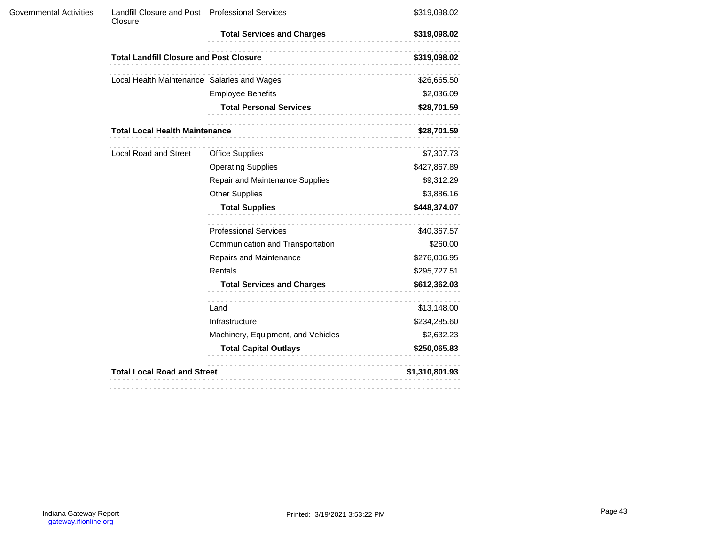| Governmental Activities | Landfill Closure and Post Professional Services<br>Closure |                                     | \$319,098.02   |  |
|-------------------------|------------------------------------------------------------|-------------------------------------|----------------|--|
|                         |                                                            | <b>Total Services and Charges</b>   | \$319,098.02   |  |
|                         | <b>Total Landfill Closure and Post Closure</b>             |                                     | \$319,098.02   |  |
|                         | Local Health Maintenance Salaries and Wages                |                                     | \$26,665.50    |  |
|                         |                                                            | <b>Employee Benefits</b>            | \$2,036.09     |  |
|                         |                                                            | <b>Total Personal Services</b><br>. | \$28,701.59    |  |
|                         | <b>Total Local Health Maintenance</b>                      |                                     |                |  |
|                         | Local Road and Street                                      | <b>Office Supplies</b>              | \$7,307.73     |  |
|                         |                                                            | <b>Operating Supplies</b>           | \$427,867.89   |  |
|                         |                                                            | Repair and Maintenance Supplies     | \$9,312.29     |  |
|                         |                                                            | <b>Other Supplies</b>               | \$3,886.16     |  |
|                         |                                                            | <b>Total Supplies</b>               | \$448,374.07   |  |
|                         |                                                            | <b>Professional Services</b>        | \$40,367.57    |  |
|                         |                                                            | Communication and Transportation    | \$260.00       |  |
|                         |                                                            | Repairs and Maintenance             | \$276,006.95   |  |
|                         |                                                            | Rentals                             | \$295,727.51   |  |
|                         |                                                            | <b>Total Services and Charges</b>   | \$612,362.03   |  |
|                         |                                                            | Land                                | \$13,148.00    |  |
|                         |                                                            | Infrastructure                      | \$234,285.60   |  |
|                         |                                                            | Machinery, Equipment, and Vehicles  | \$2,632.23     |  |
|                         |                                                            | <b>Total Capital Outlays</b><br>.   | \$250,065.83   |  |
|                         | <b>Total Local Road and Street</b>                         |                                     | \$1,310,801.93 |  |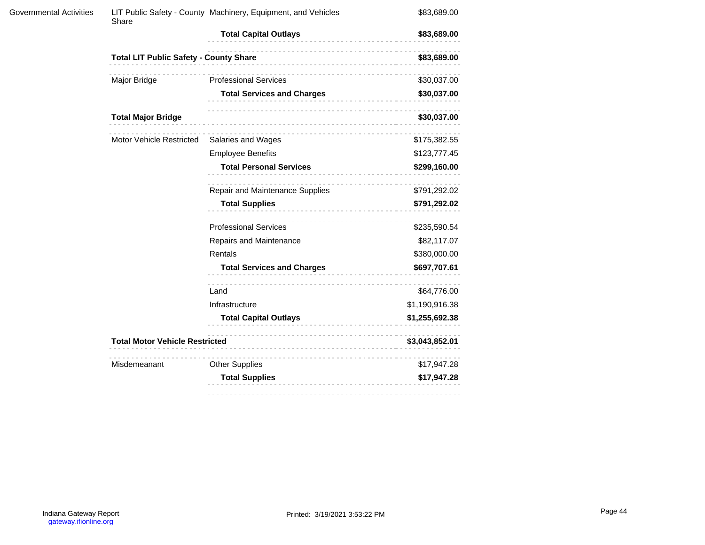| <b>Governmental Activities</b> | Share                                         | LIT Public Safety - County Machinery, Equipment, and Vehicles | \$83,689.00     |
|--------------------------------|-----------------------------------------------|---------------------------------------------------------------|-----------------|
|                                |                                               | <b>Total Capital Outlays</b><br>.                             | \$83,689.00     |
|                                | <b>Total LIT Public Safety - County Share</b> |                                                               | \$83,689.00     |
|                                | Major Bridge                                  | <b>Professional Services</b>                                  | \$30,037.00     |
|                                |                                               | <b>Total Services and Charges</b>                             | \$30,037.00     |
|                                | <b>Total Major Bridge</b>                     |                                                               | \$30,037.00     |
|                                | Motor Vehicle Restricted                      | Salaries and Wages                                            | \$175,382.55    |
|                                |                                               | <b>Employee Benefits</b>                                      | \$123,777.45    |
|                                |                                               | <b>Total Personal Services</b>                                | \$299,160.00    |
|                                |                                               | Repair and Maintenance Supplies                               | \$791,292.02    |
|                                |                                               | <b>Total Supplies</b>                                         | \$791,292.02    |
|                                |                                               | <b>Professional Services</b>                                  | \$235,590.54    |
|                                |                                               | Repairs and Maintenance                                       | \$82,117.07     |
|                                |                                               | Rentals                                                       | \$380,000.00    |
|                                |                                               | <b>Total Services and Charges</b>                             | \$697,707.61    |
|                                |                                               | Land                                                          | \$64,776.00     |
|                                |                                               | Infrastructure                                                | \$1,190,916.38  |
|                                |                                               | <b>Total Capital Outlays</b>                                  | \$1,255,692.38  |
|                                | <b>Total Motor Vehicle Restricted</b>         |                                                               | \$3,043,852.01  |
|                                | Misdemeanant                                  | <b>Other Supplies</b>                                         | \$17,947.28     |
|                                |                                               | <b>Total Supplies</b><br>.                                    | \$17,947.28     |
|                                |                                               |                                                               | --------------- |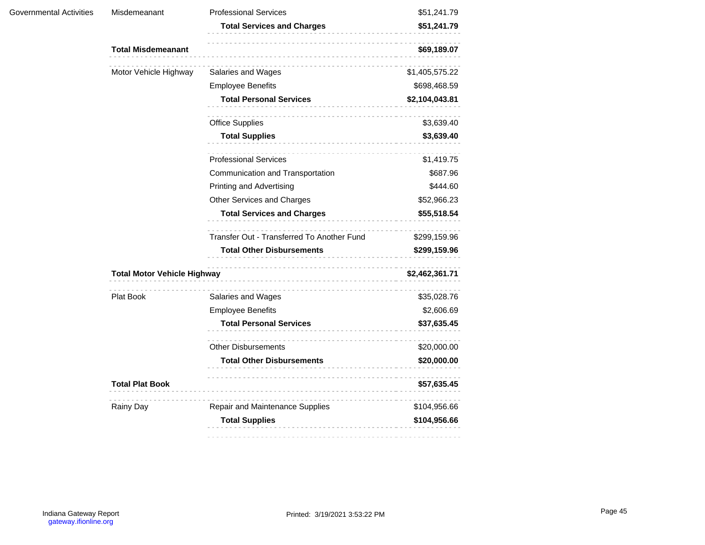| Governmental Activities | Misdemeanant                       | <b>Professional Services</b>               | \$51,241.79    |
|-------------------------|------------------------------------|--------------------------------------------|----------------|
|                         |                                    | <b>Total Services and Charges</b>          | \$51,241.79    |
|                         | <b>Total Misdemeanant</b>          | .                                          | \$69,189.07    |
|                         | Motor Vehicle Highway              | Salaries and Wages                         | \$1,405,575.22 |
|                         |                                    | <b>Employee Benefits</b>                   | \$698,468.59   |
|                         |                                    | <b>Total Personal Services</b>             | \$2,104,043.81 |
|                         |                                    | .<br><b>Office Supplies</b>                | \$3,639.40     |
|                         |                                    | <b>Total Supplies</b>                      | \$3,639.40     |
|                         |                                    | <b>Professional Services</b>               | \$1,419.75     |
|                         |                                    | Communication and Transportation           | \$687.96       |
|                         |                                    | <b>Printing and Advertising</b>            | \$444.60       |
|                         |                                    | Other Services and Charges                 | \$52,966.23    |
|                         |                                    | <b>Total Services and Charges</b>          | \$55,518.54    |
|                         |                                    | Transfer Out - Transferred To Another Fund | \$299,159.96   |
|                         |                                    | <b>Total Other Disbursements</b>           | \$299,159.96   |
|                         | <b>Total Motor Vehicle Highway</b> |                                            | \$2,462,361.71 |
|                         | Plat Book                          | Salaries and Wages                         | \$35,028.76    |
|                         |                                    | <b>Employee Benefits</b>                   | \$2,606.69     |
|                         |                                    | <b>Total Personal Services</b>             | \$37,635.45    |
|                         |                                    | .<br><b>Other Disbursements</b>            | \$20,000.00    |
|                         |                                    | <b>Total Other Disbursements</b>           | \$20,000.00    |
|                         | <b>Total Plat Book</b>             | .                                          | \$57,635.45    |
|                         | Rainy Day                          | .<br>Repair and Maintenance Supplies       | \$104,956.66   |
|                         |                                    | <b>Total Supplies</b><br>.                 | \$104,956.66   |
|                         |                                    |                                            |                |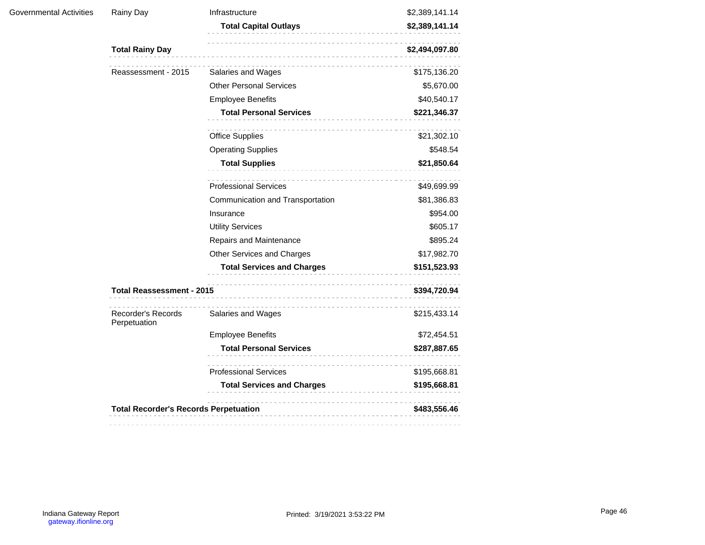| Governmental Activities | Rainy Day                                    | Infrastructure                    | \$2,389,141.14 |
|-------------------------|----------------------------------------------|-----------------------------------|----------------|
|                         |                                              | <b>Total Capital Outlays</b>      | \$2,389,141.14 |
|                         | <b>Total Rainy Day</b>                       | \$2,494,097.80                    |                |
|                         | Reassessment - 2015                          | Salaries and Wages                | \$175,136.20   |
|                         |                                              | <b>Other Personal Services</b>    | \$5,670.00     |
|                         |                                              | <b>Employee Benefits</b>          | \$40,540.17    |
|                         |                                              | <b>Total Personal Services</b>    | \$221,346.37   |
|                         |                                              | <b>Office Supplies</b>            | \$21,302.10    |
|                         |                                              | <b>Operating Supplies</b>         | \$548.54       |
|                         |                                              | <b>Total Supplies</b><br>.        | \$21,850.64    |
|                         |                                              | <b>Professional Services</b>      | \$49,699.99    |
|                         |                                              | Communication and Transportation  | \$81,386.83    |
|                         |                                              | Insurance                         | \$954.00       |
|                         |                                              | <b>Utility Services</b>           | \$605.17       |
|                         |                                              | Repairs and Maintenance           | \$895.24       |
|                         |                                              | Other Services and Charges        | \$17,982.70    |
|                         |                                              | <b>Total Services and Charges</b> | \$151,523.93   |
|                         | <b>Total Reassessment - 2015</b>             |                                   | \$394,720.94   |
|                         | Recorder's Records<br>Perpetuation           | Salaries and Wages                | \$215,433.14   |
|                         |                                              | <b>Employee Benefits</b>          | \$72,454.51    |
|                         |                                              | <b>Total Personal Services</b>    | \$287,887.65   |
|                         |                                              | <b>Professional Services</b>      | \$195,668.81   |
|                         |                                              | <b>Total Services and Charges</b> | \$195,668.81   |
|                         | <b>Total Recorder's Records Perpetuation</b> |                                   | \$483,556.46   |
|                         |                                              |                                   |                |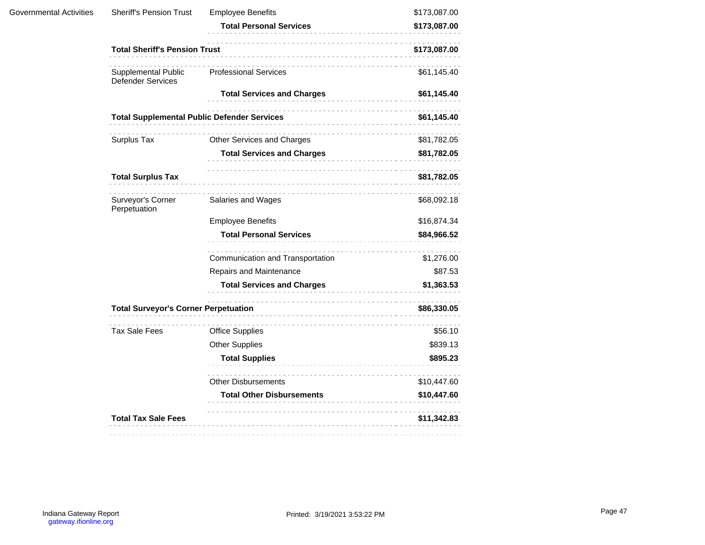| Governmental Activities | <b>Sheriff's Pension Trust</b>                          | <b>Employee Benefits</b><br><b>Total Personal Services</b> | \$173,087.00 |
|-------------------------|---------------------------------------------------------|------------------------------------------------------------|--------------|
|                         |                                                         |                                                            | \$173,087.00 |
|                         | <b>Total Sheriff's Pension Trust</b>                    |                                                            | \$173,087.00 |
|                         | Supplemental Public<br><b>Defender Services</b>         | <b>Professional Services</b>                               | \$61,145.40  |
|                         |                                                         | <b>Total Services and Charges</b>                          | \$61,145.40  |
|                         | .<br><b>Total Supplemental Public Defender Services</b> |                                                            | \$61,145.40  |
|                         | Surplus Tax                                             | Other Services and Charges                                 | \$81,782.05  |
|                         |                                                         | <b>Total Services and Charges</b>                          | \$81,782.05  |
|                         | <b>Total Surplus Tax</b>                                | .                                                          | \$81,782.05  |
|                         | Surveyor's Corner<br>Perpetuation                       | Salaries and Wages                                         | \$68,092.18  |
|                         |                                                         | <b>Employee Benefits</b>                                   | \$16,874.34  |
|                         |                                                         | <b>Total Personal Services</b>                             | \$84,966.52  |
|                         |                                                         | Communication and Transportation                           | \$1,276.00   |
|                         |                                                         | Repairs and Maintenance                                    | \$87.53      |
|                         |                                                         | <b>Total Services and Charges</b>                          | \$1,363.53   |
|                         | <b>Total Surveyor's Corner Perpetuation</b>             | .                                                          | \$86,330.05  |
|                         | <b>Tax Sale Fees</b>                                    | <b>Office Supplies</b>                                     | \$56.10      |
|                         |                                                         | <b>Other Supplies</b>                                      | \$839.13     |
|                         |                                                         | <b>Total Supplies</b>                                      | \$895.23     |
|                         |                                                         | <b>Other Disbursements</b>                                 | \$10,447.60  |
|                         |                                                         | <b>Total Other Disbursements</b>                           | \$10,447.60  |
|                         | <b>Total Tax Sale Fees</b>                              |                                                            | \$11,342.83  |
|                         |                                                         |                                                            |              |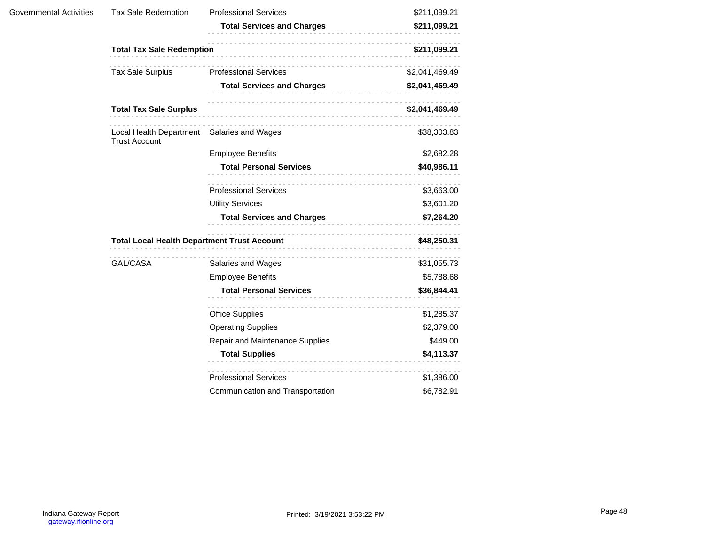| Governmental Activities | <b>Tax Sale Redemption</b>                                                               | <b>Professional Services</b>      | \$211,099.21   |
|-------------------------|------------------------------------------------------------------------------------------|-----------------------------------|----------------|
|                         |                                                                                          | <b>Total Services and Charges</b> | \$211,099.21   |
|                         | <b>Total Tax Sale Redemption</b>                                                         |                                   | \$211,099.21   |
|                         | Tax Sale Surplus                                                                         | <b>Professional Services</b>      | \$2,041,469.49 |
|                         |                                                                                          | <b>Total Services and Charges</b> | \$2,041,469.49 |
|                         | <b>Total Tax Sale Surplus</b>                                                            |                                   | \$2,041,469.49 |
|                         | Local Health Department Salaries and Wages<br><b>Trust Account</b>                       |                                   | \$38,303.83    |
|                         |                                                                                          | <b>Employee Benefits</b>          | \$2,682.28     |
|                         |                                                                                          | <b>Total Personal Services</b>    | \$40,986.11    |
|                         |                                                                                          | .<br><b>Professional Services</b> | \$3,663.00     |
|                         |                                                                                          | <b>Utility Services</b>           | \$3,601.20     |
|                         |                                                                                          | <b>Total Services and Charges</b> | \$7,264.20     |
|                         | <b>Total Local Health Department Trust Account</b><br>[<br>----------------------------- |                                   | \$48,250.31    |
|                         | GAL/CASA                                                                                 | Salaries and Wages                | \$31,055.73    |
|                         |                                                                                          | <b>Employee Benefits</b>          | \$5,788.68     |
|                         |                                                                                          | <b>Total Personal Services</b>    | \$36,844.41    |
|                         |                                                                                          | .<br><b>Office Supplies</b>       | \$1,285.37     |
|                         |                                                                                          | <b>Operating Supplies</b>         | \$2,379.00     |
|                         |                                                                                          | Repair and Maintenance Supplies   | \$449.00       |
|                         |                                                                                          | <b>Total Supplies</b>             | \$4,113.37     |
|                         |                                                                                          | <b>Professional Services</b>      | \$1,386.00     |
|                         |                                                                                          | Communication and Transportation  | \$6,782.91     |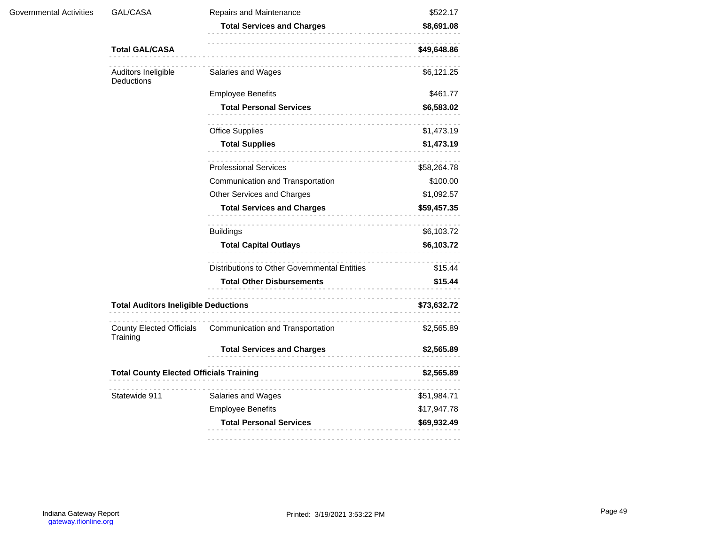| Governmental Activities | GAL/CASA                                    | Repairs and Maintenance                      | \$522.17                                       |  |
|-------------------------|---------------------------------------------|----------------------------------------------|------------------------------------------------|--|
|                         |                                             | <b>Total Services and Charges</b>            | \$8,691.08                                     |  |
|                         | <b>Total GAL/CASA</b>                       |                                              | \$49,648.86                                    |  |
|                         | Auditors Ineligible<br>Deductions           | Salaries and Wages                           | \$6,121.25                                     |  |
|                         |                                             | <b>Employee Benefits</b>                     | \$461.77                                       |  |
|                         |                                             | <b>Total Personal Services</b>               | \$6,583.02                                     |  |
|                         |                                             | <b>Office Supplies</b>                       | \$1,473.19                                     |  |
|                         |                                             | <b>Total Supplies</b>                        | \$1,473.19                                     |  |
|                         |                                             | <b>Professional Services</b>                 | \$58,264.78                                    |  |
|                         |                                             | Communication and Transportation             | \$100.00                                       |  |
|                         |                                             | Other Services and Charges                   | \$1,092.57                                     |  |
|                         |                                             | <b>Total Services and Charges</b>            | \$59,457.35                                    |  |
|                         |                                             | <b>Buildings</b>                             | \$6,103.72                                     |  |
|                         |                                             | <b>Total Capital Outlays</b>                 | \$6,103.72                                     |  |
|                         |                                             | Distributions to Other Governmental Entities | \$15.44                                        |  |
|                         |                                             | <b>Total Other Disbursements</b>             | \$15.44                                        |  |
|                         | <b>Total Auditors Ineligible Deductions</b> |                                              | \$73,632.72                                    |  |
|                         | <b>County Elected Officials</b><br>Training | Communication and Transportation             | \$2,565.89                                     |  |
|                         |                                             | <b>Total Services and Charges</b>            | \$2,565.89                                     |  |
|                         |                                             |                                              | <b>Total County Elected Officials Training</b> |  |
|                         | Statewide 911                               | Salaries and Wages                           | \$51,984.71                                    |  |
|                         |                                             | <b>Employee Benefits</b>                     | \$17,947.78                                    |  |
|                         |                                             | <b>Total Personal Services</b>               | \$69,932.49                                    |  |
|                         |                                             |                                              |                                                |  |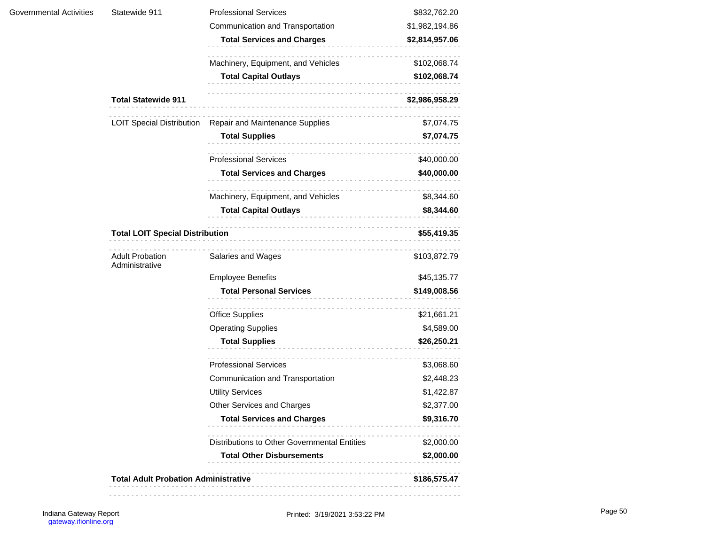|  | Statewide 911                            | <b>Professional Services</b>                              | \$832,762.20                                                                                                                        |              |  |
|--|------------------------------------------|-----------------------------------------------------------|-------------------------------------------------------------------------------------------------------------------------------------|--------------|--|
|  |                                          | Communication and Transportation                          | \$1,982,194.86                                                                                                                      |              |  |
|  |                                          | <b>Total Services and Charges</b>                         | \$2,814,957.06                                                                                                                      |              |  |
|  |                                          | Machinery, Equipment, and Vehicles                        | \$102,068.74                                                                                                                        |              |  |
|  |                                          | <b>Total Capital Outlays</b><br>.                         | \$102,068.74<br>\$2,986,958.29<br>\$7,074.75<br>\$7,074.75<br>\$40,000.00<br>\$40,000.00<br>\$8,344.60<br>\$8,344.60<br>\$55,419.35 |              |  |
|  | <b>Total Statewide 911</b>               |                                                           |                                                                                                                                     |              |  |
|  |                                          | LOIT Special Distribution Repair and Maintenance Supplies |                                                                                                                                     |              |  |
|  |                                          | <b>Total Supplies</b>                                     |                                                                                                                                     |              |  |
|  |                                          | <b>Professional Services</b>                              |                                                                                                                                     |              |  |
|  |                                          | <b>Total Services and Charges</b>                         |                                                                                                                                     |              |  |
|  |                                          | .<br>Machinery, Equipment, and Vehicles                   |                                                                                                                                     |              |  |
|  |                                          | <b>Total Capital Outlays</b><br>------------------------  |                                                                                                                                     |              |  |
|  | <b>Total LOIT Special Distribution</b>   |                                                           |                                                                                                                                     |              |  |
|  | <b>Adult Probation</b><br>Administrative | Salaries and Wages                                        | \$103,872.79                                                                                                                        |              |  |
|  |                                          | <b>Employee Benefits</b>                                  | \$45,135.77                                                                                                                         |              |  |
|  |                                          |                                                           | <b>Total Personal Services</b>                                                                                                      | \$149,008.56 |  |
|  |                                          |                                                           |                                                                                                                                     |              |  |
|  |                                          | <b>Office Supplies</b>                                    | \$21,661.21                                                                                                                         |              |  |
|  |                                          | <b>Operating Supplies</b>                                 | \$4,589.00                                                                                                                          |              |  |
|  |                                          | <b>Total Supplies</b>                                     | \$26,250.21                                                                                                                         |              |  |
|  |                                          | .<br><b>Professional Services</b>                         | \$3,068.60                                                                                                                          |              |  |
|  |                                          | Communication and Transportation                          | \$2,448.23                                                                                                                          |              |  |
|  |                                          | <b>Utility Services</b>                                   | \$1,422.87                                                                                                                          |              |  |
|  |                                          | Other Services and Charges                                | \$2,377.00                                                                                                                          |              |  |
|  |                                          | <b>Total Services and Charges</b>                         | \$9,316.70                                                                                                                          |              |  |
|  |                                          | Distributions to Other Governmental Entities              | \$2,000.00                                                                                                                          |              |  |
|  |                                          | <b>Total Other Disbursements</b>                          | \$2,000.00                                                                                                                          |              |  |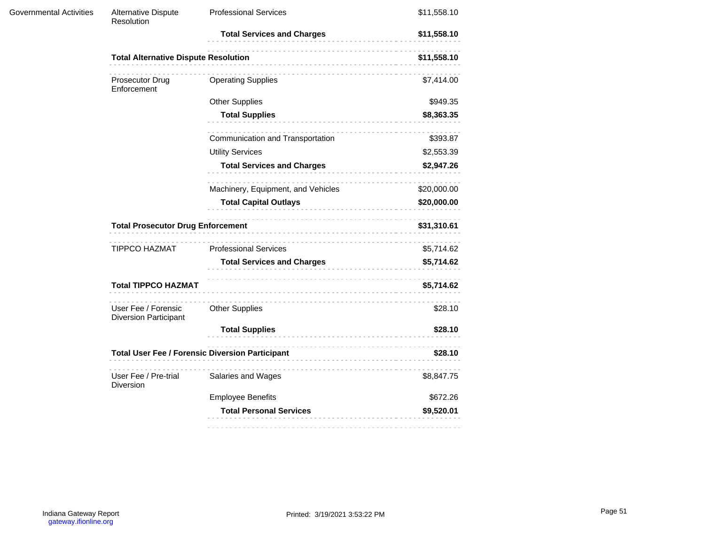| Governmental Activities | Alternative Dispute<br>Resolution                   | <b>Professional Services</b>                           | \$11,558.10 |  |
|-------------------------|-----------------------------------------------------|--------------------------------------------------------|-------------|--|
|                         |                                                     | <b>Total Services and Charges</b>                      | \$11,558.10 |  |
|                         | <b>Total Alternative Dispute Resolution</b>         |                                                        | \$11,558.10 |  |
|                         | Prosecutor Drug<br>Enforcement                      | <b>Operating Supplies</b>                              | \$7,414.00  |  |
|                         |                                                     | <b>Other Supplies</b>                                  | \$949.35    |  |
|                         |                                                     | <b>Total Supplies</b><br>.                             | \$8,363.35  |  |
|                         |                                                     | Communication and Transportation                       | \$393.87    |  |
|                         |                                                     | <b>Utility Services</b>                                | \$2,553.39  |  |
|                         |                                                     | <b>Total Services and Charges</b>                      | \$2,947.26  |  |
|                         |                                                     | Machinery, Equipment, and Vehicles                     | \$20,000.00 |  |
|                         |                                                     | <b>Total Capital Outlays</b>                           | \$20,000.00 |  |
|                         | <b>Total Prosecutor Drug Enforcement</b>            |                                                        | \$31,310.61 |  |
|                         | TIPPCO HAZMAT                                       | <b>Professional Services</b>                           | \$5,714.62  |  |
|                         |                                                     | <b>Total Services and Charges</b>                      | \$5,714.62  |  |
|                         | <b>Total TIPPCO HAZMAT</b>                          |                                                        | \$5,714.62  |  |
|                         | User Fee / Forensic<br><b>Diversion Participant</b> | <b>Other Supplies</b>                                  | \$28.10     |  |
|                         |                                                     | <b>Total Supplies</b>                                  | \$28.10     |  |
|                         |                                                     | <b>Total User Fee / Forensic Diversion Participant</b> | \$28.10     |  |
|                         | User Fee / Pre-trial<br>Diversion                   | Salaries and Wages                                     | \$8,847.75  |  |
|                         |                                                     | <b>Employee Benefits</b>                               | \$672.26    |  |
|                         |                                                     | <b>Total Personal Services</b>                         | \$9,520.01  |  |
|                         |                                                     |                                                        |             |  |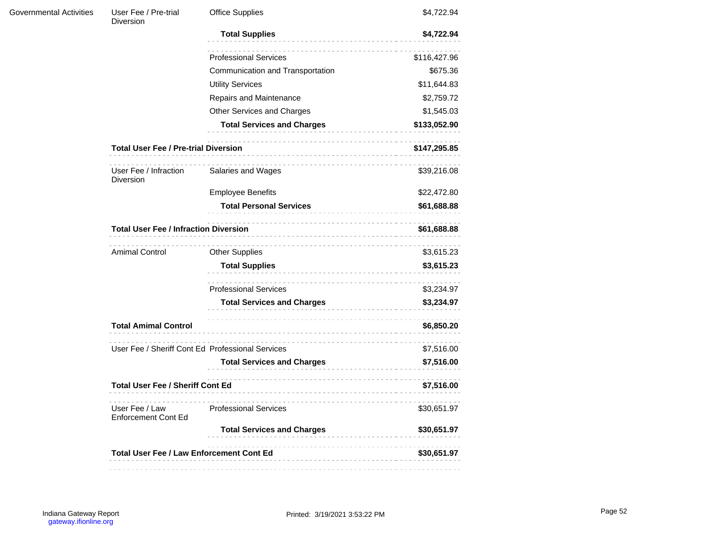| Governmental Activities | User Fee / Pre-trial<br><b>Diversion</b>        | <b>Office Supplies</b>                           | \$4,722.94                                                                                                                                                                                              |  |
|-------------------------|-------------------------------------------------|--------------------------------------------------|---------------------------------------------------------------------------------------------------------------------------------------------------------------------------------------------------------|--|
|                         |                                                 | <b>Total Supplies</b>                            | \$4,722.94                                                                                                                                                                                              |  |
|                         |                                                 | <b>Professional Services</b>                     | \$116,427.96                                                                                                                                                                                            |  |
|                         |                                                 | Communication and Transportation                 | \$675.36                                                                                                                                                                                                |  |
|                         |                                                 | <b>Utility Services</b>                          | \$11,644.83                                                                                                                                                                                             |  |
|                         |                                                 | Repairs and Maintenance                          | \$2,759.72                                                                                                                                                                                              |  |
|                         |                                                 | Other Services and Charges                       | \$1,545.03                                                                                                                                                                                              |  |
|                         |                                                 | <b>Total Services and Charges</b>                | \$133,052.90                                                                                                                                                                                            |  |
|                         | <b>Total User Fee / Pre-trial Diversion</b>     |                                                  | \$147,295.85<br>\$39,216.08<br>\$22,472.80<br>\$61,688.88<br>\$61,688.88<br>\$3,615.23<br>\$3,615.23<br>\$3,234.97<br>\$3,234.97<br>\$6,850.20<br>\$7,516.00<br>\$7,516.00<br>\$7,516.00<br>\$30,651.97 |  |
|                         | User Fee / Infraction<br><b>Diversion</b>       | Salaries and Wages                               |                                                                                                                                                                                                         |  |
|                         |                                                 | <b>Employee Benefits</b>                         |                                                                                                                                                                                                         |  |
|                         |                                                 | <b>Total Personal Services</b>                   |                                                                                                                                                                                                         |  |
|                         | <b>Total User Fee / Infraction Diversion</b>    |                                                  |                                                                                                                                                                                                         |  |
|                         | <b>Amimal Control</b>                           | <b>Other Supplies</b>                            |                                                                                                                                                                                                         |  |
|                         |                                                 | <b>Total Supplies</b><br>.                       |                                                                                                                                                                                                         |  |
|                         |                                                 | <b>Professional Services</b>                     |                                                                                                                                                                                                         |  |
|                         |                                                 | <b>Total Services and Charges</b>                |                                                                                                                                                                                                         |  |
|                         | <b>Total Amimal Control</b>                     |                                                  |                                                                                                                                                                                                         |  |
|                         |                                                 | User Fee / Sheriff Cont Ed Professional Services |                                                                                                                                                                                                         |  |
|                         |                                                 | <b>Total Services and Charges</b>                |                                                                                                                                                                                                         |  |
|                         | <b>Total User Fee / Sheriff Cont Ed</b>         |                                                  |                                                                                                                                                                                                         |  |
|                         | User Fee / Law<br><b>Enforcement Cont Ed</b>    | <b>Professional Services</b>                     |                                                                                                                                                                                                         |  |
|                         |                                                 | <b>Total Services and Charges</b>                | \$30,651.97                                                                                                                                                                                             |  |
|                         | <b>Total User Fee / Law Enforcement Cont Ed</b> |                                                  | \$30,651.97                                                                                                                                                                                             |  |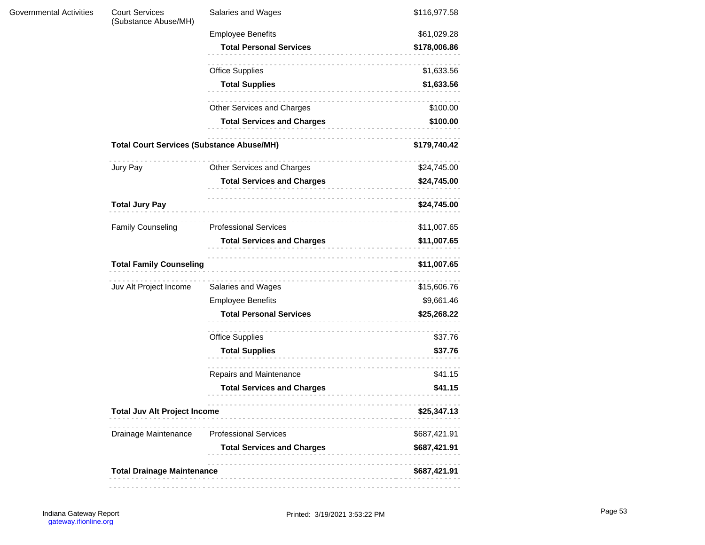| <b>Governmental Activities</b> | <b>Court Services</b><br>(Substance Abuse/MH)    | Salaries and Wages                | \$116,977.58 |
|--------------------------------|--------------------------------------------------|-----------------------------------|--------------|
|                                |                                                  | <b>Employee Benefits</b>          | \$61,029.28  |
|                                |                                                  | <b>Total Personal Services</b>    | \$178,006.86 |
|                                |                                                  | <b>Office Supplies</b>            | \$1,633.56   |
|                                |                                                  | <b>Total Supplies</b><br>.        | \$1,633.56   |
|                                |                                                  | Other Services and Charges        | \$100.00     |
|                                |                                                  | <b>Total Services and Charges</b> | \$100.00     |
|                                | <b>Total Court Services (Substance Abuse/MH)</b> |                                   | \$179,740.42 |
|                                | Jury Pay                                         | Other Services and Charges        | \$24,745.00  |
|                                |                                                  | <b>Total Services and Charges</b> | \$24,745.00  |
|                                | <b>Total Jury Pay</b>                            |                                   | \$24,745.00  |
|                                | <b>Family Counseling</b>                         | .<br><b>Professional Services</b> | \$11,007.65  |
|                                |                                                  | <b>Total Services and Charges</b> | \$11,007.65  |
|                                | <b>Total Family Counseling</b>                   |                                   | \$11,007.65  |
|                                | Juv Alt Project Income                           | Salaries and Wages                | \$15,606.76  |
|                                |                                                  | <b>Employee Benefits</b>          | \$9,661.46   |
|                                |                                                  | <b>Total Personal Services</b>    | \$25,268.22  |
|                                |                                                  | <b>Office Supplies</b>            | \$37.76      |
|                                |                                                  | <b>Total Supplies</b>             | \$37.76      |
|                                |                                                  | .<br>Repairs and Maintenance      | \$41.15      |
|                                |                                                  | <b>Total Services and Charges</b> | \$41.15      |
|                                | <b>Total Juv Alt Project Income</b>              |                                   | \$25,347.13  |
|                                | Drainage Maintenance                             | <b>Professional Services</b>      | \$687,421.91 |
|                                |                                                  | <b>Total Services and Charges</b> | \$687,421.91 |
|                                | <b>Total Drainage Maintenance</b>                |                                   | \$687,421.91 |
|                                |                                                  |                                   |              |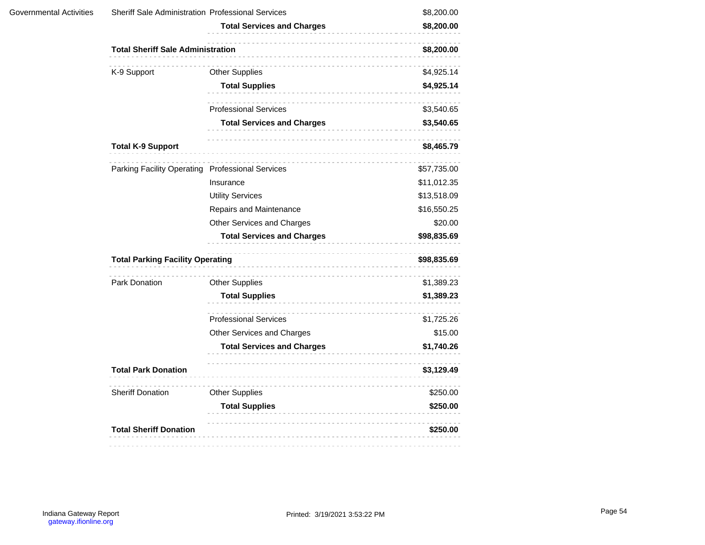|                               | <b>Total Services and Charges</b> | \$8,200.00                                                                                                                              |
|-------------------------------|-----------------------------------|-----------------------------------------------------------------------------------------------------------------------------------------|
|                               |                                   | \$8,200.00                                                                                                                              |
| K-9 Support                   | <b>Other Supplies</b>             | \$4,925.14                                                                                                                              |
|                               | <b>Total Supplies</b>             | \$4,925.14                                                                                                                              |
|                               | <b>Professional Services</b>      | \$3,540.65                                                                                                                              |
|                               | <b>Total Services and Charges</b> | \$3,540.65                                                                                                                              |
| <b>Total K-9 Support</b>      |                                   | \$8,465.79                                                                                                                              |
|                               |                                   | \$57,735.00                                                                                                                             |
|                               | Insurance                         | \$11,012.35                                                                                                                             |
|                               | <b>Utility Services</b>           | \$13,518.09                                                                                                                             |
|                               | Repairs and Maintenance           | \$16,550.25                                                                                                                             |
|                               | Other Services and Charges        | \$20.00                                                                                                                                 |
|                               | <b>Total Services and Charges</b> | \$98,835.69                                                                                                                             |
|                               | \$98,835.69                       |                                                                                                                                         |
| Park Donation                 | <b>Other Supplies</b>             | \$1,389.23                                                                                                                              |
|                               | <b>Total Supplies</b>             | \$1,389.23                                                                                                                              |
|                               | <b>Professional Services</b>      | \$1,725.26                                                                                                                              |
|                               | Other Services and Charges        | \$15.00                                                                                                                                 |
|                               | <b>Total Services and Charges</b> | \$1,740.26                                                                                                                              |
| <b>Total Park Donation</b>    |                                   | \$3,129.49                                                                                                                              |
| <b>Sheriff Donation</b>       | <b>Other Supplies</b>             | \$250.00                                                                                                                                |
|                               | <b>Total Supplies</b>             | \$250.00                                                                                                                                |
| <b>Total Sheriff Donation</b> |                                   | \$250.00                                                                                                                                |
|                               |                                   | <b>Total Sheriff Sale Administration</b><br>Parking Facility Operating Professional Services<br><b>Total Parking Facility Operating</b> |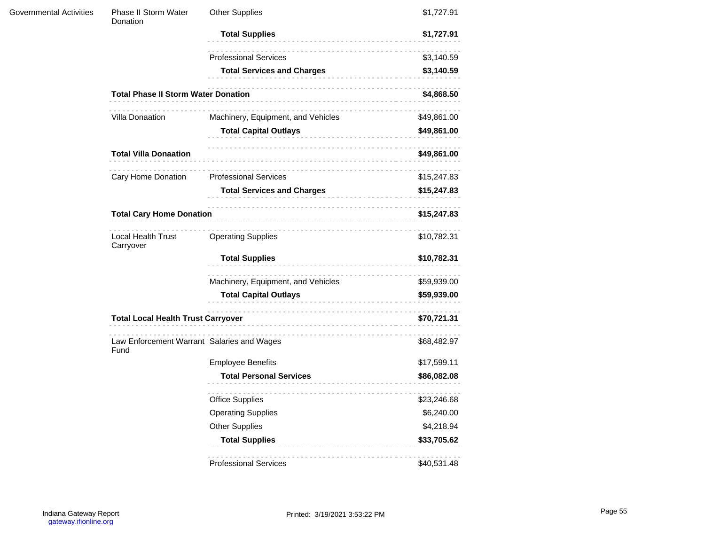| Governmental Activities | Phase II Storm Water<br>Donation                   | <b>Other Supplies</b>              | \$1,727.91                 |  |
|-------------------------|----------------------------------------------------|------------------------------------|----------------------------|--|
|                         |                                                    | <b>Total Supplies</b><br>.         | \$1,727.91                 |  |
|                         |                                                    | <b>Professional Services</b>       | \$3,140.59                 |  |
|                         |                                                    | <b>Total Services and Charges</b>  | \$3,140.59                 |  |
|                         | <b>Total Phase II Storm Water Donation</b>         | .                                  | \$4,868.50                 |  |
|                         | Villa Donaation                                    | Machinery, Equipment, and Vehicles | \$49,861.00                |  |
|                         |                                                    | <b>Total Capital Outlays</b>       | \$49,861.00                |  |
|                         | <b>Total Villa Donaation</b>                       | .                                  | \$49,861.00<br>\$15,247.83 |  |
|                         | Cary Home Donation                                 | <b>Professional Services</b>       | \$15,247.83                |  |
|                         |                                                    | <b>Total Services and Charges</b>  | \$15,247.83                |  |
|                         | <b>Total Cary Home Donation</b>                    |                                    |                            |  |
|                         | Local Health Trust<br>Carryover                    | <b>Operating Supplies</b>          | \$10,782.31                |  |
|                         |                                                    | <b>Total Supplies</b><br>.         | \$10,782.31                |  |
|                         |                                                    | Machinery, Equipment, and Vehicles | \$59,939.00                |  |
|                         |                                                    | <b>Total Capital Outlays</b>       | \$59,939.00                |  |
|                         | <b>Total Local Health Trust Carryover</b>          |                                    | \$70,721.31                |  |
|                         | Law Enforcement Warrant Salaries and Wages<br>Fund |                                    | \$68,482.97                |  |
|                         |                                                    | <b>Employee Benefits</b>           | \$17,599.11                |  |
|                         |                                                    | <b>Total Personal Services</b>     | \$86,082.08                |  |
|                         |                                                    | <b>Office Supplies</b>             | \$23,246.68                |  |
|                         |                                                    | <b>Operating Supplies</b>          | \$6,240.00                 |  |
|                         |                                                    | <b>Other Supplies</b>              | \$4,218.94                 |  |
|                         |                                                    | <b>Total Supplies</b>              | \$33,705.62                |  |
|                         |                                                    | <b>Professional Services</b>       | \$40,531.48                |  |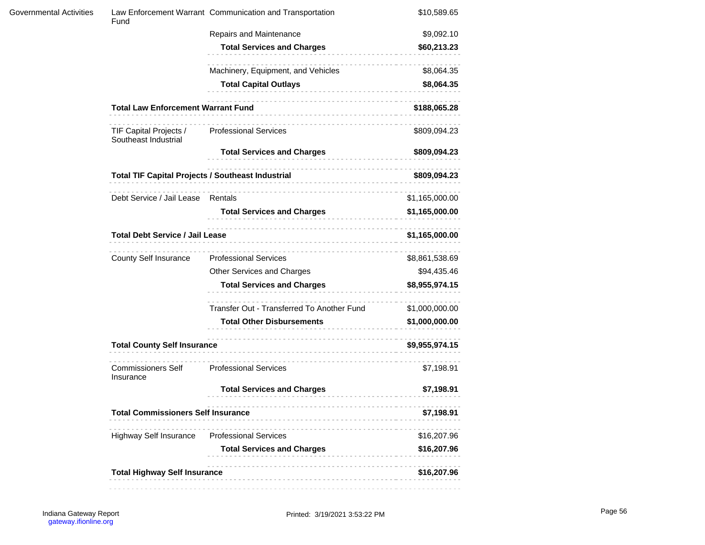| Fund                                           |                                            | \$10,589.65                                                                                                                                                                                                                                                              |
|------------------------------------------------|--------------------------------------------|--------------------------------------------------------------------------------------------------------------------------------------------------------------------------------------------------------------------------------------------------------------------------|
|                                                | Repairs and Maintenance                    | \$9,092.10                                                                                                                                                                                                                                                               |
|                                                | <b>Total Services and Charges</b>          | \$60,213.23                                                                                                                                                                                                                                                              |
|                                                | Machinery, Equipment, and Vehicles         | \$8,064.35                                                                                                                                                                                                                                                               |
|                                                | <b>Total Capital Outlays</b><br>.          | \$8,064.35                                                                                                                                                                                                                                                               |
|                                                |                                            | \$188,065.28                                                                                                                                                                                                                                                             |
| TIF Capital Projects /<br>Southeast Industrial | <b>Professional Services</b>               | \$809,094.23                                                                                                                                                                                                                                                             |
|                                                | <b>Total Services and Charges</b>          | \$809,094.23                                                                                                                                                                                                                                                             |
|                                                |                                            | \$809,094.23                                                                                                                                                                                                                                                             |
|                                                |                                            | \$1,165,000.00                                                                                                                                                                                                                                                           |
|                                                | <b>Total Services and Charges</b>          | \$1,165,000.00                                                                                                                                                                                                                                                           |
|                                                |                                            | \$1,165,000.00                                                                                                                                                                                                                                                           |
| County Self Insurance                          | <b>Professional Services</b>               | \$8,861,538.69                                                                                                                                                                                                                                                           |
|                                                | Other Services and Charges                 | \$94,435.46                                                                                                                                                                                                                                                              |
|                                                | <b>Total Services and Charges</b>          | \$8,955,974.15                                                                                                                                                                                                                                                           |
|                                                | Transfer Out - Transferred To Another Fund | \$1,000,000.00                                                                                                                                                                                                                                                           |
|                                                | <b>Total Other Disbursements</b>           | \$1,000,000.00                                                                                                                                                                                                                                                           |
| <b>Total County Self Insurance</b>             |                                            | \$9,955,974.15                                                                                                                                                                                                                                                           |
| <b>Commissioners Self</b><br>Insurance         | <b>Professional Services</b>               | \$7,198.91                                                                                                                                                                                                                                                               |
|                                                | <b>Total Services and Charges</b>          | \$7,198.91                                                                                                                                                                                                                                                               |
|                                                |                                            | \$7,198.91                                                                                                                                                                                                                                                               |
| <b>Highway Self Insurance</b>                  | <b>Professional Services</b>               | \$16,207.96                                                                                                                                                                                                                                                              |
|                                                | <b>Total Services and Charges</b>          | \$16,207.96                                                                                                                                                                                                                                                              |
|                                                |                                            | \$16,207.96                                                                                                                                                                                                                                                              |
|                                                |                                            | Law Enforcement Warrant Communication and Transportation<br><b>Total Law Enforcement Warrant Fund</b><br>Debt Service / Jail Lease Rentals<br><b>Total Debt Service / Jail Lease</b><br><b>Total Commissioners Self Insurance</b><br><b>Total Highway Self Insurance</b> |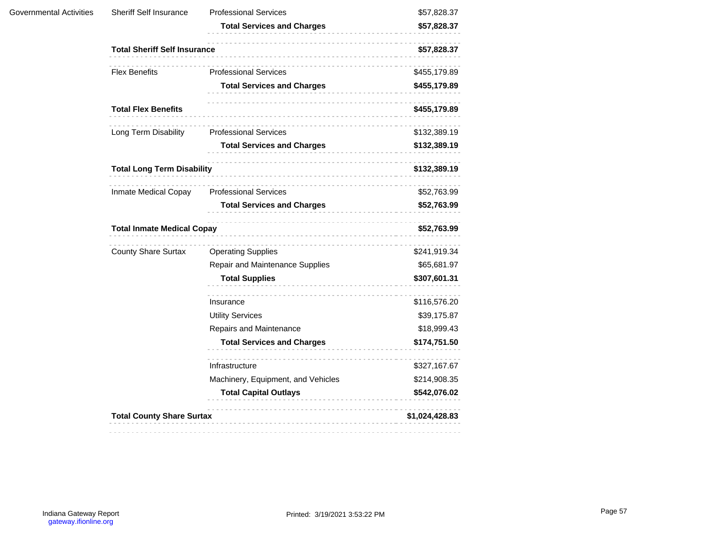| Sheriff Self Insurance     | <b>Professional Services</b>       | \$57,828.37                                                                                                                                       |  |
|----------------------------|------------------------------------|---------------------------------------------------------------------------------------------------------------------------------------------------|--|
|                            | <b>Total Services and Charges</b>  | \$57,828.37                                                                                                                                       |  |
|                            |                                    | \$57,828.37                                                                                                                                       |  |
| <b>Flex Benefits</b>       | <b>Professional Services</b>       | \$455,179.89                                                                                                                                      |  |
|                            | <b>Total Services and Charges</b>  | \$455,179.89                                                                                                                                      |  |
| <b>Total Flex Benefits</b> | .                                  | \$455,179.89                                                                                                                                      |  |
| Long Term Disability       | <b>Professional Services</b>       | \$132,389.19                                                                                                                                      |  |
|                            | <b>Total Services and Charges</b>  | \$132,389.19                                                                                                                                      |  |
|                            |                                    | \$132,389.19                                                                                                                                      |  |
| Inmate Medical Copay       | <b>Professional Services</b>       | \$52,763.99                                                                                                                                       |  |
|                            | <b>Total Services and Charges</b>  | \$52,763.99                                                                                                                                       |  |
|                            |                                    | \$52,763.99                                                                                                                                       |  |
| <b>County Share Surtax</b> | <b>Operating Supplies</b>          | \$241,919.34                                                                                                                                      |  |
|                            | Repair and Maintenance Supplies    | \$65,681.97                                                                                                                                       |  |
|                            | <b>Total Supplies</b><br>.         | \$307,601.31                                                                                                                                      |  |
|                            | Insurance                          | \$116,576.20                                                                                                                                      |  |
|                            | <b>Utility Services</b>            | \$39,175.87                                                                                                                                       |  |
|                            | Repairs and Maintenance            | \$18,999.43                                                                                                                                       |  |
|                            | <b>Total Services and Charges</b>  | \$174,751.50                                                                                                                                      |  |
|                            | Infrastructure                     | \$327,167.67                                                                                                                                      |  |
|                            | Machinery, Equipment, and Vehicles | \$214,908.35                                                                                                                                      |  |
|                            | <b>Total Capital Outlays</b>       | \$542,076.02                                                                                                                                      |  |
|                            |                                    | \$1,024,428.83                                                                                                                                    |  |
|                            |                                    | <b>Total Sheriff Self Insurance</b><br><b>Total Long Term Disability</b><br><b>Total Inmate Medical Copay</b><br><b>Total County Share Surtax</b> |  |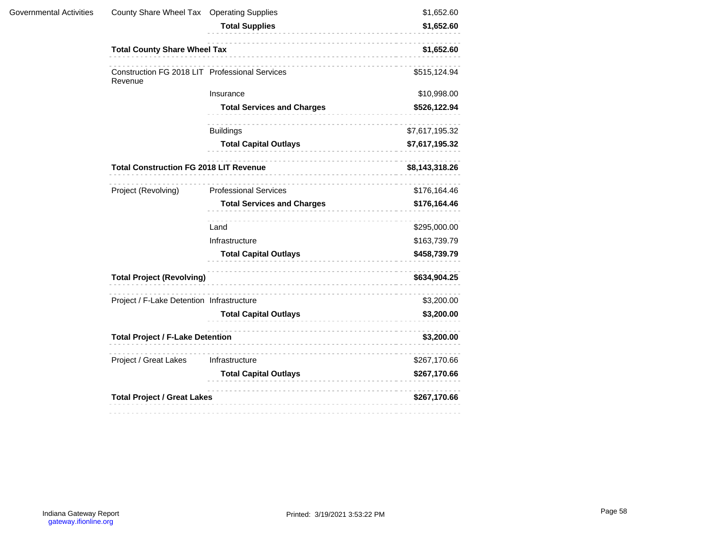| Governmental Activities | County Share Wheel Tax Operating Supplies                 |                                    | \$1,652.60                                   |  |
|-------------------------|-----------------------------------------------------------|------------------------------------|----------------------------------------------|--|
|                         |                                                           | <b>Total Supplies</b><br>.         | \$1,652.60                                   |  |
|                         | <b>Total County Share Wheel Tax</b>                       | ---------------------------------- | \$1,652.60                                   |  |
|                         | Construction FG 2018 LIT Professional Services<br>Revenue |                                    | \$515,124.94                                 |  |
|                         |                                                           | Insurance                          | \$10,998.00                                  |  |
|                         |                                                           | <b>Total Services and Charges</b>  | \$526,122.94                                 |  |
|                         |                                                           | <b>Buildings</b>                   | \$7,617,195.32                               |  |
|                         |                                                           | <b>Total Capital Outlays</b>       | \$7,617,195.32                               |  |
|                         | <b>Total Construction FG 2018 LIT Revenue</b>             | .                                  | \$8,143,318.26                               |  |
|                         | Project (Revolving)                                       | <b>Professional Services</b>       | \$176,164.46                                 |  |
|                         |                                                           | <b>Total Services and Charges</b>  | \$176,164.46<br>\$295,000.00<br>\$163,739.79 |  |
|                         |                                                           | Land                               |                                              |  |
|                         |                                                           | Infrastructure                     |                                              |  |
|                         |                                                           | <b>Total Capital Outlays</b>       | \$458,739.79                                 |  |
|                         | <b>Total Project (Revolving)</b>                          |                                    | \$634,904.25                                 |  |
|                         | Project / F-Lake Detention Infrastructure                 |                                    | \$3,200.00                                   |  |
|                         |                                                           | <b>Total Capital Outlays</b>       | \$3,200.00                                   |  |
|                         | <b>Total Project / F-Lake Detention</b>                   | \$3,200.00                         |                                              |  |
|                         | Project / Great Lakes                                     | Infrastructure                     | \$267,170.66                                 |  |
|                         |                                                           | <b>Total Capital Outlays</b>       | \$267,170.66                                 |  |
|                         | <b>Total Project / Great Lakes</b>                        |                                    | \$267,170.66                                 |  |
|                         |                                                           |                                    |                                              |  |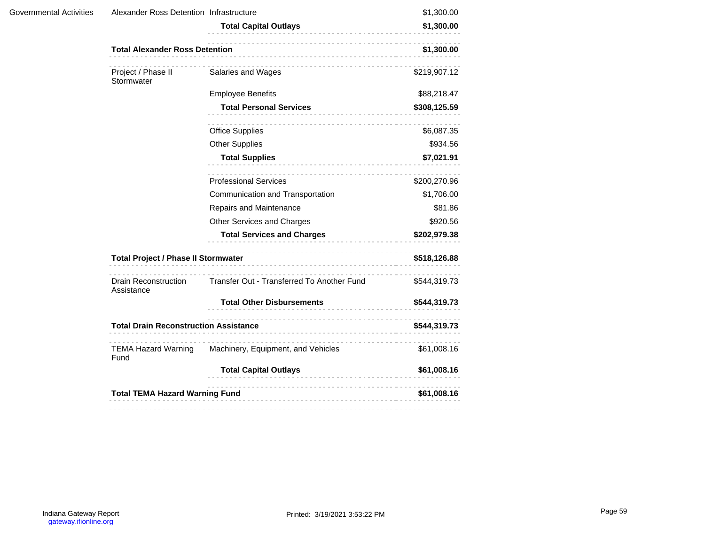| Governmental Activities | Alexander Ross Detention Infrastructure      | <b>Total Capital Outlays</b><br>------------------ | \$1,300.00<br>\$1,300.00 |
|-------------------------|----------------------------------------------|----------------------------------------------------|--------------------------|
|                         | <b>Total Alexander Ross Detention</b>        |                                                    |                          |
|                         | Project / Phase II<br>Stormwater             | Salaries and Wages                                 | \$219,907.12             |
|                         |                                              | <b>Employee Benefits</b>                           | \$88,218.47              |
|                         |                                              | <b>Total Personal Services</b>                     | \$308,125.59             |
|                         |                                              | <b>Office Supplies</b>                             | \$6,087.35               |
|                         |                                              | <b>Other Supplies</b>                              | \$934.56                 |
|                         |                                              | <b>Total Supplies</b>                              | \$7,021.91               |
|                         |                                              | <b>Professional Services</b>                       | \$200,270.96             |
|                         |                                              | Communication and Transportation                   | \$1,706.00               |
|                         |                                              | Repairs and Maintenance                            | \$81.86                  |
|                         |                                              | Other Services and Charges                         | \$920.56                 |
|                         |                                              | <b>Total Services and Charges</b>                  | \$202,979.38             |
|                         | <b>Total Project / Phase II Stormwater</b>   | \$518,126.88                                       |                          |
|                         | <b>Drain Reconstruction</b><br>Assistance    | Transfer Out - Transferred To Another Fund         | \$544,319.73             |
|                         |                                              | <b>Total Other Disbursements</b>                   | \$544,319.73             |
|                         | <b>Total Drain Reconstruction Assistance</b> | \$544,319.73                                       |                          |
|                         | <b>TEMA Hazard Warning</b><br>Fund           | Machinery, Equipment, and Vehicles                 | \$61,008.16              |
|                         |                                              | <b>Total Capital Outlays</b>                       | \$61,008.16              |
|                         | <b>Total TEMA Hazard Warning Fund</b>        |                                                    | \$61,008.16              |
|                         |                                              |                                                    |                          |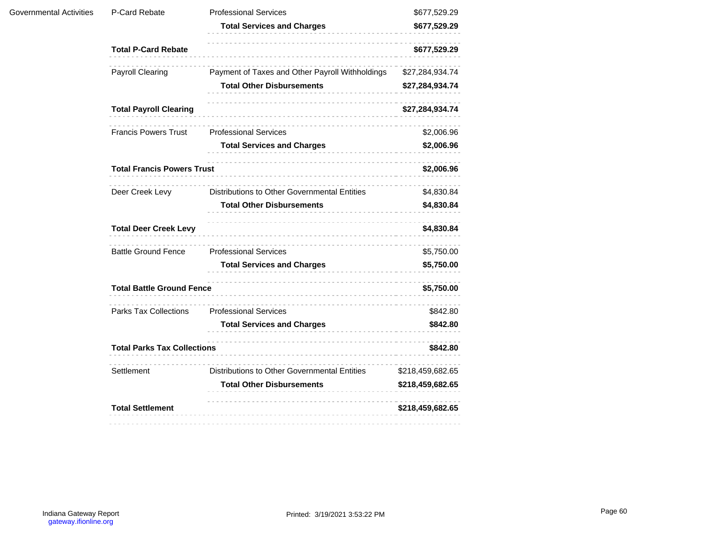| Governmental Activities | P-Card Rebate                      | <b>Professional Services</b>                    | \$677,529.29                                                                                                                                       |  |
|-------------------------|------------------------------------|-------------------------------------------------|----------------------------------------------------------------------------------------------------------------------------------------------------|--|
|                         |                                    | <b>Total Services and Charges</b>               | \$677,529.29                                                                                                                                       |  |
|                         | <b>Total P-Card Rebate</b>         | .                                               | \$677,529.29                                                                                                                                       |  |
|                         | Payroll Clearing                   | Payment of Taxes and Other Payroll Withholdings | \$27,284,934.74                                                                                                                                    |  |
|                         |                                    | <b>Total Other Disbursements</b>                | \$27,284,934.74<br>\$27,284,934.74<br>\$2,006.96<br>\$2,006.96<br>\$2,006.96<br>\$4,830.84<br>\$4,830.84<br>\$4,830.84<br>\$5,750.00<br>\$5,750.00 |  |
|                         | <b>Total Payroll Clearing</b>      |                                                 |                                                                                                                                                    |  |
|                         | <b>Francis Powers Trust</b>        | <b>Professional Services</b>                    |                                                                                                                                                    |  |
|                         |                                    | <b>Total Services and Charges</b>               |                                                                                                                                                    |  |
|                         | <b>Total Francis Powers Trust</b>  |                                                 | \$5,750.00<br>\$842.80<br>\$842.80<br>\$842.80                                                                                                     |  |
|                         | Deer Creek Levy                    | Distributions to Other Governmental Entities    |                                                                                                                                                    |  |
|                         |                                    | <b>Total Other Disbursements</b>                |                                                                                                                                                    |  |
|                         | <b>Total Deer Creek Levy</b>       |                                                 |                                                                                                                                                    |  |
|                         | <b>Battle Ground Fence</b>         | <b>Professional Services</b>                    |                                                                                                                                                    |  |
|                         |                                    | <b>Total Services and Charges</b>               |                                                                                                                                                    |  |
|                         | <b>Total Battle Ground Fence</b>   |                                                 |                                                                                                                                                    |  |
|                         | <b>Parks Tax Collections</b>       | <b>Professional Services</b>                    |                                                                                                                                                    |  |
|                         |                                    | <b>Total Services and Charges</b>               |                                                                                                                                                    |  |
|                         | <b>Total Parks Tax Collections</b> |                                                 |                                                                                                                                                    |  |
|                         | Settlement                         | Distributions to Other Governmental Entities    | \$218,459,682.65                                                                                                                                   |  |
|                         |                                    | <b>Total Other Disbursements</b>                | \$218,459,682.65                                                                                                                                   |  |
|                         | <b>Total Settlement</b>            |                                                 | \$218,459,682.65                                                                                                                                   |  |
|                         |                                    |                                                 |                                                                                                                                                    |  |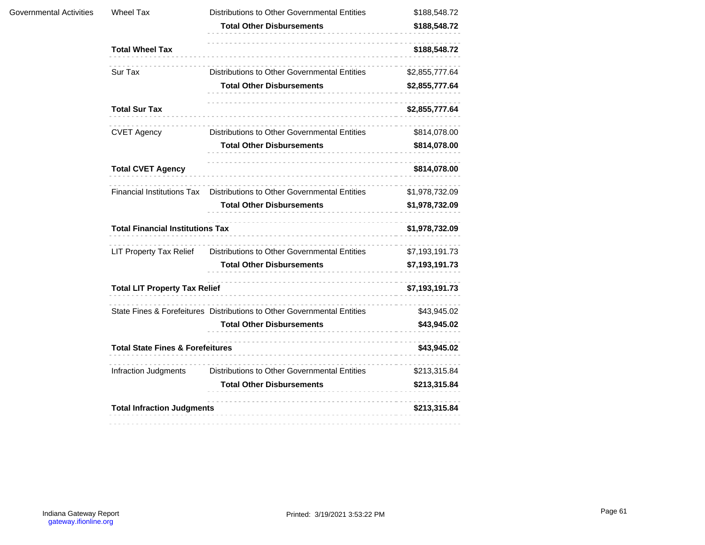| Governmental Activities | Wheel Tax                                   | <b>Distributions to Other Governmental Entities</b>                     | \$188,548.72   |
|-------------------------|---------------------------------------------|-------------------------------------------------------------------------|----------------|
|                         |                                             | <b>Total Other Disbursements</b>                                        | \$188,548.72   |
|                         | <b>Total Wheel Tax</b>                      |                                                                         | \$188,548.72   |
|                         | Sur Tax                                     | Distributions to Other Governmental Entities                            | \$2,855,777.64 |
|                         |                                             | <b>Total Other Disbursements</b>                                        | \$2,855,777.64 |
|                         | <b>Total Sur Tax</b>                        |                                                                         | \$2,855,777.64 |
|                         | <b>CVET Agency</b>                          | Distributions to Other Governmental Entities                            | \$814,078.00   |
|                         |                                             | <b>Total Other Disbursements</b>                                        | \$814,078.00   |
|                         | <b>Total CVET Agency</b>                    |                                                                         | \$814,078.00   |
|                         | <b>Financial Institutions Tax</b>           | Distributions to Other Governmental Entities                            | \$1,978,732.09 |
|                         |                                             | <b>Total Other Disbursements</b>                                        | \$1,978,732.09 |
|                         | <b>Total Financial Institutions Tax</b>     |                                                                         | \$1,978,732.09 |
|                         | <b>LIT Property Tax Relief</b>              | Distributions to Other Governmental Entities                            | \$7,193,191.73 |
|                         |                                             | Total Other Disbursements                                               | \$7,193,191.73 |
|                         | <b>Total LIT Property Tax Relief</b>        |                                                                         | \$7,193,191.73 |
|                         |                                             | State Fines & Forefeitures Distributions to Other Governmental Entities | \$43,945.02    |
|                         |                                             | <b>Total Other Disbursements</b>                                        | \$43,945.02    |
|                         | <b>Total State Fines &amp; Forefeitures</b> |                                                                         | \$43,945.02    |
|                         | Infraction Judgments                        | Distributions to Other Governmental Entities                            | \$213,315.84   |
|                         |                                             | <b>Total Other Disbursements</b>                                        | \$213,315.84   |
|                         | <b>Total Infraction Judgments</b>           |                                                                         | \$213,315.84   |
|                         |                                             |                                                                         |                |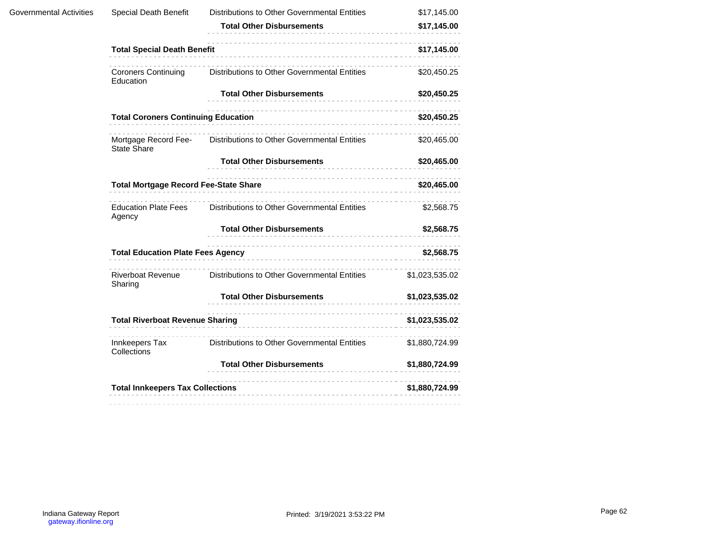| Governmental Activities | Special Death Benefit                                                                                                                                                                                                                                        | Distributions to Other Governmental Entities                      | \$17,145.00    |
|-------------------------|--------------------------------------------------------------------------------------------------------------------------------------------------------------------------------------------------------------------------------------------------------------|-------------------------------------------------------------------|----------------|
|                         |                                                                                                                                                                                                                                                              | <b>Total Other Disbursements</b>                                  | \$17,145.00    |
|                         | <b>Total Special Death Benefit</b>                                                                                                                                                                                                                           |                                                                   | \$17,145.00    |
|                         | <b>Coroners Continuing</b><br>Education                                                                                                                                                                                                                      | Distributions to Other Governmental Entities                      | \$20,450.25    |
|                         |                                                                                                                                                                                                                                                              | <b>Total Other Disbursements</b>                                  | \$20,450.25    |
|                         | <b>Total Coroners Continuing Education</b>                                                                                                                                                                                                                   |                                                                   | \$20,450.25    |
|                         | <b>State Share</b>                                                                                                                                                                                                                                           | Mortgage Record Fee- Distributions to Other Governmental Entities | \$20,465.00    |
|                         |                                                                                                                                                                                                                                                              | <b>Total Other Disbursements</b>                                  | \$20,465.00    |
|                         | Total Mortgage Record Fee-State Share<br>State Share<br>State Share<br>State Share<br>State Share<br>State Share<br>State Share<br>State Share<br>State Share<br>State Share<br>State Share<br>State Share<br>State Share<br>State Share<br>State Share<br>S |                                                                   | \$20,465.00    |
|                         | <b>Education Plate Fees</b><br>Agency                                                                                                                                                                                                                        | Distributions to Other Governmental Entities                      | \$2,568.75     |
|                         |                                                                                                                                                                                                                                                              | <b>Total Other Disbursements</b>                                  | \$2,568.75     |
|                         | Total Education Plate Fees Agency<br>and the continuum continuum of the continuum of the continuum of the continuum of the continuum of the continuum of the continuum of the continuum of the continuum of the continuum of the                             |                                                                   | \$2,568.75     |
|                         | <b>Riverboat Revenue</b><br>Sharing                                                                                                                                                                                                                          | <b>Distributions to Other Governmental Entities</b>               | \$1,023,535.02 |
|                         |                                                                                                                                                                                                                                                              | Total Other Disbursements                                         | \$1,023,535.02 |
|                         | <b>Total Riverboat Revenue Sharing</b>                                                                                                                                                                                                                       |                                                                   | \$1,023,535.02 |
|                         | Innkeepers Tax<br>Collections                                                                                                                                                                                                                                | Distributions to Other Governmental Entities                      | \$1,880,724.99 |
|                         |                                                                                                                                                                                                                                                              | <b>Total Other Disbursements</b>                                  | \$1,880,724.99 |
|                         | <b>Total Innkeepers Tax Collections</b>                                                                                                                                                                                                                      |                                                                   | \$1,880,724.99 |
|                         |                                                                                                                                                                                                                                                              |                                                                   |                |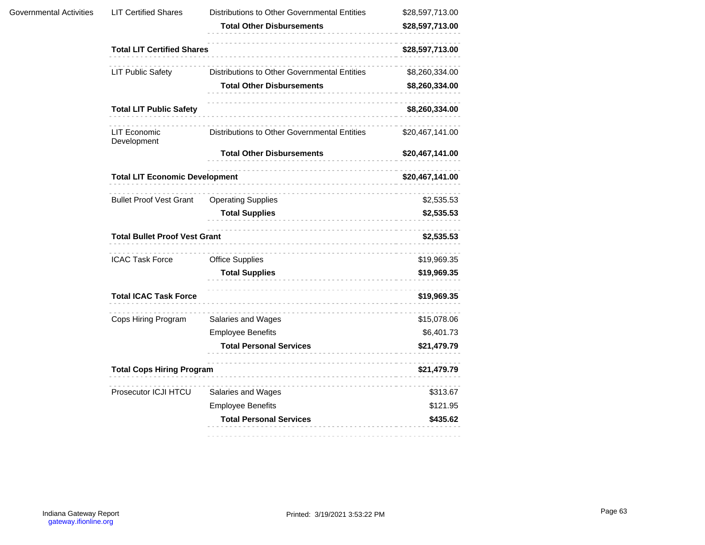| Governmental Activities | <b>LIT Certified Shares</b>           | Distributions to Other Governmental Entities<br><b>Total Other Disbursements</b> | \$28,597,713.00<br>\$28,597,713.00 |
|-------------------------|---------------------------------------|----------------------------------------------------------------------------------|------------------------------------|
|                         | <b>Total LIT Certified Shares</b>     |                                                                                  | \$28,597,713.00                    |
|                         |                                       | Distributions to Other Governmental Entities                                     |                                    |
|                         | <b>LIT Public Safety</b>              | <b>Total Other Disbursements</b>                                                 | \$8,260,334.00<br>\$8,260,334.00   |
|                         | <b>Total LIT Public Safety</b>        |                                                                                  | \$8,260,334.00                     |
|                         | <b>LIT Economic</b><br>Development    | Distributions to Other Governmental Entities                                     | \$20,467,141.00                    |
|                         |                                       | <b>Total Other Disbursements</b>                                                 | \$20,467,141.00                    |
|                         | <b>Total LIT Economic Development</b> |                                                                                  | \$20,467,141.00                    |
|                         | <b>Bullet Proof Vest Grant</b>        | <b>Operating Supplies</b>                                                        | \$2,535.53                         |
|                         |                                       | <b>Total Supplies</b>                                                            | \$2,535.53                         |
|                         | <b>Total Bullet Proof Vest Grant</b>  |                                                                                  | \$2,535.53                         |
|                         | <b>ICAC Task Force</b>                | <b>Office Supplies</b>                                                           | \$19,969.35                        |
|                         |                                       | <b>Total Supplies</b>                                                            | \$19,969.35                        |
|                         | <b>Total ICAC Task Force</b>          |                                                                                  | \$19,969.35                        |
|                         | Cops Hiring Program                   | Salaries and Wages                                                               | \$15,078.06                        |
|                         |                                       | <b>Employee Benefits</b>                                                         | \$6,401.73                         |
|                         |                                       | <b>Total Personal Services</b>                                                   | \$21,479.79                        |
|                         | <b>Total Cops Hiring Program</b>      |                                                                                  | \$21,479.79                        |
|                         | Prosecutor ICJI HTCU                  | Salaries and Wages                                                               | \$313.67                           |
|                         |                                       | <b>Employee Benefits</b>                                                         | \$121.95                           |
|                         |                                       | <b>Total Personal Services</b><br>.                                              | \$435.62                           |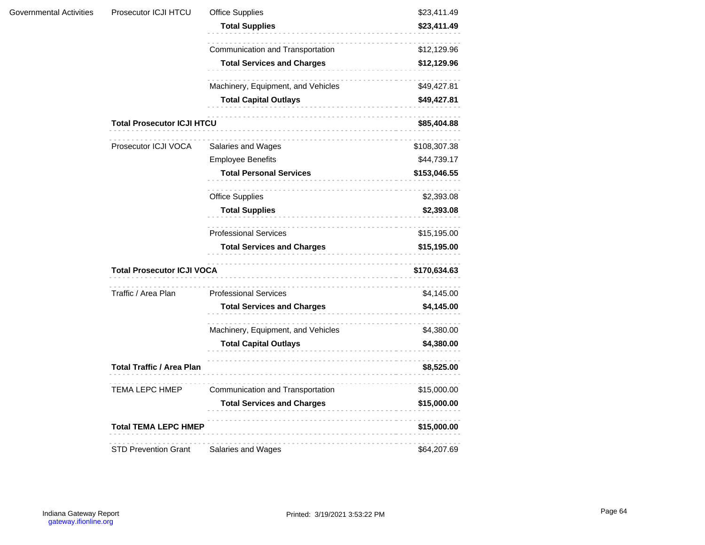| Governmental Activities | Prosecutor ICJI HTCU              | <b>Office Supplies</b>                 | \$23,411.49  |
|-------------------------|-----------------------------------|----------------------------------------|--------------|
|                         |                                   | <b>Total Supplies</b>                  | \$23,411.49  |
|                         |                                   | Communication and Transportation       | \$12,129.96  |
|                         |                                   | <b>Total Services and Charges</b>      | \$12,129.96  |
|                         |                                   | Machinery, Equipment, and Vehicles     | \$49,427.81  |
|                         |                                   | <b>Total Capital Outlays</b>           | \$49,427.81  |
|                         | <b>Total Prosecutor ICJI HTCU</b> |                                        | \$85,404.88  |
|                         | Prosecutor ICJI VOCA              | Salaries and Wages                     | \$108,307.38 |
|                         |                                   | <b>Employee Benefits</b>               | \$44,739.17  |
|                         |                                   | <b>Total Personal Services</b>         | \$153,046.55 |
|                         |                                   | <b>Office Supplies</b>                 | \$2,393.08   |
|                         |                                   | <b>Total Supplies</b>                  | \$2,393.08   |
|                         |                                   | <b>Professional Services</b>           | \$15,195.00  |
|                         |                                   | <b>Total Services and Charges</b>      | \$15,195.00  |
|                         |                                   | <b>Total Prosecutor ICJI VOCA</b><br>. |              |
|                         | Traffic / Area Plan               | <b>Professional Services</b>           | \$4,145.00   |
|                         |                                   | <b>Total Services and Charges</b>      | \$4,145.00   |
|                         |                                   | Machinery, Equipment, and Vehicles     | \$4,380.00   |
|                         |                                   | <b>Total Capital Outlays</b>           | \$4,380.00   |
|                         | <b>Total Traffic / Area Plan</b>  |                                        | \$8,525.00   |
|                         | <b>TEMA LEPC HMEP</b>             | Communication and Transportation       | \$15,000.00  |
|                         |                                   | <b>Total Services and Charges</b>      | \$15,000.00  |
|                         | <b>Total TEMA LEPC HMEP</b>       |                                        | \$15,000.00  |
|                         | <b>STD Prevention Grant</b>       | Salaries and Wages                     | \$64,207.69  |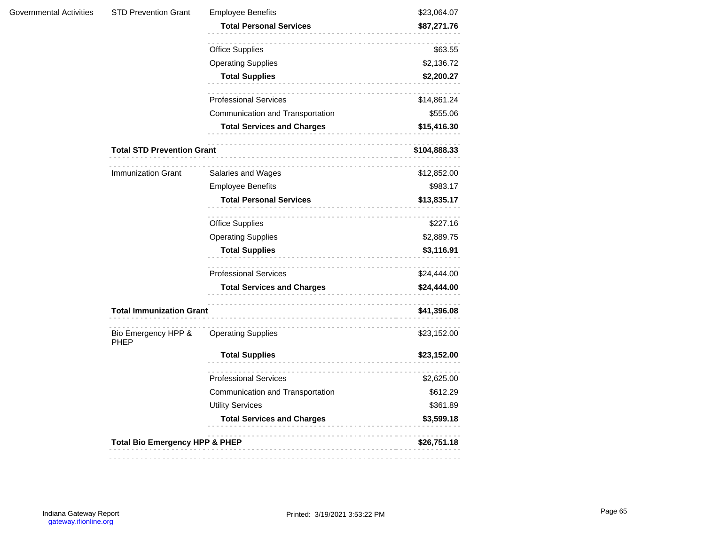| <b>STD Prevention Grant</b>        | <b>Employee Benefits</b>          | \$23,064.07  |
|------------------------------------|-----------------------------------|--------------|
|                                    | <b>Total Personal Services</b>    | \$87,271.76  |
|                                    | <b>Office Supplies</b>            | \$63.55      |
|                                    | <b>Operating Supplies</b>         | \$2,136.72   |
|                                    | <b>Total Supplies</b>             | \$2,200.27   |
|                                    | <b>Professional Services</b>      | \$14,861.24  |
|                                    | Communication and Transportation  | \$555.06     |
|                                    | <b>Total Services and Charges</b> | \$15,416.30  |
| <b>Total STD Prevention Grant</b>  |                                   | \$104,888.33 |
| Immunization Grant                 | Salaries and Wages                | \$12,852.00  |
|                                    | <b>Employee Benefits</b>          | \$983.17     |
|                                    | <b>Total Personal Services</b>    | \$13,835.17  |
|                                    | .<br><b>Office Supplies</b>       | \$227.16     |
|                                    | <b>Operating Supplies</b>         | \$2,889.75   |
|                                    | <b>Total Supplies</b><br>.        | \$3,116.91   |
|                                    | <b>Professional Services</b>      | \$24,444.00  |
|                                    | <b>Total Services and Charges</b> | \$24,444.00  |
| <b>Total Immunization Grant</b>    | .                                 | \$41,396.08  |
| Bio Emergency HPP &<br><b>PHEP</b> | .<br><b>Operating Supplies</b>    | \$23,152.00  |
|                                    | <b>Total Supplies</b><br>.        | \$23,152.00  |
|                                    | <b>Professional Services</b>      | \$2,625.00   |
|                                    | Communication and Transportation  | \$612.29     |
|                                    | <b>Utility Services</b>           | \$361.89     |
|                                    | <b>Total Services and Charges</b> | \$3,599.18   |
|                                    |                                   |              |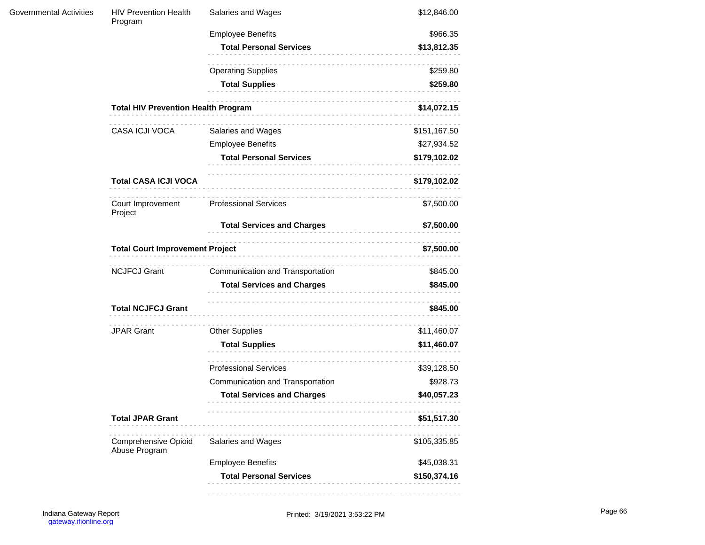| Governmental Activities | <b>HIV Prevention Health</b><br>Program              | Salaries and Wages                | \$12,846.00  |  |  |
|-------------------------|------------------------------------------------------|-----------------------------------|--------------|--|--|
|                         |                                                      | <b>Employee Benefits</b>          | \$966.35     |  |  |
|                         |                                                      | <b>Total Personal Services</b>    | \$13,812.35  |  |  |
|                         |                                                      | <b>Operating Supplies</b>         | \$259.80     |  |  |
|                         |                                                      | <b>Total Supplies</b>             | \$259.80     |  |  |
|                         | <b>Total HIV Prevention Health Program</b>           |                                   | \$14,072.15  |  |  |
|                         | CASA ICJI VOCA                                       | Salaries and Wages                | \$151,167.50 |  |  |
|                         |                                                      | <b>Employee Benefits</b>          | \$27,934.52  |  |  |
|                         |                                                      | <b>Total Personal Services</b>    | \$179,102.02 |  |  |
|                         | <b>Total CASA ICJI VOCA</b>                          |                                   | \$179,102.02 |  |  |
|                         | Court Improvement<br>Project                         | <b>Professional Services</b>      | \$7,500.00   |  |  |
|                         |                                                      | <b>Total Services and Charges</b> | \$7,500.00   |  |  |
|                         | <b>Total Court Improvement Project</b><br>\$7,500.00 |                                   |              |  |  |
|                         | <b>NCJFCJ Grant</b>                                  | Communication and Transportation  | \$845.00     |  |  |
|                         |                                                      | <b>Total Services and Charges</b> | \$845.00     |  |  |
|                         | <b>Total NCJFCJ Grant</b>                            |                                   | \$845.00     |  |  |
|                         | <b>JPAR Grant</b>                                    | <b>Other Supplies</b>             | \$11,460.07  |  |  |
|                         |                                                      | <b>Total Supplies</b>             | \$11,460.07  |  |  |
|                         |                                                      | <b>Professional Services</b>      | \$39,128.50  |  |  |
|                         |                                                      | Communication and Transportation  | \$928.73     |  |  |
|                         |                                                      | <b>Total Services and Charges</b> | \$40,057.23  |  |  |
|                         | <b>Total JPAR Grant</b>                              |                                   | \$51,517.30  |  |  |
|                         | <b>Comprehensive Opioid</b><br>Abuse Program         | Salaries and Wages                | \$105,335.85 |  |  |
|                         |                                                      | <b>Employee Benefits</b>          | \$45,038.31  |  |  |
|                         |                                                      | <b>Total Personal Services</b>    | \$150,374.16 |  |  |
|                         |                                                      |                                   |              |  |  |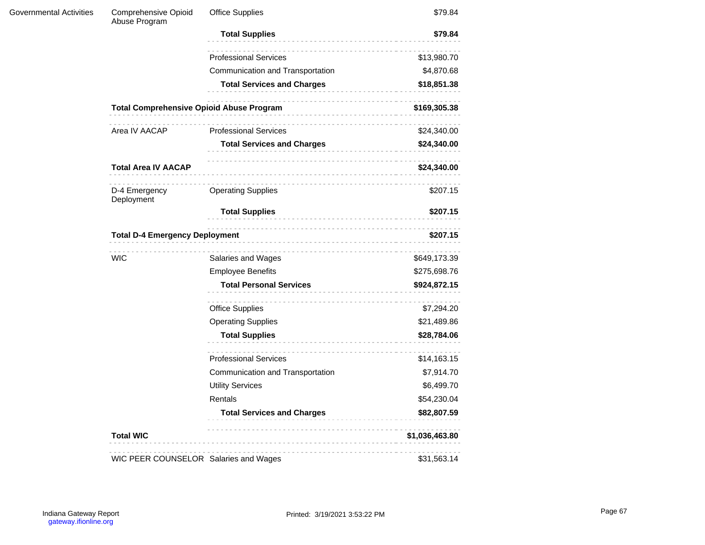| Governmental Activities | <b>Comprehensive Opioid</b><br>Abuse Program      | <b>Office Supplies</b>            | \$79.84        |  |  |
|-------------------------|---------------------------------------------------|-----------------------------------|----------------|--|--|
|                         |                                                   | <b>Total Supplies</b><br>.        | \$79.84        |  |  |
|                         |                                                   | <b>Professional Services</b>      | \$13,980.70    |  |  |
|                         |                                                   | Communication and Transportation  | \$4,870.68     |  |  |
|                         |                                                   | <b>Total Services and Charges</b> | \$18,851.38    |  |  |
|                         | <b>Total Comprehensive Opioid Abuse Program</b>   | .                                 | \$169,305.38   |  |  |
|                         | Area IV AACAP                                     | <b>Professional Services</b>      | \$24,340.00    |  |  |
|                         |                                                   | <b>Total Services and Charges</b> | \$24,340.00    |  |  |
|                         | <b>Total Area IV AACAP</b>                        |                                   | \$24,340.00    |  |  |
|                         | D-4 Emergency<br>Deployment                       | <b>Operating Supplies</b>         | \$207.15       |  |  |
|                         |                                                   | <b>Total Supplies</b>             | \$207.15       |  |  |
|                         | <b>Total D-4 Emergency Deployment</b><br>\$207.15 |                                   |                |  |  |
|                         | <b>WIC</b>                                        | Salaries and Wages                | \$649,173.39   |  |  |
|                         |                                                   | <b>Employee Benefits</b>          | \$275,698.76   |  |  |
|                         |                                                   | <b>Total Personal Services</b>    | \$924,872.15   |  |  |
|                         |                                                   | <b>Office Supplies</b>            | \$7,294.20     |  |  |
|                         |                                                   | <b>Operating Supplies</b>         | \$21,489.86    |  |  |
|                         |                                                   | <b>Total Supplies</b><br>.        | \$28,784.06    |  |  |
|                         |                                                   | <b>Professional Services</b>      | \$14,163.15    |  |  |
|                         |                                                   | Communication and Transportation  | \$7,914.70     |  |  |
|                         |                                                   | <b>Utility Services</b>           | \$6,499.70     |  |  |
|                         |                                                   | Rentals                           | \$54,230.04    |  |  |
|                         |                                                   | <b>Total Services and Charges</b> | \$82,807.59    |  |  |
|                         | <b>Total WIC</b>                                  |                                   | \$1,036,463.80 |  |  |
|                         | WIC PEER COUNSELOR Salaries and Wages             |                                   | \$31,563.14    |  |  |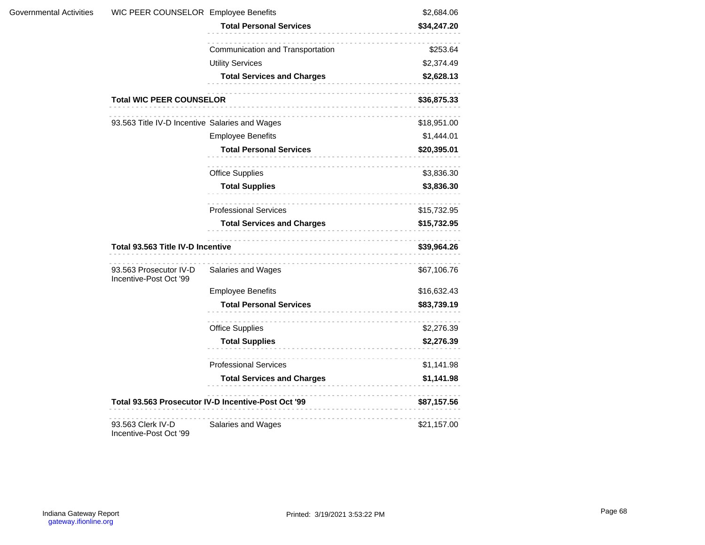| Governmental Activities | WIC PEER COUNSELOR Employee Benefits             |                                                                                                                                                                              | \$2,684.06  |
|-------------------------|--------------------------------------------------|------------------------------------------------------------------------------------------------------------------------------------------------------------------------------|-------------|
|                         |                                                  | <b>Total Personal Services</b>                                                                                                                                               | \$34,247.20 |
|                         |                                                  | .<br>Communication and Transportation                                                                                                                                        | \$253.64    |
|                         |                                                  | <b>Utility Services</b>                                                                                                                                                      | \$2,374.49  |
|                         |                                                  | <b>Total Services and Charges</b>                                                                                                                                            | \$2,628.13  |
|                         | <b>Total WIC PEER COUNSELOR</b>                  |                                                                                                                                                                              | \$36,875.33 |
|                         | 93.563 Title IV-D Incentive Salaries and Wages   |                                                                                                                                                                              | \$18,951.00 |
|                         |                                                  | <b>Employee Benefits</b>                                                                                                                                                     | \$1,444.01  |
|                         |                                                  | <b>Total Personal Services</b>                                                                                                                                               | \$20,395.01 |
|                         |                                                  | Office Supplies                                                                                                                                                              | \$3,836.30  |
|                         |                                                  | <b>Total Supplies</b>                                                                                                                                                        | \$3,836.30  |
|                         |                                                  | <b>Professional Services</b>                                                                                                                                                 | \$15,732.95 |
|                         |                                                  | <b>Total Services and Charges</b>                                                                                                                                            | \$15,732.95 |
|                         | Total 93.563 Title IV-D Incentive                | \$39,964.26                                                                                                                                                                  |             |
|                         | 93.563 Prosecutor IV-D<br>Incentive-Post Oct '99 | Salaries and Wages                                                                                                                                                           | \$67,106.76 |
|                         |                                                  | <b>Employee Benefits</b>                                                                                                                                                     | \$16,632.43 |
|                         |                                                  | <b>Total Personal Services</b>                                                                                                                                               | \$83,739.19 |
|                         |                                                  | <b>Office Supplies</b>                                                                                                                                                       | \$2,276.39  |
|                         |                                                  | <b>Total Supplies</b>                                                                                                                                                        | \$2,276.39  |
|                         |                                                  | <b>Professional Services</b>                                                                                                                                                 | \$1,141.98  |
|                         |                                                  | <b>Total Services and Charges</b>                                                                                                                                            | \$1,141.98  |
|                         |                                                  | Total 93.563 Prosecutor IV-D Incentive-Post Oct '99<br><u> 1980 - Andrea Stadt British e British e British e British e British e British e British e British e British e</u> | \$87,157.56 |
|                         | 93.563 Clerk IV-D<br>Incentive-Post Oct '99      | .<br>Salaries and Wages                                                                                                                                                      | \$21,157.00 |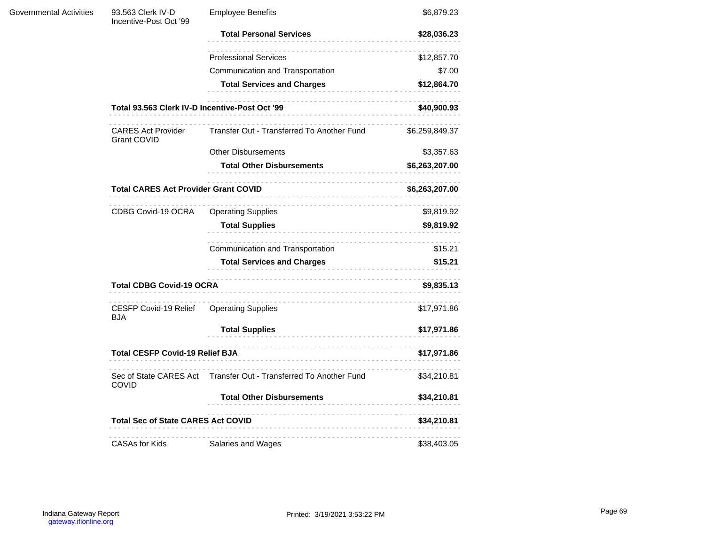| Governmental Activities | 93.563 Clerk IV-D<br>Incentive-Post Oct '99     | <b>Employee Benefits</b>                    | \$6,879.23     |
|-------------------------|-------------------------------------------------|---------------------------------------------|----------------|
|                         |                                                 | <b>Total Personal Services</b>              | \$28,036.23    |
|                         |                                                 | <b>Professional Services</b>                | \$12,857.70    |
|                         |                                                 | Communication and Transportation            | \$7.00         |
|                         |                                                 | <b>Total Services and Charges</b>           | \$12,864.70    |
|                         | Total 93.563 Clerk IV-D Incentive-Post Oct '99  |                                             | \$40,900.93    |
|                         | <b>CARES Act Provider</b><br><b>Grant COVID</b> | Transfer Out - Transferred To Another Fund  | \$6,259,849.37 |
|                         |                                                 | <b>Other Disbursements</b>                  | \$3,357.63     |
|                         |                                                 | <b>Total Other Disbursements</b>            | \$6,263,207.00 |
|                         |                                                 | <b>Total CARES Act Provider Grant COVID</b> |                |
|                         | CDBG Covid-19 OCRA                              | <b>Operating Supplies</b>                   | \$9,819.92     |
|                         |                                                 | <b>Total Supplies</b><br>.                  | \$9,819.92     |
|                         |                                                 | .<br>Communication and Transportation       | \$15.21        |
|                         |                                                 | <b>Total Services and Charges</b>           | \$15.21        |
|                         | <b>Total CDBG Covid-19 OCRA</b>                 |                                             | \$9,835.13     |
|                         | CESFP Covid-19 Relief<br><b>BJA</b>             | <b>Operating Supplies</b>                   | \$17,971.86    |
|                         |                                                 | <b>Total Supplies</b>                       | \$17,971.86    |
|                         | <b>Total CESFP Covid-19 Relief BJA</b>          |                                             | \$17,971.86    |
|                         | Sec of State CARES Act<br><b>COVID</b>          | Transfer Out - Transferred To Another Fund  | \$34,210.81    |
|                         |                                                 | <b>Total Other Disbursements</b>            | \$34,210.81    |
|                         | <b>Total Sec of State CARES Act COVID</b>       |                                             | \$34,210.81    |
|                         | <b>CASAs for Kids</b>                           | .<br>Salaries and Wages                     | \$38,403.05    |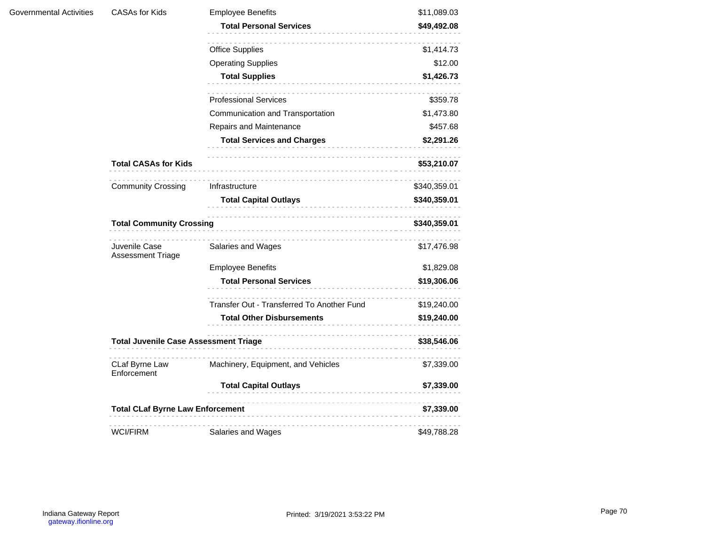| Governmental Activities | <b>CASAs for Kids</b>                        | <b>Employee Benefits</b>                   | \$11,089.03  |
|-------------------------|----------------------------------------------|--------------------------------------------|--------------|
|                         |                                              | <b>Total Personal Services</b>             | \$49,492.08  |
|                         |                                              | <b>Office Supplies</b>                     | \$1,414.73   |
|                         |                                              | <b>Operating Supplies</b>                  | \$12.00      |
|                         |                                              | <b>Total Supplies</b>                      | \$1,426.73   |
|                         |                                              | <b>Professional Services</b>               | \$359.78     |
|                         |                                              | Communication and Transportation           | \$1,473.80   |
|                         |                                              | Repairs and Maintenance                    | \$457.68     |
|                         |                                              | <b>Total Services and Charges</b>          | \$2,291.26   |
|                         | <b>Total CASAs for Kids</b>                  |                                            | \$53,210.07  |
|                         | <b>Community Crossing</b>                    | Infrastructure                             | \$340,359.01 |
|                         |                                              | <b>Total Capital Outlays</b>               | \$340,359.01 |
|                         |                                              | <b>Total Community Crossing</b>            |              |
|                         | Juvenile Case<br>Assessment Triage           | Salaries and Wages                         | \$17,476.98  |
|                         |                                              | <b>Employee Benefits</b>                   | \$1,829.08   |
|                         |                                              | <b>Total Personal Services</b>             | \$19,306.06  |
|                         |                                              | Transfer Out - Transferred To Another Fund | \$19,240.00  |
|                         |                                              | <b>Total Other Disbursements</b>           | \$19,240.00  |
|                         | <b>Total Juvenile Case Assessment Triage</b> | \$38,546.06<br><u>.</u>                    |              |
|                         | CLaf Byrne Law<br>Enforcement                | Machinery, Equipment, and Vehicles         | \$7,339.00   |
|                         |                                              | <b>Total Capital Outlays</b>               | \$7,339.00   |
|                         | <b>Total CLaf Byrne Law Enforcement</b>      |                                            | \$7,339.00   |
|                         | <b>WCI/FIRM</b>                              | Salaries and Wages                         | \$49,788.28  |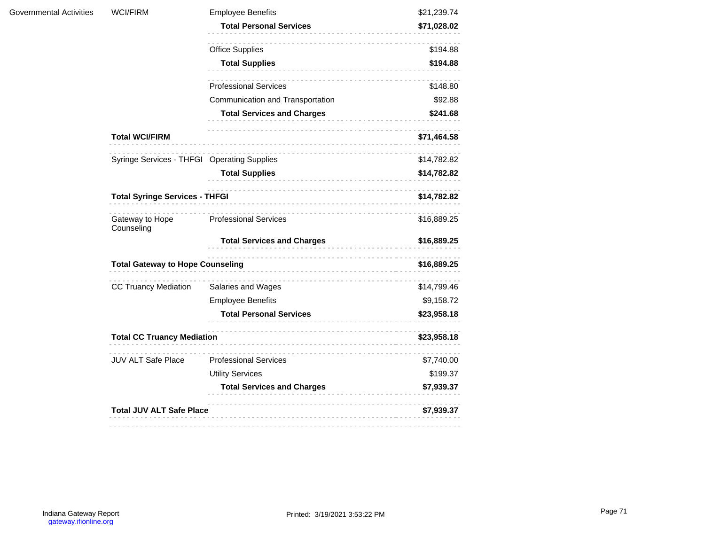| <b>Governmental Activities</b> | <b>WCI/FIRM</b>                             | <b>Employee Benefits</b>          | \$21,239.74 |
|--------------------------------|---------------------------------------------|-----------------------------------|-------------|
|                                |                                             | <b>Total Personal Services</b>    | \$71,028.02 |
|                                |                                             | <b>Office Supplies</b>            | \$194.88    |
|                                |                                             | <b>Total Supplies</b><br>.        | \$194.88    |
|                                |                                             | <b>Professional Services</b>      | \$148.80    |
|                                |                                             | Communication and Transportation  | \$92.88     |
|                                |                                             | <b>Total Services and Charges</b> | \$241.68    |
|                                | <b>Total WCI/FIRM</b>                       |                                   | \$71,464.58 |
|                                | Syringe Services - THFGI Operating Supplies |                                   | \$14,782.82 |
|                                |                                             | <b>Total Supplies</b><br>.        | \$14,782.82 |
|                                | <b>Total Syringe Services - THFGI</b>       |                                   | \$14,782.82 |
|                                | Gateway to Hope<br>Counseling               | <b>Professional Services</b>      | \$16,889.25 |
|                                |                                             | <b>Total Services and Charges</b> | \$16,889.25 |
|                                | <b>Total Gateway to Hope Counseling</b>     | .                                 | \$16,889.25 |
|                                | <b>CC Truancy Mediation</b>                 | Salaries and Wages                | \$14,799.46 |
|                                |                                             | <b>Employee Benefits</b>          | \$9,158.72  |
|                                |                                             | <b>Total Personal Services</b>    | \$23,958.18 |
|                                | <b>Total CC Truancy Mediation</b>           |                                   | \$23,958.18 |
|                                | JUV ALT Safe Place                          | <b>Professional Services</b>      | \$7,740.00  |
|                                |                                             | <b>Utility Services</b>           | \$199.37    |
|                                |                                             | <b>Total Services and Charges</b> | \$7,939.37  |
|                                | <b>Total JUV ALT Safe Place</b>             |                                   | \$7,939.37  |
|                                |                                             |                                   |             |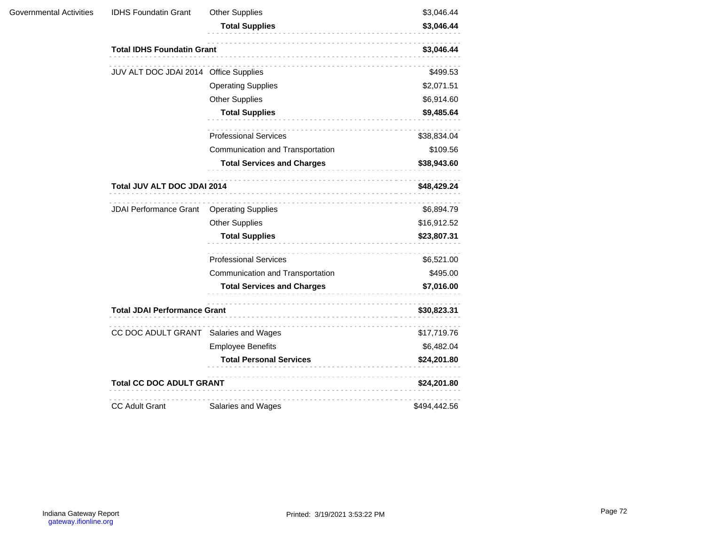| Governmental Activities | <b>IDHS Foundatin Grant</b>           | <b>Other Supplies</b><br><b>Total Supplies</b><br>----------------------- | \$3,046.44<br>\$3,046.44 |  |
|-------------------------|---------------------------------------|---------------------------------------------------------------------------|--------------------------|--|
|                         | <b>Total IDHS Foundatin Grant</b>     |                                                                           | \$3,046.44               |  |
|                         | JUV ALT DOC JDAI 2014 Office Supplies |                                                                           | \$499.53                 |  |
|                         |                                       | <b>Operating Supplies</b>                                                 | \$2,071.51               |  |
|                         |                                       | <b>Other Supplies</b>                                                     | \$6,914.60               |  |
|                         |                                       | <b>Total Supplies</b>                                                     | \$9,485.64               |  |
|                         |                                       | <b>Professional Services</b>                                              | \$38,834.04              |  |
|                         |                                       | Communication and Transportation                                          | \$109.56                 |  |
|                         |                                       | <b>Total Services and Charges</b>                                         | \$38,943.60              |  |
|                         | Total JUV ALT DOC JDAI 2014           |                                                                           | \$48,429.24              |  |
|                         | <b>JDAI Performance Grant</b>         | <b>Operating Supplies</b>                                                 | \$6,894.79               |  |
|                         |                                       | <b>Other Supplies</b>                                                     | \$16,912.52              |  |
|                         |                                       | <b>Total Supplies</b>                                                     | \$23,807.31              |  |
|                         |                                       | <b>Professional Services</b>                                              | \$6,521.00               |  |
|                         |                                       | Communication and Transportation                                          | \$495.00                 |  |
|                         |                                       | <b>Total Services and Charges</b>                                         | \$7,016.00               |  |
|                         | <b>Total JDAI Performance Grant</b>   |                                                                           | \$30,823.31              |  |
|                         | CC DOC ADULT GRANT Salaries and Wages |                                                                           | \$17,719.76              |  |
|                         |                                       | <b>Employee Benefits</b>                                                  | \$6,482.04               |  |
|                         |                                       | <b>Total Personal Services</b>                                            | \$24,201.80              |  |
|                         | <b>Total CC DOC ADULT GRANT</b>       |                                                                           | \$24,201.80              |  |
|                         | <b>CC Adult Grant</b>                 | Salaries and Wages                                                        | \$494,442.56             |  |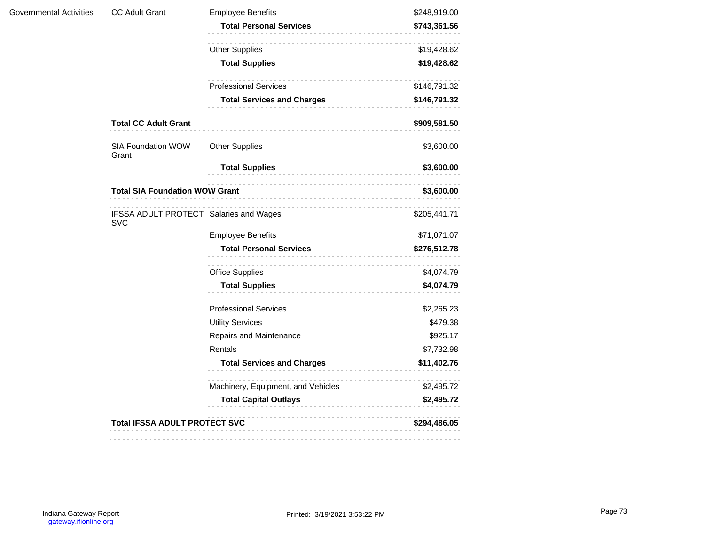| Governmental Activities | <b>CC Adult Grant</b>                                | <b>Employee Benefits</b>           | \$248,919.00 |
|-------------------------|------------------------------------------------------|------------------------------------|--------------|
|                         |                                                      | <b>Total Personal Services</b>     | \$743,361.56 |
|                         |                                                      | <b>Other Supplies</b>              | \$19,428.62  |
|                         |                                                      | <b>Total Supplies</b><br>.         | \$19,428.62  |
|                         |                                                      | <b>Professional Services</b>       | \$146,791.32 |
|                         |                                                      | <b>Total Services and Charges</b>  | \$146,791.32 |
|                         | <b>Total CC Adult Grant</b>                          |                                    | \$909,581.50 |
|                         | SIA Foundation WOW<br>Grant                          | <b>Other Supplies</b>              | \$3,600.00   |
|                         |                                                      | <b>Total Supplies</b><br>.         | \$3,600.00   |
|                         | <b>Total SIA Foundation WOW Grant</b>                |                                    | \$3,600.00   |
|                         | IFSSA ADULT PROTECT Salaries and Wages<br><b>SVC</b> |                                    | \$205,441.71 |
|                         |                                                      | <b>Employee Benefits</b>           | \$71,071.07  |
|                         |                                                      | <b>Total Personal Services</b>     | \$276,512.78 |
|                         |                                                      | <b>Office Supplies</b>             | \$4,074.79   |
|                         |                                                      | <b>Total Supplies</b><br>.         | \$4,074.79   |
|                         |                                                      | <b>Professional Services</b>       | \$2,265.23   |
|                         |                                                      | <b>Utility Services</b>            | \$479.38     |
|                         |                                                      | Repairs and Maintenance            | \$925.17     |
|                         |                                                      | Rentals                            | \$7,732.98   |
|                         |                                                      | <b>Total Services and Charges</b>  | \$11,402.76  |
|                         |                                                      | Machinery, Equipment, and Vehicles | \$2,495.72   |
|                         |                                                      | <b>Total Capital Outlays</b>       | \$2,495.72   |
|                         | <b>Total IFSSA ADULT PROTECT SVC</b>                 |                                    | \$294,486.05 |
|                         |                                                      |                                    |              |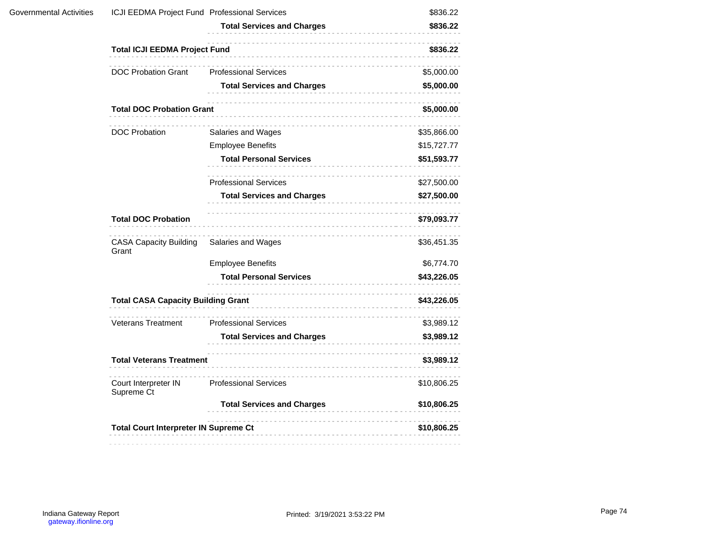|                                        |                                   | \$836.22                                                                                                                                                                                                                                                  |
|----------------------------------------|-----------------------------------|-----------------------------------------------------------------------------------------------------------------------------------------------------------------------------------------------------------------------------------------------------------|
|                                        | <b>Total Services and Charges</b> | \$836.22                                                                                                                                                                                                                                                  |
|                                        |                                   | \$836.22                                                                                                                                                                                                                                                  |
| <b>DOC Probation Grant</b>             | <b>Professional Services</b>      | \$5,000.00                                                                                                                                                                                                                                                |
|                                        | <b>Total Services and Charges</b> | \$5,000.00                                                                                                                                                                                                                                                |
|                                        |                                   | \$5,000.00                                                                                                                                                                                                                                                |
| <b>DOC Probation</b>                   | Salaries and Wages                | \$35,866.00                                                                                                                                                                                                                                               |
|                                        | <b>Employee Benefits</b>          | \$15,727.77                                                                                                                                                                                                                                               |
|                                        | <b>Total Personal Services</b>    | \$51,593.77                                                                                                                                                                                                                                               |
|                                        | <b>Professional Services</b>      | \$27,500.00                                                                                                                                                                                                                                               |
|                                        | <b>Total Services and Charges</b> | \$27,500.00                                                                                                                                                                                                                                               |
| <b>Total DOC Probation</b>             |                                   | \$79,093.77                                                                                                                                                                                                                                               |
| <b>CASA Capacity Building</b><br>Grant | Salaries and Wages                | \$36,451.35                                                                                                                                                                                                                                               |
|                                        | <b>Employee Benefits</b>          | \$6,774.70                                                                                                                                                                                                                                                |
|                                        | <b>Total Personal Services</b>    | \$43,226.05                                                                                                                                                                                                                                               |
|                                        |                                   | \$43,226.05                                                                                                                                                                                                                                               |
| <b>Veterans Treatment</b>              | <b>Professional Services</b>      | \$3,989.12                                                                                                                                                                                                                                                |
|                                        | <b>Total Services and Charges</b> | \$3,989.12                                                                                                                                                                                                                                                |
|                                        |                                   | \$3,989.12                                                                                                                                                                                                                                                |
| Court Interpreter IN<br>Supreme Ct     | <b>Professional Services</b>      | \$10,806.25                                                                                                                                                                                                                                               |
|                                        | <b>Total Services and Charges</b> | \$10,806.25                                                                                                                                                                                                                                               |
|                                        |                                   | \$10,806.25                                                                                                                                                                                                                                               |
|                                        |                                   | ICJI EEDMA Project Fund Professional Services<br><b>Total ICJI EEDMA Project Fund</b><br><b>Total DOC Probation Grant</b><br><b>Total CASA Capacity Building Grant</b><br><b>Total Veterans Treatment</b><br><b>Total Court Interpreter IN Supreme Ct</b> |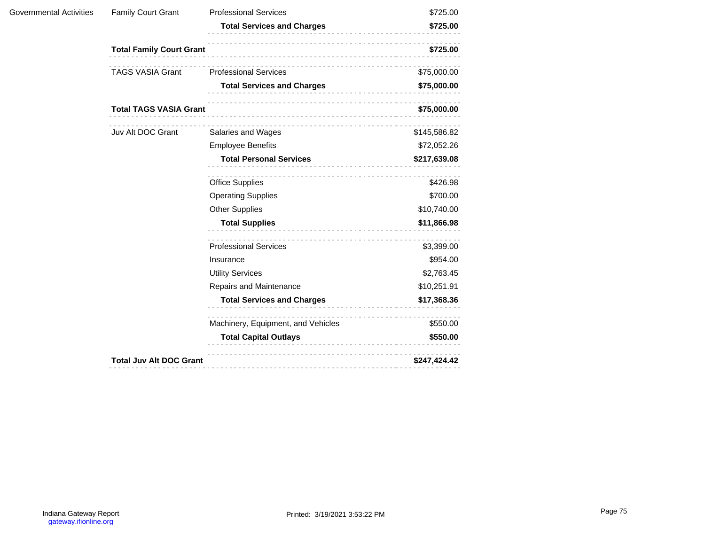| Governmental Activities | <b>Family Court Grant</b>       | <b>Professional Services</b>       | \$725.00     |
|-------------------------|---------------------------------|------------------------------------|--------------|
|                         |                                 | <b>Total Services and Charges</b>  | \$725.00     |
|                         | <b>Total Family Court Grant</b> | \$725.00                           |              |
|                         | <b>TAGS VASIA Grant</b>         | <b>Professional Services</b>       | \$75,000.00  |
|                         |                                 | <b>Total Services and Charges</b>  | \$75,000.00  |
|                         | <b>Total TAGS VASIA Grant</b>   |                                    | \$75,000.00  |
|                         | Juv Alt DOC Grant               | Salaries and Wages                 | \$145,586.82 |
|                         |                                 | <b>Employee Benefits</b>           | \$72,052.26  |
|                         |                                 | <b>Total Personal Services</b>     | \$217,639.08 |
|                         |                                 | <b>Office Supplies</b>             | \$426.98     |
|                         |                                 | <b>Operating Supplies</b>          | \$700.00     |
|                         |                                 | <b>Other Supplies</b>              | \$10,740.00  |
|                         |                                 | <b>Total Supplies</b>              | \$11,866.98  |
|                         |                                 | <b>Professional Services</b>       | \$3,399.00   |
|                         |                                 | Insurance                          | \$954.00     |
|                         |                                 | <b>Utility Services</b>            | \$2,763.45   |
|                         |                                 | Repairs and Maintenance            | \$10,251.91  |
|                         |                                 | <b>Total Services and Charges</b>  | \$17,368.36  |
|                         |                                 | Machinery, Equipment, and Vehicles | \$550.00     |
|                         |                                 | <b>Total Capital Outlays</b>       | \$550.00     |
|                         | <b>Total Juv Alt DOC Grant</b>  |                                    | \$247,424.42 |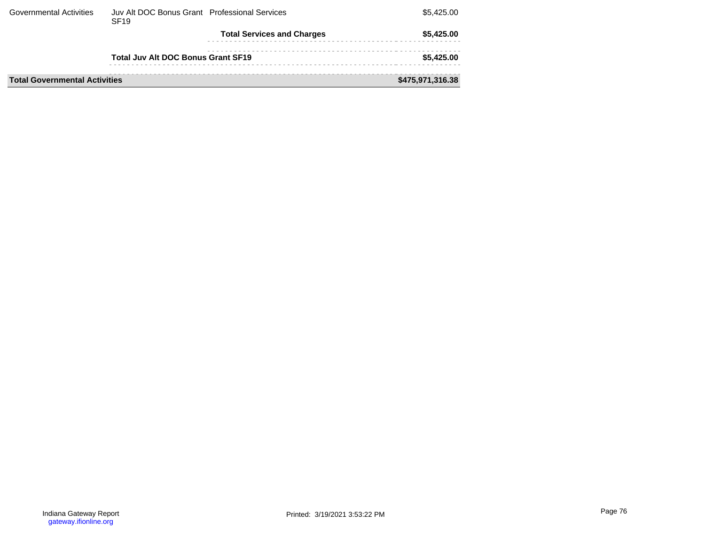| <b>Governmental Activities</b>       | Juv Alt DOC Bonus Grant Professional Services<br><b>SF19</b> |                                   | \$5,425,00       |
|--------------------------------------|--------------------------------------------------------------|-----------------------------------|------------------|
|                                      |                                                              | <b>Total Services and Charges</b> | \$5.425.00       |
|                                      | <b>Total Juv Alt DOC Bonus Grant SF19</b>                    |                                   | \$5,425,00       |
| <b>Total Governmental Activities</b> |                                                              |                                   | \$475,971,316.38 |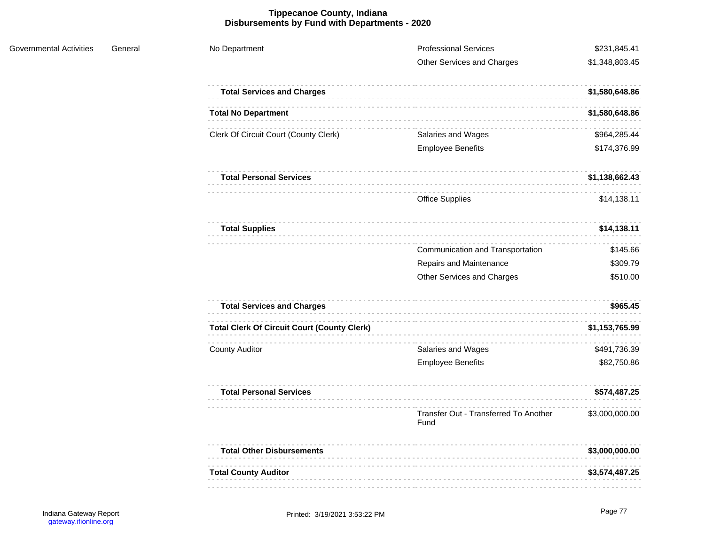## **Tippecanoe County, Indiana Disbursements by Fund with Departments - 2020**

| No Department                                      | <b>Professional Services</b><br>Other Services and Charges | \$231,845.41<br>\$1,348,803.45 |
|----------------------------------------------------|------------------------------------------------------------|--------------------------------|
| <b>Total Services and Charges</b>                  |                                                            | \$1,580,648.86                 |
| <b>Total No Department</b>                         |                                                            | \$1,580,648.86                 |
| Clerk Of Circuit Court (County Clerk)              | Salaries and Wages                                         | \$964,285.44                   |
|                                                    | <b>Employee Benefits</b>                                   | \$174,376.99                   |
| <b>Total Personal Services</b>                     |                                                            | \$1,138,662.43                 |
|                                                    | <b>Office Supplies</b>                                     | \$14,138.11                    |
| <b>Total Supplies</b>                              |                                                            | \$14,138.11                    |
|                                                    | Communication and Transportation                           | \$145.66                       |
|                                                    | Repairs and Maintenance                                    | \$309.79                       |
|                                                    | Other Services and Charges                                 | \$510.00                       |
| <b>Total Services and Charges</b>                  |                                                            | \$965.45                       |
| <b>Total Clerk Of Circuit Court (County Clerk)</b> |                                                            | \$1,153,765.99                 |
| <b>County Auditor</b>                              | Salaries and Wages                                         | \$491,736.39                   |
|                                                    | <b>Employee Benefits</b>                                   | \$82,750.86                    |
| <b>Total Personal Services</b>                     |                                                            | \$574,487.25                   |
|                                                    | Transfer Out - Transferred To Another<br>Fund              | \$3,000,000.00                 |
| <b>Total Other Disbursements</b>                   |                                                            | \$3,000,000.00                 |
| <b>Total County Auditor</b>                        |                                                            | \$3,574,487.25                 |
|                                                    |                                                            |                                |

Governmental Activities General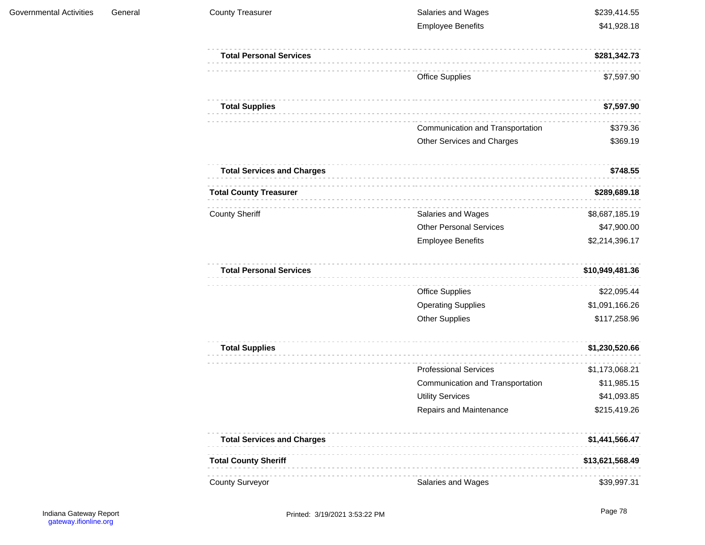| <b>County Treasurer</b>           | Salaries and Wages               | \$239,414.55    |
|-----------------------------------|----------------------------------|-----------------|
|                                   | <b>Employee Benefits</b>         | \$41,928.18     |
| <b>Total Personal Services</b>    |                                  | \$281,342.73    |
|                                   | <b>Office Supplies</b>           | \$7,597.90      |
| <b>Total Supplies</b>             |                                  | \$7,597.90      |
|                                   | Communication and Transportation | \$379.36        |
|                                   | Other Services and Charges       | \$369.19        |
| <b>Total Services and Charges</b> |                                  | \$748.55        |
| <b>Total County Treasurer</b>     |                                  | \$289,689.18    |
| <b>County Sheriff</b>             | Salaries and Wages               | \$8,687,185.19  |
|                                   | <b>Other Personal Services</b>   | \$47,900.00     |
|                                   | <b>Employee Benefits</b>         | \$2,214,396.17  |
| <b>Total Personal Services</b>    |                                  | \$10,949,481.36 |
|                                   | <b>Office Supplies</b>           | \$22,095.44     |
|                                   | <b>Operating Supplies</b>        | \$1,091,166.26  |
|                                   | <b>Other Supplies</b>            | \$117,258.96    |
| <b>Total Supplies</b>             |                                  | \$1,230,520.66  |
|                                   | <b>Professional Services</b>     | \$1,173,068.21  |
|                                   | Communication and Transportation | \$11,985.15     |
|                                   | <b>Utility Services</b>          | \$41,093.85     |
|                                   | Repairs and Maintenance          | \$215,419.26    |
| <b>Total Services and Charges</b> |                                  | \$1,441,566.47  |
| <b>Total County Sheriff</b>       |                                  | \$13,621,568.49 |
| <b>County Surveyor</b>            | Salaries and Wages               | \$39,997.31     |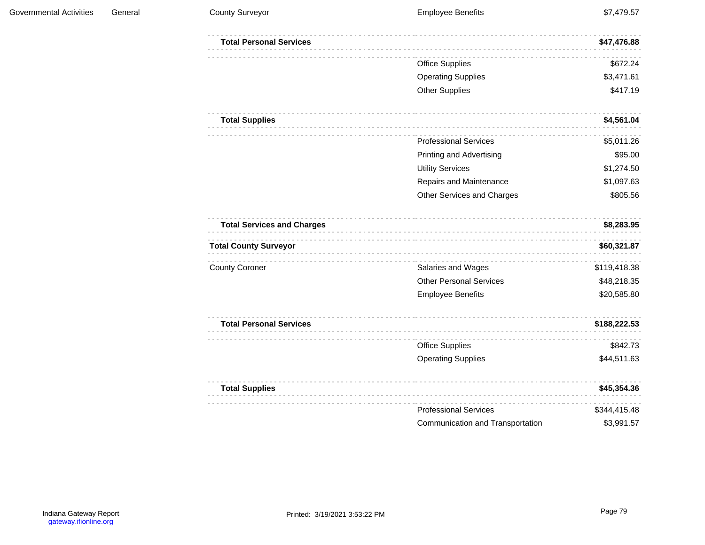| <b>Total Personal Services</b>    |                                  | \$47,476.88  |
|-----------------------------------|----------------------------------|--------------|
|                                   | <b>Office Supplies</b>           | \$672.24     |
|                                   | <b>Operating Supplies</b>        | \$3,471.61   |
|                                   | <b>Other Supplies</b>            | \$417.19     |
| <b>Total Supplies</b>             |                                  | \$4,561.04   |
|                                   | <b>Professional Services</b>     | \$5,011.26   |
|                                   | <b>Printing and Advertising</b>  | \$95.00      |
|                                   | <b>Utility Services</b>          | \$1,274.50   |
|                                   | Repairs and Maintenance          | \$1,097.63   |
|                                   | Other Services and Charges       | \$805.56     |
| <b>Total Services and Charges</b> |                                  | \$8,283.95   |
| <b>Total County Surveyor</b>      |                                  | \$60,321.87  |
| <b>County Coroner</b>             | Salaries and Wages               | \$119,418.38 |
|                                   | <b>Other Personal Services</b>   | \$48,218.35  |
|                                   | <b>Employee Benefits</b>         | \$20,585.80  |
| <b>Total Personal Services</b>    |                                  | \$188,222.53 |
|                                   | <b>Office Supplies</b>           | \$842.73     |
|                                   | <b>Operating Supplies</b>        | \$44,511.63  |
| <b>Total Supplies</b>             |                                  | \$45,354.36  |
|                                   | <b>Professional Services</b>     | \$344,415.48 |
|                                   | Communication and Transportation | \$3,991.57   |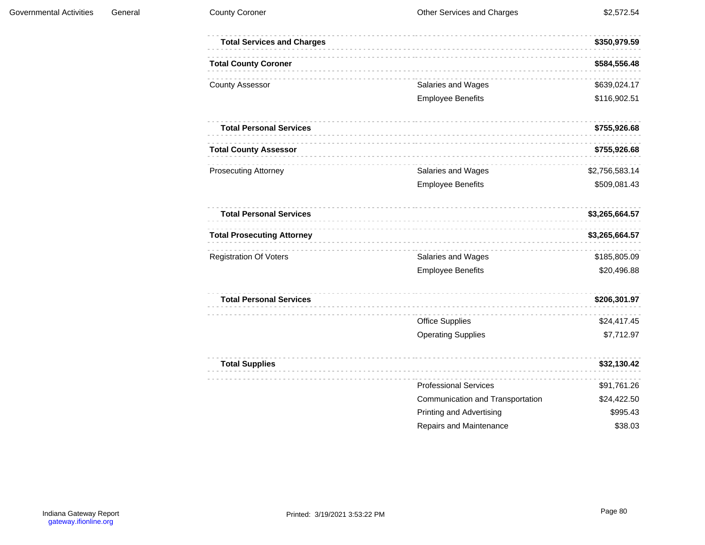| <b>Total Services and Charges</b> |                                  | \$350,979.59   |
|-----------------------------------|----------------------------------|----------------|
| <b>Total County Coroner</b>       |                                  | \$584,556.48   |
| <b>County Assessor</b>            | Salaries and Wages               | \$639,024.17   |
|                                   | <b>Employee Benefits</b>         | \$116,902.51   |
| <b>Total Personal Services</b>    |                                  | \$755,926.68   |
| <b>Total County Assessor</b>      |                                  | \$755,926.68   |
| <b>Prosecuting Attorney</b>       | Salaries and Wages               | \$2,756,583.14 |
|                                   | <b>Employee Benefits</b>         | \$509,081.43   |
| <b>Total Personal Services</b>    |                                  | \$3,265,664.57 |
| <b>Total Prosecuting Attorney</b> |                                  | \$3,265,664.57 |
| <b>Registration Of Voters</b>     | Salaries and Wages               | \$185,805.09   |
|                                   | <b>Employee Benefits</b>         | \$20,496.88    |
| <b>Total Personal Services</b>    |                                  | \$206,301.97   |
|                                   | <b>Office Supplies</b>           | \$24,417.45    |
|                                   | <b>Operating Supplies</b>        | \$7,712.97     |
| <b>Total Supplies</b>             |                                  | \$32,130.42    |
|                                   | <b>Professional Services</b>     | \$91,761.26    |
|                                   | Communication and Transportation | \$24,422.50    |
|                                   | <b>Printing and Advertising</b>  | \$995.43       |
|                                   | <b>Repairs and Maintenance</b>   | \$38.03        |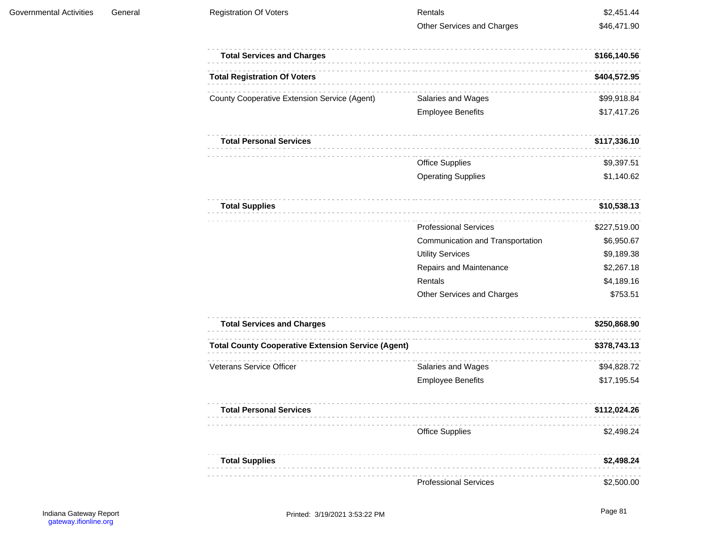| <b>Registration Of Voters</b>                             | Rentals                          | \$2,451.44   |
|-----------------------------------------------------------|----------------------------------|--------------|
|                                                           | Other Services and Charges       | \$46,471.90  |
| <b>Total Services and Charges</b>                         |                                  | \$166,140.56 |
| <b>Total Registration Of Voters</b>                       |                                  | \$404,572.95 |
| <b>County Cooperative Extension Service (Agent)</b>       | Salaries and Wages               | \$99,918.84  |
|                                                           | <b>Employee Benefits</b>         | \$17,417.26  |
| <b>Total Personal Services</b>                            |                                  | \$117,336.10 |
|                                                           | <b>Office Supplies</b>           | \$9,397.51   |
|                                                           | <b>Operating Supplies</b>        | \$1,140.62   |
| <b>Total Supplies</b>                                     |                                  | \$10,538.13  |
|                                                           | <b>Professional Services</b>     | \$227,519.00 |
|                                                           | Communication and Transportation | \$6,950.67   |
|                                                           | <b>Utility Services</b>          | \$9,189.38   |
|                                                           | Repairs and Maintenance          | \$2,267.18   |
|                                                           | Rentals                          | \$4,189.16   |
|                                                           | Other Services and Charges       | \$753.51     |
| <b>Total Services and Charges</b>                         |                                  | \$250,868.90 |
| <b>Total County Cooperative Extension Service (Agent)</b> |                                  | \$378,743.13 |
| <b>Veterans Service Officer</b>                           | Salaries and Wages               | \$94,828.72  |
|                                                           | <b>Employee Benefits</b>         | \$17,195.54  |
| <b>Total Personal Services</b>                            |                                  | \$112,024.26 |
|                                                           | <b>Office Supplies</b>           | \$2,498.24   |
| <b>Total Supplies</b>                                     |                                  | \$2,498.24   |
|                                                           |                                  |              |

Professional Services \$2,500.00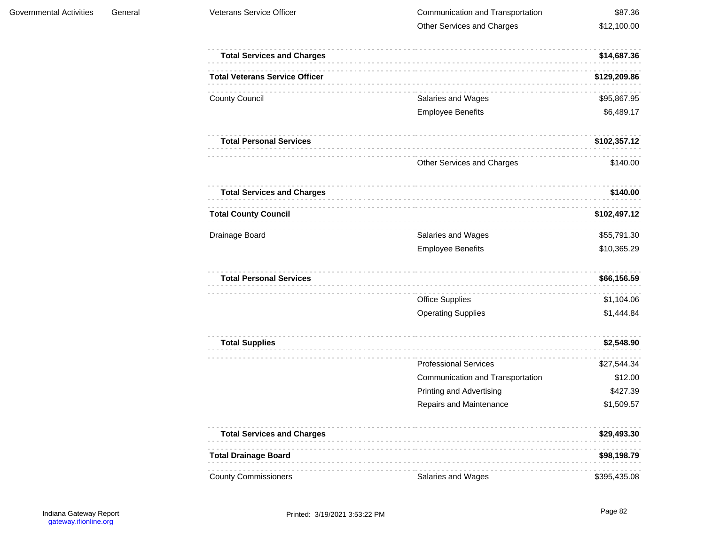| <b>Total Services and Charges</b>     |                                  | \$14,687.36  |
|---------------------------------------|----------------------------------|--------------|
| <b>Total Veterans Service Officer</b> |                                  | \$129,209.86 |
| <b>County Council</b>                 | Salaries and Wages               | \$95,867.95  |
|                                       | <b>Employee Benefits</b>         | \$6,489.17   |
| <b>Total Personal Services</b>        |                                  | \$102,357.12 |
|                                       | Other Services and Charges       | \$140.00     |
| <b>Total Services and Charges</b>     |                                  | \$140.00     |
| <b>Total County Council</b>           |                                  | \$102,497.12 |
| Drainage Board                        | Salaries and Wages               | \$55,791.30  |
|                                       | <b>Employee Benefits</b>         | \$10,365.29  |
| <b>Total Personal Services</b>        |                                  | \$66,156.59  |
|                                       | <b>Office Supplies</b>           | \$1,104.06   |
|                                       | <b>Operating Supplies</b>        | \$1,444.84   |
| <b>Total Supplies</b>                 |                                  | \$2,548.90   |
|                                       | <b>Professional Services</b>     | \$27,544.34  |
|                                       | Communication and Transportation | \$12.00      |
|                                       | <b>Printing and Advertising</b>  | \$427.39     |
|                                       | Repairs and Maintenance          | \$1,509.57   |
| <b>Total Services and Charges</b>     |                                  | \$29,493.30  |
| <b>Total Drainage Board</b>           |                                  | \$98,198.79  |
| <b>County Commissioners</b>           | Salaries and Wages               | \$395,435.08 |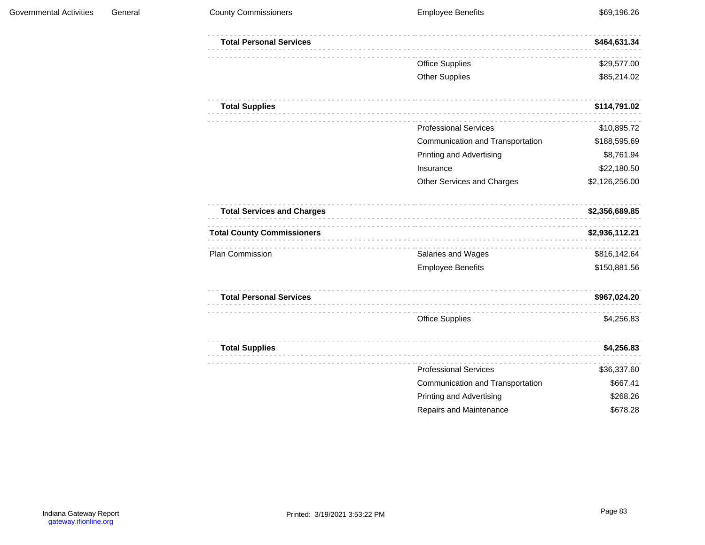| <b>Total Personal Services</b>    |                                  | \$464,631.34   |
|-----------------------------------|----------------------------------|----------------|
|                                   | <b>Office Supplies</b>           | \$29,577.00    |
|                                   | <b>Other Supplies</b>            | \$85,214.02    |
| <b>Total Supplies</b>             |                                  | \$114,791.02   |
|                                   | <b>Professional Services</b>     | \$10,895.72    |
|                                   | Communication and Transportation | \$188,595.69   |
|                                   | <b>Printing and Advertising</b>  | \$8,761.94     |
|                                   | Insurance                        | \$22,180.50    |
|                                   | Other Services and Charges       | \$2,126,256.00 |
| <b>Total Services and Charges</b> |                                  | \$2,356,689.85 |
| <b>Total County Commissioners</b> |                                  | \$2,936,112.21 |
| Plan Commission                   | Salaries and Wages               | \$816,142.64   |
|                                   | <b>Employee Benefits</b>         | \$150,881.56   |
| <b>Total Personal Services</b>    |                                  | \$967,024.20   |
|                                   | <b>Office Supplies</b>           | \$4,256.83     |
| <b>Total Supplies</b>             |                                  | \$4,256.83     |
|                                   | <b>Professional Services</b>     | \$36,337.60    |
|                                   | Communication and Transportation | \$667.41       |
|                                   | <b>Printing and Advertising</b>  | \$268.26       |
|                                   | Repairs and Maintenance          | \$678.28       |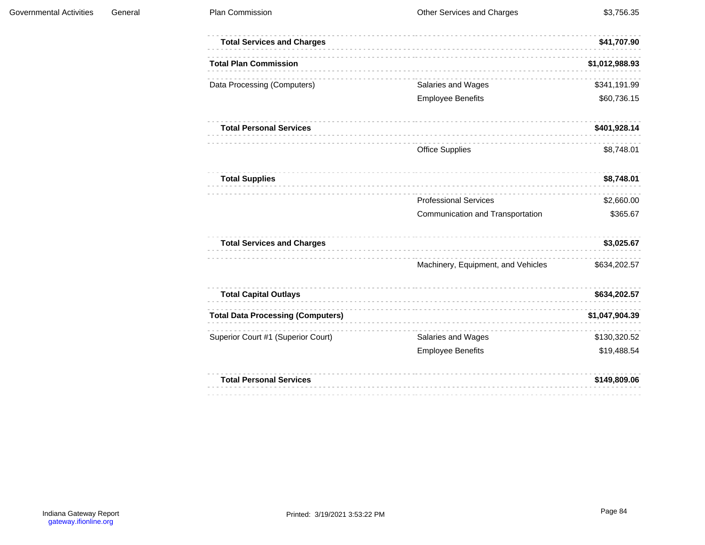| <b>Total Services and Charges</b>        |                                    | \$41,707.90    |
|------------------------------------------|------------------------------------|----------------|
| <b>Total Plan Commission</b>             |                                    | \$1,012,988.93 |
| Data Processing (Computers)              | Salaries and Wages                 | \$341,191.99   |
|                                          | <b>Employee Benefits</b>           | \$60,736.15    |
| <b>Total Personal Services</b>           |                                    | \$401,928.14   |
|                                          | <b>Office Supplies</b>             | \$8,748.01     |
| <b>Total Supplies</b>                    |                                    | \$8,748.01     |
|                                          | <b>Professional Services</b>       | \$2,660.00     |
|                                          | Communication and Transportation   | \$365.67       |
| <b>Total Services and Charges</b>        |                                    | \$3,025.67     |
|                                          | Machinery, Equipment, and Vehicles | \$634,202.57   |
| <b>Total Capital Outlays</b>             |                                    | \$634,202.57   |
| <b>Total Data Processing (Computers)</b> |                                    | \$1,047,904.39 |
| Superior Court #1 (Superior Court)       | Salaries and Wages                 | \$130,320.52   |
|                                          | <b>Employee Benefits</b>           | \$19,488.54    |
| <b>Total Personal Services</b>           |                                    | \$149,809.06   |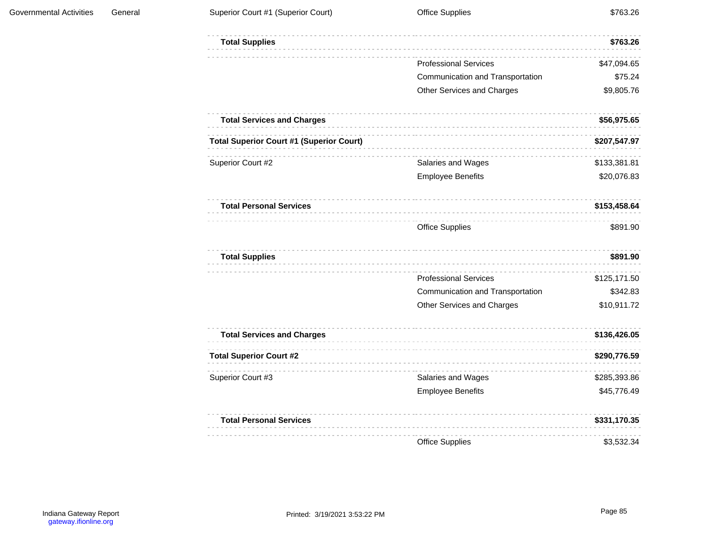| <b>Total Supplies</b>                           |                                  | \$763.26     |
|-------------------------------------------------|----------------------------------|--------------|
|                                                 | <b>Professional Services</b>     | \$47,094.65  |
|                                                 | Communication and Transportation | \$75.24      |
|                                                 | Other Services and Charges       | \$9,805.76   |
| <b>Total Services and Charges</b>               |                                  | \$56,975.65  |
| <b>Total Superior Court #1 (Superior Court)</b> |                                  | \$207,547.97 |
| Superior Court #2                               | Salaries and Wages               | \$133,381.81 |
|                                                 | <b>Employee Benefits</b>         | \$20,076.83  |
| <b>Total Personal Services</b>                  |                                  | \$153,458.64 |
|                                                 | <b>Office Supplies</b>           | \$891.90     |
| <b>Total Supplies</b>                           |                                  | \$891.90     |
|                                                 | <b>Professional Services</b>     | \$125,171.50 |
|                                                 | Communication and Transportation | \$342.83     |
|                                                 | Other Services and Charges       | \$10,911.72  |
| <b>Total Services and Charges</b>               |                                  | \$136,426.05 |
| <b>Total Superior Court #2</b>                  |                                  | \$290,776.59 |
| Superior Court #3                               | Salaries and Wages               | \$285,393.86 |
|                                                 | <b>Employee Benefits</b>         | \$45,776.49  |
| <b>Total Personal Services</b>                  |                                  | \$331,170.35 |
|                                                 | <b>Office Supplies</b>           | \$3,532.34   |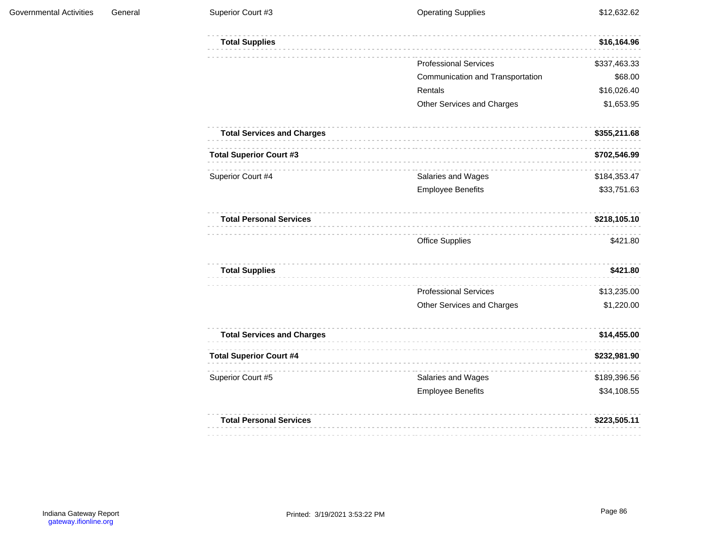| <b>Total Supplies</b>             |                                  | \$16,164.96  |
|-----------------------------------|----------------------------------|--------------|
|                                   | <b>Professional Services</b>     | \$337,463.33 |
|                                   | Communication and Transportation | \$68.00      |
|                                   | Rentals                          | \$16,026.40  |
|                                   | Other Services and Charges       | \$1,653.95   |
| <b>Total Services and Charges</b> |                                  | \$355,211.68 |
| <b>Total Superior Court #3</b>    |                                  | \$702,546.99 |
| Superior Court #4                 | Salaries and Wages               | \$184,353.47 |
|                                   | <b>Employee Benefits</b>         | \$33,751.63  |
| <b>Total Personal Services</b>    |                                  | \$218,105.10 |
|                                   | <b>Office Supplies</b>           | \$421.80     |
| <b>Total Supplies</b>             |                                  | \$421.80     |
|                                   | <b>Professional Services</b>     | \$13,235.00  |
|                                   | Other Services and Charges       | \$1,220.00   |
| <b>Total Services and Charges</b> |                                  | \$14,455.00  |
| <b>Total Superior Court #4</b>    |                                  | \$232,981.90 |
| Superior Court #5                 | Salaries and Wages               | \$189,396.56 |
|                                   | <b>Employee Benefits</b>         | \$34,108.55  |
| <b>Total Personal Services</b>    |                                  | \$223,505.11 |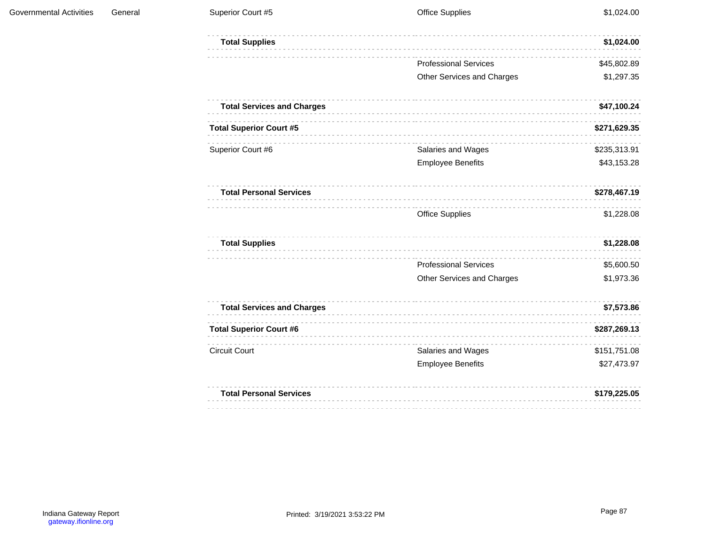| <b>Total Supplies</b>             |                              | \$1,024.00   |
|-----------------------------------|------------------------------|--------------|
|                                   | <b>Professional Services</b> | \$45,802.89  |
|                                   | Other Services and Charges   | \$1,297.35   |
| <b>Total Services and Charges</b> |                              | \$47,100.24  |
| <b>Total Superior Court #5</b>    |                              | \$271,629.35 |
| Superior Court #6                 | Salaries and Wages           | \$235,313.91 |
|                                   | <b>Employee Benefits</b>     | \$43,153.28  |
| <b>Total Personal Services</b>    |                              | \$278,467.19 |
|                                   | <b>Office Supplies</b>       | \$1,228.08   |
| <b>Total Supplies</b>             |                              | \$1,228.08   |
|                                   | <b>Professional Services</b> | \$5,600.50   |
|                                   | Other Services and Charges   | \$1,973.36   |
| <b>Total Services and Charges</b> |                              | \$7,573.86   |
| <b>Total Superior Court #6</b>    |                              | \$287,269.13 |
| <b>Circuit Court</b>              | Salaries and Wages           | \$151,751.08 |
|                                   | <b>Employee Benefits</b>     | \$27,473.97  |
| <b>Total Personal Services</b>    |                              | \$179,225.05 |
|                                   |                              |              |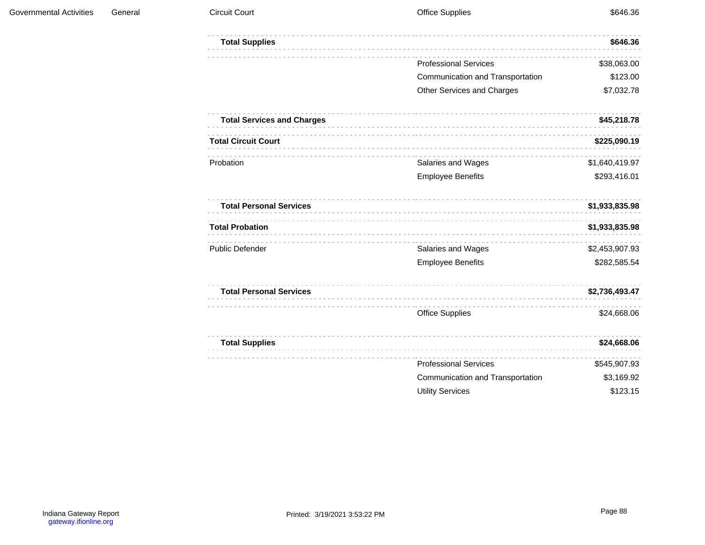| <b>Total Supplies</b>             |                                  | \$646.36       |
|-----------------------------------|----------------------------------|----------------|
|                                   | <b>Professional Services</b>     | \$38,063.00    |
|                                   | Communication and Transportation | \$123.00       |
|                                   | Other Services and Charges       | \$7,032.78     |
| <b>Total Services and Charges</b> |                                  | \$45,218.78    |
| <b>Total Circuit Court</b>        |                                  | \$225,090.19   |
| Probation                         | Salaries and Wages               | \$1,640,419.97 |
|                                   | <b>Employee Benefits</b>         | \$293,416.01   |
| <b>Total Personal Services</b>    |                                  | \$1,933,835.98 |
| <b>Total Probation</b>            |                                  | \$1,933,835.98 |
| <b>Public Defender</b>            | Salaries and Wages               | \$2,453,907.93 |
|                                   | <b>Employee Benefits</b>         | \$282,585.54   |
| <b>Total Personal Services</b>    |                                  | \$2,736,493.47 |
|                                   | <b>Office Supplies</b>           | \$24,668.06    |
| <b>Total Supplies</b>             |                                  | \$24,668.06    |
|                                   | <b>Professional Services</b>     | \$545,907.93   |
|                                   | Communication and Transportation | \$3,169.92     |
|                                   | <b>Utility Services</b>          | \$123.15       |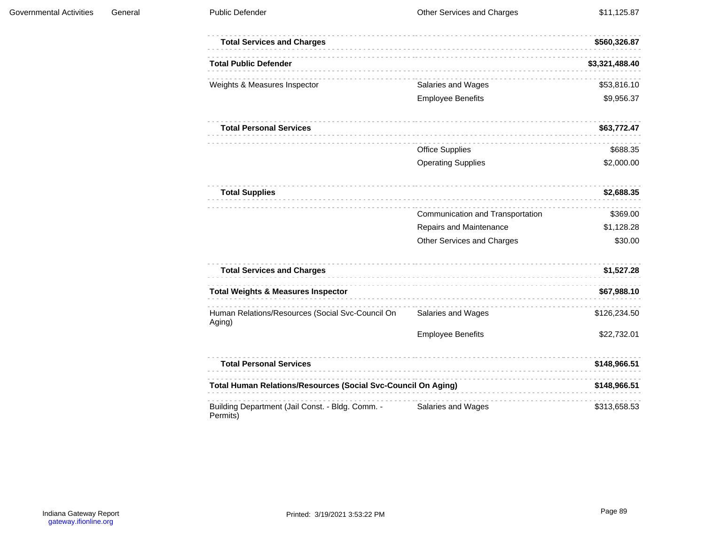| <b>Total Services and Charges</b>                                    |                                  | \$560,326.87   |
|----------------------------------------------------------------------|----------------------------------|----------------|
| <b>Total Public Defender</b>                                         |                                  | \$3,321,488.40 |
| Weights & Measures Inspector                                         | Salaries and Wages               | \$53,816.10    |
|                                                                      | <b>Employee Benefits</b>         | \$9,956.37     |
| <b>Total Personal Services</b>                                       |                                  | \$63,772.47    |
|                                                                      | <b>Office Supplies</b>           | \$688.35       |
|                                                                      | <b>Operating Supplies</b>        | \$2,000.00     |
| <b>Total Supplies</b>                                                |                                  | \$2,688.35     |
|                                                                      | Communication and Transportation | \$369.00       |
|                                                                      | Repairs and Maintenance          | \$1,128.28     |
|                                                                      | Other Services and Charges       | \$30.00        |
| <b>Total Services and Charges</b>                                    |                                  | \$1,527.28     |
| <b>Total Weights &amp; Measures Inspector</b>                        |                                  | \$67,988.10    |
| Human Relations/Resources (Social Svc-Council On<br>Aging)           | Salaries and Wages               | \$126,234.50   |
|                                                                      | <b>Employee Benefits</b>         | \$22,732.01    |
| <b>Total Personal Services</b>                                       |                                  | \$148,966.51   |
| <b>Total Human Relations/Resources (Social Svc-Council On Aging)</b> |                                  | \$148,966.51   |
| Building Department (Jail Const. - Bldg. Comm. -<br>Permits)         | Salaries and Wages               | \$313,658.53   |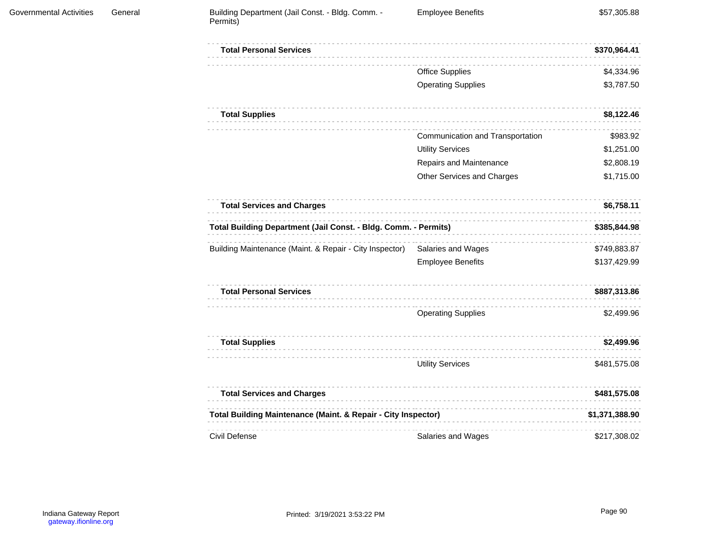| <b>Total Personal Services</b>                                           |                                  | \$370,964.41   |
|--------------------------------------------------------------------------|----------------------------------|----------------|
|                                                                          | <b>Office Supplies</b>           | \$4,334.96     |
|                                                                          | <b>Operating Supplies</b>        | \$3,787.50     |
| <b>Total Supplies</b>                                                    |                                  | \$8,122.46     |
|                                                                          | Communication and Transportation | \$983.92       |
|                                                                          | <b>Utility Services</b>          | \$1,251.00     |
|                                                                          | Repairs and Maintenance          | \$2,808.19     |
|                                                                          | Other Services and Charges       | \$1,715.00     |
| <b>Total Services and Charges</b>                                        |                                  | \$6,758.11     |
| Total Building Department (Jail Const. - Bldg. Comm. - Permits)          |                                  | \$385,844.98   |
| Building Maintenance (Maint. & Repair - City Inspector)                  | Salaries and Wages               | \$749,883.87   |
|                                                                          | <b>Employee Benefits</b>         | \$137,429.99   |
| <b>Total Personal Services</b>                                           |                                  | \$887,313.86   |
|                                                                          | <b>Operating Supplies</b>        | \$2,499.96     |
| <b>Total Supplies</b>                                                    |                                  | \$2,499.96     |
|                                                                          | <b>Utility Services</b>          | \$481,575.08   |
| <b>Total Services and Charges</b>                                        |                                  | \$481,575.08   |
| <b>Total Building Maintenance (Maint. &amp; Repair - City Inspector)</b> |                                  | \$1,371,388.90 |
| Civil Defense                                                            | Salaries and Wages               | \$217,308.02   |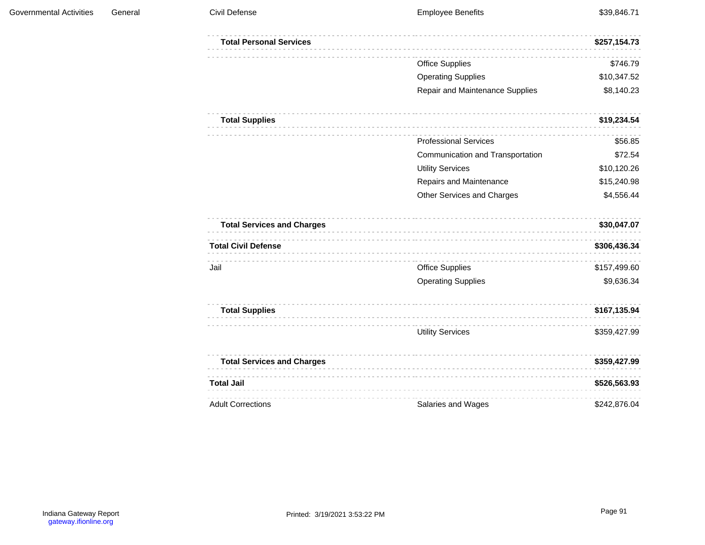| <b>Total Personal Services</b>    |                                  | \$257,154.73 |
|-----------------------------------|----------------------------------|--------------|
|                                   | <b>Office Supplies</b>           | \$746.79     |
|                                   | <b>Operating Supplies</b>        | \$10,347.52  |
|                                   | Repair and Maintenance Supplies  | \$8,140.23   |
| <b>Total Supplies</b>             |                                  | \$19,234.54  |
|                                   | <b>Professional Services</b>     | \$56.85      |
|                                   | Communication and Transportation | \$72.54      |
|                                   | <b>Utility Services</b>          | \$10,120.26  |
|                                   | Repairs and Maintenance          | \$15,240.98  |
|                                   | Other Services and Charges       | \$4,556.44   |
| <b>Total Services and Charges</b> |                                  | \$30,047.07  |
| <b>Total Civil Defense</b>        |                                  | \$306,436.34 |
| Jail                              | <b>Office Supplies</b>           | \$157,499.60 |
|                                   | <b>Operating Supplies</b>        | \$9,636.34   |
| <b>Total Supplies</b>             |                                  | \$167,135.94 |
|                                   | <b>Utility Services</b>          | \$359,427.99 |
| <b>Total Services and Charges</b> |                                  | \$359,427.99 |
| <b>Total Jail</b>                 |                                  | \$526,563.93 |
| <b>Adult Corrections</b>          | Salaries and Wages               | \$242,876.04 |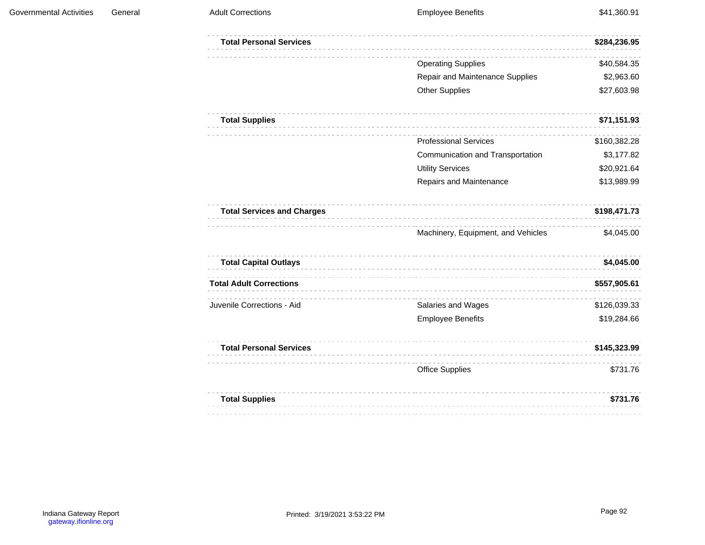| <b>Total Personal Services</b>    |                                    | \$284,236.95 |
|-----------------------------------|------------------------------------|--------------|
|                                   | <b>Operating Supplies</b>          | \$40,584.35  |
|                                   | Repair and Maintenance Supplies    | \$2,963.60   |
|                                   | <b>Other Supplies</b>              | \$27,603.98  |
| <b>Total Supplies</b>             |                                    | \$71,151.93  |
|                                   | <b>Professional Services</b>       | \$160,382.28 |
|                                   | Communication and Transportation   | \$3,177.82   |
|                                   | <b>Utility Services</b>            | \$20,921.64  |
|                                   | Repairs and Maintenance            | \$13,989.99  |
| <b>Total Services and Charges</b> |                                    | \$198,471.73 |
|                                   | Machinery, Equipment, and Vehicles | \$4,045.00   |
| <b>Total Capital Outlays</b>      |                                    | \$4,045.00   |
| <b>Total Adult Corrections</b>    |                                    | \$557,905.61 |
| Juvenile Corrections - Aid        | Salaries and Wages                 | \$126,039.33 |
|                                   | <b>Employee Benefits</b>           | \$19,284.66  |
| <b>Total Personal Services</b>    |                                    | \$145,323.99 |
|                                   | <b>Office Supplies</b>             | \$731.76     |
| <b>Total Supplies</b>             |                                    | \$731.76     |
|                                   |                                    |              |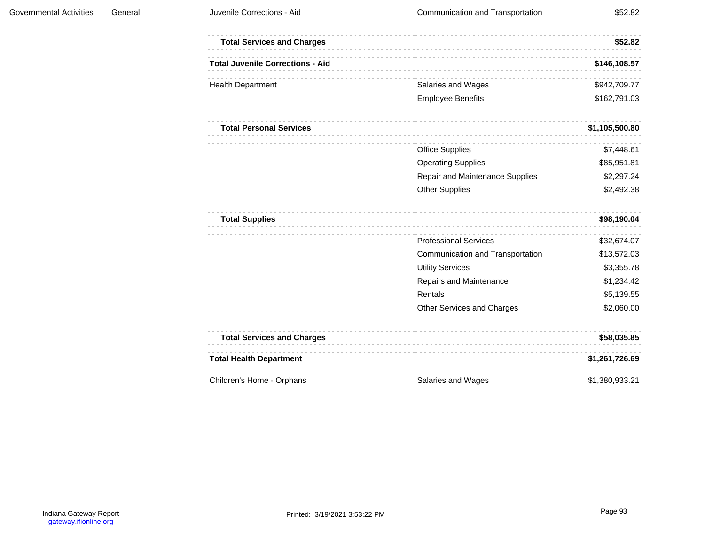| <b>Total Services and Charges</b>       |                                  | \$52.82        |
|-----------------------------------------|----------------------------------|----------------|
| <b>Total Juvenile Corrections - Aid</b> |                                  | \$146,108.57   |
| <b>Health Department</b>                | Salaries and Wages               | \$942,709.77   |
|                                         | <b>Employee Benefits</b>         | \$162,791.03   |
| <b>Total Personal Services</b>          |                                  | \$1,105,500.80 |
|                                         | <b>Office Supplies</b>           | \$7,448.61     |
|                                         | <b>Operating Supplies</b>        | \$85,951.81    |
|                                         | Repair and Maintenance Supplies  | \$2,297.24     |
|                                         | <b>Other Supplies</b>            | \$2,492.38     |
| <b>Total Supplies</b>                   |                                  | \$98,190.04    |
|                                         | <b>Professional Services</b>     | \$32,674.07    |
|                                         | Communication and Transportation | \$13,572.03    |
|                                         | <b>Utility Services</b>          | \$3,355.78     |
|                                         | Repairs and Maintenance          | \$1,234.42     |
|                                         | Rentals                          | \$5,139.55     |
|                                         | Other Services and Charges       | \$2,060.00     |
| <b>Total Services and Charges</b>       |                                  | \$58,035.85    |
| <b>Total Health Department</b>          |                                  | \$1,261,726.69 |
| Children's Home - Orphans               | Salaries and Wages               | \$1,380,933.21 |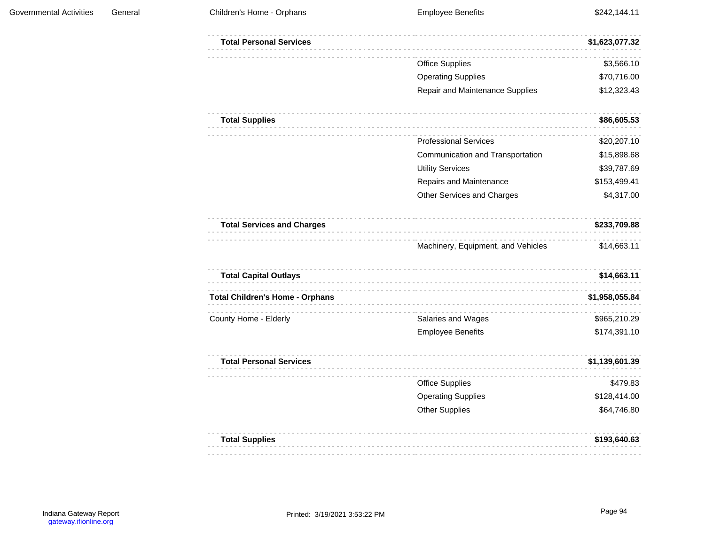| <b>Total Personal Services</b>         |                                    | \$1,623,077.32 |
|----------------------------------------|------------------------------------|----------------|
|                                        | <b>Office Supplies</b>             | \$3,566.10     |
|                                        | <b>Operating Supplies</b>          | \$70,716.00    |
|                                        | Repair and Maintenance Supplies    | \$12,323.43    |
| <b>Total Supplies</b>                  |                                    | \$86,605.53    |
|                                        | <b>Professional Services</b>       | \$20,207.10    |
|                                        | Communication and Transportation   | \$15,898.68    |
|                                        | <b>Utility Services</b>            | \$39,787.69    |
|                                        | Repairs and Maintenance            | \$153,499.41   |
|                                        | Other Services and Charges         | \$4,317.00     |
| <b>Total Services and Charges</b>      |                                    | \$233,709.88   |
|                                        | Machinery, Equipment, and Vehicles | \$14,663.11    |
| <b>Total Capital Outlays</b>           |                                    | \$14,663.11    |
| <b>Total Children's Home - Orphans</b> | .                                  | \$1,958,055.84 |
| County Home - Elderly                  | Salaries and Wages                 | \$965,210.29   |
|                                        | <b>Employee Benefits</b>           | \$174,391.10   |
| <b>Total Personal Services</b>         |                                    | \$1,139,601.39 |
|                                        | <b>Office Supplies</b>             | \$479.83       |
|                                        | <b>Operating Supplies</b>          | \$128,414.00   |
|                                        | <b>Other Supplies</b>              | \$64,746.80    |
| <b>Total Supplies</b>                  |                                    | \$193,640.63   |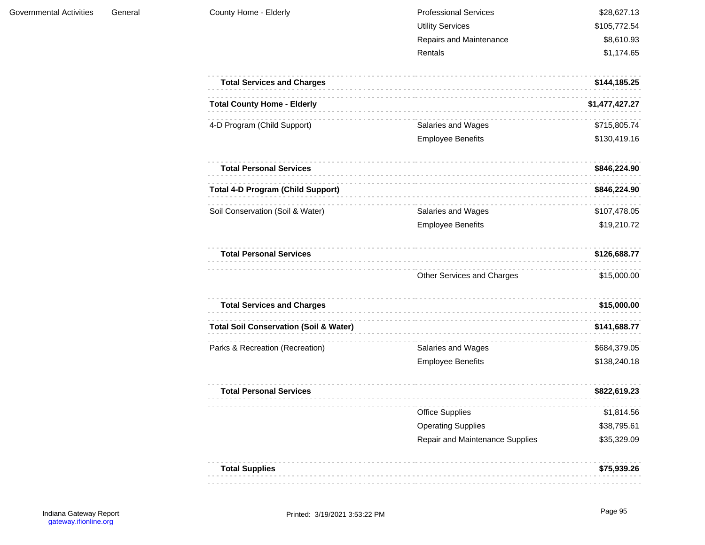| <b>Governmental Activities</b> | General | County Home - Elderly |
|--------------------------------|---------|-----------------------|
|                                |         |                       |

| <b>Professional Services</b> | \$28,627.13  |
|------------------------------|--------------|
| Utility Services             | \$105,772.54 |
| Repairs and Maintenance      | \$8,610.93   |
| Rentals                      | \$1.174.65   |

| <b>Total Services and Charges</b>                 |                                 | \$144,185.25   |
|---------------------------------------------------|---------------------------------|----------------|
| <b>Total County Home - Elderly</b>                |                                 | \$1,477,427.27 |
| 4-D Program (Child Support)                       | Salaries and Wages              | \$715,805.74   |
|                                                   | <b>Employee Benefits</b>        | \$130,419.16   |
| <b>Total Personal Services</b>                    |                                 | \$846,224.90   |
| <b>Total 4-D Program (Child Support)</b>          |                                 | \$846,224.90   |
| Soil Conservation (Soil & Water)                  | Salaries and Wages              | \$107,478.05   |
|                                                   | <b>Employee Benefits</b>        | \$19,210.72    |
| <b>Total Personal Services</b>                    |                                 | \$126,688.77   |
|                                                   | Other Services and Charges      | \$15,000.00    |
| <b>Total Services and Charges</b>                 |                                 | \$15,000.00    |
| <b>Total Soil Conservation (Soil &amp; Water)</b> |                                 | \$141,688.77   |
| Parks & Recreation (Recreation)                   | Salaries and Wages              | \$684,379.05   |
|                                                   | <b>Employee Benefits</b>        | \$138,240.18   |
| <b>Total Personal Services</b>                    |                                 | \$822,619.23   |
|                                                   | <b>Office Supplies</b>          | \$1,814.56     |
|                                                   | <b>Operating Supplies</b>       | \$38,795.61    |
|                                                   | Repair and Maintenance Supplies | \$35,329.09    |
| <b>Total Supplies</b>                             |                                 | \$75,939.26    |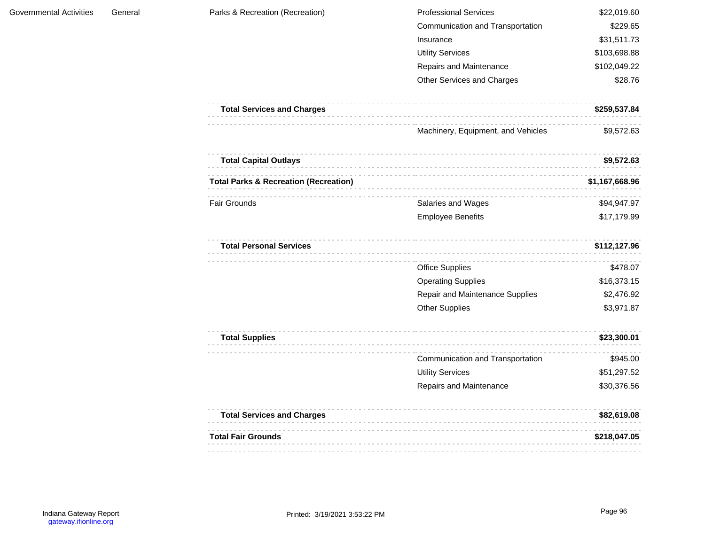| <b>Professional Services</b>     | \$22,019.60  |
|----------------------------------|--------------|
| Communication and Transportation | \$229.65     |
| Insurance                        | \$31,511.73  |
| <b>Utility Services</b>          | \$103,698.88 |
| Repairs and Maintenance          | \$102,049.22 |
| Other Services and Charges       | \$28.76      |

| <b>Total Services and Charges</b> | \$259.537.84 |
|-----------------------------------|--------------|
|                                   |              |
|                                   |              |

Machinery, Equipment, and Vehicles \$9,572.63

| <b>Total Capital Outlays</b>                     |                          | \$9,572.63     |
|--------------------------------------------------|--------------------------|----------------|
| <b>Total Parks &amp; Recreation (Recreation)</b> |                          | \$1,167,668.96 |
| <b>Fair Grounds</b>                              | Salaries and Wages       | \$94.947.97    |
|                                                  | <b>Employee Benefits</b> | \$17,179.99    |

| <b>Total Personal Services</b> |                                        |             |
|--------------------------------|----------------------------------------|-------------|
|                                | <b>Office Supplies</b>                 | \$478.07    |
|                                | <b>Operating Supplies</b>              | \$16,373.15 |
|                                | <b>Repair and Maintenance Supplies</b> | \$2,476.92  |
|                                | <b>Other Supplies</b>                  | \$3,971.87  |

| <b>Total Supplies</b> |                                  | \$23,300.01 |
|-----------------------|----------------------------------|-------------|
|                       | Communication and Transportation | \$945.00    |
|                       | <b>Utility Services</b>          | \$51,297.52 |
|                       | Repairs and Maintenance          | \$30,376.56 |

| <b>Total Services and Charges</b> | \$82.619.08  |
|-----------------------------------|--------------|
| <b>Total Fair Grounds</b>         | \$218.047.05 |
|                                   |              |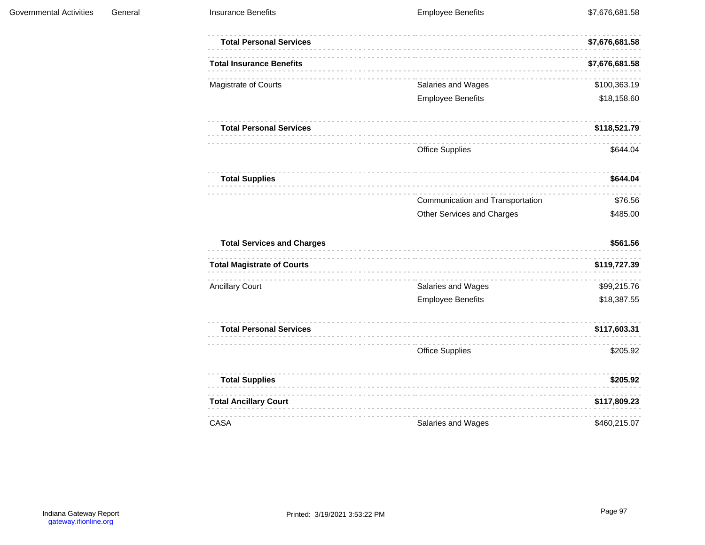| <b>Total Personal Services</b>    |                                  | \$7,676,681.58 |
|-----------------------------------|----------------------------------|----------------|
| <b>Total Insurance Benefits</b>   |                                  | \$7,676,681.58 |
| Magistrate of Courts              | Salaries and Wages               | \$100,363.19   |
|                                   | <b>Employee Benefits</b>         | \$18,158.60    |
| <b>Total Personal Services</b>    |                                  | \$118,521.79   |
|                                   | <b>Office Supplies</b>           | \$644.04       |
| <b>Total Supplies</b>             |                                  | \$644.04       |
|                                   | Communication and Transportation | \$76.56        |
|                                   | Other Services and Charges       | \$485.00       |
| <b>Total Services and Charges</b> |                                  | \$561.56       |
| <b>Total Magistrate of Courts</b> |                                  | \$119,727.39   |
| <b>Ancillary Court</b>            | Salaries and Wages               | \$99,215.76    |
|                                   | <b>Employee Benefits</b>         | \$18,387.55    |
| <b>Total Personal Services</b>    |                                  | \$117,603.31   |
|                                   | <b>Office Supplies</b>           | \$205.92       |
| <b>Total Supplies</b>             |                                  | \$205.92       |
| <b>Total Ancillary Court</b>      |                                  | \$117,809.23   |
| <b>CASA</b>                       | Salaries and Wages               | \$460,215.07   |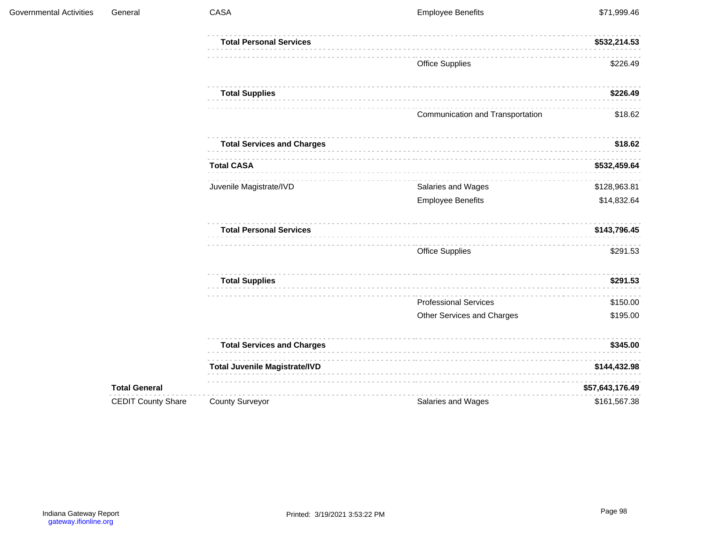| Governmental Activities | General                   | CASA                                 | <b>Employee Benefits</b>         | \$71,999.46     |
|-------------------------|---------------------------|--------------------------------------|----------------------------------|-----------------|
|                         |                           | <b>Total Personal Services</b>       |                                  | \$532,214.53    |
|                         |                           |                                      | <b>Office Supplies</b>           | \$226.49        |
|                         |                           | <b>Total Supplies</b>                |                                  | \$226.49        |
|                         |                           |                                      | Communication and Transportation | \$18.62         |
|                         |                           | <b>Total Services and Charges</b>    |                                  | \$18.62         |
|                         |                           | <b>Total CASA</b>                    |                                  | \$532,459.64    |
|                         |                           | Juvenile Magistrate/IVD              | Salaries and Wages               | \$128,963.81    |
|                         |                           |                                      | <b>Employee Benefits</b>         | \$14,832.64     |
|                         |                           | <b>Total Personal Services</b>       |                                  | \$143,796.45    |
|                         |                           |                                      | Office Supplies                  | \$291.53        |
|                         |                           | <b>Total Supplies</b>                |                                  | \$291.53        |
|                         |                           |                                      | <b>Professional Services</b>     | \$150.00        |
|                         |                           |                                      | Other Services and Charges       | \$195.00        |
|                         |                           | <b>Total Services and Charges</b>    |                                  | \$345.00        |
|                         |                           | <b>Total Juvenile Magistrate/IVD</b> |                                  | \$144,432.98    |
|                         | <b>Total General</b>      |                                      |                                  | \$57,643,176.49 |
|                         | <b>CEDIT County Share</b> | <b>County Surveyor</b>               | Salaries and Wages               | \$161,567.38    |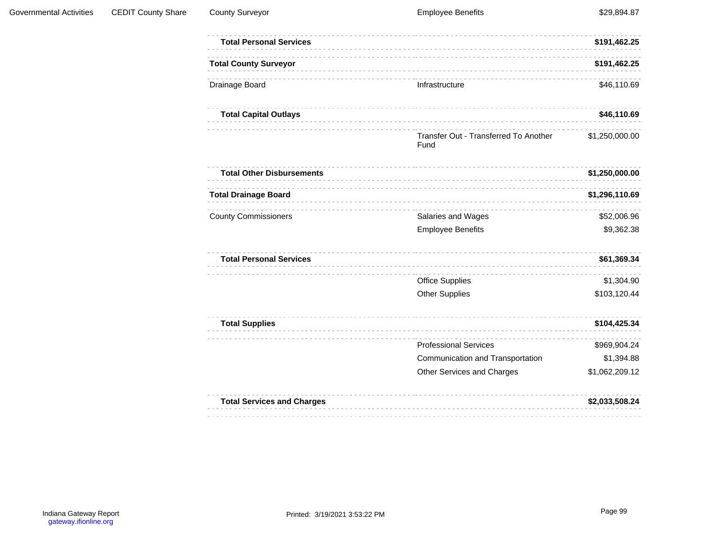| <b>Total Personal Services</b>    |                                               | \$191,462.25   |
|-----------------------------------|-----------------------------------------------|----------------|
| <b>Total County Surveyor</b>      |                                               | \$191,462.25   |
| Drainage Board                    | Infrastructure                                | \$46,110.69    |
| <b>Total Capital Outlays</b>      |                                               | \$46,110.69    |
|                                   | Transfer Out - Transferred To Another<br>Fund | \$1,250,000.00 |
| <b>Total Other Disbursements</b>  |                                               | \$1,250,000.00 |
| <b>Total Drainage Board</b>       |                                               | \$1,296,110.69 |
| <b>County Commissioners</b>       | Salaries and Wages                            | \$52,006.96    |
|                                   | <b>Employee Benefits</b>                      | \$9,362.38     |
| <b>Total Personal Services</b>    |                                               | \$61,369.34    |
|                                   | <b>Office Supplies</b>                        | \$1,304.90     |
|                                   | <b>Other Supplies</b>                         | \$103,120.44   |
| <b>Total Supplies</b>             |                                               | \$104,425.34   |
|                                   | <b>Professional Services</b>                  | \$969,904.24   |
|                                   | Communication and Transportation              | \$1,394.88     |
|                                   | Other Services and Charges                    | \$1,062,209.12 |
| <b>Total Services and Charges</b> |                                               | \$2,033,508.24 |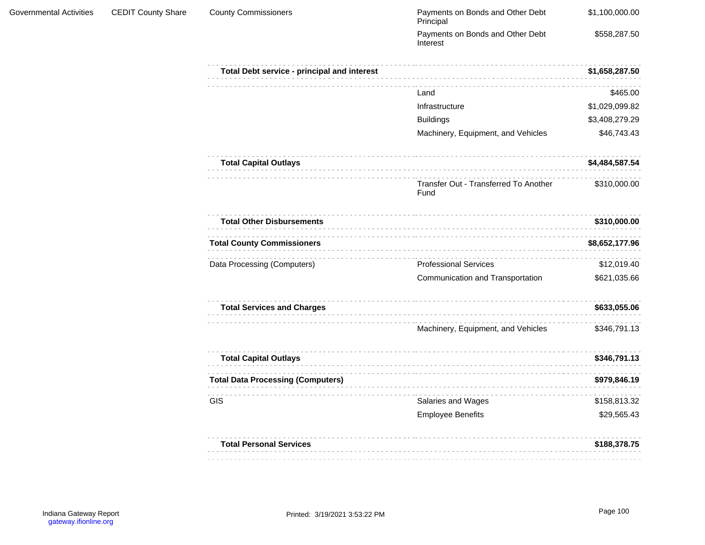$\label{eq:2.1} \begin{array}{cccccccccccccc} \cdots & \cdots & \cdots & \cdots & \cdots & \cdots & \cdots \end{array}$ 

| <b>County Commissioners</b>                 | Payments on Bonds and Other Debt<br>Principal | \$1,100,000.00 |
|---------------------------------------------|-----------------------------------------------|----------------|
|                                             | Payments on Bonds and Other Debt<br>Interest  | \$558,287.50   |
| Total Debt service - principal and interest |                                               | \$1,658,287.50 |
|                                             | Land                                          | \$465.00       |
|                                             | Infrastructure                                | \$1,029,099.82 |
|                                             | <b>Buildings</b>                              | \$3,408,279.29 |
|                                             | Machinery, Equipment, and Vehicles            | \$46,743.43    |
| <b>Total Capital Outlays</b>                |                                               | \$4,484,587.54 |
|                                             | Transfer Out - Transferred To Another<br>Fund | \$310,000.00   |
| <b>Total Other Disbursements</b>            |                                               | \$310,000.00   |
| <b>Total County Commissioners</b>           |                                               | \$8,652,177.96 |
| Data Processing (Computers)                 | <b>Professional Services</b>                  | \$12,019.40    |
|                                             | Communication and Transportation              | \$621,035.66   |
| <b>Total Services and Charges</b>           |                                               | \$633,055.06   |
|                                             | Machinery, Equipment, and Vehicles            | \$346,791.13   |
| <b>Total Capital Outlays</b>                |                                               | \$346,791.13   |
| <b>Total Data Processing (Computers)</b>    |                                               | \$979,846.19   |
| GIS                                         | Salaries and Wages                            | \$158,813.32   |
|                                             | <b>Employee Benefits</b>                      | \$29,565.43    |
| <b>Total Personal Services</b>              |                                               | \$188,378.75   |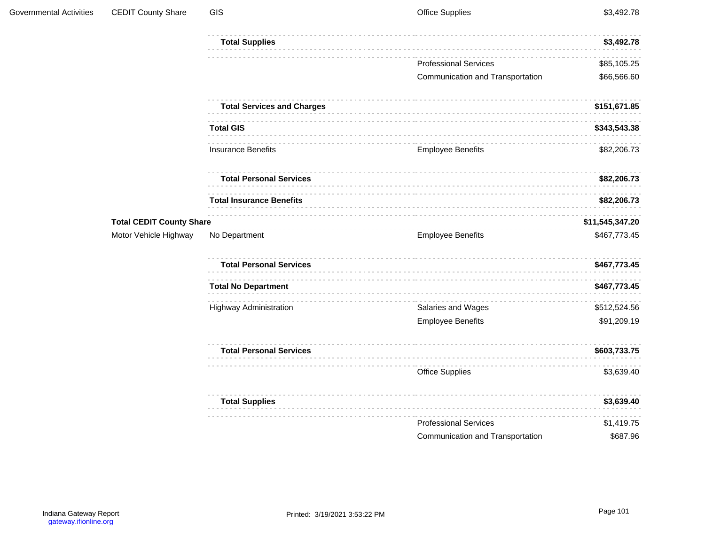| Governmental Activities | <b>CEDIT County Share</b>       | GIS                               | <b>Office Supplies</b>           | \$3,492.78   |
|-------------------------|---------------------------------|-----------------------------------|----------------------------------|--------------|
|                         |                                 | <b>Total Supplies</b>             |                                  | \$3,492.78   |
|                         |                                 |                                   | <b>Professional Services</b>     | \$85,105.25  |
|                         |                                 |                                   | Communication and Transportation | \$66,566.60  |
|                         |                                 | <b>Total Services and Charges</b> |                                  | \$151,671.85 |
|                         |                                 | <b>Total GIS</b>                  |                                  | \$343,543.38 |
|                         |                                 | <b>Insurance Benefits</b>         | <b>Employee Benefits</b>         | \$82,206.73  |
|                         |                                 | <b>Total Personal Services</b>    |                                  | \$82,206.73  |
|                         |                                 | <b>Total Insurance Benefits</b>   |                                  | \$82,206.73  |
|                         | <b>Total CEDIT County Share</b> | \$11,545,347.20                   |                                  |              |
|                         | Motor Vehicle Highway           | No Department                     | <b>Employee Benefits</b>         | \$467,773.45 |
|                         |                                 | <b>Total Personal Services</b>    |                                  | \$467,773.45 |
|                         |                                 | <b>Total No Department</b>        |                                  | \$467,773.45 |
|                         |                                 | <b>Highway Administration</b>     | Salaries and Wages               | \$512,524.56 |
|                         |                                 |                                   | <b>Employee Benefits</b>         | \$91,209.19  |
|                         |                                 | <b>Total Personal Services</b>    |                                  | \$603,733.75 |
|                         |                                 |                                   | <b>Office Supplies</b>           | \$3,639.40   |
|                         |                                 | <b>Total Supplies</b>             |                                  | \$3,639.40   |
|                         |                                 |                                   | <b>Professional Services</b>     | \$1,419.75   |
|                         |                                 |                                   | Communication and Transportation | \$687.96     |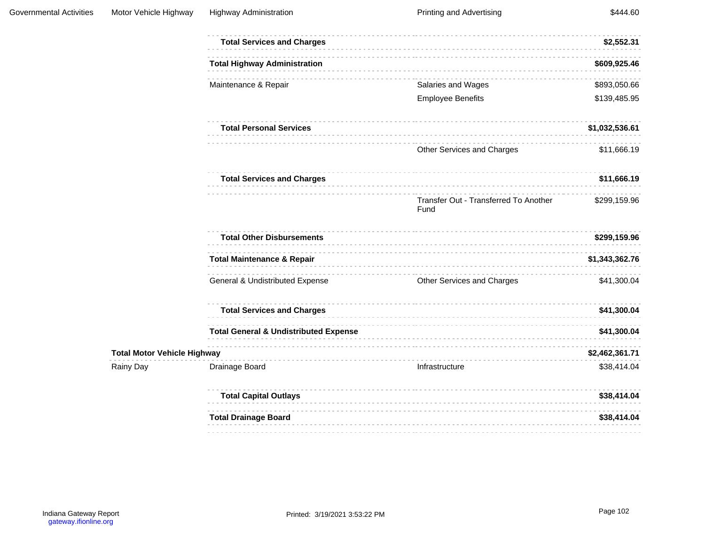|                                    | <b>Total Services and Charges</b>                |                                               | \$2,552.31     |
|------------------------------------|--------------------------------------------------|-----------------------------------------------|----------------|
|                                    | <b>Total Highway Administration</b>              |                                               | \$609,925.46   |
|                                    | Maintenance & Repair                             | Salaries and Wages                            | \$893,050.66   |
|                                    |                                                  | <b>Employee Benefits</b>                      | \$139,485.95   |
|                                    | <b>Total Personal Services</b>                   |                                               | \$1,032,536.61 |
|                                    |                                                  | Other Services and Charges                    | \$11,666.19    |
|                                    | <b>Total Services and Charges</b>                |                                               | \$11,666.19    |
|                                    |                                                  | Transfer Out - Transferred To Another<br>Fund | \$299,159.96   |
|                                    | <b>Total Other Disbursements</b>                 |                                               | \$299,159.96   |
|                                    | <b>Total Maintenance &amp; Repair</b>            |                                               | \$1,343,362.76 |
|                                    | General & Undistributed Expense                  | Other Services and Charges                    | \$41,300.04    |
|                                    | <b>Total Services and Charges</b>                |                                               | \$41,300.04    |
|                                    | <b>Total General &amp; Undistributed Expense</b> |                                               | \$41,300.04    |
| <b>Total Motor Vehicle Highway</b> |                                                  |                                               | \$2,462,361.71 |
| Rainy Day                          | Drainage Board                                   | Infrastructure                                | \$38,414.04    |
|                                    | <b>Total Capital Outlays</b>                     |                                               | \$38,414.04    |
|                                    | <b>Total Drainage Board</b>                      |                                               | \$38,414.04    |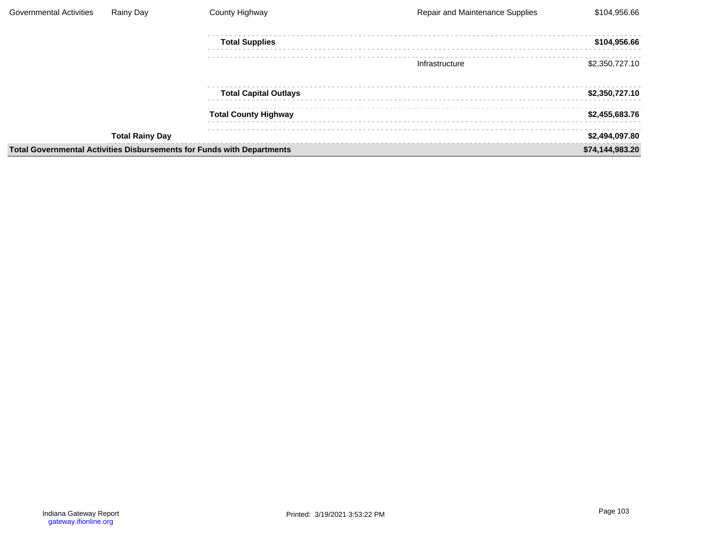| <b>Governmental Activities</b>                                         | Rainy Day              | County Highway               | Repair and Maintenance Supplies | \$104,956.66    |
|------------------------------------------------------------------------|------------------------|------------------------------|---------------------------------|-----------------|
|                                                                        |                        | <b>Total Supplies</b>        |                                 | \$104,956.66    |
|                                                                        |                        |                              | Infrastructure                  | \$2,350,727.10  |
|                                                                        |                        | <b>Total Capital Outlays</b> |                                 | \$2,350,727.10  |
|                                                                        |                        | <b>Total County Highway</b>  |                                 | \$2,455,683.76  |
|                                                                        | <b>Total Rainy Day</b> |                              |                                 | \$2,494,097.80  |
| Total Governmental Activities Disbursements for Funds with Departments |                        |                              |                                 | \$74,144,983.20 |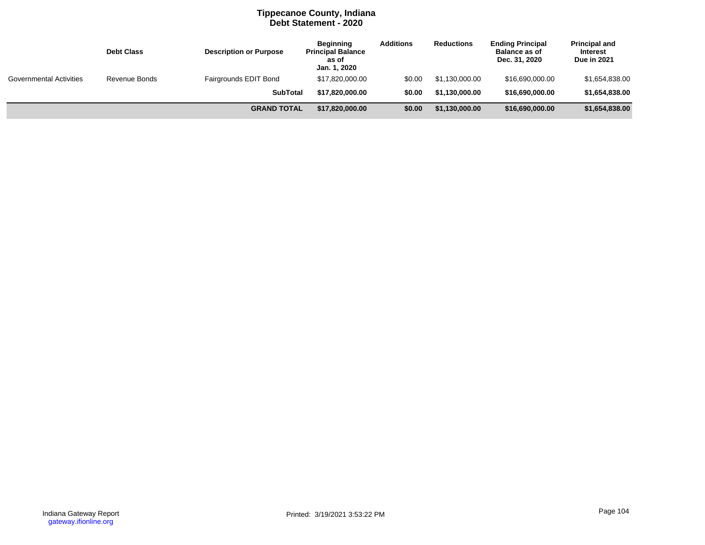## **Tippecanoe County, Indiana Debt Statement - 2020**

|                                | <b>Debt Class</b> | <b>Description or Purpose</b> | <b>Beginning</b><br><b>Principal Balance</b><br>as of<br>Jan. 1, 2020 | <b>Additions</b> | <b>Reductions</b> | <b>Ending Principal</b><br><b>Balance as of</b><br>Dec. 31, 2020 | <b>Principal and</b><br><b>Interest</b><br>Due in 2021 |
|--------------------------------|-------------------|-------------------------------|-----------------------------------------------------------------------|------------------|-------------------|------------------------------------------------------------------|--------------------------------------------------------|
| <b>Governmental Activities</b> | Revenue Bonds     | Fairgrounds EDIT Bond         | \$17,820,000.00                                                       | \$0.00           | \$1.130.000.00    | \$16,690,000.00                                                  | \$1,654,838.00                                         |
|                                |                   | <b>SubTotal</b>               | \$17.820.000.00                                                       | \$0.00           | \$1,130,000.00    | \$16,690,000.00                                                  | \$1,654,838.00                                         |
|                                |                   | <b>GRAND TOTAL</b>            | \$17,820,000.00                                                       | \$0.00           | \$1,130,000.00    | \$16,690,000.00                                                  | \$1,654,838.00                                         |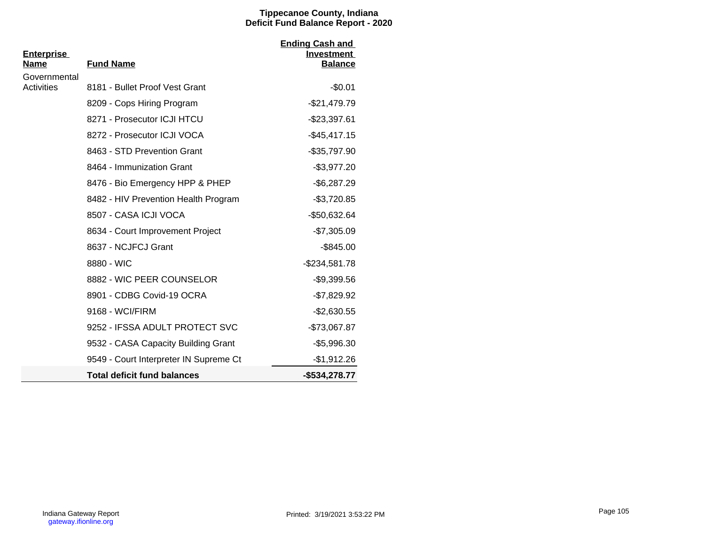## **Tippecanoe County, Indiana Deficit Fund Balance Report - 2020**

| <b>Enterprise</b> |                                        | <b>Ending Cash and</b><br>Investment |
|-------------------|----------------------------------------|--------------------------------------|
| Name              | <b>Fund Name</b>                       | <b>Balance</b>                       |
| Governmental      |                                        |                                      |
| <b>Activities</b> | 8181 - Bullet Proof Vest Grant         | $-$0.01$                             |
|                   | 8209 - Cops Hiring Program             | -\$21,479.79                         |
|                   | 8271 - Prosecutor ICJI HTCU            | $-$23,397.61$                        |
|                   | 8272 - Prosecutor ICJI VOCA            | $-$ \$45,417.15                      |
|                   | 8463 - STD Prevention Grant            | $-$35,797.90$                        |
|                   | 8464 - Immunization Grant              | $-$3,977.20$                         |
|                   | 8476 - Bio Emergency HPP & PHEP        | $-$6,287.29$                         |
|                   | 8482 - HIV Prevention Health Program   | $-$3,720.85$                         |
|                   | 8507 - CASA ICJI VOCA                  | -\$50,632.64                         |
|                   | 8634 - Court Improvement Project       | $-$7,305.09$                         |
|                   | 8637 - NCJFCJ Grant                    | $-$ \$845.00                         |
|                   | 8880 - WIC                             | $-$234,581.78$                       |
|                   | 8882 - WIC PEER COUNSELOR              | $-$9,399.56$                         |
|                   | 8901 - CDBG Covid-19 OCRA              | $-$7,829.92$                         |
|                   | 9168 - WCI/FIRM                        | $-$2,630.55$                         |
|                   | 9252 - IFSSA ADULT PROTECT SVC         | -\$73,067.87                         |
|                   | 9532 - CASA Capacity Building Grant    | $-$5,996.30$                         |
|                   | 9549 - Court Interpreter IN Supreme Ct | $-$1,912.26$                         |
|                   | <b>Total deficit fund balances</b>     | -\$534,278.77                        |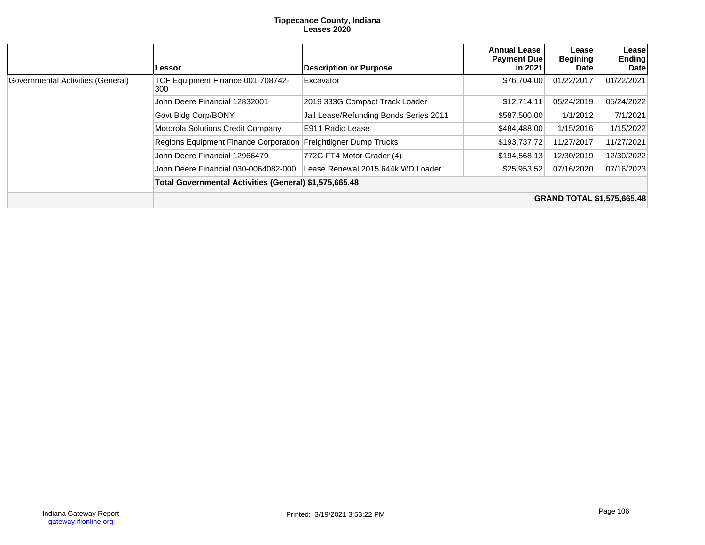#### **Tippecanoe County, Indiana Leases 2020**

|                                   | Lessor                                                 | <b>Description or Purpose</b>          | <b>Annual Lease</b><br><b>Payment Due</b><br>in 2021 | Lease<br><b>Begining</b><br><b>Date</b> | Leasel<br><b>Ending</b><br>Date   |  |
|-----------------------------------|--------------------------------------------------------|----------------------------------------|------------------------------------------------------|-----------------------------------------|-----------------------------------|--|
| Governmental Activities (General) | TCF Equipment Finance 001-708742-<br>300               | Excavator                              | \$76,704.00                                          | 01/22/2017                              | 01/22/2021                        |  |
|                                   | John Deere Financial 12832001                          | 2019 333G Compact Track Loader         | \$12,714.11                                          | 05/24/2019                              | 05/24/2022                        |  |
|                                   | Govt Bldg Corp/BONY                                    | Jail Lease/Refunding Bonds Series 2011 | \$587,500.00                                         | 1/1/2012                                | 7/1/2021                          |  |
|                                   | Motorola Solutions Credit Company                      | E911 Radio Lease                       | \$484,488.00                                         | 1/15/2016                               | 1/15/2022                         |  |
|                                   | Regions Equipment Finance Corporation                  | Freightligner Dump Trucks              | \$193,737.72                                         | 11/27/2017                              | 11/27/2021                        |  |
|                                   | John Deere Financial 12966479                          | 772G FT4 Motor Grader (4)              | \$194,568.13                                         | 12/30/2019                              | 12/30/2022                        |  |
|                                   | John Deere Financial 030-0064082-000                   | Lease Renewal 2015 644k WD Loader      | \$25,953.52                                          | 07/16/2020                              | 07/16/2023                        |  |
|                                   | Total Governmental Activities (General) \$1,575,665.48 |                                        |                                                      |                                         |                                   |  |
|                                   |                                                        |                                        |                                                      |                                         | <b>GRAND TOTAL \$1,575,665.48</b> |  |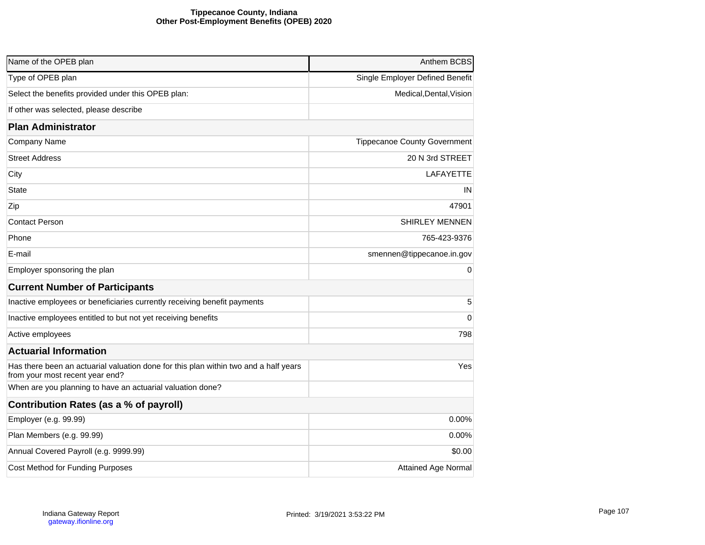### **Tippecanoe County, Indiana Other Post-Employment Benefits (OPEB) 2020**

| Name of the OPEB plan                                                                                                   | Anthem BCBS                         |
|-------------------------------------------------------------------------------------------------------------------------|-------------------------------------|
| Type of OPEB plan                                                                                                       | Single Employer Defined Benefit     |
| Select the benefits provided under this OPEB plan:                                                                      | Medical, Dental, Vision             |
| If other was selected, please describe                                                                                  |                                     |
|                                                                                                                         |                                     |
| <b>Plan Administrator</b>                                                                                               |                                     |
| Company Name                                                                                                            | <b>Tippecanoe County Government</b> |
| <b>Street Address</b>                                                                                                   | 20 N 3rd STREET                     |
| City                                                                                                                    | LAFAYETTE                           |
| State                                                                                                                   | ΙN                                  |
| Zip                                                                                                                     | 47901                               |
| Contact Person                                                                                                          | <b>SHIRLEY MENNEN</b>               |
| Phone                                                                                                                   | 765-423-9376                        |
| E-mail                                                                                                                  | smennen@tippecanoe.in.gov           |
| Employer sponsoring the plan                                                                                            | 0                                   |
| <b>Current Number of Participants</b>                                                                                   |                                     |
| Inactive employees or beneficiaries currently receiving benefit payments                                                | 5                                   |
| Inactive employees entitled to but not yet receiving benefits                                                           | 0                                   |
| Active employees                                                                                                        | 798                                 |
| <b>Actuarial Information</b>                                                                                            |                                     |
| Has there been an actuarial valuation done for this plan within two and a half years<br>from your most recent year end? | Yes                                 |
| When are you planning to have an actuarial valuation done?                                                              |                                     |
| Contribution Rates (as a % of payroll)                                                                                  |                                     |
| Employer (e.g. 99.99)                                                                                                   | 0.00%                               |
| Plan Members (e.g. 99.99)                                                                                               | 0.00%                               |
| Annual Covered Payroll (e.g. 9999.99)                                                                                   | \$0.00                              |
| Cost Method for Funding Purposes                                                                                        | <b>Attained Age Normal</b>          |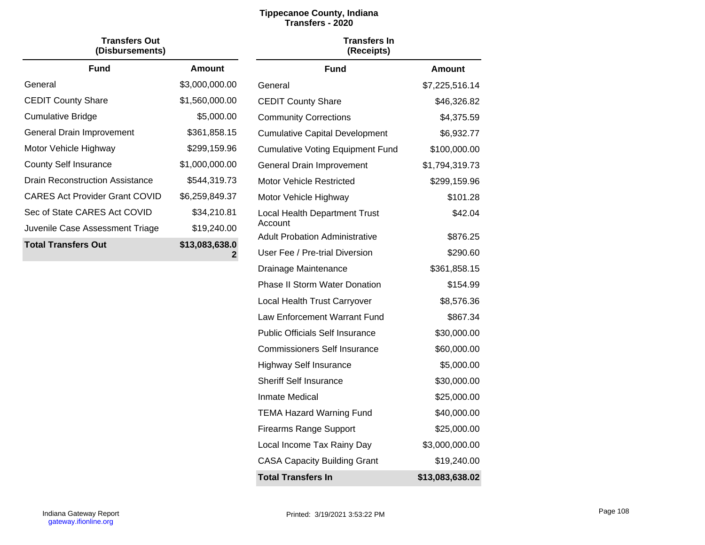# **Tippecanoe County, Indiana Transfers - 2020**

| Transfers Out<br>(Disbursements)      |                     |
|---------------------------------------|---------------------|
| <b>Fund</b>                           | Amount              |
| General                               | \$3,000,000.00      |
| <b>CEDIT County Share</b>             | \$1,560,000.00      |
| Cumulative Bridge                     | \$5,000.00          |
| General Drain Improvement             | \$361,858.15        |
| Motor Vehicle Highway                 | \$299,159.96        |
| County Self Insurance                 | \$1,000,000.00      |
| Drain Reconstruction Assistance       | \$544,319.73        |
| <b>CARES Act Provider Grant COVID</b> | \$6,259,849.37      |
| Sec of State CARES Act COVID          | \$34,210.81         |
| Juvenile Case Assessment Triage       | \$19,240.00         |
| <b>Total Transfers Out</b>            | \$13,083,638.0<br>2 |

| (Receipts)                                      |                 |
|-------------------------------------------------|-----------------|
| <b>Fund</b>                                     | Amount          |
| General                                         | \$7,225,516.14  |
| <b>CEDIT County Share</b>                       | \$46,326.82     |
| <b>Community Corrections</b>                    | \$4,375.59      |
| <b>Cumulative Capital Development</b>           | \$6,932.77      |
| <b>Cumulative Voting Equipment Fund</b>         | \$100,000.00    |
| General Drain Improvement                       | \$1,794,319.73  |
| Motor Vehicle Restricted                        | \$299,159.96    |
| Motor Vehicle Highway                           | \$101.28        |
| <b>Local Health Department Trust</b><br>Account | \$42.04         |
| <b>Adult Probation Administrative</b>           | \$876.25        |
| User Fee / Pre-trial Diversion                  | \$290.60        |
| Drainage Maintenance                            | \$361,858.15    |
| Phase II Storm Water Donation                   | \$154.99        |
| Local Health Trust Carryover                    | \$8,576.36      |
| Law Enforcement Warrant Fund                    | \$867.34        |
| Public Officials Self Insurance                 | \$30,000.00     |
| Commissioners Self Insurance                    | \$60,000.00     |
| <b>Highway Self Insurance</b>                   | \$5,000.00      |
| Sheriff Self Insurance                          | \$30,000.00     |
| Inmate Medical                                  | \$25,000.00     |
| <b>TEMA Hazard Warning Fund</b>                 | \$40,000.00     |
| <b>Firearms Range Support</b>                   | \$25,000.00     |
| Local Income Tax Rainy Day                      | \$3,000,000.00  |
| <b>CASA Capacity Building Grant</b>             | \$19,240.00     |
| <b>Total Transfers In</b>                       | \$13,083,638.02 |
|                                                 |                 |

**Transfers In**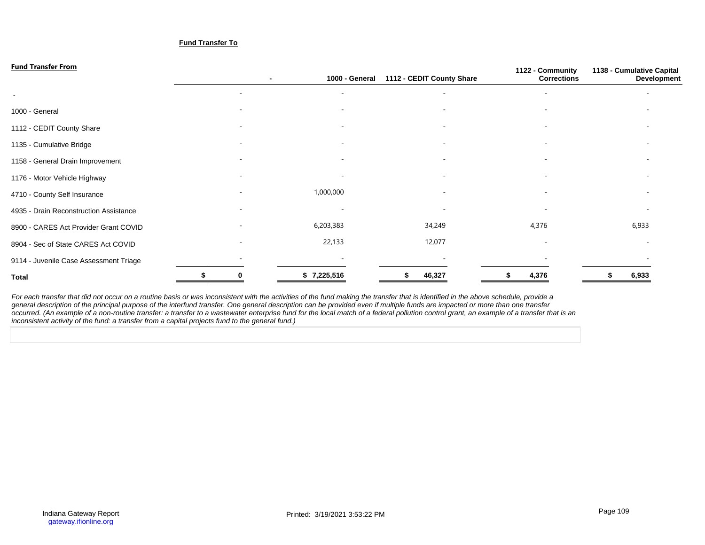#### **Fund Transfer To**

| <b>Fund Transfer From</b>              |                          |                          |                           | 1122 - Community         | 1138 - Cumulative Capital |
|----------------------------------------|--------------------------|--------------------------|---------------------------|--------------------------|---------------------------|
|                                        |                          | 1000 - General           | 1112 - CEDIT County Share | <b>Corrections</b>       | Development               |
| $\sim$                                 | $\overline{\phantom{a}}$ | $\overline{\phantom{a}}$ | ٠                         | $\overline{\phantom{a}}$ |                           |
| 1000 - General                         |                          |                          |                           |                          |                           |
| 1112 - CEDIT County Share              |                          |                          | ۰                         |                          |                           |
| 1135 - Cumulative Bridge               |                          |                          | ٠                         |                          |                           |
| 1158 - General Drain Improvement       | $\overline{\phantom{a}}$ |                          | $\sim$                    | $\overline{\phantom{a}}$ |                           |
| 1176 - Motor Vehicle Highway           | $\overline{\phantom{a}}$ |                          | $\overline{\phantom{a}}$  | $\overline{\phantom{a}}$ |                           |
| 4710 - County Self Insurance           |                          | 1,000,000                | ٠                         |                          |                           |
| 4935 - Drain Reconstruction Assistance |                          |                          | ۰                         |                          |                           |
| 8900 - CARES Act Provider Grant COVID  |                          | 6,203,383                | 34,249                    | 4,376                    | 6,933                     |
| 8904 - Sec of State CARES Act COVID    |                          | 22,133                   | 12,077                    |                          |                           |
| 9114 - Juvenile Case Assessment Triage |                          |                          | $\overline{\phantom{a}}$  |                          |                           |
| <b>Total</b>                           |                          | \$7,225,516              | 46,327                    | 4,376                    | 6,933                     |

For each transfer that did not occur on a routine basis or was inconsistent with the activities of the fund making the transfer that is identified in the above schedule, provide a general description of the principal purpose of the interfund transfer. One general description can be provided even if multiple funds are impacted or more than one transfer occurred. (An example of a non-routine transfer: a transfer to a wastewater enterprise fund for the local match of a federal pollution control grant, an example of a transfer that is an inconsistent activity of the fund: a transfer from a capital projects fund to the general fund.)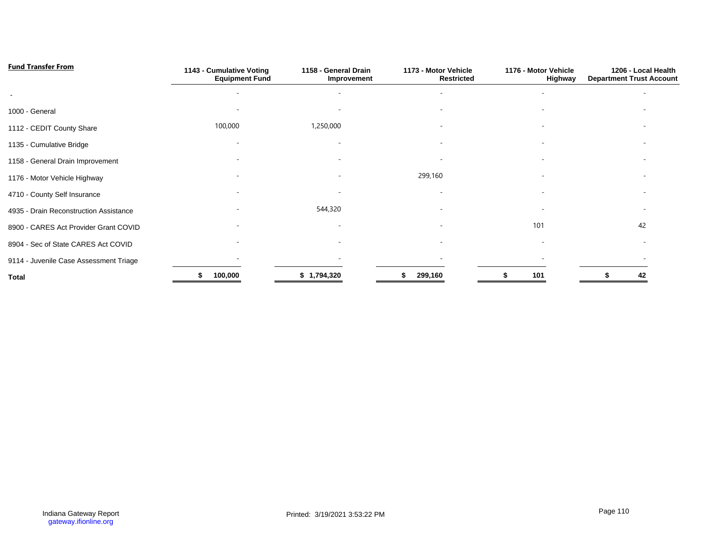| <b>Fund Transfer From</b>              | 1143 - Cumulative Voting<br><b>Equipment Fund</b> | 1158 - General Drain<br>Improvement | 1173 - Motor Vehicle<br><b>Restricted</b> | 1176 - Motor Vehicle<br>Highway | 1206 - Local Health<br><b>Department Trust Account</b> |
|----------------------------------------|---------------------------------------------------|-------------------------------------|-------------------------------------------|---------------------------------|--------------------------------------------------------|
|                                        |                                                   |                                     |                                           |                                 |                                                        |
| 1000 - General                         |                                                   |                                     |                                           |                                 |                                                        |
| 1112 - CEDIT County Share              | 100,000                                           | 1,250,000                           |                                           |                                 |                                                        |
| 1135 - Cumulative Bridge               |                                                   |                                     |                                           |                                 |                                                        |
| 1158 - General Drain Improvement       |                                                   |                                     | $\sim$                                    | ۰                               |                                                        |
| 1176 - Motor Vehicle Highway           |                                                   | $\overline{\phantom{0}}$            | 299,160                                   | $\overline{\phantom{a}}$        |                                                        |
| 4710 - County Self Insurance           |                                                   |                                     |                                           |                                 |                                                        |
| 4935 - Drain Reconstruction Assistance |                                                   | 544,320                             |                                           |                                 |                                                        |
| 8900 - CARES Act Provider Grant COVID  |                                                   |                                     |                                           | 101                             | 42                                                     |
| 8904 - Sec of State CARES Act COVID    |                                                   |                                     |                                           |                                 |                                                        |
| 9114 - Juvenile Case Assessment Triage |                                                   |                                     |                                           |                                 |                                                        |
| <b>Total</b>                           | 100,000                                           | \$1,794,320                         | 299,160                                   | 101                             | 42                                                     |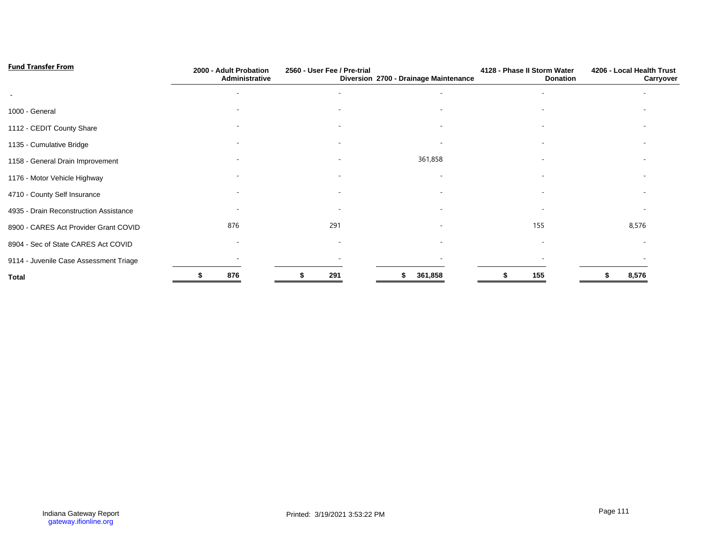| <b>Fund Transfer From</b>              | 2000 - Adult Probation<br>Administrative | 2560 - User Fee / Pre-trial | Diversion 2700 - Drainage Maintenance | 4128 - Phase II Storm Water<br><b>Donation</b> | 4206 - Local Health Trust<br>Carryover |
|----------------------------------------|------------------------------------------|-----------------------------|---------------------------------------|------------------------------------------------|----------------------------------------|
| $\overline{\phantom{a}}$               |                                          |                             |                                       |                                                |                                        |
| 1000 - General                         |                                          |                             |                                       |                                                |                                        |
| 1112 - CEDIT County Share              |                                          |                             |                                       |                                                |                                        |
| 1135 - Cumulative Bridge               |                                          |                             |                                       |                                                |                                        |
| 1158 - General Drain Improvement       |                                          |                             | 361,858                               |                                                |                                        |
| 1176 - Motor Vehicle Highway           |                                          |                             |                                       |                                                |                                        |
| 4710 - County Self Insurance           |                                          |                             |                                       |                                                |                                        |
| 4935 - Drain Reconstruction Assistance |                                          |                             |                                       |                                                |                                        |
| 8900 - CARES Act Provider Grant COVID  | 876                                      | 291                         |                                       | 155                                            | 8,576                                  |
| 8904 - Sec of State CARES Act COVID    |                                          |                             |                                       |                                                |                                        |
| 9114 - Juvenile Case Assessment Triage |                                          |                             |                                       |                                                |                                        |
| <b>Total</b>                           | 876                                      | 291                         | 361,858                               | 155                                            | 8,576                                  |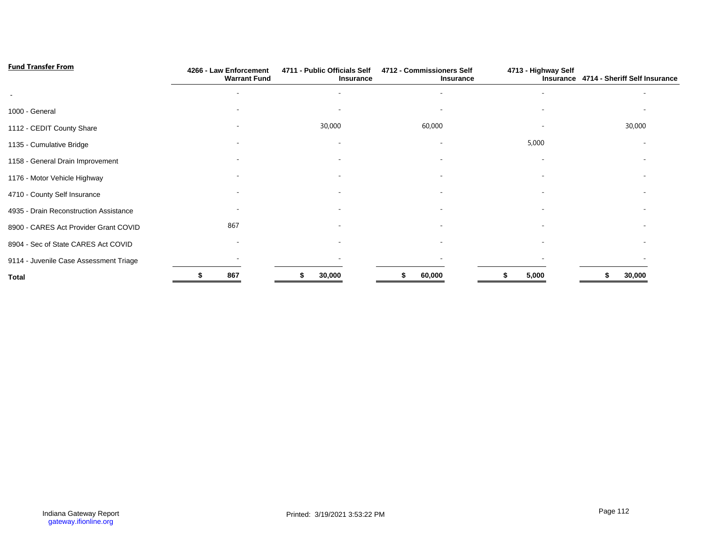| <b>Fund Transfer From</b>              | 4266 - Law Enforcement<br><b>Warrant Fund</b> | 4711 - Public Officials Self<br>Insurance | 4712 - Commissioners Self<br>Insurance | 4713 - Highway Self      | Insurance 4714 - Sheriff Self Insurance |  |  |
|----------------------------------------|-----------------------------------------------|-------------------------------------------|----------------------------------------|--------------------------|-----------------------------------------|--|--|
|                                        |                                               |                                           |                                        |                          |                                         |  |  |
| 1000 - General                         |                                               |                                           |                                        |                          |                                         |  |  |
| 1112 - CEDIT County Share              |                                               | 30,000                                    | 60,000                                 |                          | 30,000                                  |  |  |
| 1135 - Cumulative Bridge               |                                               |                                           | $\overline{\phantom{0}}$               | 5,000                    |                                         |  |  |
| 1158 - General Drain Improvement       |                                               |                                           | $\overline{\phantom{0}}$               | $\overline{\phantom{a}}$ |                                         |  |  |
| 1176 - Motor Vehicle Highway           |                                               |                                           |                                        |                          |                                         |  |  |
| 4710 - County Self Insurance           |                                               |                                           |                                        |                          |                                         |  |  |
| 4935 - Drain Reconstruction Assistance |                                               |                                           |                                        |                          |                                         |  |  |
| 8900 - CARES Act Provider Grant COVID  | 867                                           |                                           |                                        |                          |                                         |  |  |
| 8904 - Sec of State CARES Act COVID    |                                               |                                           |                                        |                          |                                         |  |  |
| 9114 - Juvenile Case Assessment Triage |                                               |                                           |                                        |                          |                                         |  |  |
| Total                                  | 867                                           | 30,000                                    | 60,000                                 | 5,000                    | 30,000                                  |  |  |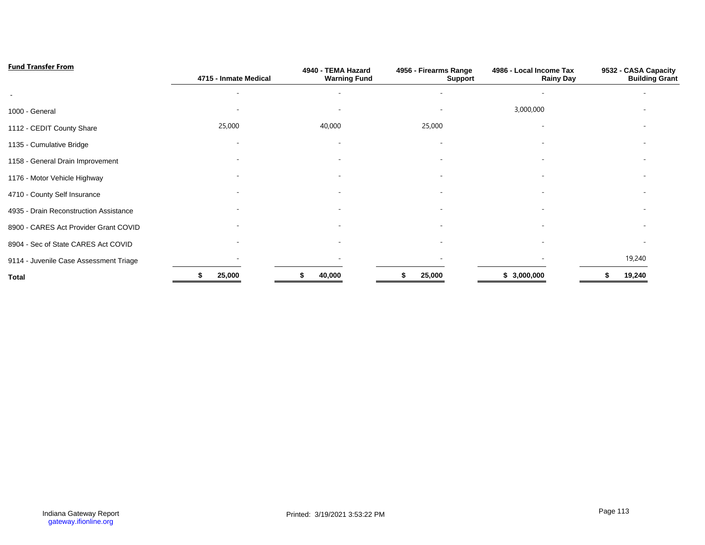| <b>Fund Transfer From</b>              | 4715 - Inmate Medical | 4940 - TEMA Hazard<br><b>Warning Fund</b> | 4956 - Firearms Range<br><b>Support</b> | 4986 - Local Income Tax<br><b>Rainy Day</b> | 9532 - CASA Capacity<br><b>Building Grant</b> |
|----------------------------------------|-----------------------|-------------------------------------------|-----------------------------------------|---------------------------------------------|-----------------------------------------------|
| $\overline{\phantom{a}}$               |                       |                                           |                                         |                                             |                                               |
| 1000 - General                         |                       |                                           |                                         | 3,000,000                                   |                                               |
| 1112 - CEDIT County Share              | 25,000                | 40,000                                    | 25,000                                  |                                             |                                               |
| 1135 - Cumulative Bridge               |                       |                                           |                                         |                                             |                                               |
| 1158 - General Drain Improvement       |                       |                                           |                                         |                                             |                                               |
| 1176 - Motor Vehicle Highway           |                       |                                           |                                         |                                             |                                               |
| 4710 - County Self Insurance           |                       |                                           |                                         |                                             |                                               |
| 4935 - Drain Reconstruction Assistance |                       |                                           |                                         |                                             |                                               |
| 8900 - CARES Act Provider Grant COVID  |                       |                                           |                                         |                                             |                                               |
| 8904 - Sec of State CARES Act COVID    |                       |                                           |                                         |                                             |                                               |
| 9114 - Juvenile Case Assessment Triage |                       |                                           |                                         |                                             | 19,240                                        |
| <b>Total</b>                           | 25,000                | 40,000                                    | 25,000                                  | \$3,000,000                                 | 19,240                                        |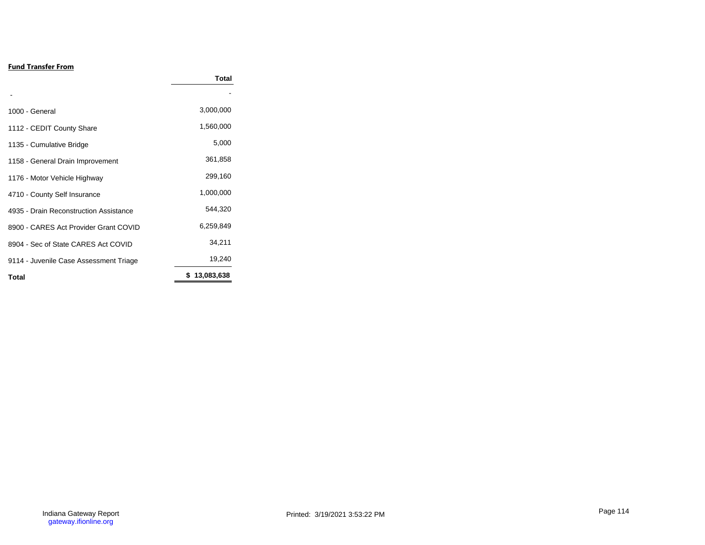# **Fund Transfer From**

|                                        | Total        |
|----------------------------------------|--------------|
|                                        |              |
| 1000 - General                         | 3,000,000    |
| 1112 - CEDIT County Share              | 1,560,000    |
| 1135 - Cumulative Bridge               | 5,000        |
| 1158 - General Drain Improvement       | 361,858      |
| 1176 - Motor Vehicle Highway           | 299,160      |
| 4710 - County Self Insurance           | 1,000,000    |
| 4935 - Drain Reconstruction Assistance | 544,320      |
| 8900 - CARES Act Provider Grant COVID  | 6,259,849    |
| 8904 - Sec of State CARES Act COVID    | 34,211       |
| 9114 - Juvenile Case Assessment Triage | 19,240       |
| <b>Total</b>                           | \$13,083,638 |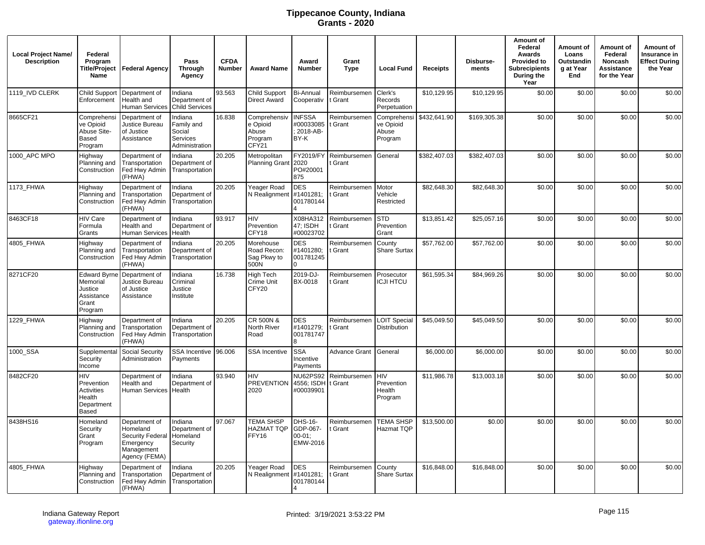# **Tippecanoe County, Indiana Grants - 2020**

| <b>Local Project Name/</b><br><b>Description</b> | Federal<br>Program<br>Name                                                   | Title/Project   Federal Agency                                                            | Pass<br><b>Through</b><br>Agency                                     | <b>CFDA</b><br><b>Number</b> | <b>Award Name</b>                                     | Award<br><b>Number</b>                         | Grant<br><b>Type</b>    | <b>Local Fund</b>                             | <b>Receipts</b> | Disburse-<br>ments | Amount of<br>Federal<br>Awards<br><b>Provided to</b><br><b>Subrecipients</b><br>During the<br>Year | Amount of<br>Loans<br>Outstandin<br>g at Year<br>End | Amount of<br>Federal<br>Noncash<br>Assistance<br>for the Year | Amount of<br>Insurance in<br><b>Effect During</b><br>the Year |
|--------------------------------------------------|------------------------------------------------------------------------------|-------------------------------------------------------------------------------------------|----------------------------------------------------------------------|------------------------------|-------------------------------------------------------|------------------------------------------------|-------------------------|-----------------------------------------------|-----------------|--------------------|----------------------------------------------------------------------------------------------------|------------------------------------------------------|---------------------------------------------------------------|---------------------------------------------------------------|
| 1119 IVD CLERK                                   | <b>Child Support</b><br>Enforcement                                          | Department of<br>Health and<br>Human Services                                             | Indiana<br>Department of<br><b>Child Services</b>                    | 93.563                       | <b>Child Support</b><br><b>Direct Award</b>           | <b>Bi-Annual</b><br>Cooperativ                 | Reimbursemen<br>t Grant | Clerk's<br>Records<br>Perpetuation            | \$10,129.95     | \$10,129.95        | \$0.00                                                                                             | \$0.00                                               | \$0.00                                                        | \$0.00                                                        |
| 8665CF21                                         | Comprehensi<br>ve Opioid<br>Abuse Site-<br>Based<br>Program                  | Department of<br>Justice Bureau<br>of Justice<br>Assistance                               | Indiana<br>Family and<br>Social<br><b>Services</b><br>Administration | 16.838                       | Comprehensiv<br>e Opioid<br>Abuse<br>Program<br>CFY21 | <b>INFSSA</b><br>#00033085<br>2018-AB-<br>BY-K | Reimbursemer<br>t Grant | Comprehensi<br>ve Opioid<br>Abuse<br>Program  | \$432.641.90    | \$169,305.38       | \$0.00                                                                                             | \$0.00                                               | \$0.00                                                        | \$0.00                                                        |
| 1000 APC MPO                                     | Highway<br>Planning and<br>Construction                                      | Department of<br>Transportation<br>Fed Hwy Admin<br>(FHWA)                                | Indiana<br>Department of<br>Transportation                           | 20.205                       | Metropolitan<br><b>Planning Grant</b>                 | FY2019/FY<br>2020<br>PO#20001<br>875           | Reimbursemen<br>: Grant | General                                       | \$382,407.03    | \$382,407.03       | \$0.00                                                                                             | \$0.00                                               | \$0.00                                                        | \$0.00                                                        |
| 1173_FHWA                                        | Highway<br>Planning and<br>Construction                                      | Department of<br>Transportation<br>Fed Hwy Admin<br>(FHWA)                                | Indiana<br>Department of<br>Transportation                           | 20.205                       | Yeager Road<br>N Realignment                          | <b>DES</b><br>#1401281;<br>001780144           | Reimbursemen<br>Grant   | Motor<br>Vehicle<br>Restricted                | \$82,648.30     | \$82,648.30        | \$0.00                                                                                             | \$0.00                                               | \$0.00                                                        | \$0.00                                                        |
| 8463CF18                                         | HIV Care<br>Formula<br>Grants                                                | Department of<br>Health and<br><b>Human Services</b>                                      | Indiana<br>Department of<br>Health                                   | 93.917                       | HIV<br>Prevention<br>CFY18                            | X08HA312<br>47: ISDH<br>#00023702              | Reimbursemen<br>Grant   | <b>STD</b><br>Prevention<br>Grant             | \$13,851.42     | \$25,057.16        | \$0.00                                                                                             | \$0.00                                               | \$0.00                                                        | \$0.00                                                        |
| 4805_FHWA                                        | Highway<br>Planning and<br>Construction                                      | Department of<br>Transportation<br>Fed Hwy Admin<br>(FHWA)                                | Indiana<br>Department of<br>Transportation                           | 20.205                       | Morehouse<br>Road Recon:<br>Sag Pkwy to<br>500N       | <b>DES</b><br>#1401280;<br>001781245           | Reimbursemen<br>: Grant | County<br><b>Share Surtax</b>                 | \$57,762.00     | \$57,762.00        | \$0.00                                                                                             | \$0.00                                               | \$0.00                                                        | \$0.00                                                        |
| 8271CF20                                         | <b>Edward Byrne</b><br>Memorial<br>Justice<br>Assistance<br>Grant<br>Program | Department of<br>Justice Bureau<br>of Justice<br>Assistance                               | Indiana<br>Criminal<br>Justice<br>Institute                          | 16.738                       | <b>High Tech</b><br>Crime Unit<br>CFY20               | 2019-DJ-<br>BX-0018                            | Reimbursemen<br>t Grant | Prosecutor<br><b>ICJI HTCU</b>                | \$61,595.34     | \$84,969.26        | \$0.00                                                                                             | \$0.00                                               | \$0.00                                                        | \$0.00                                                        |
| 1229 FHWA                                        | Highway<br>Planning and<br>Construction                                      | Department of<br>Transportation<br>Fed Hwy Admin<br>(FHWA)                                | Indiana<br>Department of<br>Transportation                           | 20.205                       | CR 500N &<br>North River<br>Road                      | <b>DES</b><br>#1401279;<br>001781747           | Reimbursemen<br>t Grant | <b>LOIT Special</b><br><b>Distribution</b>    | \$45,049.50     | \$45,049.50        | \$0.00                                                                                             | \$0.00                                               | \$0.00                                                        | \$0.00                                                        |
| 1000_SSA                                         | Supplemental<br>Security<br>Income                                           | Social Security<br>Administration                                                         | SSA Incentive 96.006<br>Payments                                     |                              | <b>SSA Incentive</b>                                  | <b>SSA</b><br>Incentive<br>Payments            | Advance Grant           | General                                       | \$6,000.00      | \$6,000.00         | \$0.00                                                                                             | \$0.00                                               | \$0.00                                                        | \$0.00                                                        |
| 8482CF20                                         | HIV<br>Prevention<br>Activities<br>Health<br>Department<br>Based             | Department of<br>Health and<br>Human Services                                             | Indiana<br>Department of<br>Health                                   | 93.940                       | HIV<br><b>PREVENTION</b><br>2020                      | <b>NU62PS92</b><br>4556; ISDH<br>#00039901     | Reimbursemen<br>Grant   | <b>HIV</b><br>Prevention<br>Health<br>Program | \$11,986.78     | \$13,003.18        | \$0.00                                                                                             | \$0.00                                               | \$0.00                                                        | \$0.00                                                        |
| 8438HS16                                         | Homeland<br>Security<br>Grant<br>Program                                     | Department of<br>Homeland<br>Security Federal<br>Emergency<br>Management<br>Agency (FEMA) | Indiana<br>Department of<br>Homeland<br>Security                     | 97.067                       | <b>TEMA SHSP</b><br>HAZMAT TQP<br>FFY16               | DHS-16-<br>GDP-067-<br>$00-01$ ;<br>EMW-2016   | Reimbursemen<br>t Grant | <b>TEMA SHSP</b><br><b>Hazmat TQP</b>         | \$13,500.00     | \$0.00             | \$0.00                                                                                             | \$0.00                                               | \$0.00                                                        | \$0.00                                                        |
| 4805 FHWA                                        | Highway<br>Planning and<br>Construction                                      | Department of<br>Transportation<br>Fed Hwy Admin<br>(FHWA)                                | Indiana<br>Department of<br>Transportation                           | 20.205                       | Yeager Road<br>N Realignment                          | <b>DES</b><br>#1401281;<br>001780144           | Reimbursemen<br>t Grant | County<br>Share Surtax                        | \$16,848.00     | \$16,848.00        | \$0.00                                                                                             | \$0.00                                               | \$0.00                                                        | \$0.00                                                        |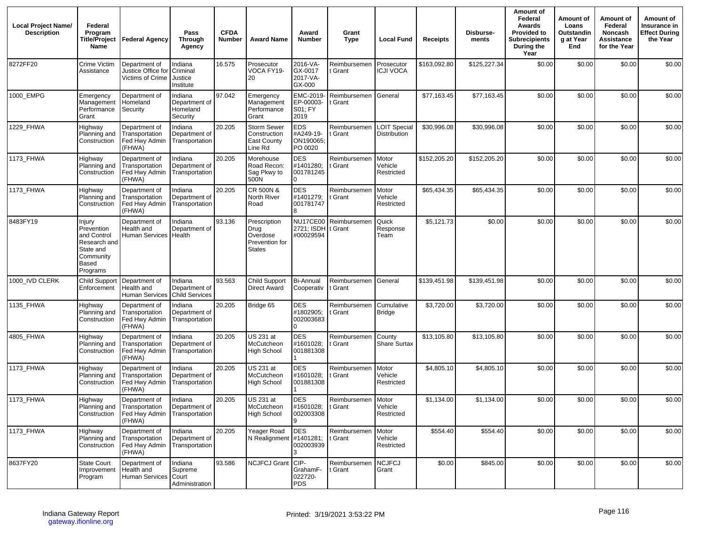| <b>Local Project Name/</b><br><b>Description</b> | Federal<br>Program<br><b>Title/Proiect</b><br>Name                                                 | <b>Federal Agency</b>                                                     | Pass<br><b>Through</b><br>Agency                  | <b>CFDA</b><br>Number | <b>Award Name</b>                                                   | Award<br><b>Number</b>                           | Grant<br><b>Type</b>    | <b>Local Fund</b>                          | <b>Receipts</b> | Disburse-<br>ments | Amount of<br>Federal<br>Awards<br><b>Provided to</b><br><b>Subrecipients</b><br>During the<br>Year | Amount of<br>Loans<br>Outstandin<br>a at Year<br>End | Amount of<br>Federal<br>Noncash<br>Assistance<br>for the Year | Amount of<br>Insurance in<br><b>Effect During</b><br>the Year |
|--------------------------------------------------|----------------------------------------------------------------------------------------------------|---------------------------------------------------------------------------|---------------------------------------------------|-----------------------|---------------------------------------------------------------------|--------------------------------------------------|-------------------------|--------------------------------------------|-----------------|--------------------|----------------------------------------------------------------------------------------------------|------------------------------------------------------|---------------------------------------------------------------|---------------------------------------------------------------|
| 8272FF20                                         | Crime Victim<br>Assistance                                                                         | Department of<br>Justice Office for<br>Victims of Crime                   | Indiana<br>Criminal<br>Justice<br>Institute       | 16.575                | Prosecutor<br>VOCA FY19-<br>20                                      | 2016-VA-<br>GX-0017<br>2017-VA-<br>GX-000        | Reimbursemen<br>Grant   | Prosecutor<br><b>ICJI VOCA</b>             | \$163,092.80    | \$125,227.34       | \$0.00                                                                                             | \$0.00                                               | \$0.00                                                        | \$0.00                                                        |
| 1000_EMPG                                        | Emergency<br>Management<br>Performance<br>Grant                                                    | Department of<br>Homeland<br>Security                                     | Indiana<br>Department of<br>Homeland<br>Security  | 97.042                | Emergency<br>Management<br>Performance<br>Grant                     | EMC-2019-<br>EP-00003-<br>S01; FY<br>2019        | Reimbursemen<br>: Grant | General                                    | \$77,163.45     | \$77,163.45        | \$0.00                                                                                             | \$0.00                                               | \$0.00                                                        | \$0.00                                                        |
| 1229_FHWA                                        | Highway<br>Planning and<br>Construction                                                            | Department of<br>Transportation<br>Fed Hwy Admin<br>(FHWA)                | Indiana<br>Department of<br>Transportation        | 20.205                | Storm Sewer<br>Construction<br><b>East County</b><br>Line Rd        | <b>EDS</b><br>#A249-19-<br>ON190065;<br>PO 0020  | Reimbursemen<br>: Grant | <b>LOIT Special</b><br><b>Distribution</b> | \$30,996.08     | \$30,996.08        | \$0.00                                                                                             | \$0.00                                               | \$0.00                                                        | \$0.00                                                        |
| 1173_FHWA                                        | Highway<br>Planning and<br>Construction                                                            | Department of<br>Transportation<br>Fed Hwy Admin<br>(FHWA)                | Indiana<br>Department of<br>Transportation        | 20.205                | Morehouse<br>Road Recon:<br>Sag Pkwy to<br>500N                     | <b>DES</b><br>#1401280;<br>001781245<br>$\Omega$ | Reimbursemen<br>: Grant | Motor<br>Vehicle<br>Restricted             | \$152,205.20    | \$152,205.20       | \$0.00                                                                                             | \$0.00                                               | \$0.00                                                        | \$0.00                                                        |
| 1173_FHWA                                        | Highway<br>Planning and<br>Construction                                                            | Department of<br>Transportation<br>Fed Hwy Admin<br>(FHWA)                | Indiana<br>Department of<br>Transportation        | 20.205                | CR 500N &<br>North River<br>Road                                    | <b>DES</b><br>#1401279;<br>001781747             | Reimbursemen<br>: Grant | Motor<br>Vehicle<br>Restricted             | \$65,434.35     | \$65,434.35        | \$0.00                                                                                             | \$0.00                                               | \$0.00                                                        | \$0.00                                                        |
| 8483FY19                                         | Injury<br>Prevention<br>and Control<br>Research and<br>State and<br>Community<br>Based<br>Programs | Department of<br>Health and<br>Human Services Health                      | Indiana<br>Department of                          | 93.136                | Prescription<br>Drug<br>Overdose<br>Prevention for<br><b>States</b> | <b>NU17CE00</b><br>2721; ISDH<br>#00029594       | Reimbursemen<br>t Grant | Quick<br>Response<br>Team                  | \$5,121.73      | \$0.00             | \$0.00                                                                                             | \$0.00                                               | \$0.00                                                        | \$0.00                                                        |
| 1000_IVD CLERK                                   | <b>Child Support</b><br>Enforcement                                                                | Department of<br>Health and<br>Human Services                             | Indiana<br>Department of<br><b>Child Services</b> | 93.563                | Child Support<br><b>Direct Award</b>                                | Bi-Annual<br>Cooperativ                          | Reimbursemen<br>t Grant | General                                    | \$139,451.98    | \$139,451.98       | \$0.00                                                                                             | \$0.00                                               | \$0.00                                                        | \$0.00                                                        |
| 1135_FHWA                                        | Highway<br>Planning and<br>Construction                                                            | Department of<br>Transportation<br>Fed Hwy Admin<br>(FHWA)                | Indiana<br>Department of<br>Transportation        | 20.205                | Bridge 65                                                           | <b>DES</b><br>#1802905;<br>002003683             | Reimbursemen<br>: Grant | Cumulative<br><b>Bridge</b>                | \$3,720.00      | \$3,720.00         | \$0.00                                                                                             | \$0.00                                               | \$0.00                                                        | \$0.00                                                        |
| 4805_FHWA                                        | Highway<br>Planning and<br>Construction                                                            | Department of<br>Transportation<br>Fed Hwy Admin<br>(FHWA)                | Indiana<br>Department of<br>Transportation        | 20.205                | US 231 at<br>McCutcheon<br><b>High School</b>                       | <b>DES</b><br>#1601028;<br>001881308             | Reimbursemen<br>Grant   | County<br><b>Share Surtax</b>              | \$13,105.80     | \$13,105.80        | \$0.00                                                                                             | \$0.00                                               | \$0.00                                                        | \$0.00                                                        |
| 1173_FHWA                                        | Highway<br>Planning and<br>Construction                                                            | Department of<br>Transportation<br>Fed Hwy Admin<br>(FHWA)                | Indiana<br>Department of<br>Transportation        | 20.205                | US 231 at<br>McCutcheon<br><b>High School</b>                       | <b>DES</b><br>#1601028:<br>001881308             | Reimbursemen<br>: Grant | Motor<br>Vehicle<br>Restricted             | \$4,805.10      | \$4,805.10         | \$0.00                                                                                             | \$0.00                                               | \$0.00                                                        | \$0.00                                                        |
| 1173_FHWA                                        | Highway<br>Planning and<br>Construction                                                            | Department of<br>Transportation<br>Fed Hwy Admin Transportation<br>(FHWA) | Indiana<br>Department of                          | 20.205                | US 231 at<br>McCutcheon<br><b>High School</b>                       | <b>DES</b><br>#1601028; t Grant<br>002003308     | Reimbursemen            | Motor<br>Vehicle<br>Restricted             | \$1,134.00      | \$1,134.00         | \$0.00                                                                                             | \$0.00                                               | \$0.00                                                        | \$0.00                                                        |
| 1173_FHWA                                        | Highway<br>Planning and<br>Construction                                                            | Department of<br>Transportation<br>Fed Hwy Admin Transportation<br>(FHWA) | Indiana<br>Department of                          | 20.205                | Yeager Road<br>N Realignment                                        | <b>DES</b><br>#1401281;<br>002003939<br>3        | Reimbursemen<br>t Grant | Motor<br>Vehicle<br>Restricted             | \$554.40        | \$554.40           | \$0.00                                                                                             | \$0.00                                               | \$0.00                                                        | \$0.00                                                        |
| 8637FY20                                         | <b>State Court</b><br>Improvement<br>Program                                                       | Department of<br>Health and<br>Human Services Court                       | Indiana<br>Supreme<br>Administration              | 93.586                | NCJFCJ Grant CIP-                                                   | GrahamF-<br>022720-<br>PDS                       | Reimbursemen<br>t Grant | <b>NCJFCJ</b><br>Grant                     | \$0.00          | \$845.00           | \$0.00                                                                                             | \$0.00                                               | \$0.00                                                        | \$0.00                                                        |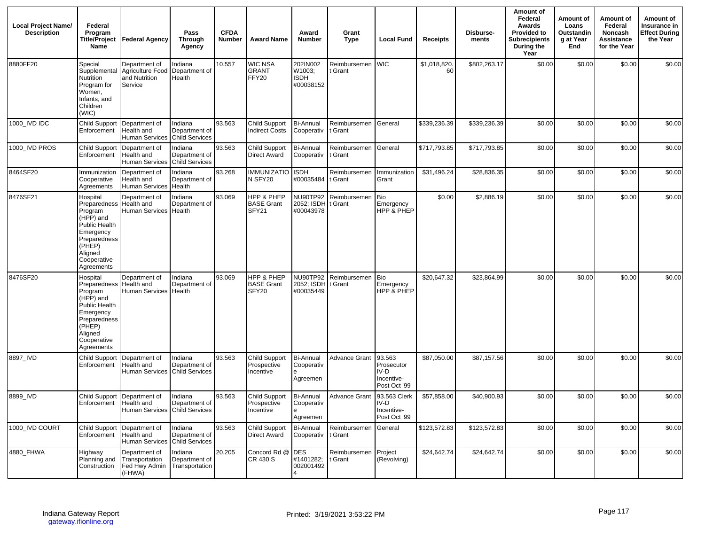| <b>Local Project Name/</b><br><b>Description</b> | Federal<br>Program<br>Name                                                                                                                                  | Title/Project Federal Agency                                  | Pass<br><b>Through</b><br>Agency                  | <b>CFDA</b><br><b>Number</b> | <b>Award Name</b>                                | Award<br><b>Number</b>                          | Grant<br><b>Type</b>    | <b>Local Fund</b>                                          | Receipts          | Disburse-<br>ments | Amount of<br>Federal<br>Awards<br><b>Provided to</b><br><b>Subrecipients</b><br>During the<br>Year | Amount of<br>Loans<br>Outstandin<br>g at Year<br>End | Amount of<br>Federal<br>Noncash<br>Assistance<br>for the Year | Amount of<br>Insurance in<br><b>Effect During</b><br>the Year |
|--------------------------------------------------|-------------------------------------------------------------------------------------------------------------------------------------------------------------|---------------------------------------------------------------|---------------------------------------------------|------------------------------|--------------------------------------------------|-------------------------------------------------|-------------------------|------------------------------------------------------------|-------------------|--------------------|----------------------------------------------------------------------------------------------------|------------------------------------------------------|---------------------------------------------------------------|---------------------------------------------------------------|
| 8880FF20                                         | Special<br>Supplemental<br>Nutrition<br>Program for<br>Women,<br>Infants, and<br>Children<br>(WIC)                                                          | Department of<br>Agriculture Food<br>and Nutrition<br>Service | Indiana<br>Department of<br>Health                | 10.557                       | <b>WIC NSA</b><br><b>GRANT</b><br>FFY20          | 202IN002<br>W1003;<br><b>ISDH</b><br>#00038152  | Reimbursemen<br>t Grant | <b>WIC</b>                                                 | \$1,018,820<br>60 | \$802,263.17       | \$0.00                                                                                             | \$0.00                                               | \$0.00                                                        | \$0.00                                                        |
| 1000 IVD IDC                                     | Child Support<br>Enforcement                                                                                                                                | Department of<br>Health and<br><b>Human Services</b>          | Indiana<br>Department of<br>Child Services        | 93.563                       | Child Support<br><b>Indirect Costs</b>           | <b>Bi-Annual</b><br>Cooperativ                  | Reimbursemen<br>t Grant | General                                                    | \$339,236.39      | \$339,236.39       | \$0.00                                                                                             | \$0.00                                               | \$0.00                                                        | \$0.00                                                        |
| 1000 IVD PROS                                    | <b>Child Support</b><br>Enforcement                                                                                                                         | Department of<br>Health and<br>Human Services                 | Indiana<br>Department of<br><b>Child Services</b> | 93.563                       | Child Support<br>Direct Award                    | <b>Bi-Annual</b><br>Cooperativ                  | Reimbursemen<br>t Grant | General                                                    | \$717,793.85      | \$717,793.85       | \$0.00                                                                                             | \$0.00                                               | \$0.00                                                        | \$0.00                                                        |
| 8464SF20                                         | Immunization<br>Cooperative<br>Agreements                                                                                                                   | Department of<br>Health and<br><b>Human Services</b>          | Indiana<br>Department of<br>Health                | 93.268                       | <b>IMMUNIZATIO</b><br>N SFY20                    | <b>ISDH</b><br>#00035484 t Grant                | Reimbursemen            | Immunization<br>Grant                                      | \$31,496.24       | \$28,836.35        | \$0.00                                                                                             | \$0.00                                               | \$0.00                                                        | \$0.00                                                        |
| 8476SF21                                         | Hospital<br>Preparedness Health and<br>Program<br>(HPP) and<br>Public Health<br>Emergency<br>Preparedness<br>(PHEP)<br>Aligned<br>Cooperative<br>Agreements | Department of<br>Human Services                               | Indiana<br>Department of<br>Health                | 93.069                       | HPP & PHEP<br><b>BASE Grant</b><br>SFY21         | NU90TP92<br>2052; ISDH<br>#00043978             | Reimbursemen<br>t Grant | Bio<br>Emergency<br>HPP & PHEP                             | \$0.00            | \$2,886.19         | \$0.00                                                                                             | \$0.00                                               | \$0.00                                                        | \$0.00                                                        |
| 8476SF20                                         | Hospital<br>Preparedness Health and<br>Program<br>(HPP) and<br>Public Health<br>Emergency<br>Preparedness<br>(PHEP)<br>Aligned<br>Cooperative<br>Agreements | Department of<br><b>Human Services</b>                        | Indiana<br>Department of<br>Health                | 93.069                       | HPP & PHEP<br><b>BASE Grant</b><br>SFY20         | NU90TP92<br>2052; ISDH<br>#00035449             | Reimbursemen<br>t Grant | <b>Bio</b><br>Emergency<br>HPP & PHEP                      | \$20,647.32       | \$23,864.99        | \$0.00                                                                                             | \$0.00                                               | \$0.00                                                        | \$0.00                                                        |
| 8897_IVD                                         | <b>Child Support</b><br>Enforcement                                                                                                                         | Department of<br>Health and<br>Human Services                 | Indiana<br>Department of<br><b>Child Services</b> | 93.563                       | <b>Child Support</b><br>Prospective<br>Incentive | <b>Bi-Annual</b><br>Cooperativ<br>Agreemen      | <b>Advance Grant</b>    | 93.563<br>Prosecutor<br>IV-D<br>Incentive-<br>Post Oct '99 | \$87,050.00       | \$87,157.56        | \$0.00                                                                                             | \$0.00                                               | \$0.00                                                        | \$0.00                                                        |
| 8899 IVD                                         | Enforcement   Health and                                                                                                                                    | Child Support Department of<br>Human Services Child Services  | Indiana<br>Department of                          | 93.563                       | Child Support<br>Prospective<br>Incentive        | <b>Bi-Annual</b><br>Cooperativ<br>e<br>Agreemen | <b>Advance Grant</b>    | 93.563 Clerk<br>IV-D<br>Incentive-<br>Post Oct '99         | \$57,858.00       | \$40,900.93        | \$0.00                                                                                             | \$0.00                                               | \$0.00                                                        | \$0.00                                                        |
| 1000 IVD COURT                                   | <b>Child Support</b><br>Enforcement                                                                                                                         | Department of<br>Health and<br><b>Human Services</b>          | Indiana<br>Department of<br><b>Child Services</b> | 93.563                       | Child Support<br>Direct Award                    | <b>Bi-Annual</b><br>Cooperativ                  | Reimbursemen<br>t Grant | General                                                    | \$123,572.83      | \$123,572.83       | \$0.00                                                                                             | \$0.00                                               | \$0.00                                                        | \$0.00                                                        |
| 4880 FHWA                                        | Highway<br>Planning and<br>Construction                                                                                                                     | Department of<br>Transportation<br>Fed Hwy Admin<br>(FHWA)    | Indiana<br>Department of<br>Transportation        | 20.205                       | Concord Rd @<br>CR 430 S                         | <b>DES</b><br>#1401282;<br>002001492            | Reimbursemen<br>t Grant | Project<br>(Revolving)                                     | \$24,642.74       | \$24,642.74        | \$0.00                                                                                             | \$0.00                                               | \$0.00                                                        | \$0.00                                                        |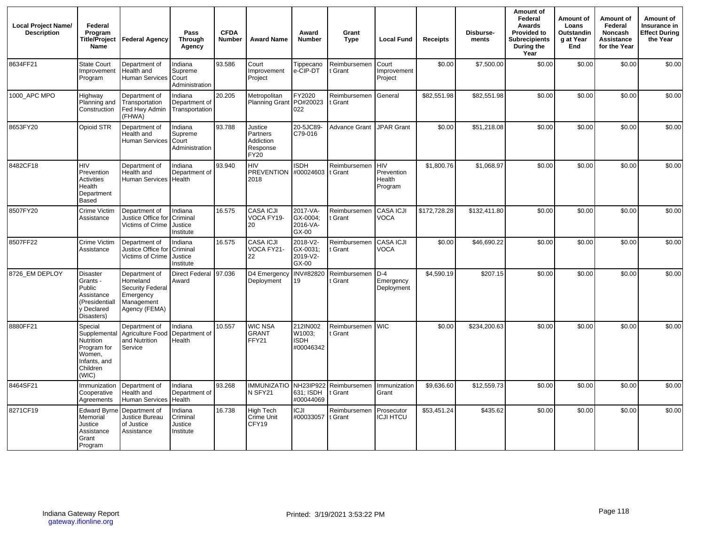| <b>Local Project Name/</b><br><b>Description</b> | Federal<br>Program<br>Name                                                                         | Title/Project Federal Agency                                                                     | Pass<br><b>Through</b><br>Agency              | <b>CFDA</b><br>Number | <b>Award Name</b>                                           | Award<br><b>Number</b>                         | Grant<br><b>Type</b>    | <b>Local Fund</b>                             | <b>Receipts</b> | Disburse-<br>ments | Amount of<br>Federal<br>Awards<br><b>Provided to</b><br><b>Subrecipients</b><br>During the<br>Year | Amount of<br>Loans<br>Outstandin<br>g at Year<br>End | Amount of<br>Federal<br>Noncash<br>Assistance<br>for the Year | Amount of<br>Insurance in<br><b>Effect During</b><br>the Year |
|--------------------------------------------------|----------------------------------------------------------------------------------------------------|--------------------------------------------------------------------------------------------------|-----------------------------------------------|-----------------------|-------------------------------------------------------------|------------------------------------------------|-------------------------|-----------------------------------------------|-----------------|--------------------|----------------------------------------------------------------------------------------------------|------------------------------------------------------|---------------------------------------------------------------|---------------------------------------------------------------|
| 8634FF21                                         | <b>State Court</b><br>Improvement<br>Program                                                       | Department of<br>Health and<br>Human Services                                                    | Indiana<br>Supreme<br>Court<br>Administration | 93.586                | Court<br>Improvement<br>Project                             | Tippecano<br>e-CIP-DT                          | Reimbursemen<br>t Grant | Court<br>Improvement<br>Project               | \$0.00          | \$7,500.00         | \$0.00                                                                                             | \$0.00                                               | \$0.00                                                        | \$0.00                                                        |
| 1000 APC MPO                                     | Highway<br>Planning and<br>Construction                                                            | Department of<br>Transportation<br>Fed Hwy Admin<br>(FHWA)                                       | Indiana<br>Department of<br>Transportation    | 20.205                | Metropolitan<br>Planning Grant PO#20023                     | FY2020<br>022                                  | Reimbursemen<br>t Grant | General                                       | \$82,551.98     | \$82,551.98        | \$0.00                                                                                             | \$0.00                                               | \$0.00                                                        | \$0.00                                                        |
| 8653FY20                                         | Opioid STR                                                                                         | Department of<br>Health and<br><b>Human Services</b>                                             | Indiana<br>Supreme<br>Court<br>Administration | 93.788                | Justice<br>Partners<br>Addiction<br>Response<br><b>FY20</b> | 20-5JC89-<br>C79-016                           | <b>Advance Grant</b>    | JPAR Grant                                    | \$0.00          | \$51,218.08        | \$0.00                                                                                             | \$0.00                                               | \$0.00                                                        | \$0.00                                                        |
| 8482CF18                                         | <b>HIV</b><br>Prevention<br><b>Activities</b><br>Health<br>Department<br><b>Based</b>              | Department of<br>Health and<br>Human Services                                                    | Indiana<br>Department of<br>Health            | 93.940                | <b>HIV</b><br>PREVENTION #00024603 t Grant<br>2018          | <b>ISDH</b>                                    | Reimbursemen            | <b>HIV</b><br>Prevention<br>Health<br>Program | \$1,800.76      | \$1,068.97         | \$0.00                                                                                             | \$0.00                                               | \$0.00                                                        | \$0.00                                                        |
| 8507FY20                                         | Crime Victim<br>Assistance                                                                         | Department of<br>Justice Office for<br>Victims of Crime                                          | Indiana<br>Criminal<br>Justice<br>Institute   | 16.575                | <b>CASA ICJI</b><br>VOCA FY19-<br>20                        | 2017-VA-<br>GX-0004;<br>2016-VA-<br>$GX-00$    | Reimbursemen<br>t Grant | CASA ICJI<br><b>VOCA</b>                      | \$172,728.28    | \$132,411.80       | \$0.00                                                                                             | \$0.00                                               | \$0.00                                                        | \$0.00                                                        |
| 8507FF22                                         | Crime Victim<br>Assistance                                                                         | Department of<br>Justice Office for<br>Victims of Crime                                          | Indiana<br>Criminal<br>Justice<br>Institute   | 16.575                | <b>CASA ICJI</b><br>VOCA FY21-<br>22                        | 2018-V2-<br>GX-0031;<br>2019-V2-<br>GX-00      | Reimbursemen<br>t Grant | <b>CASA ICJI</b><br><b>VOCA</b>               | \$0.00          | \$46,690.22        | \$0.00                                                                                             | \$0.00                                               | \$0.00                                                        | \$0.00                                                        |
| 8726 EM DEPLOY                                   | <b>Disaster</b><br>Grants -<br>Public<br>Assistance<br>(Presidentiall<br>y Declared<br>Disasters)  | Department of<br>Homeland<br><b>Security Federal</b><br>Emergency<br>Management<br>Agency (FEMA) | <b>Direct Federal</b><br>Award                | 97.036                | D4 Emergency<br>Deployment                                  | INV#82820<br>19                                | Reimbursemen<br>t Grant | $D-4$<br>Emergency<br>Deployment              | \$4,590.19      | \$207.15           | \$0.00                                                                                             | \$0.00                                               | \$0.00                                                        | \$0.00                                                        |
| 8880FF21                                         | Special<br>Supplemental<br>Nutrition<br>Program for<br>Women.<br>Infants, and<br>Children<br>(WIC) | Department of<br>Agriculture Food<br>and Nutrition<br>Service                                    | Indiana<br>Department of<br>Health            | 10.557                | <b>WIC NSA</b><br><b>GRANT</b><br>FFY21                     | 212IN002<br>W1003:<br><b>ISDH</b><br>#00046342 | Reimbursemen<br>t Grant | <b>WIC</b>                                    | \$0.00          | \$234,200.63       | \$0.00                                                                                             | \$0.00                                               | \$0.00                                                        | \$0.00                                                        |
| 8464SF21                                         | Immunization<br>Cooperative<br>Agreements                                                          | Department of<br>Health and<br><b>Human Services</b>                                             | Indiana<br>Department of<br>Health            | 93.268                | <b>IMMUNIZATIO</b><br>N SFY21                               | NH23IP922<br>631; ISDH<br>#00044069            | Reimbursemen<br>t Grant | Immunization<br>Grant                         | \$9,636.60      | \$12,559.73        | \$0.00                                                                                             | \$0.00                                               | \$0.00                                                        | \$0.00                                                        |
| 8271CF19                                         | <b>Edward Byrne</b><br>Memorial<br>Justice<br>Assistance<br>Grant<br>Program                       | Department of<br>Justice Bureau<br>of Justice<br>Assistance                                      | Indiana<br>Criminal<br>Justice<br>Institute   | 16.738                | High Tech<br>Crime Unit<br>CFY19                            | <b>ICJI</b><br>#00033057                       | Reimbursemen<br>t Grant | Prosecutor<br><b>ICJI HTCU</b>                | \$53,451.24     | \$435.62           | \$0.00                                                                                             | \$0.00                                               | \$0.00                                                        | \$0.00                                                        |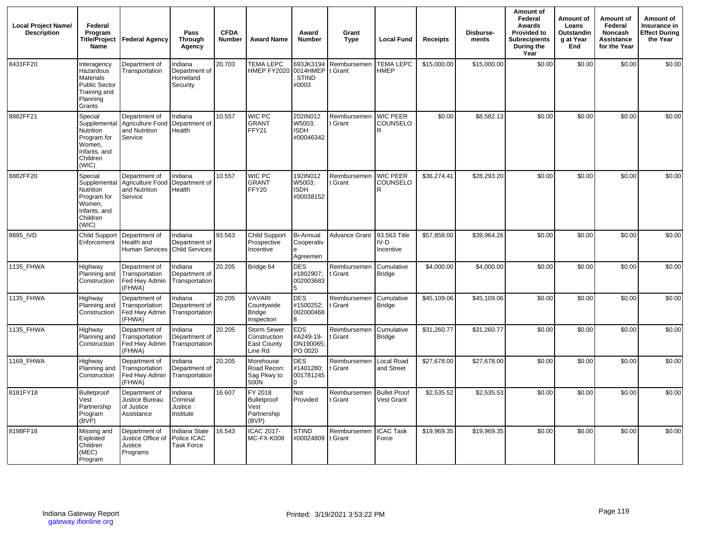| <b>Local Project Name/</b><br><b>Description</b> | Federal<br>Program<br><b>Name</b>                                                                         | Title/Project   Federal Agency                                | Pass<br><b>Through</b><br>Agency                 | <b>CFDA</b><br>Number | <b>Award Name</b>                                          | Award<br><b>Number</b>                               | Grant<br><b>Type</b>    | <b>Local Fund</b>                 | <b>Receipts</b> | Disburse-<br>ments | Amount of<br>Federal<br>Awards<br><b>Provided to</b><br><b>Subrecipients</b><br>During the<br>Year | Amount of<br>Loans<br>Outstandin<br>g at Year<br>End | Amount of<br>Federal<br><b>Noncash</b><br>Assistance<br>for the Year | Amount of<br>Insurance in<br><b>Effect During</b><br>the Year |
|--------------------------------------------------|-----------------------------------------------------------------------------------------------------------|---------------------------------------------------------------|--------------------------------------------------|-----------------------|------------------------------------------------------------|------------------------------------------------------|-------------------------|-----------------------------------|-----------------|--------------------|----------------------------------------------------------------------------------------------------|------------------------------------------------------|----------------------------------------------------------------------|---------------------------------------------------------------|
| 8431FF20                                         | Interagency<br>Hazardous<br>Materials<br><b>Public Sector</b><br>Training and<br>Planning<br>Grants       | Department of<br>Transportation                               | Indiana<br>Department of<br>Homeland<br>Security | 20.703                | <b>TEMA LEPC</b><br>HMEP FY2020                            | 693JK3194<br>0014HMEP<br>STIND<br>#0003              | Reimbursemen<br>t Grant | <b>TEMA LEPC</b><br><b>HMEP</b>   | \$15,000.00     | \$15,000.00        | \$0.00                                                                                             | \$0.00                                               | \$0.00                                                               | \$0.00                                                        |
| 8882FF21                                         | Special<br>Supplemental<br>Nutrition<br>Program for<br>Women,<br>Infants, and<br>Children<br>(WIC)        | Department of<br>Agriculture Food<br>and Nutrition<br>Service | ndiana<br>Department of<br>Health                | 10.557                | WIC PC<br><b>GRANT</b><br>FFY21                            | 202IN012<br>W5003:<br><b>ISDH</b><br>#00046342       | Reimbursemen<br>t Grant | <b>WIC PEER</b><br>COUNSELO<br>R. | \$0.00          | \$8,582.13         | \$0.00                                                                                             | \$0.00                                               | \$0.00                                                               | \$0.00                                                        |
| 8882FF20                                         | Special<br>Supplemental<br><b>Nutrition</b><br>Program for<br>Women,<br>Infants, and<br>Children<br>(WIC) | Department of<br>Agriculture Food<br>and Nutrition<br>Service | Indiana<br>Department of<br>Health               | 10.557                | WIC PC<br><b>GRANT</b><br>FFY20                            | 192IN012<br>W5003;<br><b>ISDH</b><br>#00038152       | Reimbursemen<br>t Grant | <b>WIC PEER</b><br>COUNSELO<br>R  | \$36,274.41     | \$28,293.20        | \$0.00                                                                                             | \$0.00                                               | \$0.00                                                               | \$0.00                                                        |
| 8895_IVD                                         | <b>Child Support</b><br>Enforcement                                                                       | Department of<br>Health and<br>Human Services Child Services  | Indiana<br>Department of                         | 93.563                | <b>Child Support</b><br>Prospective<br>Incentive           | Bi-Annual<br>Cooperativ<br>Agreemen                  | <b>Advance Grant</b>    | 93.563 Title<br>IV-D<br>Incentive | \$57,858.00     | \$39,964.26        | \$0.00                                                                                             | \$0.00                                               | \$0.00                                                               | \$0.00                                                        |
| 1135 FHWA                                        | Highway<br>Planning and<br>Construction                                                                   | Department of<br>Transportation<br>Fed Hwy Admin<br>(FHWA)    | Indiana<br>Department of<br>Transportation       | 20.205                | Bridge 64                                                  | <b>DES</b><br>#1802907;<br>002003683                 | Reimbursemen<br>t Grant | Cumulative<br><b>Bridge</b>       | \$4,000.00      | \$4,000.00         | \$0.00                                                                                             | \$0.00                                               | \$0.00                                                               | \$0.00                                                        |
| 1135 FHWA                                        | Highway<br>Planning and<br>Construction                                                                   | Department of<br>Transportation<br>Fed Hwy Admin<br>(FHWA)    | Indiana<br>Department of<br>Transportation       | 20.205                | <b>VAVARI</b><br>Countywide<br><b>Bridge</b><br>Inspection | <b>DES</b><br>#1500252;<br>002000468<br>R            | Reimbursemen<br>t Grant | Cumulative<br><b>Bridge</b>       | \$45,109.06     | \$45,109.06        | \$0.00                                                                                             | \$0.00                                               | \$0.00                                                               | \$0.00                                                        |
| 1135 FHWA                                        | Highway<br>Planning and<br>Construction                                                                   | Department of<br>Transportation<br>Fed Hwy Admin<br>(FHWA)    | ndiana<br>Department of<br>Transportation        | 20.205                | Storm Sewer<br>Construction<br>East County<br>Line Rd      | <b>EDS</b><br>#A249-19-<br>ON190065<br>PO 0020       | Reimbursemen<br>t Grant | Cumulative<br><b>Bridge</b>       | \$31,260.77     | \$31,260.77        | \$0.00                                                                                             | \$0.00                                               | \$0.00                                                               | \$0.00                                                        |
| 1169 FHWA                                        | Highway<br>Planning and<br>Construction                                                                   | Department of<br>Transportation<br>Fed Hwy Admin<br>(FHWA)    | Indiana<br>Department of<br>Transportation       | 20.205                | Morehouse<br>Road Recon:<br>Sag Pkwy to<br>500N            | <b>DES</b><br>#1401280;<br>001781245<br><sup>n</sup> | Reimbursemen<br>t Grant | Local Road<br>and Street          | \$27,678.00     | \$27,678.00        | \$0.00                                                                                             | \$0.00                                               | \$0.00                                                               | \$0.00                                                        |
| 8181FY18                                         | Bulletproof<br>Vest<br>Partnership<br>Program<br>(BVP)                                                    | Department of<br>Justice Bureau<br>of Justice<br>Assistance   | Indiana<br>Criminal<br>Justice<br>Institute      | 16.607                | FY 2018<br>Bulletproof<br>Vest<br>Partnership<br>(BVP)     | Not<br>Provided                                      | Reimbursemen<br>t Grant | <b>Bullet Proof</b><br>Vest Grant | \$2,535.52      | \$2,535.53         | \$0.00                                                                                             | \$0.00                                               | \$0.00                                                               | \$0.00                                                        |
| 8198FF18                                         | Missing and<br>Exploited<br>Children<br>(MEC)<br>Program                                                  | Department of<br>Justice Office of<br>Justice<br>Programs     | Indiana State<br>Police ICAC<br>Task Force       | 16.543                | ICAC 2017-<br>MC-FX-K008                                   | <b>STIND</b><br>#00024809                            | Reimbursemer<br>t Grant | <b>ICAC Task</b><br>Force         | \$19,969.35     | \$19,969.35        | \$0.00                                                                                             | \$0.00                                               | \$0.00                                                               | \$0.00                                                        |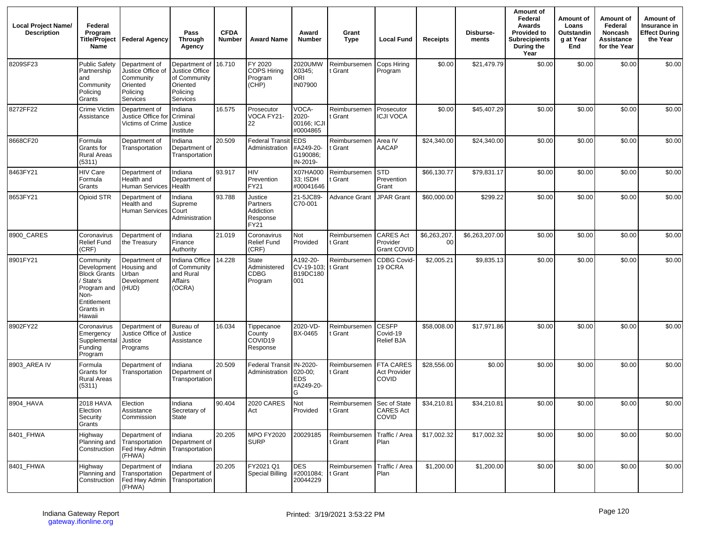| <b>Local Project Name/</b><br><b>Description</b> | Federal<br>Program<br>Title/Project<br>Name                                                                               | Federal Agency                                                                             | Pass<br><b>Through</b><br>Agency                                                    | <b>CFDA</b><br><b>Number</b> | <b>Award Name</b>                                    | Award<br><b>Number</b>                              | Grant<br><b>Type</b>                 | <b>Local Fund</b>                                       | Receipts                       | Disburse-<br>ments | Amount of<br>Federal<br>Awards<br><b>Provided to</b><br><b>Subrecipients</b><br>During the<br>Year | Amount of<br>Loans<br>Outstandin<br>g at Year<br>End | Amount of<br>Federal<br>Noncash<br>Assistance<br>for the Year | Amount of<br>Insurance in<br>Effect During<br>the Year |
|--------------------------------------------------|---------------------------------------------------------------------------------------------------------------------------|--------------------------------------------------------------------------------------------|-------------------------------------------------------------------------------------|------------------------------|------------------------------------------------------|-----------------------------------------------------|--------------------------------------|---------------------------------------------------------|--------------------------------|--------------------|----------------------------------------------------------------------------------------------------|------------------------------------------------------|---------------------------------------------------------------|--------------------------------------------------------|
| 8209SF23                                         | <b>Public Safetv</b><br>Partnership<br>and<br>Community<br>Policing<br>Grants                                             | Department of<br>Justice Office of<br>Community<br>Oriented<br>Policing<br><b>Services</b> | Department of<br>Justice Office<br>of Community<br>Oriented<br>Policing<br>Services | 16.710                       | FY 2020<br><b>COPS Hiring</b><br>Program<br>(CHP)    | 2020UMW<br>X0345;<br>ORI<br><b>IN07900</b>          | Reimbursemen<br>: Grant              | Cops Hiring<br>Program                                  | \$0.00                         | \$21,479.79        | \$0.00                                                                                             | \$0.00                                               | \$0.00                                                        | \$0.00                                                 |
| 8272FF22                                         | Crime Victim<br>Assistance                                                                                                | Department of<br>Justice Office for<br>Victims of Crime                                    | Indiana<br>Criminal<br>Justice<br>Institute                                         | 16.575                       | Prosecutor<br>VOCA FY21-<br>22                       | VOCA-<br>2020-<br>00166; ICJI<br>#0004865           | Reimbursemen<br>: Grant              | Prosecutor<br><b>ICJI VOCA</b>                          | \$0.00                         | \$45,407.29        | \$0.00                                                                                             | \$0.00                                               | \$0.00                                                        | \$0.00                                                 |
| 8668CF20                                         | Formula<br>Grants for<br><b>Rural Areas</b><br>(5311)                                                                     | Department of<br>Transportation                                                            | Indiana<br>Department of<br>Transportation                                          | 20.509                       | <b>Federal Transit</b><br>Administration             | <b>EDS</b><br>#A249-20-<br>G190086;<br>IN-2019-     | Reimbursemen<br>: Grant              | Area IV<br><b>AACAP</b>                                 | \$24,340.00                    | \$24,340.00        | \$0.00                                                                                             | \$0.00                                               | \$0.00                                                        | \$0.00                                                 |
| 8463FY21                                         | <b>HIV Care</b><br>Formula<br>Grants                                                                                      | Department of<br>Health and<br>Human Services                                              | Indiana<br>Department of<br>Health                                                  | 93.917                       | <b>HIV</b><br>Prevention<br>FY21                     | X07HA000<br>33; ISDH<br>#00041646                   | Reimbursemen<br>: Grant              | <b>STD</b><br>Prevention<br>Grant                       | \$66,130.77                    | \$79,831.17        | \$0.00                                                                                             | \$0.00                                               | \$0.00                                                        | \$0.00                                                 |
| 8653FY21                                         | Opioid STR                                                                                                                | Department of<br>Health and<br>Human Services                                              | Indiana<br>Supreme<br>Court<br>Administration                                       | 93.788                       | Justice<br>Partners<br>Addiction<br>Response<br>FY21 | 21-5JC89-<br>C70-001                                | Advance Grant                        | <b>JPAR Grant</b>                                       | \$60,000.00                    | \$299.22           | \$0.00                                                                                             | \$0.00                                               | \$0.00                                                        | \$0.00                                                 |
| 8900 CARES                                       | Coronavirus<br><b>Relief Fund</b><br>(CRF)                                                                                | Department of<br>the Treasury                                                              | Indiana<br>Finance<br>Authority                                                     | 21.019                       | Coronavirus<br>Relief Fund<br>(CRF)                  | Not<br>Provided                                     | Reimbursemen<br>t Grant              | <b>CARES Act</b><br>Provider<br><b>Grant COVID</b>      | \$6,263,207<br>00 <sub>1</sub> | \$6,263,207.00     | \$0.00                                                                                             | \$0.00                                               | \$0.00                                                        | \$0.00                                                 |
| 8901FY21                                         | Community<br>Development<br><b>Block Grants</b><br>' State's<br>Program and<br>Non-<br>Entitlement<br>Grants in<br>Hawaii | Department of<br>Housing and<br>Urban<br>Development<br>(HUD)                              | Indiana Office<br>of Community<br>and Rural<br>Affairs<br>(OCRA)                    | 14.228                       | State<br>Administered<br>CDBG<br>Program             | A192-20-<br>CV-19-103;<br>B19DC180<br>001           | Reimbursemen<br>t Grant              | <b>CDBG Covid</b><br>19 OCRA                            | \$2,005.21                     | \$9,835.13         | \$0.00                                                                                             | \$0.00                                               | \$0.00                                                        | \$0.00                                                 |
| 8902FY22                                         | Coronavirus<br>Emergency<br>Supplemental<br>Funding<br>Program                                                            | Department of<br>Justice Office of<br>Justice<br>Programs                                  | Bureau of<br>Justice<br>Assistance                                                  | 16.034                       | Tippecanoe<br>County<br>COVID19<br>Response          | 2020-VD-<br>BX-0465                                 | Reimbursemen<br>: Grant              | <b>CESFP</b><br>Covid-19<br><b>Relief BJA</b>           | \$58,008.00                    | \$17,971.86        | \$0.00                                                                                             | \$0.00                                               | \$0.00                                                        | \$0.00                                                 |
| 8903 AREA IV                                     | Formula<br>Grants for<br><b>Rural Areas</b><br>(5311)                                                                     | Department of<br>Transportation                                                            | Indiana<br>Department of<br>Transportation                                          | 20.509                       | <b>Federal Transit</b><br>Administration             | IN-2020-<br>020-00;<br><b>EDS</b><br>#A249-20-<br>G | Reimbursemen<br>: Grant              | <b>FTA CARES</b><br><b>Act Provider</b><br><b>COVID</b> | \$28,556.00                    | \$0.00             | \$0.00                                                                                             | \$0.00                                               | \$0.00                                                        | \$0.00                                                 |
| 8904_HAVA                                        | <b>2018 HAVA</b><br>Election<br>Security<br>Grants                                                                        | Election<br>Assistance<br>Commission                                                       | Indiana<br>Secretary of<br>State                                                    | 90.404                       | <b>2020 CARES</b><br>Act                             | Not<br>Provided                                     | Reimbursemen Sec of State<br>t Grant | <b>CARES Act</b><br>COVID                               | \$34,210.81                    | \$34,210.81        | \$0.00                                                                                             | \$0.00                                               | \$0.00                                                        | \$0.00                                                 |
| 8401_FHWA                                        | Highway<br>Planning and<br>Construction                                                                                   | Department of<br>Transportation<br>Fed Hwy Admin<br>(FHWA)                                 | Indiana<br>Department of<br>Transportation                                          | 20.205                       | <b>MPO FY2020</b><br><b>SURP</b>                     | 20029185                                            | Reimbursemen<br>t Grant              | Traffic / Area<br>Plan                                  | \$17,002.32                    | \$17,002.32        | \$0.00                                                                                             | \$0.00                                               | \$0.00                                                        | \$0.00                                                 |
| 8401_FHWA                                        | Highway<br>Planning and<br>Construction                                                                                   | Department of<br>Transportation<br>Fed Hwy Admin Transportation<br>(FHWA)                  | Indiana<br>Department of                                                            | 20.205                       | FY2021 Q1<br><b>Special Billing</b>                  | <b>DES</b><br>#2001084;<br>20044229                 | Reimbursemen<br>t Grant              | Traffic / Area<br>Plan                                  | \$1,200.00                     | \$1,200.00         | \$0.00                                                                                             | \$0.00                                               | \$0.00                                                        | \$0.00                                                 |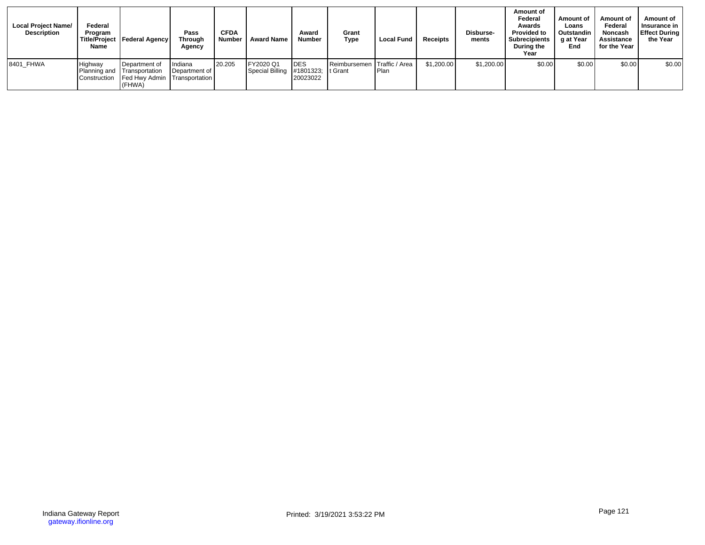| <b>Local Project Name/</b><br><b>Description</b> | Federal<br>Program<br>Name | Title/Project   Federal Agency                                                         | Pass<br><b>Through</b><br>Agency | <b>CFDA</b><br><b>Number</b> | <b>Award Name</b>                               | Award<br><b>Number</b>  | Grant<br><b>Type</b>        | <b>Local Fund</b> | <b>Receipts</b> | Disburse-<br>ments | Amount of<br>Federal<br>Awards<br><b>Provided to</b><br><b>Subrecipients</b><br>During the<br>Year | Amount of<br>Loans<br>Outstandin<br>g at Year<br>End | Amount of<br>Federal<br><b>Noncash</b><br>Assistance<br>for the Year | Amount of<br>Insurance in<br><b>Effect During</b><br>the Year |
|--------------------------------------------------|----------------------------|----------------------------------------------------------------------------------------|----------------------------------|------------------------------|-------------------------------------------------|-------------------------|-----------------------------|-------------------|-----------------|--------------------|----------------------------------------------------------------------------------------------------|------------------------------------------------------|----------------------------------------------------------------------|---------------------------------------------------------------|
| 8401 FHWA                                        | Highway<br>Planning and    | Department of<br>Transportation<br>Construction Fed Hwy Admin Transportation<br>(FHWA) | Indiana<br>Department of         | 20.205                       | FY2020 Q1<br>Special Billing #1801323; It Grant | <b>IDES</b><br>20023022 | Reimbursemen Traffic / Area | l Plan            | \$1,200.00      | \$1,200.00         | \$0.00                                                                                             | \$0.00                                               | \$0.00                                                               | \$0.00                                                        |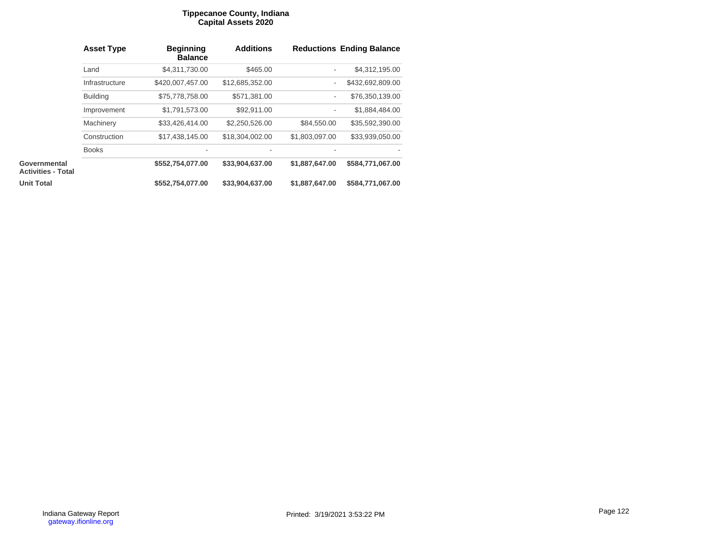### **Tippecanoe County, Indiana Capital Assets 2020**

|                                           | <b>Asset Type</b> | <b>Beginning</b><br><b>Balance</b> | <b>Additions</b> |                          | <b>Reductions Ending Balance</b> |
|-------------------------------------------|-------------------|------------------------------------|------------------|--------------------------|----------------------------------|
|                                           | Land              | \$4,311,730.00                     | \$465.00         | $\overline{\phantom{a}}$ | \$4,312,195.00                   |
|                                           | Infrastructure    | \$420,007,457.00                   | \$12,685,352.00  | $\overline{\phantom{a}}$ | \$432,692,809.00                 |
|                                           | <b>Building</b>   | \$75,778,758.00                    | \$571,381.00     | $\overline{\phantom{a}}$ | \$76,350,139.00                  |
|                                           | Improvement       | \$1,791,573.00                     | \$92,911.00      | $\overline{\phantom{a}}$ | \$1,884,484.00                   |
|                                           | Machinery         | \$33,426,414.00                    | \$2,250,526.00   | \$84,550.00              | \$35,592,390.00                  |
|                                           | Construction      | \$17,438,145.00                    | \$18,304,002.00  | \$1,803,097.00           | \$33,939,050.00                  |
|                                           | <b>Books</b>      |                                    |                  |                          |                                  |
| Governmental<br><b>Activities - Total</b> |                   | \$552,754,077.00                   | \$33,904,637.00  | \$1,887,647.00           | \$584,771,067.00                 |
| <b>Unit Total</b>                         |                   | \$552,754,077.00                   | \$33,904,637.00  | \$1,887,647.00           | \$584,771,067.00                 |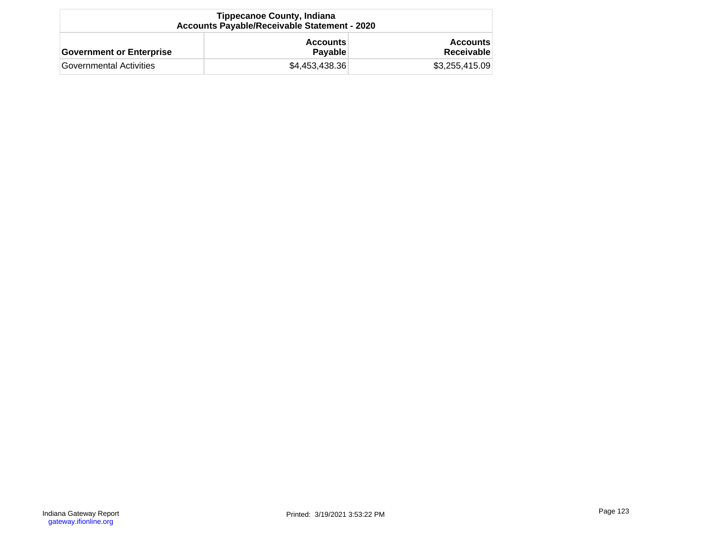| <b>Tippecanoe County, Indiana</b><br>Accounts Payable/Receivable Statement - 2020 |                                   |                               |  |  |
|-----------------------------------------------------------------------------------|-----------------------------------|-------------------------------|--|--|
| <b>Government or Enterprise</b>                                                   | <b>Accounts</b><br><b>Pavable</b> | <b>Accounts</b><br>Receivable |  |  |
| Governmental Activities                                                           | \$4,453,438.36                    | \$3,255,415.09                |  |  |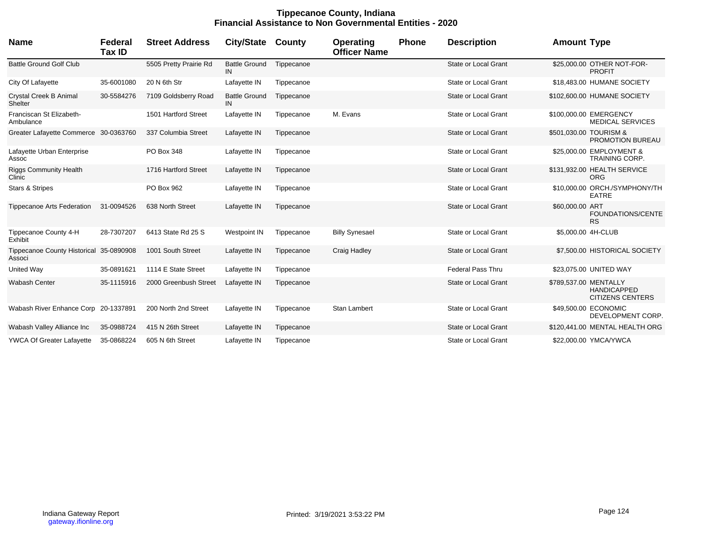## **Tippecanoe County, Indiana Financial Assistance to Non Governmental Entities - 2020**

| Name                                              | Federal<br><b>Tax ID</b> | <b>Street Address</b>  | <b>City/State</b>          | County     | Operating<br><b>Officer Name</b> | Phone | <b>Description</b>          | <b>Amount Type</b>                                                     |
|---------------------------------------------------|--------------------------|------------------------|----------------------------|------------|----------------------------------|-------|-----------------------------|------------------------------------------------------------------------|
| <b>Battle Ground Golf Club</b>                    |                          | 5505 Pretty Prairie Rd | <b>Battle Ground</b><br>IN | Tippecanoe |                                  |       | State or Local Grant        | \$25,000.00 OTHER NOT-FOR-<br><b>PROFIT</b>                            |
| City Of Lafayette                                 | 35-6001080               | 20 N 6th Str           | Lafayette IN               | Tippecanoe |                                  |       | <b>State or Local Grant</b> | \$18,483.00 HUMANE SOCIETY                                             |
| Crystal Creek B Animal<br>Shelter                 | 30-5584276               | 7109 Goldsberry Road   | <b>Battle Ground</b><br>IN | Tippecanoe |                                  |       | <b>State or Local Grant</b> | \$102,600.00 HUMANE SOCIETY                                            |
| Franciscan St Elizabeth-<br>Ambulance             |                          | 1501 Hartford Street   | Lafayette IN               | Tippecanoe | M. Evans                         |       | <b>State or Local Grant</b> | \$100,000.00 EMERGENCY<br><b>MEDICAL SERVICES</b>                      |
| Greater Lafayette Commerce 30-0363760             |                          | 337 Columbia Street    | Lafayette IN               | Tippecanoe |                                  |       | <b>State or Local Grant</b> | \$501,030.00 TOURISM &<br><b>PROMOTION BUREAU</b>                      |
| Lafayette Urban Enterprise<br>Assoc               |                          | PO Box 348             | Lafayette IN               | Tippecanoe |                                  |       | <b>State or Local Grant</b> | \$25,000.00 EMPLOYMENT &<br><b>TRAINING CORP.</b>                      |
| <b>Riggs Community Health</b><br>Clinic           |                          | 1716 Hartford Street   | Lafayette IN               | Tippecanoe |                                  |       | <b>State or Local Grant</b> | \$131,932.00 HEALTH SERVICE<br><b>ORG</b>                              |
| Stars & Stripes                                   |                          | PO Box 962             | Lafayette IN               | Tippecanoe |                                  |       | State or Local Grant        | \$10,000,00 ORCH./SYMPHONY/TH<br><b>EATRE</b>                          |
| <b>Tippecanoe Arts Federation</b>                 | 31-0094526               | 638 North Street       | Lafayette IN               | Tippecanoe |                                  |       | <b>State or Local Grant</b> | \$60,000.00 ART<br>FOUNDATIONS/CENTE<br><b>RS</b>                      |
| Tippecanoe County 4-H<br>Exhibit                  | 28-7307207               | 6413 State Rd 25 S     | Westpoint IN               | Tippecanoe | <b>Billy Synesael</b>            |       | <b>State or Local Grant</b> | \$5,000.00 4H-CLUB                                                     |
| Tippecanoe County Historical 35-0890908<br>Associ |                          | 1001 South Street      | Lafayette IN               | Tippecanoe | Craig Hadley                     |       | <b>State or Local Grant</b> | \$7,500.00 HISTORICAL SOCIETY                                          |
| <b>United Way</b>                                 | 35-0891621               | 1114 E State Street    | Lafayette IN               | Tippecanoe |                                  |       | Federal Pass Thru           | \$23,075.00 UNITED WAY                                                 |
| <b>Wabash Center</b>                              | 35-1115916               | 2000 Greenbush Street  | Lafayette IN               | Tippecanoe |                                  |       | State or Local Grant        | \$789,537.00 MENTALLY<br><b>HANDICAPPED</b><br><b>CITIZENS CENTERS</b> |
| Wabash River Enhance Corp 20-1337891              |                          | 200 North 2nd Street   | Lafayette IN               | Tippecanoe | Stan Lambert                     |       | <b>State or Local Grant</b> | \$49,500.00 ECONOMIC<br>DEVELOPMENT CORP.                              |
| Wabash Valley Alliance Inc                        | 35-0988724               | 415 N 26th Street      | Lafayette IN               | Tippecanoe |                                  |       | <b>State or Local Grant</b> | \$120,441.00 MENTAL HEALTH ORG                                         |
| <b>YWCA Of Greater Lafayette</b>                  | 35-0868224               | 605 N 6th Street       | Lafayette IN               | Tippecanoe |                                  |       | State or Local Grant        | \$22,000.00 YMCA/YWCA                                                  |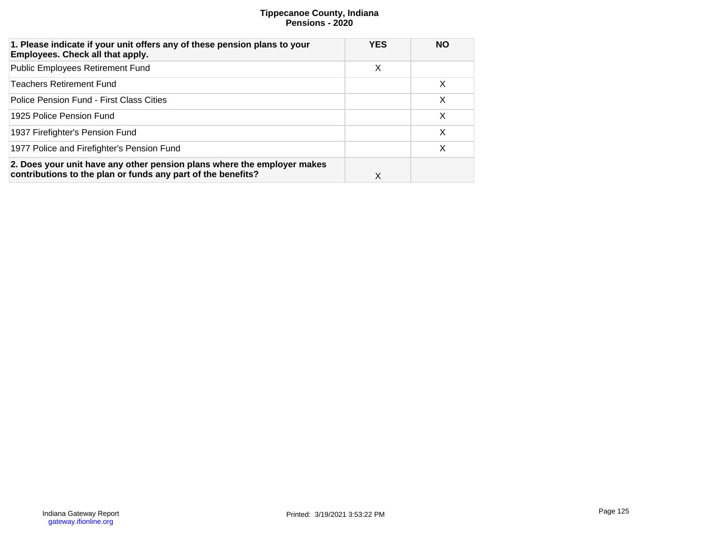# **Tippecanoe County, Indiana Pensions - 2020**

| 1. Please indicate if your unit offers any of these pension plans to your<br>Employees. Check all that apply.                           | <b>YES</b> | <b>NO</b> |
|-----------------------------------------------------------------------------------------------------------------------------------------|------------|-----------|
| <b>Public Employees Retirement Fund</b>                                                                                                 | X          |           |
| <b>Teachers Retirement Fund</b>                                                                                                         |            | $\times$  |
| Police Pension Fund - First Class Cities                                                                                                |            | X         |
| 1925 Police Pension Fund                                                                                                                |            | X         |
| 1937 Firefighter's Pension Fund                                                                                                         |            | X         |
| 1977 Police and Firefighter's Pension Fund                                                                                              |            | X         |
| 2. Does your unit have any other pension plans where the employer makes<br>contributions to the plan or funds any part of the benefits? | X          |           |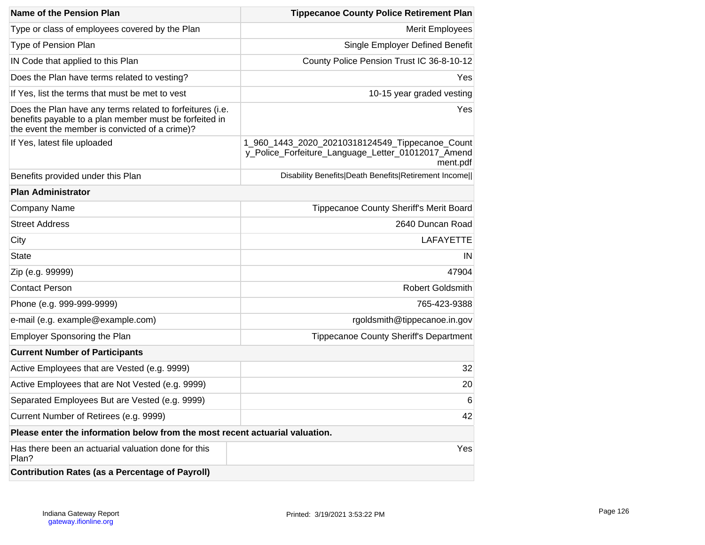| <b>Name of the Pension Plan</b>                                                                                                                                       | <b>Tippecanoe County Police Retirement Plan</b>                                                                   |
|-----------------------------------------------------------------------------------------------------------------------------------------------------------------------|-------------------------------------------------------------------------------------------------------------------|
| Type or class of employees covered by the Plan                                                                                                                        | <b>Merit Employees</b>                                                                                            |
| Type of Pension Plan                                                                                                                                                  | Single Employer Defined Benefit                                                                                   |
| IN Code that applied to this Plan                                                                                                                                     | County Police Pension Trust IC 36-8-10-12                                                                         |
| Does the Plan have terms related to vesting?                                                                                                                          | Yes                                                                                                               |
| If Yes, list the terms that must be met to vest                                                                                                                       | 10-15 year graded vesting                                                                                         |
| Does the Plan have any terms related to forfeitures (i.e.<br>benefits payable to a plan member must be forfeited in<br>the event the member is convicted of a crime)? | Yes                                                                                                               |
| If Yes, latest file uploaded                                                                                                                                          | 1_960_1443_2020_20210318124549_Tippecanoe_Count<br>y_Police_Forfeiture_Language_Letter_01012017_Amend<br>ment.pdf |
| Benefits provided under this Plan                                                                                                                                     | Disability Benefits Death Benefits Retirement Income                                                              |
| <b>Plan Administrator</b>                                                                                                                                             |                                                                                                                   |
| <b>Company Name</b>                                                                                                                                                   | Tippecanoe County Sheriff's Merit Board                                                                           |
| <b>Street Address</b>                                                                                                                                                 | 2640 Duncan Road                                                                                                  |
| City                                                                                                                                                                  | <b>LAFAYETTE</b>                                                                                                  |
| <b>State</b>                                                                                                                                                          | IN                                                                                                                |
| Zip (e.g. 99999)                                                                                                                                                      | 47904                                                                                                             |
| <b>Contact Person</b>                                                                                                                                                 | <b>Robert Goldsmith</b>                                                                                           |
| Phone (e.g. 999-999-9999)                                                                                                                                             | 765-423-9388                                                                                                      |
| e-mail (e.g. example@example.com)                                                                                                                                     | rgoldsmith@tippecanoe.in.gov                                                                                      |
| <b>Employer Sponsoring the Plan</b>                                                                                                                                   | <b>Tippecanoe County Sheriff's Department</b>                                                                     |
| <b>Current Number of Participants</b>                                                                                                                                 |                                                                                                                   |
| Active Employees that are Vested (e.g. 9999)                                                                                                                          | 32                                                                                                                |
| Active Employees that are Not Vested (e.g. 9999)                                                                                                                      | 20                                                                                                                |
| Separated Employees But are Vested (e.g. 9999)                                                                                                                        | 6                                                                                                                 |
| Current Number of Retirees (e.g. 9999)                                                                                                                                | 42                                                                                                                |
| Please enter the information below from the most recent actuarial valuation.                                                                                          |                                                                                                                   |
| Has there been an actuarial valuation done for this<br>Plan?                                                                                                          | Yes                                                                                                               |
| <b>Contribution Rates (as a Percentage of Payroll)</b>                                                                                                                |                                                                                                                   |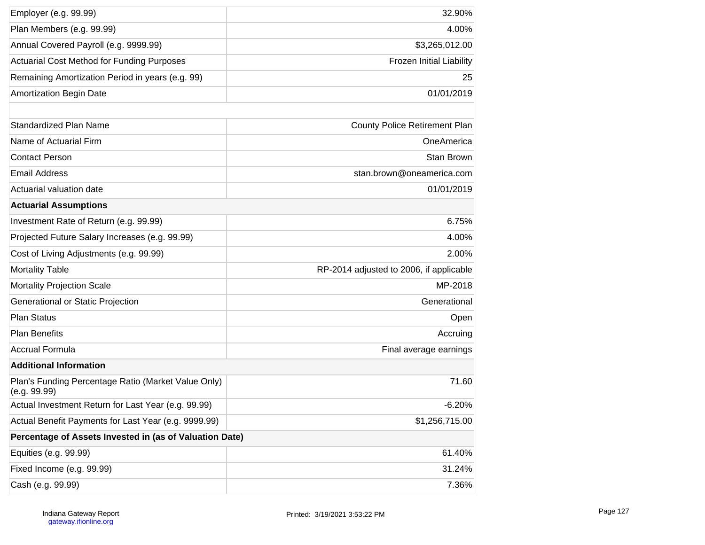| Employer (e.g. 99.99)                                               | 32.90%                                  |
|---------------------------------------------------------------------|-----------------------------------------|
| Plan Members (e.g. 99.99)                                           | 4.00%                                   |
| Annual Covered Payroll (e.g. 9999.99)                               | \$3,265,012.00                          |
| <b>Actuarial Cost Method for Funding Purposes</b>                   | Frozen Initial Liability                |
| Remaining Amortization Period in years (e.g. 99)                    | 25                                      |
| <b>Amortization Begin Date</b>                                      | 01/01/2019                              |
|                                                                     |                                         |
| <b>Standardized Plan Name</b>                                       | <b>County Police Retirement Plan</b>    |
| Name of Actuarial Firm                                              | OneAmerica                              |
| <b>Contact Person</b>                                               | Stan Brown                              |
| <b>Email Address</b>                                                | stan.brown@oneamerica.com               |
| Actuarial valuation date                                            | 01/01/2019                              |
| <b>Actuarial Assumptions</b>                                        |                                         |
| Investment Rate of Return (e.g. 99.99)                              | 6.75%                                   |
| Projected Future Salary Increases (e.g. 99.99)                      | 4.00%                                   |
| Cost of Living Adjustments (e.g. 99.99)                             | 2.00%                                   |
| <b>Mortality Table</b>                                              | RP-2014 adjusted to 2006, if applicable |
| <b>Mortality Projection Scale</b>                                   | MP-2018                                 |
| Generational or Static Projection                                   | Generational                            |
| <b>Plan Status</b>                                                  | Open                                    |
| <b>Plan Benefits</b>                                                | Accruing                                |
| <b>Accrual Formula</b>                                              | Final average earnings                  |
| <b>Additional Information</b>                                       |                                         |
| Plan's Funding Percentage Ratio (Market Value Only)<br>(e.g. 99.99) | 71.60                                   |
| Actual Investment Return for Last Year (e.g. 99.99)                 | $-6.20%$                                |
| Actual Benefit Payments for Last Year (e.g. 9999.99)                | \$1,256,715.00                          |
| Percentage of Assets Invested in (as of Valuation Date)             |                                         |
| Equities (e.g. 99.99)                                               | 61.40%                                  |
| Fixed Income (e.g. 99.99)                                           | 31.24%                                  |
| Cash (e.g. 99.99)                                                   | 7.36%                                   |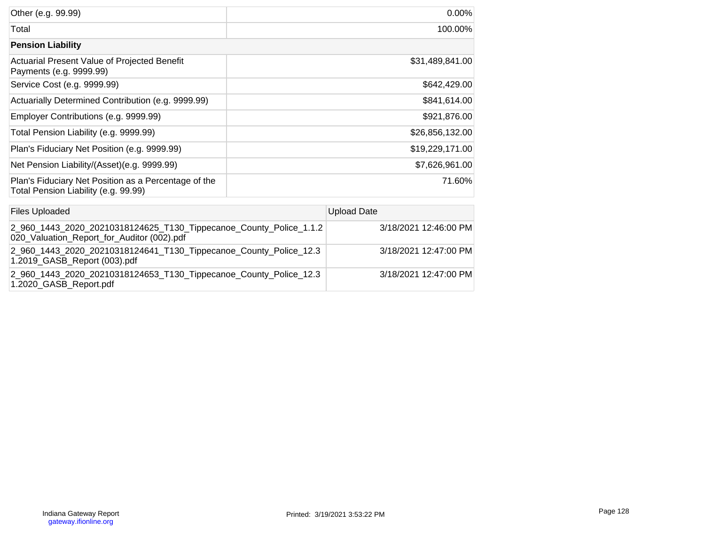| Other (e.g. 99.99)                                                                           | 0.00%           |
|----------------------------------------------------------------------------------------------|-----------------|
| Total                                                                                        | 100.00%         |
| <b>Pension Liability</b>                                                                     |                 |
| Actuarial Present Value of Projected Benefit<br>Payments (e.g. 9999.99)                      | \$31,489,841.00 |
| Service Cost (e.g. 9999.99)                                                                  | \$642,429.00    |
| Actuarially Determined Contribution (e.g. 9999.99)                                           | \$841,614.00    |
| Employer Contributions (e.g. 9999.99)                                                        | \$921,876.00    |
| Total Pension Liability (e.g. 9999.99)                                                       | \$26,856,132.00 |
| Plan's Fiduciary Net Position (e.g. 9999.99)                                                 | \$19,229,171.00 |
| Net Pension Liability/(Asset)(e.g. 9999.99)                                                  | \$7,626,961.00  |
| Plan's Fiduciary Net Position as a Percentage of the<br>Total Pension Liability (e.g. 99.99) | 71.60%          |

| <b>Files Uploaded</b>                                                                                            | <b>Upload Date</b>    |
|------------------------------------------------------------------------------------------------------------------|-----------------------|
| 2_960_1443_2020_20210318124625_T130_Tippecanoe_County_Police_1.1.2<br>020_Valuation_Report_for_Auditor (002).pdf | 3/18/2021 12:46:00 PM |
| 2_960_1443_2020_20210318124641_T130_Tippecanoe_County_Police_12.3<br>1.2019_GASB_Report (003).pdf                | 3/18/2021 12:47:00 PM |
| 2_960_1443_2020_20210318124653_T130_Tippecanoe_County_Police_12.3<br>1.2020_GASB_Report.pdf                      | 3/18/2021 12:47:00 PM |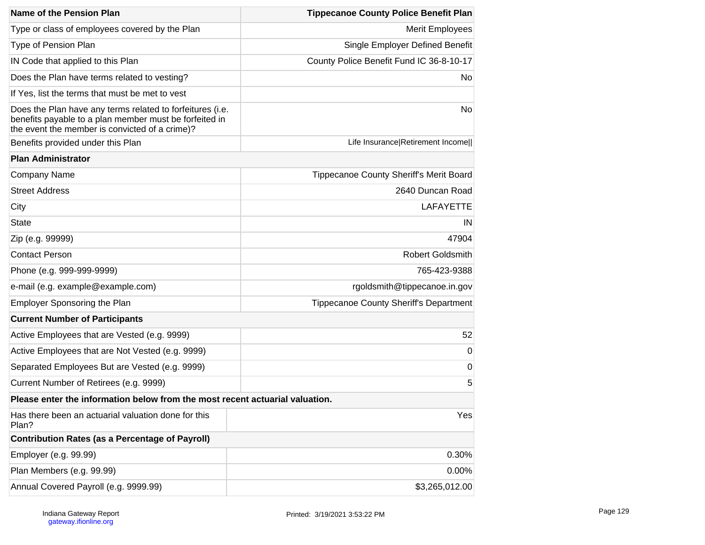| Name of the Pension Plan                                                                                                                                              | <b>Tippecanoe County Police Benefit Plan</b>  |  |  |
|-----------------------------------------------------------------------------------------------------------------------------------------------------------------------|-----------------------------------------------|--|--|
| Type or class of employees covered by the Plan                                                                                                                        | <b>Merit Employees</b>                        |  |  |
| Type of Pension Plan                                                                                                                                                  | <b>Single Employer Defined Benefit</b>        |  |  |
| IN Code that applied to this Plan                                                                                                                                     | County Police Benefit Fund IC 36-8-10-17      |  |  |
| Does the Plan have terms related to vesting?                                                                                                                          | No.                                           |  |  |
| If Yes, list the terms that must be met to vest                                                                                                                       |                                               |  |  |
| Does the Plan have any terms related to forfeitures (i.e.<br>benefits payable to a plan member must be forfeited in<br>the event the member is convicted of a crime)? | No                                            |  |  |
| Benefits provided under this Plan                                                                                                                                     | Life Insurance Retirement Income              |  |  |
| <b>Plan Administrator</b>                                                                                                                                             |                                               |  |  |
| Company Name                                                                                                                                                          | Tippecanoe County Sheriff's Merit Board       |  |  |
| <b>Street Address</b>                                                                                                                                                 | 2640 Duncan Road                              |  |  |
| City                                                                                                                                                                  | <b>LAFAYETTE</b>                              |  |  |
| <b>State</b>                                                                                                                                                          | IN                                            |  |  |
| Zip (e.g. 99999)                                                                                                                                                      | 47904                                         |  |  |
| <b>Contact Person</b>                                                                                                                                                 | <b>Robert Goldsmith</b>                       |  |  |
| Phone (e.g. 999-999-9999)                                                                                                                                             | 765-423-9388                                  |  |  |
| e-mail (e.g. example@example.com)                                                                                                                                     | rgoldsmith@tippecanoe.in.gov                  |  |  |
| Employer Sponsoring the Plan                                                                                                                                          | <b>Tippecanoe County Sheriff's Department</b> |  |  |
| <b>Current Number of Participants</b>                                                                                                                                 |                                               |  |  |
| Active Employees that are Vested (e.g. 9999)                                                                                                                          | 52                                            |  |  |
| Active Employees that are Not Vested (e.g. 9999)                                                                                                                      | 0                                             |  |  |
| Separated Employees But are Vested (e.g. 9999)                                                                                                                        | $\mathbf 0$                                   |  |  |
| Current Number of Retirees (e.g. 9999)                                                                                                                                | 5                                             |  |  |
| Please enter the information below from the most recent actuarial valuation.                                                                                          |                                               |  |  |
| Has there been an actuarial valuation done for this<br>Plan?                                                                                                          | Yes                                           |  |  |
| <b>Contribution Rates (as a Percentage of Payroll)</b>                                                                                                                |                                               |  |  |
| Employer (e.g. 99.99)                                                                                                                                                 | 0.30%                                         |  |  |
| Plan Members (e.g. 99.99)                                                                                                                                             | 0.00%                                         |  |  |
| Annual Covered Payroll (e.g. 9999.99)                                                                                                                                 | \$3,265,012.00                                |  |  |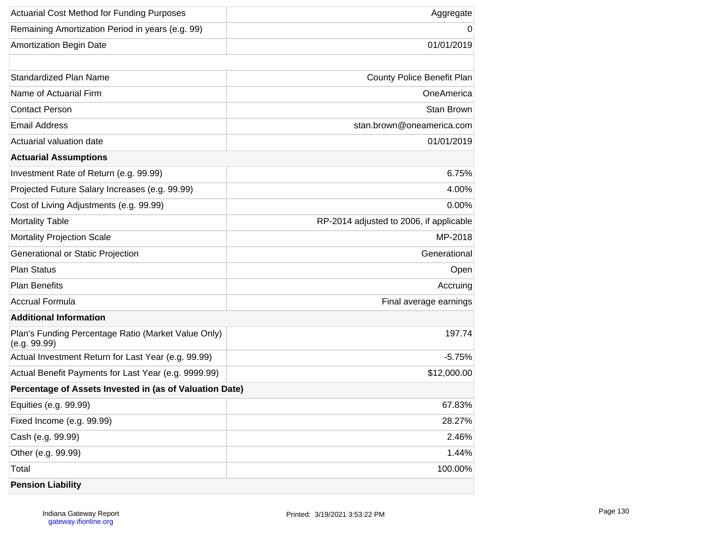| <b>Actuarial Cost Method for Funding Purposes</b>                   | Aggregate                               |
|---------------------------------------------------------------------|-----------------------------------------|
| Remaining Amortization Period in years (e.g. 99)                    | 0                                       |
| <b>Amortization Begin Date</b>                                      | 01/01/2019                              |
|                                                                     |                                         |
| Standardized Plan Name                                              | County Police Benefit Plan              |
| Name of Actuarial Firm                                              | OneAmerica                              |
| <b>Contact Person</b>                                               | Stan Brown                              |
| <b>Email Address</b>                                                | stan.brown@oneamerica.com               |
| Actuarial valuation date                                            | 01/01/2019                              |
| <b>Actuarial Assumptions</b>                                        |                                         |
| Investment Rate of Return (e.g. 99.99)                              | 6.75%                                   |
| Projected Future Salary Increases (e.g. 99.99)                      | 4.00%                                   |
| Cost of Living Adjustments (e.g. 99.99)                             | 0.00%                                   |
| <b>Mortality Table</b>                                              | RP-2014 adjusted to 2006, if applicable |
| <b>Mortality Projection Scale</b>                                   | MP-2018                                 |
| Generational or Static Projection                                   | Generational                            |
| <b>Plan Status</b>                                                  | Open                                    |
| <b>Plan Benefits</b>                                                | Accruing                                |
| <b>Accrual Formula</b>                                              | Final average earnings                  |
| <b>Additional Information</b>                                       |                                         |
| Plan's Funding Percentage Ratio (Market Value Only)<br>(e.g. 99.99) | 197.74                                  |
| Actual Investment Return for Last Year (e.g. 99.99)                 | $-5.75%$                                |
| Actual Benefit Payments for Last Year (e.g. 9999.99)                | \$12,000.00                             |
| Percentage of Assets Invested in (as of Valuation Date)             |                                         |
| Equities (e.g. 99.99)                                               | 67.83%                                  |
| Fixed Income (e.g. 99.99)                                           | 28.27%                                  |
| Cash (e.g. 99.99)                                                   | 2.46%                                   |
| Other (e.g. 99.99)                                                  | 1.44%                                   |
| Total                                                               | 100.00%                                 |
| <b>Pension Liability</b>                                            |                                         |